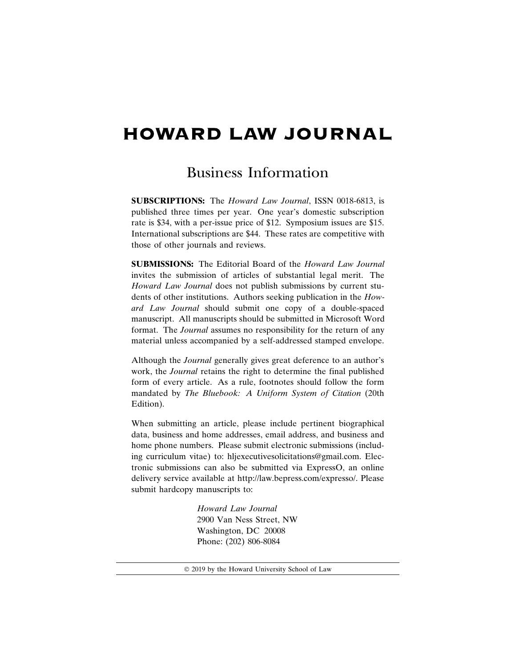# Business Information

**SUBSCRIPTIONS:** The *Howard Law Journal*, ISSN 0018-6813, is published three times per year. One year's domestic subscription rate is \$34, with a per-issue price of \$12. Symposium issues are \$15. International subscriptions are \$44. These rates are competitive with those of other journals and reviews.

**SUBMISSIONS:** The Editorial Board of the *Howard Law Journal* invites the submission of articles of substantial legal merit. The *Howard Law Journal* does not publish submissions by current students of other institutions. Authors seeking publication in the *Howard Law Journal* should submit one copy of a double-spaced manuscript. All manuscripts should be submitted in Microsoft Word format. The *Journal* assumes no responsibility for the return of any material unless accompanied by a self-addressed stamped envelope.

Although the *Journal* generally gives great deference to an author's work, the *Journal* retains the right to determine the final published form of every article. As a rule, footnotes should follow the form mandated by *The Bluebook: A Uniform System of Citation* (20th Edition).

When submitting an article, please include pertinent biographical data, business and home addresses, email address, and business and home phone numbers. Please submit electronic submissions (including curriculum vitae) to: hljexecutivesolicitations@gmail.com. Electronic submissions can also be submitted via ExpressO, an online delivery service available at http://law.bepress.com/expresso/. Please submit hardcopy manuscripts to:

> *Howard Law Journal* 2900 Van Ness Street, NW Washington, DC 20008 Phone: (202) 806-8084

© 2019 by the Howard University School of Law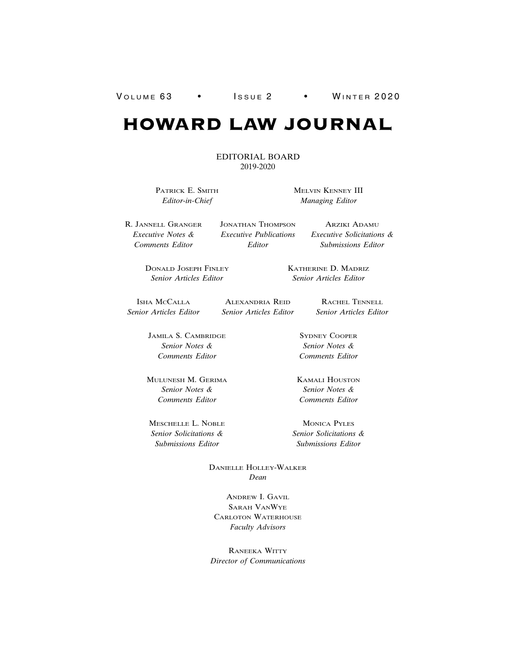#### EDITORIAL BOARD 2019-2020

PATRICK E. SMITH MELVIN KENNEY III

*Editor-in-Chief Managing Editor*

R. JANNELL GRANGER JONATHAN THOMPSON ARZIKI ADAMU *Comments Editor Editor Submissions Editor*

*Executive Notes & Executive Publications Executive Solicitations &*

DONALD JOSEPH FINLEY KATHERINE D. MADRIZ *Senior Articles Editor Senior Articles Editor*

ISHA MCCALLA ALEXANDRIA REID RACHEL TENNELL *Senior Articles Editor Senior Articles Editor Senior Articles Editor*

JAMILA S. CAMBRIDGE SYDNEY COOPER *Senior Notes & Senior Notes & Comments Editor Comments Editor*

MULUNESH M. GERIMA KAMALI HOUSTON *Senior Notes & Senior Notes & Comments Editor Comments Editor*

MESCHELLE L. NOBLE MONICA PYLES *Senior Solicitations & Senior Solicitations & Submissions Editor Submissions Editor*

DANIELLE HOLLEY-WALKER *Dean*

ANDREW I. GAVIL SARAH VANWYE CARLOTON WATERHOUSE *Faculty Advisors*

RANEEKA WITTY *Director of Communications*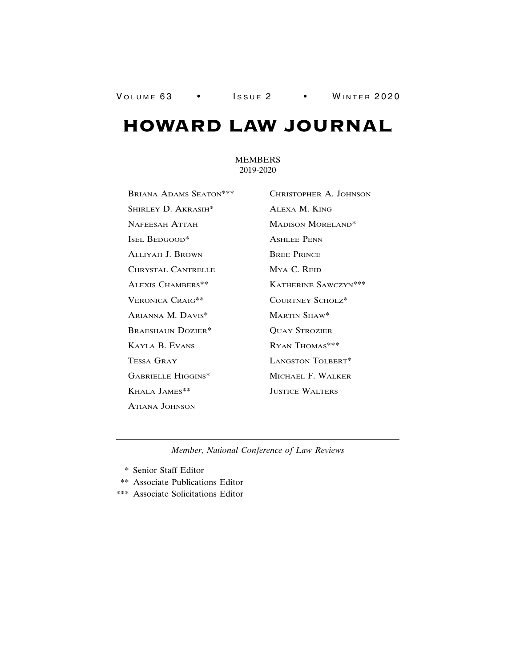#### MEMBERS 2019-2020

BRIANA ADAMS SEATON\*\*\* CHRISTOPHER A. JOHNSON SHIRLEY D. AKRASIH<sup>\*</sup> ALEXA M. KING NAFEESAH ATTAH MADISON MORELAND<sup>\*</sup> ISEL BEDGOOD\* ASHLEE PENN ALLIYAH J. BROWN BREE PRINCE CHRYSTAL CANTRELLE MYA C. REID ALEXIS CHAMBERS\*\* KATHERINE SAWCZYN\*\*\* VERONICA CRAIG<sup>\*\*</sup> COURTNEY SCHOLZ<sup>\*</sup> ARIANNA M. DAVIS<sup>\*</sup> MARTIN SHAW<sup>\*</sup> BRAESHAUN DOZIER\* QUAY STROZIER KAYLA B. EVANS RYAN THOMAS\*\*\* TESSA GRAY LANGSTON TOLBERT\* GABRIELLE HIGGINS\* MICHAEL F. WALKER KHALA JAMES<sup>\*\*</sup> JUSTICE WALTERS ATIANA JOHNSON

*Member, National Conference of Law Reviews*

- \* Senior Staff Editor
- \*\* Associate Publications Editor
- \*\*\* Associate Solicitations Editor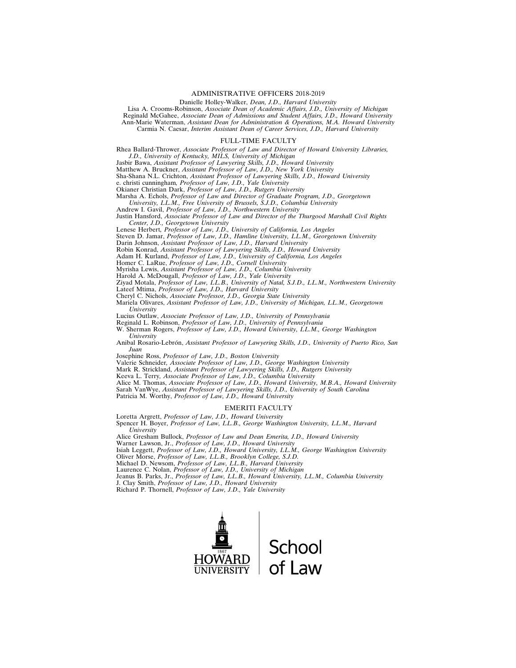#### ADMINISTRATIVE OFFICERS 2018-2019

Danielle Holley-Walker, *Dean, J.D., Harvard University*

Lisa A. Crooms-Robinson, *Associate Dean of Academic Affairs, J.D., University of Michigan*

Reginald McGahee, *Associate Dean of Admissions and Student Affairs, J.D., Howard University*

Ann-Marie Waterman, *Assistant Dean for Administration & Operations, M.A. Howard University* Carmia N. Caesar, *Interim Assistant Dean of Career Services, J.D., Harvard University*

#### FULL-TIME FACULTY

Rhea Ballard-Thrower, *Associate Professor of Law and Director of Howard University Libraries,*

*J.D., University of Kentucky, MILS, University of Michigan*

Jasbir Bawa, *Assistant Professor of Lawyering Skills, J.D., Howard University* Matthew A. Bruckner, *Assistant Professor of Law, J.D., New York University*

Sha-Shana N.L. Crichton, *Assistant Professor of Lawyering Skills, J.D., Howard University* e. christi cunningham*, Professor of Law, J.D., Yale University*

Okianer Christian Dark, *Professor of Law, J.D., Rutgers University*

Marsha A. Echols, *Professor of Law and Director of Graduate Program, J.D., Georgetown University, LL.M., Free University of Brussels, S.J.D., Columbia University*

Andrew I. Gavil, *Professor of Law, J.D., Northwestern University*

Justin Hansford, *Associate Professor of Law and Director of the Thurgood Marshall Civil Rights Center, J.D., Georgetown University*

Lenese Herbert*, Professor of Law, J.D., University of California, Los Angeles*

Steven D. Jamar, *Professor of Law, J.D., Hamline University, LL.M., Georgetown University*

Darin Johnson, *Assistant Professor of Law, J.D., Harvard University*

Robin Konrad, *Assistant Professor of Lawyering Skills, J.D., Howard University*

Adam H. Kurland, *Professor of Law, J.D., University of California, Los Angeles*

Homer C. LaRue, *Professor of Law, J.D., Cornell University* Myrisha Lewis, *Assistant Professor of Law, J.D., Columbia University*

Harold A. McDougall, *Professor of Law, J.D., Yale University*

Ziyad Motala, *Professor of Law, LL.B., University of Natal, S.J.D., LL.M., Northwestern University*

Lateef Mtima, *Professor of Law, J.D., Harvard University*

Cheryl C. Nichols, *Associate Professor, J.D., Georgia State University* Mariela Olivares, *Assistant Professor of Law, J.D., University of Michigan, LL.M., Georgetown*

*University*

Lucius Outlaw, *Associate Professor of Law, J.D., University of Pennsylvania* Reginald L. Robinson, *Professor of Law, J.D., University of Pennsylvania*

W. Sherman Rogers, *Professor of Law, J.D., Howard University, LL.M., George Washington*

*University*

Anibal Rosario-Lebrón, *Assistant Professor of Lawyering Skills, J.D., University of Puerto Rico, San Juan*

Josephine Ross, *Professor of Law, J.D., Boston University*

Valerie Schneider*, Associate Professor of Law, J.D., George Washington University* Mark R. Strickland, *Assistant Professor of Lawyering Skills, J.D., Rutgers University*

Keeva L. Terry*, Associate Professor of Law, J.D., Columbia University*

Alice M. Thomas, *Associate Professor of Law, J.D., Howard University, M.B.A., Howard University* Sarah VanWye, *Assistant Professor of Lawyering Skills, J.D., University of South Carolina* Patricia M. Worthy, *Professor of Law, J.D., Howard University*

#### EMERITI FACULTY

Loretta Argrett, *Professor of Law, J.D., Howard University* Spencer H. Boyer, *Professor of Law, LL.B., George Washington University, LL.M., Harvard University*

Alice Gresham Bullock, *Professor of Law and Dean Emerita, J.D., Howard University* Warner Lawson, Jr., *Professor of Law, J.D., Howard University*

Isiah Leggett, *Professor of Law, J.D., Howard University, LL.M., George Washington University* Oliver Morse, *Professor of Law, LL.B., Brooklyn College, S.J.D.*

Michael D. Newsom, *Professor of Law, LL.B., Harvard University* Laurence C. Nolan, *Professor of Law, J.D., University of Michigan*

Jeanus B. Parks, Jr., *Professor of Law, LL.B., Howard University, LL.M., Columbia University*

J. Clay Smith, *Professor of Law, J.D., Howard University*

Richard P. Thornell, *Professor of Law, J.D., Yale University*

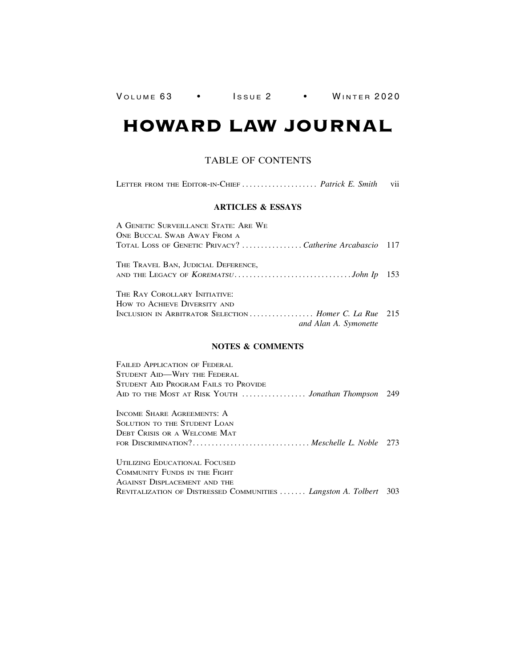# TABLE OF CONTENTS

| LETTER FROM THE EDITOR-IN-CHIEF  Patrick E. Smith vii |  |
|-------------------------------------------------------|--|
|-------------------------------------------------------|--|

#### **ARTICLES & ESSAYS**

| A GENETIC SURVEILLANCE STATE: ARE WE                    |  |
|---------------------------------------------------------|--|
| ONE BUCCAL SWAB AWAY FROM A                             |  |
| TOTAL LOSS OF GENETIC PRIVACY? Catherine Arcabascio 117 |  |
| THE TRAVEL BAN, JUDICIAL DEFERENCE,                     |  |
| AND THE LEGACY OF KOREMATSUJohn Ip 153                  |  |
| THE RAY COROLLARY INITIATIVE:                           |  |
| How to Achieve Diversity and                            |  |
| INCLUSION IN ARBITRATOR SELECTION  Homer C. La Rue 215  |  |
| and Alan A. Symonette                                   |  |

### **NOTES & COMMENTS**

| FAILED APPLICATION OF FEDERAL<br>STUDENT AID—WHY THE FEDERAL |     |
|--------------------------------------------------------------|-----|
| STUDENT AID PROGRAM FAILS TO PROVIDE                         |     |
| AID TO THE MOST AT RISK YOUTH  Jonathan Thompson             | 249 |
| INCOME SHARE AGREEMENTS: A                                   |     |
| <b>SOLUTION TO THE STUDENT LOAN</b>                          |     |
| DEBT CRISIS OR A WELCOME MAT                                 |     |
|                                                              |     |
| UTILIZING EDUCATIONAL FOCUSED                                |     |
| COMMUNITY FUNDS IN THE FIGHT                                 |     |

COMMUNITY FUNDS IN THE FIGHT AGAINST DISPLACEMENT AND THE REVITALIZATION OF DISTRESSED COMMUNITIES ....... *Langston A. Tolbert* 303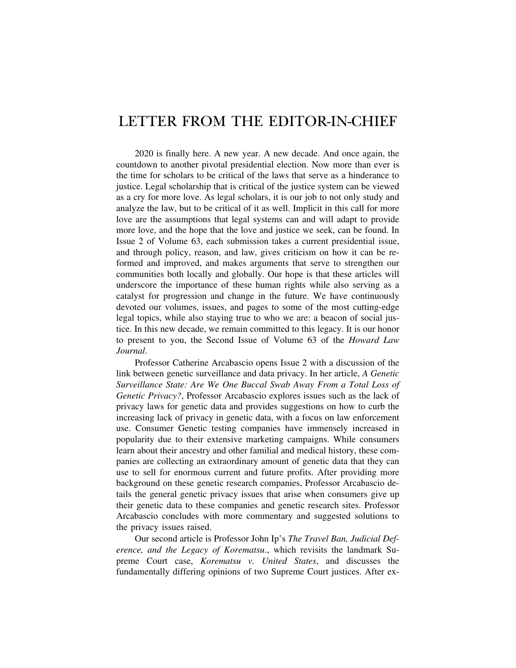# LETTER FROM THE EDITOR-IN-CHIEF

2020 is finally here. A new year. A new decade. And once again, the countdown to another pivotal presidential election. Now more than ever is the time for scholars to be critical of the laws that serve as a hinderance to justice. Legal scholarship that is critical of the justice system can be viewed as a cry for more love. As legal scholars, it is our job to not only study and analyze the law, but to be critical of it as well. Implicit in this call for more love are the assumptions that legal systems can and will adapt to provide more love, and the hope that the love and justice we seek, can be found. In Issue 2 of Volume 63, each submission takes a current presidential issue, and through policy, reason, and law, gives criticism on how it can be reformed and improved, and makes arguments that serve to strengthen our communities both locally and globally. Our hope is that these articles will underscore the importance of these human rights while also serving as a catalyst for progression and change in the future. We have continuously devoted our volumes, issues, and pages to some of the most cutting-edge legal topics, while also staying true to who we are: a beacon of social justice. In this new decade, we remain committed to this legacy. It is our honor to present to you, the Second Issue of Volume 63 of the *Howard Law Journal*.

Professor Catherine Arcabascio opens Issue 2 with a discussion of the link between genetic surveillance and data privacy. In her article, *A Genetic Surveillance State: Are We One Buccal Swab Away From a Total Loss of Genetic Privacy?*, Professor Arcabascio explores issues such as the lack of privacy laws for genetic data and provides suggestions on how to curb the increasing lack of privacy in genetic data, with a focus on law enforcement use. Consumer Genetic testing companies have immensely increased in popularity due to their extensive marketing campaigns. While consumers learn about their ancestry and other familial and medical history, these companies are collecting an extraordinary amount of genetic data that they can use to sell for enormous current and future profits. After providing more background on these genetic research companies, Professor Arcabascio details the general genetic privacy issues that arise when consumers give up their genetic data to these companies and genetic research sites. Professor Arcabascio concludes with more commentary and suggested solutions to the privacy issues raised.

Our second article is Professor John Ip's *The Travel Ban, Judicial Deference, and the Legacy of Korematsu*., which revisits the landmark Supreme Court case, *Korematsu v. United States*, and discusses the fundamentally differing opinions of two Supreme Court justices. After ex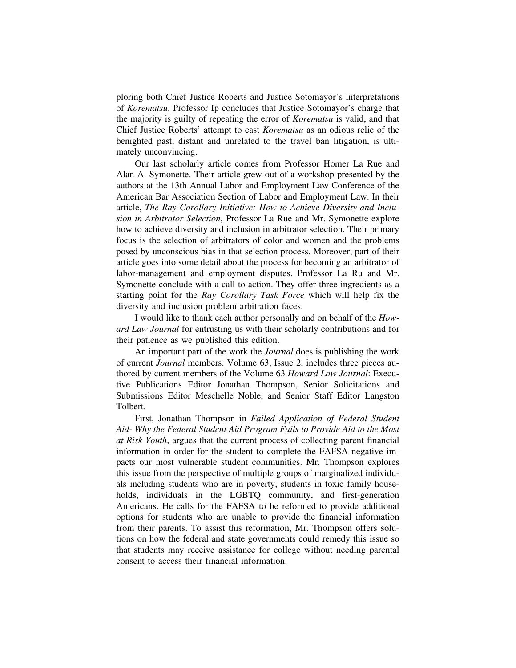ploring both Chief Justice Roberts and Justice Sotomayor's interpretations of *Korematsu*, Professor Ip concludes that Justice Sotomayor's charge that the majority is guilty of repeating the error of *Korematsu* is valid, and that Chief Justice Roberts' attempt to cast *Korematsu* as an odious relic of the benighted past, distant and unrelated to the travel ban litigation, is ultimately unconvincing.

Our last scholarly article comes from Professor Homer La Rue and Alan A. Symonette. Their article grew out of a workshop presented by the authors at the 13th Annual Labor and Employment Law Conference of the American Bar Association Section of Labor and Employment Law. In their article, *The Ray Corollary Initiative: How to Achieve Diversity and Inclusion in Arbitrator Selection*, Professor La Rue and Mr. Symonette explore how to achieve diversity and inclusion in arbitrator selection. Their primary focus is the selection of arbitrators of color and women and the problems posed by unconscious bias in that selection process. Moreover, part of their article goes into some detail about the process for becoming an arbitrator of labor-management and employment disputes. Professor La Ru and Mr. Symonette conclude with a call to action. They offer three ingredients as a starting point for the *Ray Corollary Task Force* which will help fix the diversity and inclusion problem arbitration faces.

I would like to thank each author personally and on behalf of the *Howard Law Journal* for entrusting us with their scholarly contributions and for their patience as we published this edition.

An important part of the work the *Journal* does is publishing the work of current *Journal* members. Volume 63, Issue 2, includes three pieces authored by current members of the Volume 63 *Howard Law Journal*: Executive Publications Editor Jonathan Thompson, Senior Solicitations and Submissions Editor Meschelle Noble, and Senior Staff Editor Langston Tolbert.

First, Jonathan Thompson in *Failed Application of Federal Student Aid- Why the Federal Student Aid Program Fails to Provide Aid to the Most at Risk Youth*, argues that the current process of collecting parent financial information in order for the student to complete the FAFSA negative impacts our most vulnerable student communities. Mr. Thompson explores this issue from the perspective of multiple groups of marginalized individuals including students who are in poverty, students in toxic family households, individuals in the LGBTQ community, and first-generation Americans. He calls for the FAFSA to be reformed to provide additional options for students who are unable to provide the financial information from their parents. To assist this reformation, Mr. Thompson offers solutions on how the federal and state governments could remedy this issue so that students may receive assistance for college without needing parental consent to access their financial information.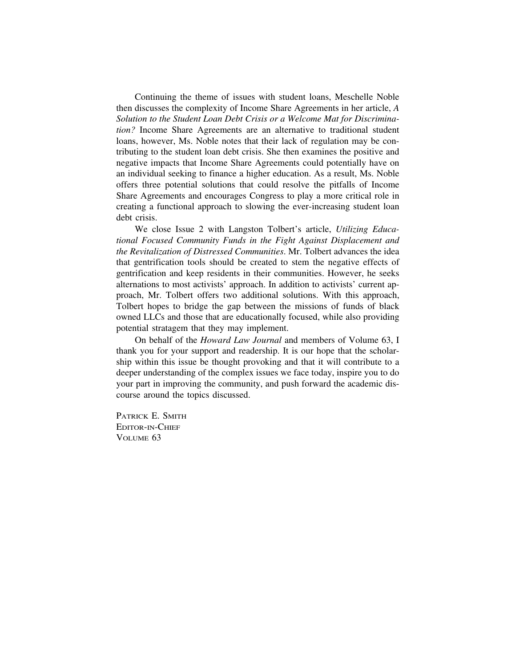Continuing the theme of issues with student loans, Meschelle Noble then discusses the complexity of Income Share Agreements in her article, *A Solution to the Student Loan Debt Crisis or a Welcome Mat for Discrimination?* Income Share Agreements are an alternative to traditional student loans, however, Ms. Noble notes that their lack of regulation may be contributing to the student loan debt crisis. She then examines the positive and negative impacts that Income Share Agreements could potentially have on an individual seeking to finance a higher education. As a result, Ms. Noble offers three potential solutions that could resolve the pitfalls of Income Share Agreements and encourages Congress to play a more critical role in creating a functional approach to slowing the ever-increasing student loan debt crisis.

We close Issue 2 with Langston Tolbert's article, *Utilizing Educational Focused Community Funds in the Fight Against Displacement and the Revitalization of Distressed Communities*. Mr. Tolbert advances the idea that gentrification tools should be created to stem the negative effects of gentrification and keep residents in their communities. However, he seeks alternations to most activists' approach. In addition to activists' current approach, Mr. Tolbert offers two additional solutions. With this approach, Tolbert hopes to bridge the gap between the missions of funds of black owned LLCs and those that are educationally focused, while also providing potential stratagem that they may implement.

On behalf of the *Howard Law Journal* and members of Volume 63, I thank you for your support and readership. It is our hope that the scholarship within this issue be thought provoking and that it will contribute to a deeper understanding of the complex issues we face today, inspire you to do your part in improving the community, and push forward the academic discourse around the topics discussed.

PATRICK E. SMITH EDITOR-IN-CHIEF VOLUME 63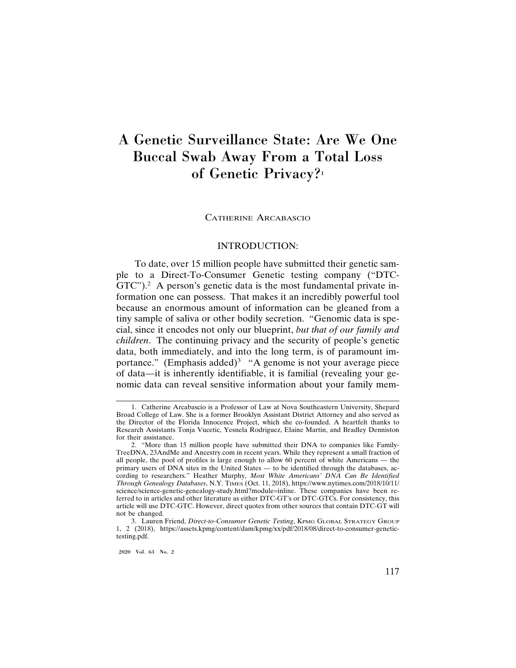# A Genetic Surveillance State: Are We One Buccal Swab Away From a Total Loss of Genetic Privacy?1

CATHERINE ARCABASCIO

#### INTRODUCTION:

To date, over 15 million people have submitted their genetic sample to a Direct-To-Consumer Genetic testing company ("DTC- $GTC$ )<sup>2</sup>. A person's genetic data is the most fundamental private information one can possess. That makes it an incredibly powerful tool because an enormous amount of information can be gleaned from a tiny sample of saliva or other bodily secretion. "Genomic data is special, since it encodes not only our blueprint, *but that of our family and children*. The continuing privacy and the security of people's genetic data, both immediately, and into the long term, is of paramount importance." (Emphasis added)<sup>3</sup> "A genome is not your average piece of data—it is inherently identifiable, it is familial (revealing your genomic data can reveal sensitive information about your family mem-

2020 Vol. 63 No. 2

<sup>1.</sup> Catherine Arcabascio is a Professor of Law at Nova Southeastern University, Shepard Broad College of Law. She is a former Brooklyn Assistant District Attorney and also served as the Director of the Florida Innocence Project, which she co-founded. A heartfelt thanks to Research Assistants Tonja Vucetic, Yesnela Rodriguez, Elaine Martin, and Bradley Denniston for their assistance.

<sup>2. &</sup>quot;More than 15 million people have submitted their DNA to companies like Family-TreeDNA, 23AndMe and Ancestry.com in recent years. While they represent a small fraction of all people, the pool of profiles is large enough to allow 60 percent of white Americans — the primary users of DNA sites in the United States — to be identified through the databases, according to researchers." Heather Murphy, *Most White Americans' DNA Can Be Identified Through Genealogy Databases*, N.Y. TIMES (Oct. 11, 2018), https://www.nytimes.com/2018/10/11/ science/science-genetic-genealogy-study.html?module=inline. These companies have been referred to in articles and other literature as either DTC-GT's or DTC-GTCs. For consistency, this article will use DTC-GTC. However, direct quotes from other sources that contain DTC-GT will not be changed.

<sup>3.</sup> Lauren Friend, *Direct-to-Consumer Genetic Testing*, KPMG GLOBAL STRATEGY GROUP 1, 2 (2018), https://assets.kpmg/content/dam/kpmg/xx/pdf/2018/08/direct-to-consumer-genetictesting.pdf.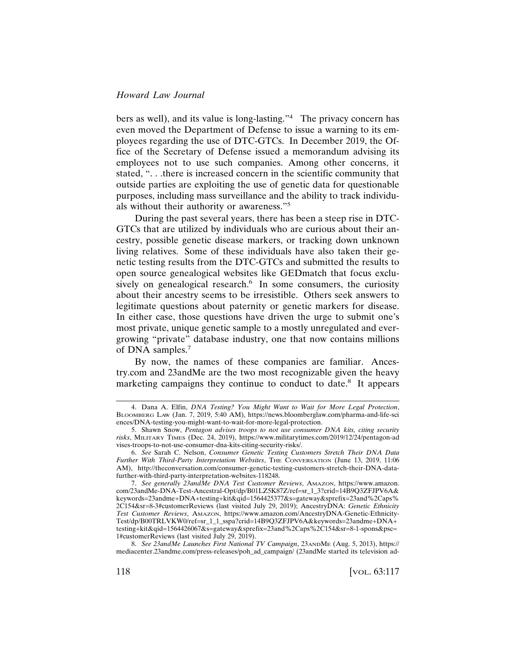bers as well), and its value is long-lasting."4 The privacy concern has even moved the Department of Defense to issue a warning to its employees regarding the use of DTC-GTCs. In December 2019, the Office of the Secretary of Defense issued a memorandum advising its employees not to use such companies. Among other concerns, it stated, ". . .there is increased concern in the scientific community that outside parties are exploiting the use of genetic data for questionable purposes, including mass surveillance and the ability to track individuals without their authority or awareness."5

During the past several years, there has been a steep rise in DTC-GTCs that are utilized by individuals who are curious about their ancestry, possible genetic disease markers, or tracking down unknown living relatives. Some of these individuals have also taken their genetic testing results from the DTC-GTCs and submitted the results to open source genealogical websites like GEDmatch that focus exclusively on genealogical research.<sup>6</sup> In some consumers, the curiosity about their ancestry seems to be irresistible. Others seek answers to legitimate questions about paternity or genetic markers for disease. In either case, those questions have driven the urge to submit one's most private, unique genetic sample to a mostly unregulated and evergrowing "private" database industry, one that now contains millions of DNA samples.<sup>7</sup>

By now, the names of these companies are familiar. Ancestry.com and 23andMe are the two most recognizable given the heavy marketing campaigns they continue to conduct to date.<sup>8</sup> It appears

<sup>4.</sup> Dana A. Elfin, *DNA Testing? You Might Want to Wait for More Legal Protection*, BLOOMBERG LAW (Jan. 7, 2019, 5:40 AM), https://news.bloomberglaw.com/pharma-and-life-sci ences/DNA-testing-you-might-want-to-wait-for-more-legal-protection.

<sup>5.</sup> Shawn Snow, *Pentagon advises troops to not use consumer DNA kits, citing security risks*, MILITARY TIMES (Dec. 24, 2019), https://www.militarytimes.com/2019/12/24/pentagon-ad vises-troops-to-not-use-consumer-dna-kits-citing-security-risks/.

<sup>6.</sup> *See* Sarah C. Nelson, *Consumer Genetic Testing Customers Stretch Their DNA Data Further With Third-Party Interpretation Websites*, THE CONVERSATION (June 13, 2019, 11:06 AM), http://theconversation.com/consumer-genetic-testing-customers-stretch-their-DNA-datafurther-with-third-party-interpretation-websites-118248.

<sup>7.</sup> *See generally 23andMe DNA Test Customer Reviews*, AMAZON, https://www.amazon. com/23andMe-DNA-Test-Ancestral-Opt/dp/B01LZ5K87Z/ref=sr\_1\_3?crid=14B9Q3ZFJPV6A& keywords=23andme+DNA+testing+kit&qid=1564425377&s=gateway&sprefix=23and%2Caps% 2C154&sr=8-3#customerReviews (last visited July 29, 2019); AncestryDNA: *Genetic Ethnicity Test Customer Reviews*, AMAZON, https://www.amazon.com/AncestryDNA-Genetic-Ethnicity-Test/dp/B00TRLVKW0/ref=sr\_1\_1\_sspa?crid=14B9Q3ZFJPV6A&keywords=23andme+DNA+ testing+kit&qid=1564426067&s=gateway&sprefix=23and%2Caps%2C154&sr=8-1-spons&psc= 1#customerReviews (last visited July 29, 2019).

<sup>8.</sup> *See 23andMe Launches First National TV Campaign*, 23ANDME (Aug. 5, 2013), https:// mediacenter.23andme.com/press-releases/poh\_ad\_campaign/ (23andMe started its television ad-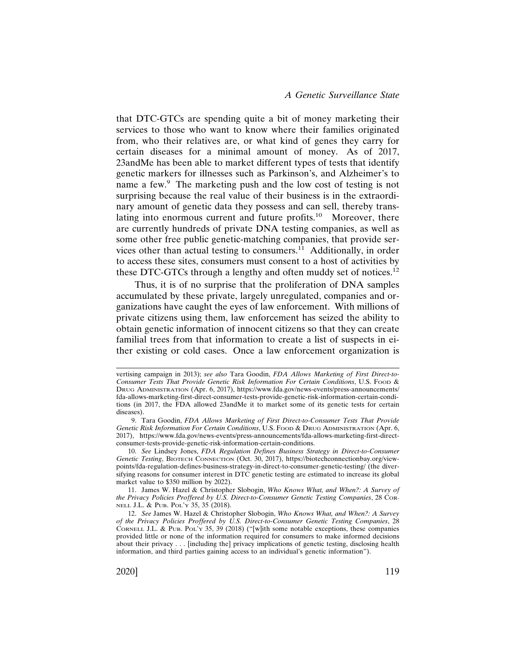that DTC-GTCs are spending quite a bit of money marketing their services to those who want to know where their families originated from, who their relatives are, or what kind of genes they carry for certain diseases for a minimal amount of money. As of 2017, 23andMe has been able to market different types of tests that identify genetic markers for illnesses such as Parkinson's, and Alzheimer's to name a few.<sup>9</sup> The marketing push and the low cost of testing is not surprising because the real value of their business is in the extraordinary amount of genetic data they possess and can sell, thereby translating into enormous current and future profits.<sup>10</sup> Moreover, there are currently hundreds of private DNA testing companies, as well as some other free public genetic-matching companies, that provide services other than actual testing to consumers. $11$  Additionally, in order to access these sites, consumers must consent to a host of activities by these DTC-GTCs through a lengthy and often muddy set of notices.<sup>12</sup>

Thus, it is of no surprise that the proliferation of DNA samples accumulated by these private, largely unregulated, companies and organizations have caught the eyes of law enforcement. With millions of private citizens using them, law enforcement has seized the ability to obtain genetic information of innocent citizens so that they can create familial trees from that information to create a list of suspects in either existing or cold cases. Once a law enforcement organization is

vertising campaign in 2013); *see also* Tara Goodin, *FDA Allows Marketing of First Direct-to-Consumer Tests That Provide Genetic Risk Information For Certain Conditions*, U.S. FOOD & DRUG ADMINISTRATION (Apr. 6, 2017), https://www.fda.gov/news-events/press-announcements/ fda-allows-marketing-first-direct-consumer-tests-provide-genetic-risk-information-certain-conditions (in 2017, the FDA allowed 23andMe it to market some of its genetic tests for certain diseases).

<sup>9.</sup> Tara Goodin, *FDA Allows Marketing of First Direct-to-Consumer Tests That Provide Genetic Risk Information For Certain Conditions*, U.S. FOOD & DRUG ADMINISTRATION (Apr. 6, 2017), https://www.fda.gov/news-events/press-announcements/fda-allows-marketing-first-directconsumer-tests-provide-genetic-risk-information-certain-conditions.

<sup>10.</sup> *See* Lindsey Jones, *FDA Regulation Defines Business Strategy in Direct-to-Consumer Genetic Testing*, BIOTECH CONNECTION (Oct. 30, 2017), https://biotechconnectionbay.org/viewpoints/fda-regulation-defines-business-strategy-in-direct-to-consumer-genetic-testing/ (the diversifying reasons for consumer interest in DTC genetic testing are estimated to increase its global market value to \$350 million by 2022).

<sup>11.</sup> James W. Hazel & Christopher Slobogin, *Who Knows What, and When?: A Survey of the Privacy Policies Proffered by U.S. Direct-to-Consumer Genetic Testing Companies*, 28 COR-NELL J.L. & PUB. POL'Y 35, 35 (2018).

<sup>12.</sup> *See* James W. Hazel & Christopher Slobogin, *Who Knows What, and When?: A Survey of the Privacy Policies Proffered by U.S. Direct-to-Consumer Genetic Testing Companies*, 28 CORNELL J.L. & PUB. POL'Y 35, 39 (2018) ("[w]ith some notable exceptions, these companies provided little or none of the information required for consumers to make informed decisions about their privacy . . . [including the] privacy implications of genetic testing, disclosing health information, and third parties gaining access to an individual's genetic information").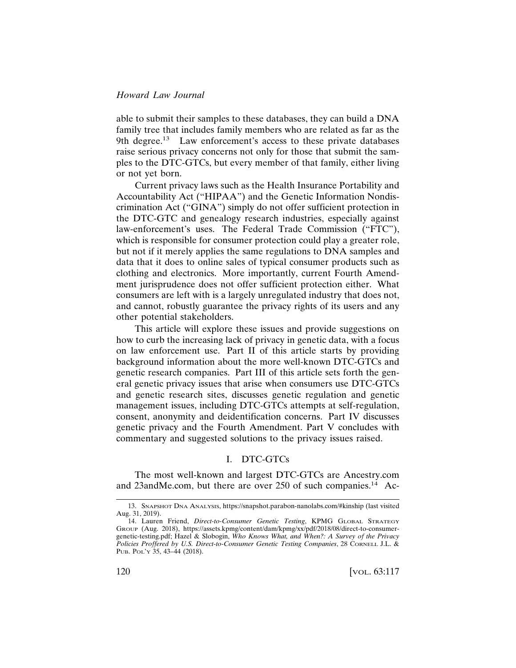able to submit their samples to these databases, they can build a DNA family tree that includes family members who are related as far as the 9th degree.<sup>13</sup> Law enforcement's access to these private databases raise serious privacy concerns not only for those that submit the samples to the DTC-GTCs, but every member of that family, either living or not yet born.

Current privacy laws such as the Health Insurance Portability and Accountability Act ("HIPAA") and the Genetic Information Nondiscrimination Act ("GINA") simply do not offer sufficient protection in the DTC-GTC and genealogy research industries, especially against law-enforcement's uses. The Federal Trade Commission ("FTC"), which is responsible for consumer protection could play a greater role, but not if it merely applies the same regulations to DNA samples and data that it does to online sales of typical consumer products such as clothing and electronics. More importantly, current Fourth Amendment jurisprudence does not offer sufficient protection either. What consumers are left with is a largely unregulated industry that does not, and cannot, robustly guarantee the privacy rights of its users and any other potential stakeholders.

This article will explore these issues and provide suggestions on how to curb the increasing lack of privacy in genetic data, with a focus on law enforcement use. Part II of this article starts by providing background information about the more well-known DTC-GTCs and genetic research companies. Part III of this article sets forth the general genetic privacy issues that arise when consumers use DTC-GTCs and genetic research sites, discusses genetic regulation and genetic management issues, including DTC-GTCs attempts at self-regulation, consent, anonymity and deidentification concerns. Part IV discusses genetic privacy and the Fourth Amendment. Part V concludes with commentary and suggested solutions to the privacy issues raised.

## I. DTC-GTCs

The most well-known and largest DTC-GTCs are Ancestry.com and 23andMe.com, but there are over 250 of such companies.<sup>14</sup> Ac-

<sup>13.</sup> SNAPSHOT DNA ANALYSIS, https://snapshot.parabon-nanolabs.com/#kinship (last visited Aug. 31, 2019).

<sup>14.</sup> Lauren Friend, *Direct-to-Consumer Genetic Testing*, KPMG GLOBAL STRATEGY GROUP (Aug. 2018), https://assets.kpmg/content/dam/kpmg/xx/pdf/2018/08/direct-to-consumergenetic-testing.pdf; Hazel & Slobogin, *Who Knows What, and When?: A Survey of the Privacy Policies Proffered by U.S. Direct-to-Consumer Genetic Testing Companies*, 28 CORNELL J.L. & PUB. POL'Y 35, 43–44 (2018).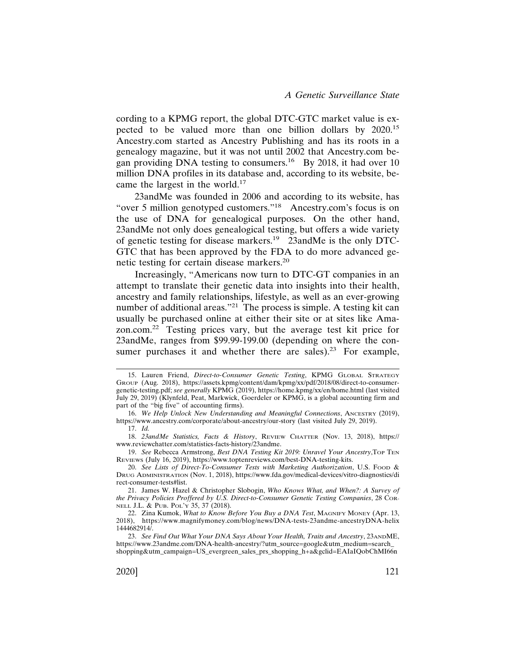cording to a KPMG report, the global DTC-GTC market value is expected to be valued more than one billion dollars by 2020.15 Ancestry.com started as Ancestry Publishing and has its roots in a genealogy magazine, but it was not until 2002 that Ancestry.com began providing DNA testing to consumers.<sup>16</sup> By 2018, it had over 10 million DNA profiles in its database and, according to its website, became the largest in the world.<sup>17</sup>

23andMe was founded in 2006 and according to its website, has "over 5 million genotyped customers."18 Ancestry.com's focus is on the use of DNA for genealogical purposes. On the other hand, 23andMe not only does genealogical testing, but offers a wide variety of genetic testing for disease markers.19 23andMe is the only DTC-GTC that has been approved by the FDA to do more advanced genetic testing for certain disease markers.<sup>20</sup>

Increasingly, "Americans now turn to DTC-GT companies in an attempt to translate their genetic data into insights into their health, ancestry and family relationships, lifestyle, as well as an ever-growing number of additional areas."<sup>21</sup> The process is simple. A testing kit can usually be purchased online at either their site or at sites like Amazon.com.22 Testing prices vary, but the average test kit price for 23andMe, ranges from \$99.99-199.00 (depending on where the consumer purchases it and whether there are sales).<sup>23</sup> For example,

19. *See* Rebecca Armstrong, *Best DNA Testing Kit 2019: Unravel Your Ancestry*,TOP TEN REVIEWS (July 16, 2019), https://www.toptenreviews.com/best-DNA-testing-kits.

<sup>15.</sup> Lauren Friend, *Direct-to-Consumer Genetic Testing*, KPMG GLOBAL STRATEGY GROUP (Aug. 2018), https://assets.kpmg/content/dam/kpmg/xx/pdf/2018/08/direct-to-consumergenetic-testing.pdf; *see generally* KPMG (2019), https://home.kpmg/xx/en/home.html (last visited July 29, 2019) (Klynfeld, Peat, Markwick, Goerdeler or KPMG, is a global accounting firm and part of the "big five" of accounting firms).

<sup>16.</sup> *We Help Unlock New Understanding and Meaningful Connections*, ANCESTRY (2019), https://www.ancestry.com/corporate/about-ancestry/our-story (last visited July 29, 2019).

<sup>17.</sup> *Id.*

<sup>18.</sup> *23andMe Statistics, Facts & History*, REVIEW CHATTER (Nov. 13, 2018), https:// www.reviewchatter.com/statistics-facts-history/23andme.

<sup>20.</sup> See Lists of Direct-To-Consumer Tests with Marketing Authorization, U.S. Food & DRUG ADMINISTRATION (Nov. 1, 2018), https://www.fda.gov/medical-devices/vitro-diagnostics/di rect-consumer-tests#list.

<sup>21.</sup> James W. Hazel & Christopher Slobogin, *Who Knows What, and When?: A Survey of the Privacy Policies Proffered by U.S. Direct-to-Consumer Genetic Testing Companies*, 28 COR-NELL J.L. & PUB. POL'Y 35, 37 (2018).

<sup>22.</sup> Zina Kumok, *What to Know Before You Buy a DNA Test*, MAGNIFY MONEY (Apr. 13, 2018), https://www.magnifymoney.com/blog/news/DNA-tests-23andme-ancestryDNA-helix 1444682914/.

<sup>23.</sup> *See Find Out What Your DNA Says About Your Health, Traits and Ancestry*, 23ANDME, https://www.23andme.com/DNA-health-ancestry/?utm\_source=google&utm\_medium=search\_ shopping&utm\_campaign=US\_evergreen\_sales\_prs\_shopping\_h+a&gclid=EAIaIQobChMI66n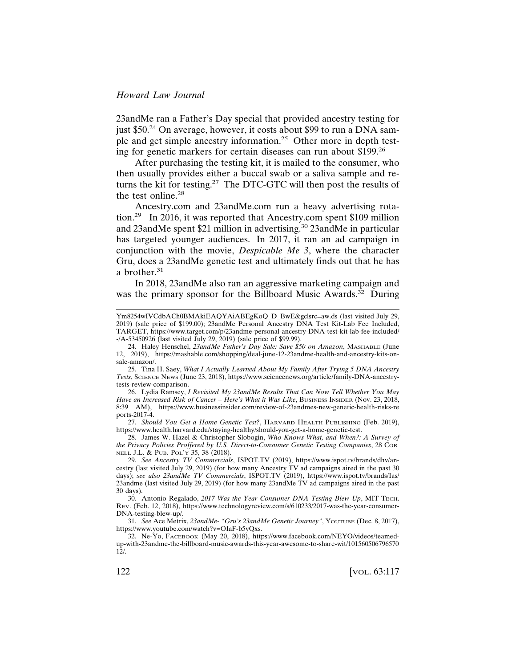23andMe ran a Father's Day special that provided ancestry testing for just \$50.<sup>24</sup> On average, however, it costs about \$99 to run a DNA sample and get simple ancestry information.25 Other more in depth testing for genetic markers for certain diseases can run about \$199.26

After purchasing the testing kit, it is mailed to the consumer, who then usually provides either a buccal swab or a saliva sample and returns the kit for testing.<sup>27</sup> The DTC-GTC will then post the results of the test online.<sup>28</sup>

Ancestry.com and 23andMe.com run a heavy advertising rotation.29 In 2016, it was reported that Ancestry.com spent \$109 million and 23andMe spent \$21 million in advertising.30 23andMe in particular has targeted younger audiences. In 2017, it ran an ad campaign in conjunction with the movie, *Despicable Me 3*, where the character Gru, does a 23andMe genetic test and ultimately finds out that he has a brother. $31$ 

In 2018, 23andMe also ran an aggressive marketing campaign and was the primary sponsor for the Billboard Music Awards.<sup>32</sup> During

27. *Should You Get a Home Genetic Test?*, HARVARD HEALTH PUBLISHING (Feb. 2019), https://www.health.harvard.edu/staying-healthy/should-you-get-a-home-genetic-test.

28. James W. Hazel & Christopher Slobogin, *Who Knows What, and When?: A Survey of the Privacy Policies Proffered by U.S. Direct-to-Consumer Genetic Testing Companies*, 28 COR-NELL J.L. & PUB. POL'Y 35, 38 (2018).

29. *See Ancestry TV Commercials*, ISPOT.TV (2019), https://www.ispot.tv/brands/dhv/ancestry (last visited July 29, 2019) (for how many Ancestry TV ad campaigns aired in the past 30 days); *see also 23andMe TV Commercials*, ISPOT.TV (2019), https://www.ispot.tv/brands/Ias/ 23andme (last visited July 29, 2019) (for how many 23andMe TV ad campaigns aired in the past 30 days).

30. Antonio Regalado, *2017 Was the Year Consumer DNA Testing Blew Up*, MIT TECH. REV. (Feb. 12, 2018), https://www.technologyreview.com/s/610233/2017-was-the-year-consumer-DNA-testing-blew-up/.

31. *See* Ace Metrix, *23andMe- "Gru's 23andMe Genetic Journey"*, YOUTUBE (Dec. 8, 2017), https://www.youtube.com/watch?v=OIaF-b5yQxs.

32. Ne-Yo, FACEBOOK (May 20, 2018), https://www.facebook.com/NEYO/videos/teamedup-with-23andme-the-billboard-music-awards-this-year-awesome-to-share-wit/101560506796570  $12/$ 

Ym8254wIVCdbACh0BMAkiEAQYAiABEgKoQ\_D\_BwE&gclsrc=aw.ds (last visited July 29, 2019) (sale price of \$199.00); 23andMe Personal Ancestry DNA Test Kit-Lab Fee Included, TARGET, https://www.target.com/p/23andme-personal-ancestry-DNA-test-kit-lab-fee-included/ -/A-53450926 (last visited July 29, 2019) (sale price of \$99.99).

<sup>24.</sup> Haley Henschel, *23andMe Father's Day Sale: Save \$50 on Amazon*, MASHABLE (June 12, 2019), https://mashable.com/shopping/deal-june-12-23andme-health-and-ancestry-kits-onsale-amazon/.

<sup>25.</sup> Tina H. Saey, *What I Actually Learned About My Family After Trying 5 DNA Ancestry Tests*, SCIENCE NEWS (June 23, 2018), https://www.sciencenews.org/article/family-DNA-ancestrytests-review-comparison.

<sup>26.</sup> Lydia Ramsey, *I Revisited My 23andMe Results That Can Now Tell Whether You May Have an Increased Risk of Cancer – Here's What it Was Like*, BUSINESS INSIDER (Nov. 23, 2018, 8:39 AM), https://www.businessinsider.com/review-of-23andmes-new-genetic-health-risks-re ports-2017-4.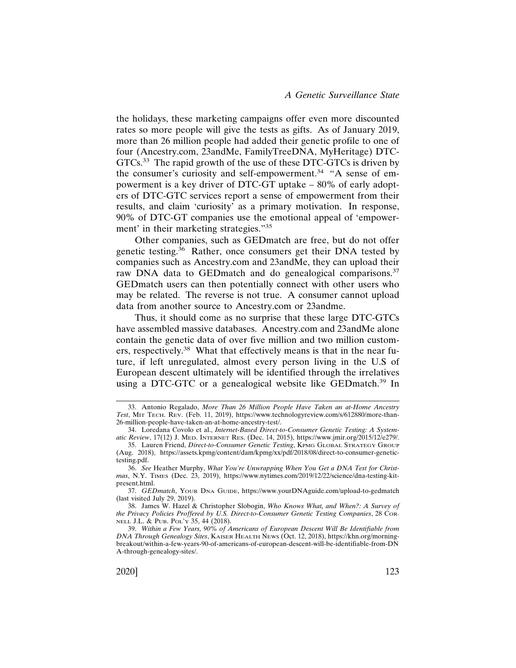the holidays, these marketing campaigns offer even more discounted rates so more people will give the tests as gifts. As of January 2019, more than 26 million people had added their genetic profile to one of four (Ancestry.com, 23andMe, FamilyTreeDNA, MyHeritage) DTC-GTCs.33 The rapid growth of the use of these DTC-GTCs is driven by the consumer's curiosity and self-empowerment.<sup>34</sup> "A sense of empowerment is a key driver of DTC-GT uptake – 80% of early adopters of DTC-GTC services report a sense of empowerment from their results, and claim 'curiosity' as a primary motivation. In response, 90% of DTC-GT companies use the emotional appeal of 'empowerment' in their marketing strategies."35

Other companies, such as GEDmatch are free, but do not offer genetic testing.36 Rather, once consumers get their DNA tested by companies such as Ancestry.com and 23andMe, they can upload their raw DNA data to GEDmatch and do genealogical comparisons.<sup>37</sup> GEDmatch users can then potentially connect with other users who may be related. The reverse is not true. A consumer cannot upload data from another source to Ancestry.com or 23andme.

Thus, it should come as no surprise that these large DTC-GTCs have assembled massive databases. Ancestry.com and 23andMe alone contain the genetic data of over five million and two million customers, respectively.<sup>38</sup> What that effectively means is that in the near future, if left unregulated, almost every person living in the U.S of European descent ultimately will be identified through the irrelatives using a DTC-GTC or a genealogical website like GEDmatch.<sup>39</sup> In

<sup>33.</sup> Antonio Regalado, *More Than 26 Million People Have Taken an at-Home Ancestry Test*, MIT TECH. REV. (Feb. 11, 2019), https://www.technologyreview.com/s/612880/more-than-26-million-people-have-taken-an-at-home-ancestry-test/.

<sup>34.</sup> Loredana Covolo et al., *Internet-Based Direct-to-Consumer Genetic Testing: A Systematic Review*, 17(12) J. MED. INTERNET RES. (Dec. 14, 2015), https://www.jmir.org/2015/12/e279/.

<sup>35.</sup> Lauren Friend, *Direct-to-Consumer Genetic Testing*, KPMG GLOBAL STRATEGY GROUP (Aug. 2018), https://assets.kpmg/content/dam/kpmg/xx/pdf/2018/08/direct-to-consumer-genetictesting.pdf.

<sup>36.</sup> *See* Heather Murphy, *What You're Unwrapping When You Get a DNA Test for Christmas*, N.Y. TIMES (Dec. 23, 2019), https://www.nytimes.com/2019/12/22/science/dna-testing-kitpresent.html.

<sup>37.</sup> *GEDmatch*, YOUR DNA GUIDE, https://www.yourDNAguide.com/upload-to-gedmatch (last visited July 29, 2019).

<sup>38.</sup> James W. Hazel & Christopher Slobogin, *Who Knows What, and When?: A Survey of the Privacy Policies Proffered by U.S. Direct-to-Consumer Genetic Testing Companies*, 28 COR-NELL J.L. & PUB. POL'Y 35, 44 (2018).

<sup>39.</sup> *Within a Few Years, 90% of Americans of European Descent Will Be Identifiable from DNA Through Genealogy Sites*, KAISER HEALTH NEWS (Oct. 12, 2018), https://khn.org/morningbreakout/within-a-few-years-90-of-americans-of-european-descent-will-be-identifiable-from-DN A-through-genealogy-sites/.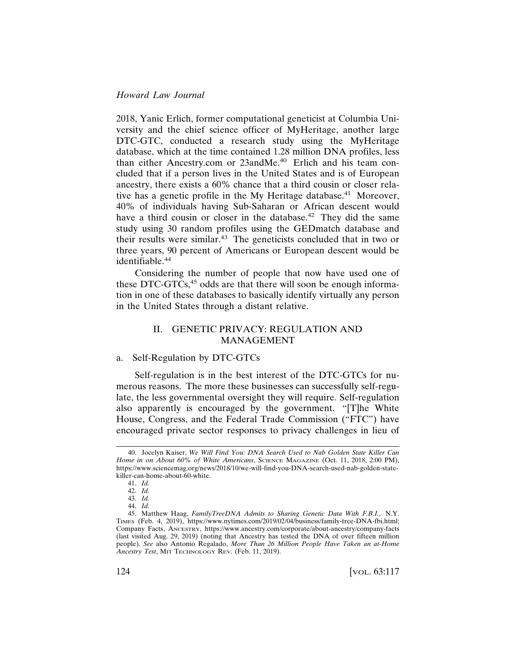2018, Yanic Erlich, former computational geneticist at Columbia University and the chief science officer of MyHeritage, another large DTC-GTC, conducted a research study using the MyHeritage database, which at the time contained 1.28 million DNA profiles, less than either Ancestry.com or 23andMe.<sup>40</sup> Erlich and his team concluded that if a person lives in the United States and is of European ancestry, there exists a 60% chance that a third cousin or closer relative has a genetic profile in the My Heritage database.<sup>41</sup> Moreover, 40% of individuals having Sub-Saharan or African descent would have a third cousin or closer in the database.<sup>42</sup> They did the same study using 30 random profiles using the GEDmatch database and their results were similar.43 The geneticists concluded that in two or three years, 90 percent of Americans or European descent would be identifiable.44

Considering the number of people that now have used one of these DTC-GTCs,<sup>45</sup> odds are that there will soon be enough information in one of these databases to basically identify virtually any person in the United States through a distant relative.

## II. GENETIC PRIVACY: REGULATION AND MANAGEMENT

### a. Self-Regulation by DTC-GTCs

Self-regulation is in the best interest of the DTC-GTCs for numerous reasons. The more these businesses can successfully self-regulate, the less governmental oversight they will require. Self-regulation also apparently is encouraged by the government. "[T]he White House, Congress, and the Federal Trade Commission ("FTC") have encouraged private sector responses to privacy challenges in lieu of

<sup>40.</sup> Jocelyn Kaiser, *We Will Find You: DNA Search Used to Nab Golden State Killer Can Home in on About 60% of White Americans*, SCIENCE MAGAZINE (Oct. 11, 2018, 2:00 PM), https://www.sciencemag.org/news/2018/10/we-will-find-you-DNA-search-used-nab-golden-statekiller-can-home-about-60-white.

<sup>41.</sup> *Id.*

<sup>42.</sup> *Id.*

<sup>43.</sup> *Id.*

<sup>44.</sup> *Id.*

<sup>45.</sup> Matthew Haag, *FamilyTreeDNA Admits to Sharing Genetic Data With F.B.I.*, N.Y. TIMES (Feb. 4, 2019), https://www.nytimes.com/2019/02/04/business/family-tree-DNA-fbi.html; Company Facts, ANCESTRY, https://www.ancestry.com/corporate/about-ancestry/company-facts (last visited Aug. 29, 2019) (noting that Ancestry has tested the DNA of over fifteen million people). *See* also Antonio Regalado, *More Than 26 Million People Have Taken an at-Home Ancestry Test*, MIT TECHNOLOGY REV. (Feb. 11, 2019).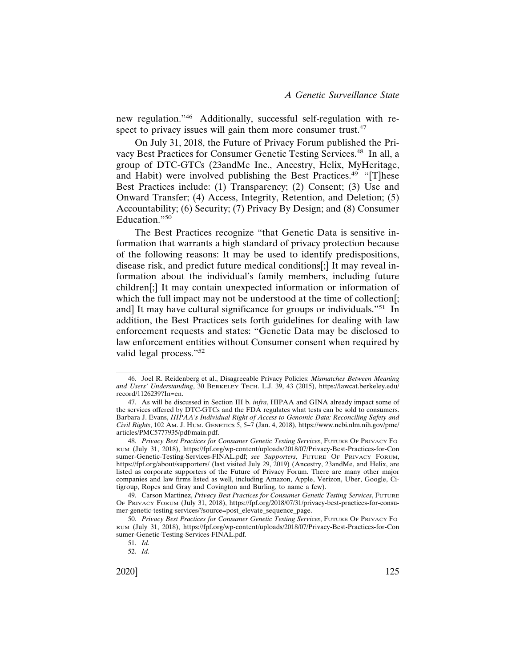new regulation."46 Additionally, successful self-regulation with respect to privacy issues will gain them more consumer trust.<sup>47</sup>

On July 31, 2018, the Future of Privacy Forum published the Privacy Best Practices for Consumer Genetic Testing Services.48 In all, a group of DTC-GTCs (23andMe Inc., Ancestry, Helix, MyHeritage, and Habit) were involved publishing the Best Practices.<sup>49</sup> "[T]hese Best Practices include: (1) Transparency; (2) Consent; (3) Use and Onward Transfer; (4) Access, Integrity, Retention, and Deletion; (5) Accountability; (6) Security; (7) Privacy By Design; and (8) Consumer Education."50

The Best Practices recognize "that Genetic Data is sensitive information that warrants a high standard of privacy protection because of the following reasons: It may be used to identify predispositions, disease risk, and predict future medical conditions[;] It may reveal information about the individual's family members, including future children[;] It may contain unexpected information or information of which the full impact may not be understood at the time of collection. and] It may have cultural significance for groups or individuals.<sup>"51</sup> In addition, the Best Practices sets forth guidelines for dealing with law enforcement requests and states: "Genetic Data may be disclosed to law enforcement entities without Consumer consent when required by valid legal process."52

<sup>46.</sup> Joel R. Reidenberg et al., Disagreeable Privacy Policies: *Mismatches Between Meaning and Users' Understanding*, 30 BERKELEY TECH. L.J. 39, 43 (2015), https://lawcat.berkeley.edu/ record/1126239?In=en.

<sup>47.</sup> As will be discussed in Section III b. *infra*, HIPAA and GINA already impact some of the services offered by DTC-GTCs and the FDA regulates what tests can be sold to consumers. Barbara J. Evans, *HIPAA's Individual Right of Access to Genomic Data: Reconciling Safety and Civil Rights*, 102 AM. J. HUM. GENETICS 5, 5–7 (Jan. 4, 2018), https://www.ncbi.nlm.nih.gov/pmc/ articles/PMC5777935/pdf/main.pdf.

<sup>48.</sup> *Privacy Best Practices for Consumer Genetic Testing Services*, FUTURE OF PRIVACY FO-RUM (July 31, 2018), https://fpf.org/wp-content/uploads/2018/07/Privacy-Best-Practices-for-Con sumer-Genetic-Testing-Services-FINAL.pdf; *see Supporters*, FUTURE OF PRIVACY FORUM, https://fpf.org/about/supporters/ (last visited July 29, 2019) (Ancestry, 23andMe, and Helix, are listed as corporate supporters of the Future of Privacy Forum. There are many other major companies and law firms listed as well, including Amazon, Apple, Verizon, Uber, Google, Citigroup, Ropes and Gray and Covington and Burling, to name a few).

<sup>49.</sup> Carson Martinez, Privacy Best Practices for Consumer Genetic Testing Services, FUTURE OF PRIVACY FORUM (July 31, 2018), https://fpf.org/2018/07/31/privacy-best-practices-for-consumer-genetic-testing-services/?source=post\_elevate\_sequence\_page.

<sup>50.</sup> *Privacy Best Practices for Consumer Genetic Testing Services*, FUTURE OF PRIVACY FO-RUM (July 31, 2018), https://fpf.org/wp-content/uploads/2018/07/Privacy-Best-Practices-for-Con sumer-Genetic-Testing-Services-FINAL.pdf.

<sup>51.</sup> *Id.*

<sup>52.</sup> *Id.*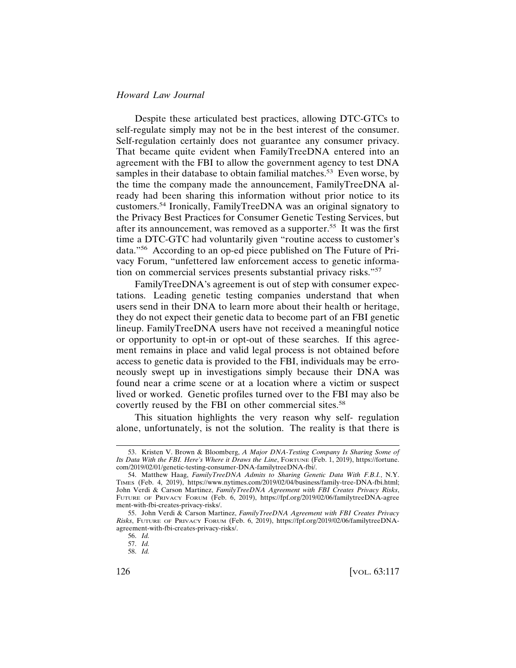Despite these articulated best practices, allowing DTC-GTCs to self-regulate simply may not be in the best interest of the consumer. Self-regulation certainly does not guarantee any consumer privacy. That became quite evident when FamilyTreeDNA entered into an agreement with the FBI to allow the government agency to test DNA samples in their database to obtain familial matches.<sup>53</sup> Even worse, by the time the company made the announcement, FamilyTreeDNA already had been sharing this information without prior notice to its customers.54 Ironically, FamilyTreeDNA was an original signatory to the Privacy Best Practices for Consumer Genetic Testing Services, but after its announcement, was removed as a supporter.55 It was the first time a DTC-GTC had voluntarily given "routine access to customer's data."56 According to an op-ed piece published on The Future of Privacy Forum, "unfettered law enforcement access to genetic information on commercial services presents substantial privacy risks."<sup>57</sup>

FamilyTreeDNA's agreement is out of step with consumer expectations. Leading genetic testing companies understand that when users send in their DNA to learn more about their health or heritage, they do not expect their genetic data to become part of an FBI genetic lineup. FamilyTreeDNA users have not received a meaningful notice or opportunity to opt-in or opt-out of these searches. If this agreement remains in place and valid legal process is not obtained before access to genetic data is provided to the FBI, individuals may be erroneously swept up in investigations simply because their DNA was found near a crime scene or at a location where a victim or suspect lived or worked. Genetic profiles turned over to the FBI may also be covertly reused by the FBI on other commercial sites.<sup>58</sup>

This situation highlights the very reason why self- regulation alone, unfortunately, is not the solution. The reality is that there is

<sup>53.</sup> Kristen V. Brown & Bloomberg, *A Major DNA-Testing Company Is Sharing Some of Its Data With the FBI. Here's Where it Draws the Line*, FORTUNE (Feb. 1, 2019), https://fortune. com/2019/02/01/genetic-testing-consumer-DNA-familytreeDNA-fbi/.

<sup>54.</sup> Matthew Haag, *FamilyTreeDNA Admits to Sharing Genetic Data With F.B.I.*, N.Y. TIMES (Feb. 4, 2019), https://www.nytimes.com/2019/02/04/business/family-tree-DNA-fbi.html; John Verdi & Carson Martinez, *FamilyTreeDNA Agreement with FBI Creates Privacy Risks*, FUTURE OF PRIVACY FORUM (Feb. 6, 2019), https://fpf.org/2019/02/06/familytreeDNA-agree ment-with-fbi-creates-privacy-risks/.

<sup>55.</sup> John Verdi & Carson Martinez, *FamilyTreeDNA Agreement with FBI Creates Privacy Risks*, FUTURE OF PRIVACY FORUM (Feb. 6, 2019), https://fpf.org/2019/02/06/familytreeDNAagreement-with-fbi-creates-privacy-risks/.

<sup>56.</sup> *Id.*

<sup>57.</sup> *Id.* 58. *Id.*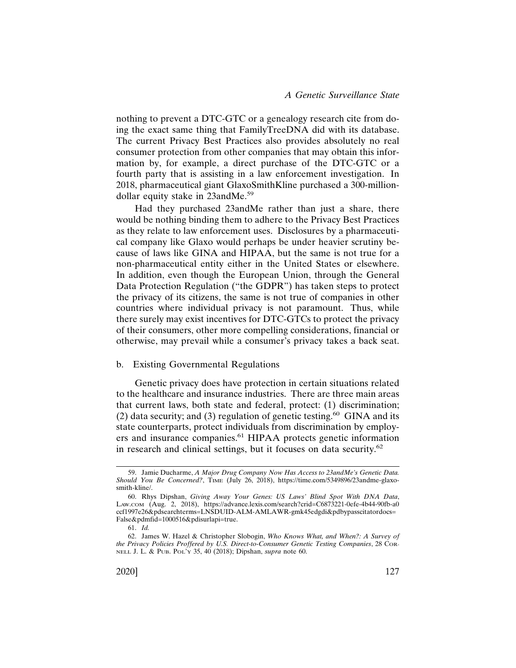nothing to prevent a DTC-GTC or a genealogy research cite from doing the exact same thing that FamilyTreeDNA did with its database. The current Privacy Best Practices also provides absolutely no real consumer protection from other companies that may obtain this information by, for example, a direct purchase of the DTC-GTC or a fourth party that is assisting in a law enforcement investigation. In 2018, pharmaceutical giant GlaxoSmithKline purchased a 300-milliondollar equity stake in 23andMe.59

Had they purchased 23andMe rather than just a share, there would be nothing binding them to adhere to the Privacy Best Practices as they relate to law enforcement uses. Disclosures by a pharmaceutical company like Glaxo would perhaps be under heavier scrutiny because of laws like GINA and HIPAA, but the same is not true for a non-pharmaceutical entity either in the United States or elsewhere. In addition, even though the European Union, through the General Data Protection Regulation ("the GDPR") has taken steps to protect the privacy of its citizens, the same is not true of companies in other countries where individual privacy is not paramount. Thus, while there surely may exist incentives for DTC-GTCs to protect the privacy of their consumers, other more compelling considerations, financial or otherwise, may prevail while a consumer's privacy takes a back seat.

#### b. Existing Governmental Regulations

Genetic privacy does have protection in certain situations related to the healthcare and insurance industries. There are three main areas that current laws, both state and federal, protect: (1) discrimination; (2) data security; and (3) regulation of genetic testing.<sup>60</sup> GINA and its state counterparts, protect individuals from discrimination by employers and insurance companies.<sup>61</sup> HIPAA protects genetic information in research and clinical settings, but it focuses on data security.62

<sup>59.</sup> Jamie Ducharme, *A Major Drug Company Now Has Access to 23andMe's Genetic Data. Should You Be Concerned?*, TIME (July 26, 2018), https://time.com/5349896/23andme-glaxosmith-kline/.

<sup>60.</sup> Rhys Dipshan, *Giving Away Your Genes: US Laws' Blind Spot With DNA Data*, LAW.COM (Aug. 2, 2018), https://advance.lexis.com/search?crid=C6873221-0efe-4b44-90fb-a0 ccf1997e26&pdsearchterms=LNSDUID-ALM-AMLAWR-gmk45edgdi&pdbypasscitatordocs= False&pdmfid=1000516&pdisurlapi=true.

<sup>61.</sup> *Id.*

<sup>62.</sup> James W. Hazel & Christopher Slobogin, *Who Knows What, and When?: A Survey of the Privacy Policies Proffered by U.S. Direct-to-Consumer Genetic Testing Companies*, 28 COR-NELL J. L. & PUB. POL'Y 35, 40 (2018); Dipshan, *supra* note 60.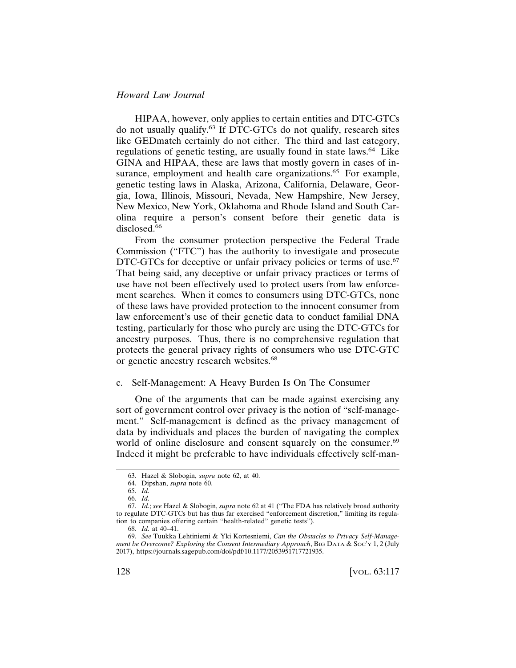HIPAA, however, only applies to certain entities and DTC-GTCs do not usually qualify.63 If DTC-GTCs do not qualify, research sites like GEDmatch certainly do not either. The third and last category, regulations of genetic testing, are usually found in state laws.<sup>64</sup> Like GINA and HIPAA, these are laws that mostly govern in cases of insurance, employment and health care organizations.<sup>65</sup> For example, genetic testing laws in Alaska, Arizona, California, Delaware, Georgia, Iowa, Illinois, Missouri, Nevada, New Hampshire, New Jersey, New Mexico, New York, Oklahoma and Rhode Island and South Carolina require a person's consent before their genetic data is disclosed.<sup>66</sup>

From the consumer protection perspective the Federal Trade Commission ("FTC") has the authority to investigate and prosecute DTC-GTCs for deceptive or unfair privacy policies or terms of use.<sup>67</sup> That being said, any deceptive or unfair privacy practices or terms of use have not been effectively used to protect users from law enforcement searches. When it comes to consumers using DTC-GTCs, none of these laws have provided protection to the innocent consumer from law enforcement's use of their genetic data to conduct familial DNA testing, particularly for those who purely are using the DTC-GTCs for ancestry purposes. Thus, there is no comprehensive regulation that protects the general privacy rights of consumers who use DTC-GTC or genetic ancestry research websites.68

#### c. Self-Management: A Heavy Burden Is On The Consumer

One of the arguments that can be made against exercising any sort of government control over privacy is the notion of "self-management." Self-management is defined as the privacy management of data by individuals and places the burden of navigating the complex world of online disclosure and consent squarely on the consumer.<sup>69</sup> Indeed it might be preferable to have individuals effectively self-man-

<sup>63.</sup> Hazel & Slobogin, *supra* note 62, at 40.

<sup>64.</sup> Dipshan, *supra* note 60.

<sup>65.</sup> *Id.*

<sup>66.</sup> *Id.*

<sup>67.</sup> *Id.*; *see* Hazel & Slobogin, *supra* note 62 at 41 ("The FDA has relatively broad authority to regulate DTC-GTCs but has thus far exercised "enforcement discretion," limiting its regulation to companies offering certain "health-related" genetic tests").

<sup>68.</sup> *Id.* at 40–41.

<sup>69.</sup> *See* Tuukka Lehtiniemi & Yki Kortesniemi, *Can the Obstacles to Privacy Self-Management be Overcome? Exploring the Consent Intermediary Approach*, BIG DATA & Soc'y 1, 2 (July 2017), https://journals.sagepub.com/doi/pdf/10.1177/2053951717721935.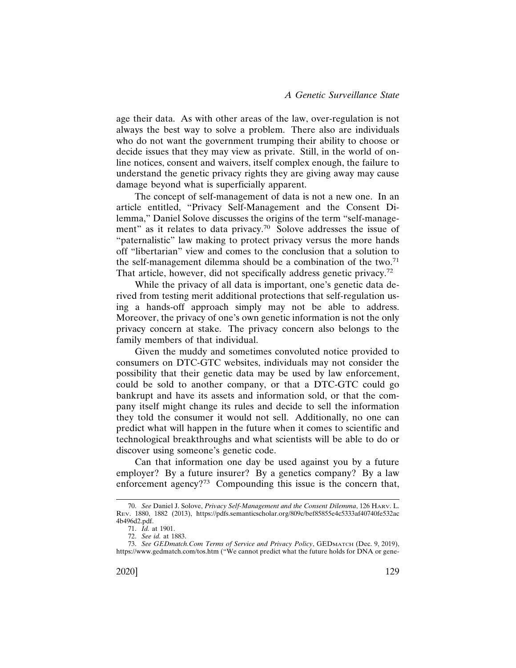age their data. As with other areas of the law, over-regulation is not always the best way to solve a problem. There also are individuals who do not want the government trumping their ability to choose or decide issues that they may view as private. Still, in the world of online notices, consent and waivers, itself complex enough, the failure to understand the genetic privacy rights they are giving away may cause damage beyond what is superficially apparent.

The concept of self-management of data is not a new one. In an article entitled, "Privacy Self-Management and the Consent Dilemma," Daniel Solove discusses the origins of the term "self-management" as it relates to data privacy.<sup>70</sup> Solove addresses the issue of "paternalistic" law making to protect privacy versus the more hands off "libertarian" view and comes to the conclusion that a solution to the self-management dilemma should be a combination of the two.<sup>71</sup> That article, however, did not specifically address genetic privacy.<sup>72</sup>

While the privacy of all data is important, one's genetic data derived from testing merit additional protections that self-regulation using a hands-off approach simply may not be able to address. Moreover, the privacy of one's own genetic information is not the only privacy concern at stake. The privacy concern also belongs to the family members of that individual.

Given the muddy and sometimes convoluted notice provided to consumers on DTC-GTC websites, individuals may not consider the possibility that their genetic data may be used by law enforcement, could be sold to another company, or that a DTC-GTC could go bankrupt and have its assets and information sold, or that the company itself might change its rules and decide to sell the information they told the consumer it would not sell. Additionally, no one can predict what will happen in the future when it comes to scientific and technological breakthroughs and what scientists will be able to do or discover using someone's genetic code.

Can that information one day be used against you by a future employer? By a future insurer? By a genetics company? By a law enforcement agency?<sup>73</sup> Compounding this issue is the concern that,

<sup>70.</sup> *See* Daniel J. Solove, *Privacy Self-Management and the Consent Dilemma*, 126 HARV. L. REV. 1880, 1882 (2013), https://pdfs.semanticscholar.org/809c/bef85855e4c5333af40740fe532ac 4b496d2.pdf.

<sup>71.</sup> *Id.* at 1901.

<sup>72.</sup> *See id.* at 1883.

<sup>73.</sup> *See GEDmatch.Com Terms of Service and Privacy Policy*, GEDMATCH (Dec. 9, 2019), https://www.gedmatch.com/tos.htm ("We cannot predict what the future holds for DNA or gene-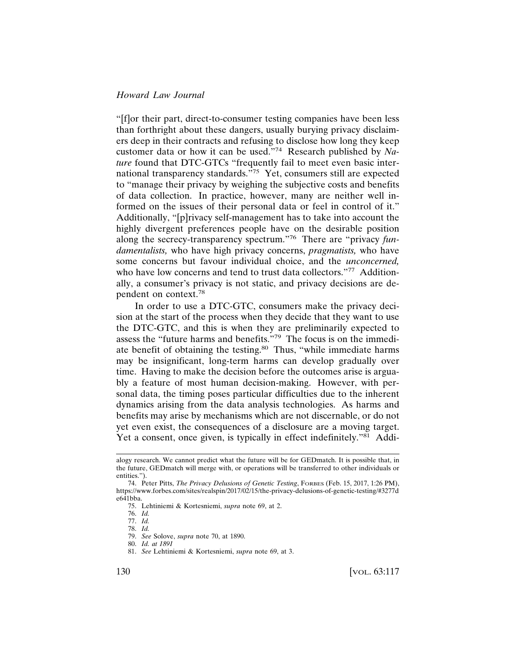"[f]or their part, direct-to-consumer testing companies have been less than forthright about these dangers, usually burying privacy disclaimers deep in their contracts and refusing to disclose how long they keep customer data or how it can be used."74 Research published by *Nature* found that DTC-GTCs "frequently fail to meet even basic international transparency standards."75 Yet, consumers still are expected to "manage their privacy by weighing the subjective costs and benefits of data collection. In practice, however, many are neither well informed on the issues of their personal data or feel in control of it." Additionally, "[p]rivacy self-management has to take into account the highly divergent preferences people have on the desirable position along the secrecy-transparency spectrum."76 There are "privacy *fundamentalists,* who have high privacy concerns, *pragmatists,* who have some concerns but favour individual choice, and the *unconcerned,* who have low concerns and tend to trust data collectors."<sup>77</sup> Additionally, a consumer's privacy is not static, and privacy decisions are dependent on context.78

In order to use a DTC-GTC, consumers make the privacy decision at the start of the process when they decide that they want to use the DTC-GTC, and this is when they are preliminarily expected to assess the "future harms and benefits."79 The focus is on the immediate benefit of obtaining the testing.80 Thus, "while immediate harms may be insignificant, long-term harms can develop gradually over time. Having to make the decision before the outcomes arise is arguably a feature of most human decision-making. However, with personal data, the timing poses particular difficulties due to the inherent dynamics arising from the data analysis technologies. As harms and benefits may arise by mechanisms which are not discernable, or do not yet even exist, the consequences of a disclosure are a moving target. Yet a consent, once given, is typically in effect indefinitely."<sup>81</sup> Addi-

alogy research. We cannot predict what the future will be for GEDmatch. It is possible that, in the future, GEDmatch will merge with, or operations will be transferred to other individuals or entities.").

<sup>74.</sup> Peter Pitts, *The Privacy Delusions of Genetic Testing*, FORBES (Feb. 15, 2017, 1:26 PM), https://www.forbes.com/sites/realspin/2017/02/15/the-privacy-delusions-of-genetic-testing/#3277d e641bba.

<sup>75.</sup> Lehtiniemi & Kortesniemi, *supra* note 69, at 2.

<sup>76.</sup> *Id.*

<sup>77.</sup> *Id.*

<sup>78.</sup> *Id.*

<sup>79.</sup> *See* Solove, *supra* note 70, at 1890.

<sup>80.</sup> *Id. at 1891*

<sup>81.</sup> *See* Lehtiniemi & Kortesniemi, *supra* note 69, at 3.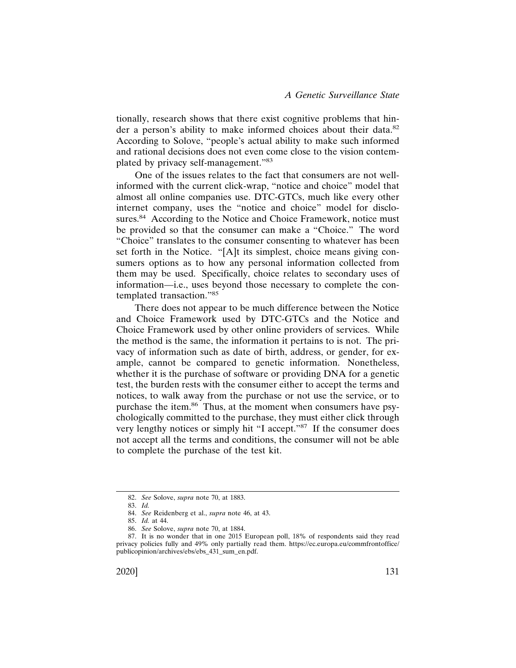tionally, research shows that there exist cognitive problems that hinder a person's ability to make informed choices about their data.<sup>82</sup> According to Solove, "people's actual ability to make such informed and rational decisions does not even come close to the vision contemplated by privacy self-management."<sup>83</sup>

One of the issues relates to the fact that consumers are not wellinformed with the current click-wrap, "notice and choice" model that almost all online companies use. DTC-GTCs, much like every other internet company, uses the "notice and choice" model for disclosures.<sup>84</sup> According to the Notice and Choice Framework, notice must be provided so that the consumer can make a "Choice." The word "Choice" translates to the consumer consenting to whatever has been set forth in the Notice. "[A]t its simplest, choice means giving consumers options as to how any personal information collected from them may be used. Specifically, choice relates to secondary uses of information—i.e., uses beyond those necessary to complete the contemplated transaction."<sup>85</sup>

There does not appear to be much difference between the Notice and Choice Framework used by DTC-GTCs and the Notice and Choice Framework used by other online providers of services. While the method is the same, the information it pertains to is not. The privacy of information such as date of birth, address, or gender, for example, cannot be compared to genetic information. Nonetheless, whether it is the purchase of software or providing DNA for a genetic test, the burden rests with the consumer either to accept the terms and notices, to walk away from the purchase or not use the service, or to purchase the item.86 Thus, at the moment when consumers have psychologically committed to the purchase, they must either click through very lengthy notices or simply hit "I accept."87 If the consumer does not accept all the terms and conditions, the consumer will not be able to complete the purchase of the test kit.

<sup>82.</sup> *See* Solove, *supra* note 70, at 1883.

<sup>83.</sup> *Id.*

<sup>84.</sup> *See* Reidenberg et al., *supra* note 46, at 43.

<sup>85.</sup> *Id.* at 44.

<sup>86.</sup> *See* Solove, *supra* note 70, at 1884.

<sup>87.</sup> It is no wonder that in one 2015 European poll, 18% of respondents said they read privacy policies fully and 49% only partially read them. https://ec.europa.eu/commfrontoffice/ publicopinion/archives/ebs/ebs\_431\_sum\_en.pdf.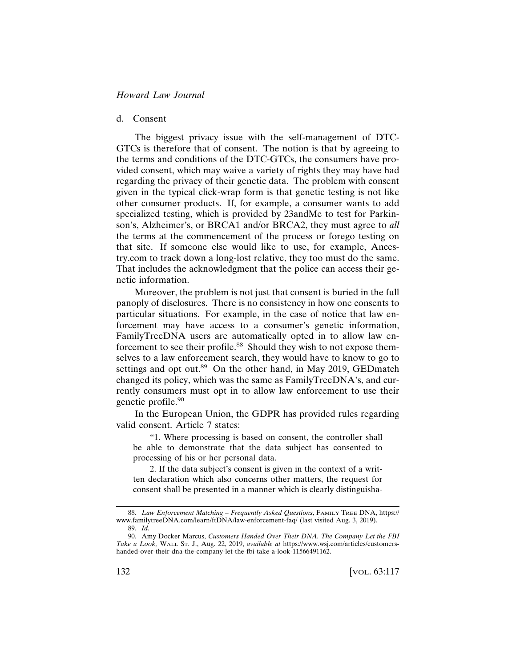#### d. Consent

The biggest privacy issue with the self-management of DTC-GTCs is therefore that of consent. The notion is that by agreeing to the terms and conditions of the DTC-GTCs, the consumers have provided consent, which may waive a variety of rights they may have had regarding the privacy of their genetic data. The problem with consent given in the typical click-wrap form is that genetic testing is not like other consumer products. If, for example, a consumer wants to add specialized testing, which is provided by 23andMe to test for Parkinson's, Alzheimer's, or BRCA1 and/or BRCA2, they must agree to *all* the terms at the commencement of the process or forego testing on that site. If someone else would like to use, for example, Ancestry.com to track down a long-lost relative, they too must do the same. That includes the acknowledgment that the police can access their genetic information.

Moreover, the problem is not just that consent is buried in the full panoply of disclosures. There is no consistency in how one consents to particular situations. For example, in the case of notice that law enforcement may have access to a consumer's genetic information, FamilyTreeDNA users are automatically opted in to allow law enforcement to see their profile.<sup>88</sup> Should they wish to not expose themselves to a law enforcement search, they would have to know to go to settings and opt out.<sup>89</sup> On the other hand, in May 2019, GEDmatch changed its policy, which was the same as FamilyTreeDNA's, and currently consumers must opt in to allow law enforcement to use their genetic profile.<sup>90</sup>

In the European Union, the GDPR has provided rules regarding valid consent. Article 7 states:

"1. Where processing is based on consent, the controller shall be able to demonstrate that the data subject has consented to processing of his or her personal data.

2. If the data subject's consent is given in the context of a written declaration which also concerns other matters, the request for consent shall be presented in a manner which is clearly distinguisha-

<sup>88.</sup> *Law Enforcement Matching – Frequently Asked Ouestions*, FAMILY TREE DNA, https:// www.familytreeDNA.com/learn/ftDNA/law-enforcement-faq/ (last visited Aug. 3, 2019). 89. *Id.*

<sup>90.</sup> Amy Docker Marcus, *Customers Handed Over Their DNA. The Company Let the FBI Take a Look,* WALL ST. J., Aug. 22, 2019, *available at* https://www.wsj.com/articles/customershanded-over-their-dna-the-company-let-the-fbi-take-a-look-11566491162.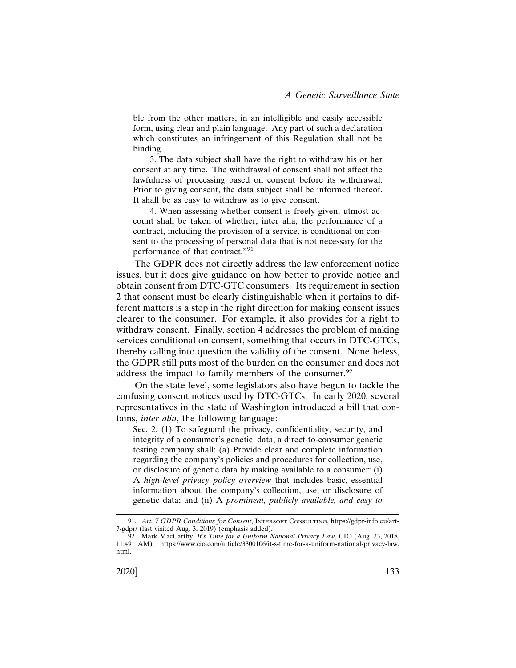ble from the other matters, in an intelligible and easily accessible form, using clear and plain language. Any part of such a declaration which constitutes an infringement of this Regulation shall not be binding.

3. The data subject shall have the right to withdraw his or her consent at any time. The withdrawal of consent shall not affect the lawfulness of processing based on consent before its withdrawal. Prior to giving consent, the data subject shall be informed thereof. It shall be as easy to withdraw as to give consent.

4. When assessing whether consent is freely given, utmost account shall be taken of whether, inter alia, the performance of a contract, including the provision of a service, is conditional on consent to the processing of personal data that is not necessary for the performance of that contract."91

The GDPR does not directly address the law enforcement notice issues, but it does give guidance on how better to provide notice and obtain consent from DTC-GTC consumers. Its requirement in section 2 that consent must be clearly distinguishable when it pertains to different matters is a step in the right direction for making consent issues clearer to the consumer. For example, it also provides for a right to withdraw consent. Finally, section 4 addresses the problem of making services conditional on consent, something that occurs in DTC-GTCs, thereby calling into question the validity of the consent. Nonetheless, the GDPR still puts most of the burden on the consumer and does not address the impact to family members of the consumer.<sup>92</sup>

On the state level, some legislators also have begun to tackle the confusing consent notices used by DTC-GTCs. In early 2020, several representatives in the state of Washington introduced a bill that contains, *inter alia*, the following language:

Sec. 2. (1) To safeguard the privacy, confidentiality, security, and integrity of a consumer's genetic data, a direct-to-consumer genetic testing company shall: (a) Provide clear and complete information regarding the company's policies and procedures for collection, use, or disclosure of genetic data by making available to a consumer: (i) A *high-level privacy policy overview* that includes basic, essential information about the company's collection, use, or disclosure of genetic data; and (ii) A *prominent, publicly available, and easy to*

<sup>91.</sup> *Art. 7 GDPR Conditions for Consent*, INTERSOFT CONSULTING, https://gdpr-info.eu/art-7-gdpr/ (last visited Aug. 3, 2019) (emphasis added).

<sup>92.</sup> Mark MacCarthy, *It's Time for a Uniform National Privacy Law*, CIO (Aug. 23, 2018, 11:49 AM), https://www.cio.com/article/3300106/it-s-time-for-a-uniform-national-privacy-law. html.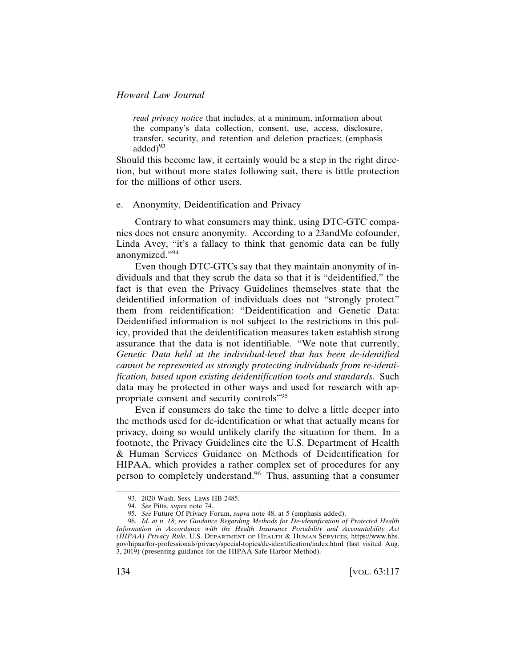*read privacy notice* that includes, at a minimum, information about the company's data collection, consent, use, access, disclosure, transfer, security, and retention and deletion practices; (emphasis added)<sup>93</sup>

Should this become law, it certainly would be a step in the right direction, but without more states following suit, there is little protection for the millions of other users.

#### e. Anonymity, Deidentification and Privacy

Contrary to what consumers may think, using DTC-GTC companies does not ensure anonymity. According to a 23andMe cofounder, Linda Avey, "it's a fallacy to think that genomic data can be fully anonymized."94

Even though DTC-GTCs say that they maintain anonymity of individuals and that they scrub the data so that it is "deidentified," the fact is that even the Privacy Guidelines themselves state that the deidentified information of individuals does not "strongly protect" them from reidentification: "Deidentification and Genetic Data: Deidentified information is not subject to the restrictions in this policy, provided that the deidentification measures taken establish strong assurance that the data is not identifiable. "We note that currently, *Genetic Data held at the individual-level that has been de-identified cannot be represented as strongly protecting individuals from re-identification, based upon existing deidentification tools and standards*. Such data may be protected in other ways and used for research with appropriate consent and security controls"<sup>95</sup>

Even if consumers do take the time to delve a little deeper into the methods used for de-identification or what that actually means for privacy, doing so would unlikely clarify the situation for them. In a footnote, the Privacy Guidelines cite the U.S. Department of Health & Human Services Guidance on Methods of Deidentification for HIPAA, which provides a rather complex set of procedures for any person to completely understand.96 Thus, assuming that a consumer

<sup>93. 2020</sup> Wash. Sess. Laws HB 2485.

<sup>94.</sup> *See* Pitts, *supra* note 74.

<sup>95.</sup> *See* Future Of Privacy Forum, *supra* note 48, at 5 (emphasis added).

<sup>96.</sup> *Id. at n. 18*; *see Guidance Regarding Methods for De-identification of Protected Health Information in Accordance with the Health Insurance Portability and Accountability Act (HIPAA) Privacy Rule*, U.S. DEPARTMENT OF HEALTH & HUMAN SERVICES, https://www.hhs. gov/hipaa/for-professionals/privacy/special-topics/de-identification/index.html (last visited Aug. 3, 2019) (presenting guidance for the HIPAA Safe Harbor Method).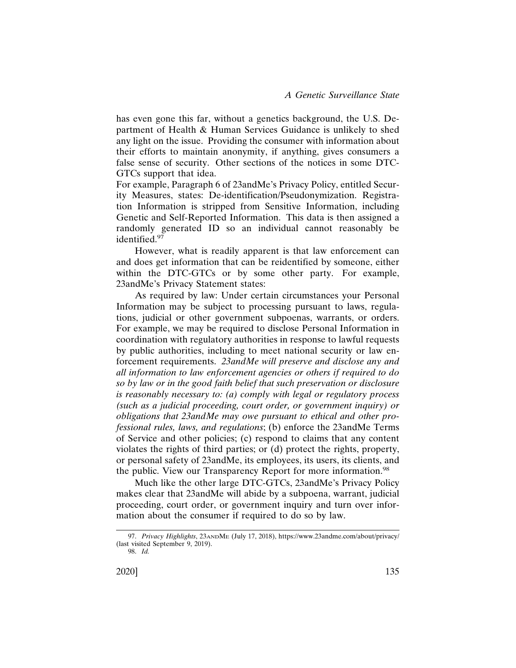has even gone this far, without a genetics background, the U.S. Department of Health & Human Services Guidance is unlikely to shed any light on the issue. Providing the consumer with information about their efforts to maintain anonymity, if anything, gives consumers a false sense of security. Other sections of the notices in some DTC-GTCs support that idea.

For example, Paragraph 6 of 23andMe's Privacy Policy, entitled Security Measures, states: De-identification/Pseudonymization. Registration Information is stripped from Sensitive Information, including Genetic and Self-Reported Information. This data is then assigned a randomly generated ID so an individual cannot reasonably be identified.<sup>97</sup>

However, what is readily apparent is that law enforcement can and does get information that can be reidentified by someone, either within the DTC-GTCs or by some other party. For example, 23andMe's Privacy Statement states:

As required by law: Under certain circumstances your Personal Information may be subject to processing pursuant to laws, regulations, judicial or other government subpoenas, warrants, or orders. For example, we may be required to disclose Personal Information in coordination with regulatory authorities in response to lawful requests by public authorities, including to meet national security or law enforcement requirements. *23andMe will preserve and disclose any and all information to law enforcement agencies or others if required to do so by law or in the good faith belief that such preservation or disclosure is reasonably necessary to: (a) comply with legal or regulatory process (such as a judicial proceeding, court order, or government inquiry) or obligations that 23andMe may owe pursuant to ethical and other professional rules, laws, and regulations*; (b) enforce the 23andMe Terms of Service and other policies; (c) respond to claims that any content violates the rights of third parties; or (d) protect the rights, property, or personal safety of 23andMe, its employees, its users, its clients, and the public. View our Transparency Report for more information.<sup>98</sup>

Much like the other large DTC-GTCs, 23andMe's Privacy Policy makes clear that 23andMe will abide by a subpoena, warrant, judicial proceeding, court order, or government inquiry and turn over information about the consumer if required to do so by law.

<sup>97.</sup> *Privacy Highlights*, 23ANDME (July 17, 2018), https://www.23andme.com/about/privacy/ (last visited September 9, 2019).

<sup>98.</sup> *Id.*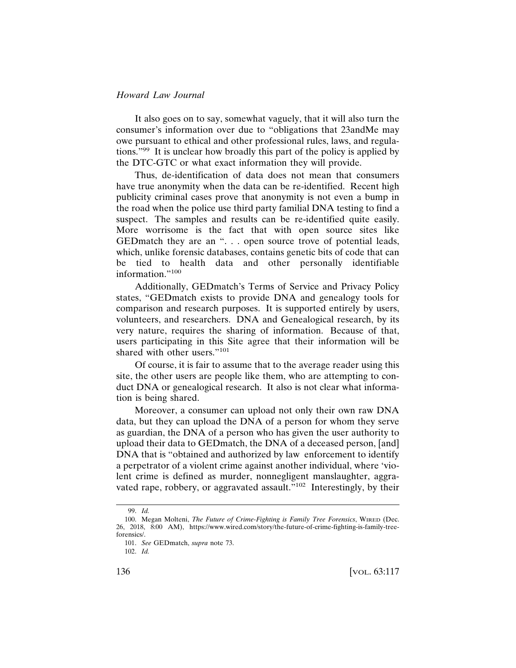It also goes on to say, somewhat vaguely, that it will also turn the consumer's information over due to "obligations that 23andMe may owe pursuant to ethical and other professional rules, laws, and regulations."99 It is unclear how broadly this part of the policy is applied by the DTC-GTC or what exact information they will provide.

Thus, de-identification of data does not mean that consumers have true anonymity when the data can be re-identified. Recent high publicity criminal cases prove that anonymity is not even a bump in the road when the police use third party familial DNA testing to find a suspect. The samples and results can be re-identified quite easily. More worrisome is the fact that with open source sites like GEDmatch they are an ". . . open source trove of potential leads, which, unlike forensic databases, contains genetic bits of code that can be tied to health data and other personally identifiable information."<sup>100</sup>

Additionally, GEDmatch's Terms of Service and Privacy Policy states, "GEDmatch exists to provide DNA and genealogy tools for comparison and research purposes. It is supported entirely by users, volunteers, and researchers. DNA and Genealogical research, by its very nature, requires the sharing of information. Because of that, users participating in this Site agree that their information will be shared with other users."101

Of course, it is fair to assume that to the average reader using this site, the other users are people like them, who are attempting to conduct DNA or genealogical research. It also is not clear what information is being shared.

Moreover, a consumer can upload not only their own raw DNA data, but they can upload the DNA of a person for whom they serve as guardian, the DNA of a person who has given the user authority to upload their data to GEDmatch, the DNA of a deceased person, [and] DNA that is "obtained and authorized by law enforcement to identify a perpetrator of a violent crime against another individual, where 'violent crime is defined as murder, nonnegligent manslaughter, aggravated rape, robbery, or aggravated assault."<sup>102</sup> Interestingly, by their

<sup>99.</sup> *Id.*

<sup>100.</sup> Megan Molteni, *The Future of Crime-Fighting is Family Tree Forensics*, WIRED (Dec. 26, 2018, 8:00 AM), https://www.wired.com/story/the-future-of-crime-fighting-is-family-treeforensics/.

<sup>101.</sup> *See* GEDmatch, *supra* note 73.

<sup>102.</sup> *Id.*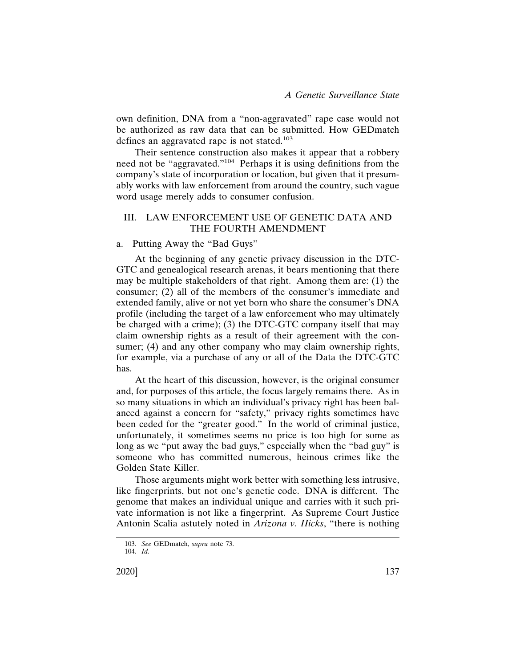own definition, DNA from a "non-aggravated" rape case would not be authorized as raw data that can be submitted. How GEDmatch defines an aggravated rape is not stated.<sup>103</sup>

Their sentence construction also makes it appear that a robbery need not be "aggravated."104 Perhaps it is using definitions from the company's state of incorporation or location, but given that it presumably works with law enforcement from around the country, such vague word usage merely adds to consumer confusion.

## III. LAW ENFORCEMENT USE OF GENETIC DATA AND THE FOURTH AMENDMENT

a. Putting Away the "Bad Guys"

At the beginning of any genetic privacy discussion in the DTC-GTC and genealogical research arenas, it bears mentioning that there may be multiple stakeholders of that right. Among them are: (1) the consumer; (2) all of the members of the consumer's immediate and extended family, alive or not yet born who share the consumer's DNA profile (including the target of a law enforcement who may ultimately be charged with a crime); (3) the DTC-GTC company itself that may claim ownership rights as a result of their agreement with the consumer; (4) and any other company who may claim ownership rights, for example, via a purchase of any or all of the Data the DTC-GTC has.

At the heart of this discussion, however, is the original consumer and, for purposes of this article, the focus largely remains there. As in so many situations in which an individual's privacy right has been balanced against a concern for "safety," privacy rights sometimes have been ceded for the "greater good." In the world of criminal justice, unfortunately, it sometimes seems no price is too high for some as long as we "put away the bad guys," especially when the "bad guy" is someone who has committed numerous, heinous crimes like the Golden State Killer.

Those arguments might work better with something less intrusive, like fingerprints, but not one's genetic code. DNA is different. The genome that makes an individual unique and carries with it such private information is not like a fingerprint. As Supreme Court Justice Antonin Scalia astutely noted in *Arizona v. Hicks*, "there is nothing

<sup>103.</sup> *See* GEDmatch, *supra* note 73.

<sup>104.</sup> *Id.*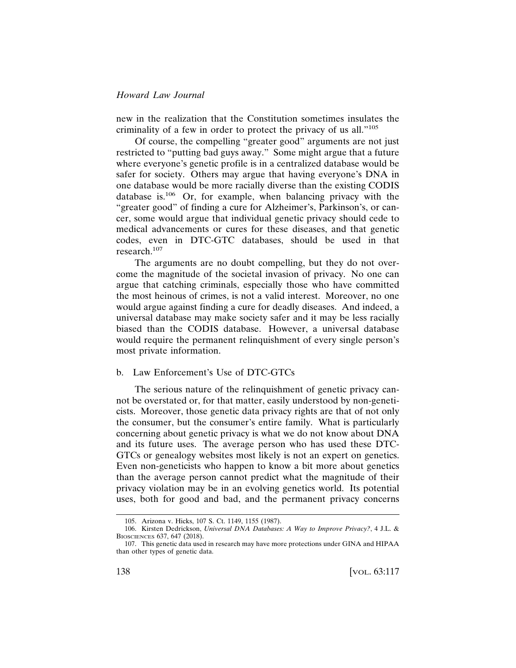new in the realization that the Constitution sometimes insulates the criminality of a few in order to protect the privacy of us all."<sup>105</sup>

Of course, the compelling "greater good" arguments are not just restricted to "putting bad guys away." Some might argue that a future where everyone's genetic profile is in a centralized database would be safer for society. Others may argue that having everyone's DNA in one database would be more racially diverse than the existing CODIS database is.106 Or, for example, when balancing privacy with the "greater good" of finding a cure for Alzheimer's, Parkinson's, or cancer, some would argue that individual genetic privacy should cede to medical advancements or cures for these diseases, and that genetic codes, even in DTC-GTC databases, should be used in that research.107

The arguments are no doubt compelling, but they do not overcome the magnitude of the societal invasion of privacy. No one can argue that catching criminals, especially those who have committed the most heinous of crimes, is not a valid interest. Moreover, no one would argue against finding a cure for deadly diseases. And indeed, a universal database may make society safer and it may be less racially biased than the CODIS database. However, a universal database would require the permanent relinquishment of every single person's most private information.

### b. Law Enforcement's Use of DTC-GTCs

The serious nature of the relinquishment of genetic privacy cannot be overstated or, for that matter, easily understood by non-geneticists. Moreover, those genetic data privacy rights are that of not only the consumer, but the consumer's entire family. What is particularly concerning about genetic privacy is what we do not know about DNA and its future uses. The average person who has used these DTC-GTCs or genealogy websites most likely is not an expert on genetics. Even non-geneticists who happen to know a bit more about genetics than the average person cannot predict what the magnitude of their privacy violation may be in an evolving genetics world. Its potential uses, both for good and bad, and the permanent privacy concerns

<sup>105.</sup> Arizona v. Hicks, 107 S. Ct. 1149, 1155 (1987).

<sup>106.</sup> Kirsten Dedrickson, *Universal DNA Databases: A Way to Improve Privacy?*, 4 J.L. & BIOSCIENCES 637, 647 (2018).

<sup>107.</sup> This genetic data used in research may have more protections under GINA and HIPAA than other types of genetic data.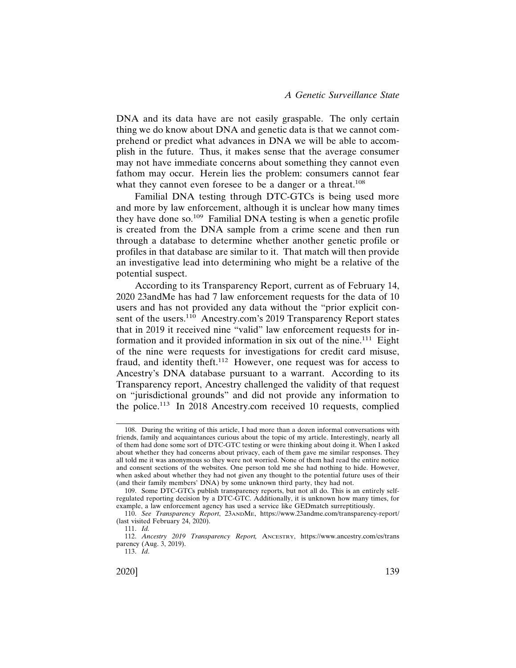DNA and its data have are not easily graspable. The only certain thing we do know about DNA and genetic data is that we cannot comprehend or predict what advances in DNA we will be able to accomplish in the future. Thus, it makes sense that the average consumer may not have immediate concerns about something they cannot even fathom may occur. Herein lies the problem: consumers cannot fear what they cannot even foresee to be a danger or a threat.<sup>108</sup>

Familial DNA testing through DTC-GTCs is being used more and more by law enforcement, although it is unclear how many times they have done so.109 Familial DNA testing is when a genetic profile is created from the DNA sample from a crime scene and then run through a database to determine whether another genetic profile or profiles in that database are similar to it. That match will then provide an investigative lead into determining who might be a relative of the potential suspect.

According to its Transparency Report, current as of February 14, 2020 23andMe has had 7 law enforcement requests for the data of 10 users and has not provided any data without the "prior explicit consent of the users.<sup>110</sup> Ancestry.com's 2019 Transparency Report states that in 2019 it received nine "valid" law enforcement requests for information and it provided information in six out of the nine.111 Eight of the nine were requests for investigations for credit card misuse, fraud, and identity theft.<sup>112</sup> However, one request was for access to Ancestry's DNA database pursuant to a warrant. According to its Transparency report, Ancestry challenged the validity of that request on "jurisdictional grounds" and did not provide any information to the police.113 In 2018 Ancestry.com received 10 requests, complied

<sup>108.</sup> During the writing of this article, I had more than a dozen informal conversations with friends, family and acquaintances curious about the topic of my article. Interestingly, nearly all of them had done some sort of DTC-GTC testing or were thinking about doing it. When I asked about whether they had concerns about privacy, each of them gave me similar responses. They all told me it was anonymous so they were not worried. None of them had read the entire notice and consent sections of the websites. One person told me she had nothing to hide. However, when asked about whether they had not given any thought to the potential future uses of their (and their family members' DNA) by some unknown third party, they had not.

<sup>109.</sup> Some DTC-GTCs publish transparency reports, but not all do. This is an entirely selfregulated reporting decision by a DTC-GTC. Additionally, it is unknown how many times, for example, a law enforcement agency has used a service like GEDmatch surreptitiously.

<sup>110.</sup> *See Transparency Report*, 23ANDME, https://www.23andme.com/transparency-report/ (last visited February 24, 2020).

<sup>111.</sup> *Id.*

<sup>112.</sup> *Ancestry 2019 Transparency Report,* ANCESTRY, https://www.ancestry.com/cs/trans parency (Aug. 3, 2019).

<sup>113.</sup> *Id*.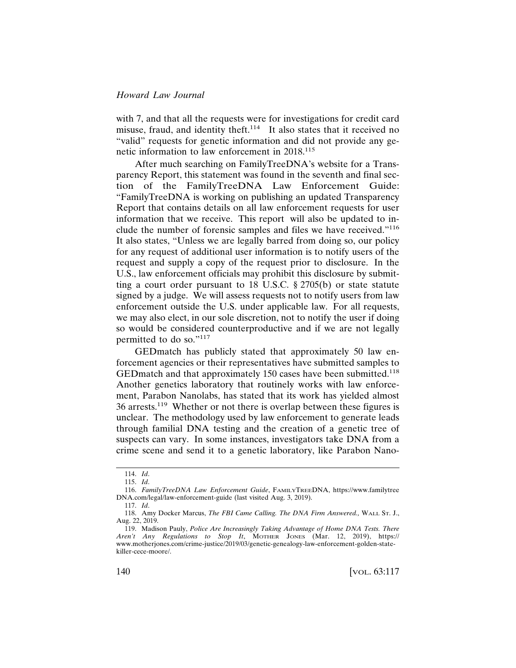with 7, and that all the requests were for investigations for credit card misuse, fraud, and identity theft.<sup>114</sup> It also states that it received no "valid" requests for genetic information and did not provide any genetic information to law enforcement in 2018.115

After much searching on FamilyTreeDNA's website for a Transparency Report, this statement was found in the seventh and final section of the FamilyTreeDNA Law Enforcement Guide: "FamilyTreeDNA is working on publishing an updated Transparency Report that contains details on all law enforcement requests for user information that we receive. This report will also be updated to include the number of forensic samples and files we have received."<sup>116</sup> It also states, "Unless we are legally barred from doing so, our policy for any request of additional user information is to notify users of the request and supply a copy of the request prior to disclosure. In the U.S., law enforcement officials may prohibit this disclosure by submitting a court order pursuant to 18 U.S.C. § 2705(b) or state statute signed by a judge. We will assess requests not to notify users from law enforcement outside the U.S. under applicable law. For all requests, we may also elect, in our sole discretion, not to notify the user if doing so would be considered counterproductive and if we are not legally permitted to do so."117

GEDmatch has publicly stated that approximately 50 law enforcement agencies or their representatives have submitted samples to GED match and that approximately 150 cases have been submitted.<sup>118</sup> Another genetics laboratory that routinely works with law enforcement, Parabon Nanolabs, has stated that its work has yielded almost 36 arrests.119 Whether or not there is overlap between these figures is unclear. The methodology used by law enforcement to generate leads through familial DNA testing and the creation of a genetic tree of suspects can vary. In some instances, investigators take DNA from a crime scene and send it to a genetic laboratory, like Parabon Nano-

<sup>114.</sup> *Id*.

<sup>115.</sup> *Id*.

<sup>116.</sup> *FamilyTreeDNA Law Enforcement Guide*, FAMILYTREEDNA, https://www.familytree DNA.com/legal/law-enforcement-guide (last visited Aug. 3, 2019).

<sup>117.</sup> *Id*.

<sup>118.</sup> Amy Docker Marcus, *The FBI Came Calling. The DNA Firm Answered.,* WALL ST. J., Aug. 22, 2019.

<sup>119.</sup> Madison Pauly, *Police Are Increasingly Taking Advantage of Home DNA Tests. There Aren't Any Regulations to Stop It*, MOTHER JONES (Mar. 12, 2019), https:// www.motherjones.com/crime-justice/2019/03/genetic-genealogy-law-enforcement-golden-statekiller-cece-moore/.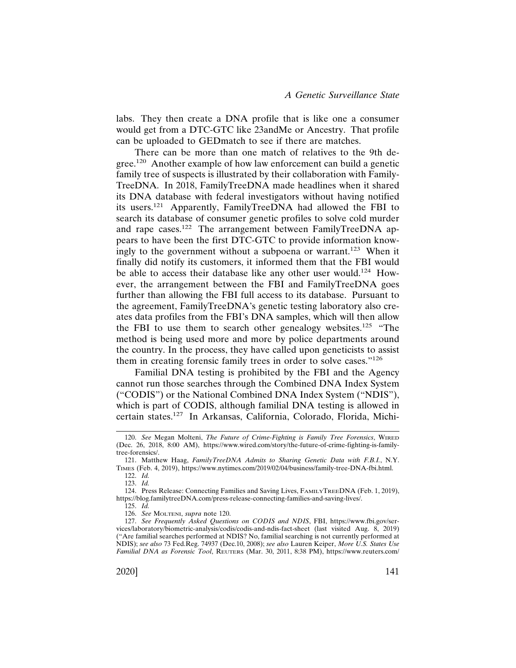labs. They then create a DNA profile that is like one a consumer would get from a DTC-GTC like 23andMe or Ancestry. That profile can be uploaded to GEDmatch to see if there are matches.

There can be more than one match of relatives to the 9th degree.120 Another example of how law enforcement can build a genetic family tree of suspects is illustrated by their collaboration with Family-TreeDNA. In 2018, FamilyTreeDNA made headlines when it shared its DNA database with federal investigators without having notified its users.121 Apparently, FamilyTreeDNA had allowed the FBI to search its database of consumer genetic profiles to solve cold murder and rape cases.<sup>122</sup> The arrangement between FamilyTreeDNA appears to have been the first DTC-GTC to provide information knowingly to the government without a subpoena or warrant.<sup>123</sup> When it finally did notify its customers, it informed them that the FBI would be able to access their database like any other user would.<sup>124</sup> However, the arrangement between the FBI and FamilyTreeDNA goes further than allowing the FBI full access to its database. Pursuant to the agreement, FamilyTreeDNA's genetic testing laboratory also creates data profiles from the FBI's DNA samples, which will then allow the FBI to use them to search other genealogy websites.<sup>125</sup> "The method is being used more and more by police departments around the country. In the process, they have called upon geneticists to assist them in creating forensic family trees in order to solve cases."126

Familial DNA testing is prohibited by the FBI and the Agency cannot run those searches through the Combined DNA Index System ("CODIS") or the National Combined DNA Index System ("NDIS"), which is part of CODIS, although familial DNA testing is allowed in certain states.127 In Arkansas, California, Colorado, Florida, Michi-

125. *Id.*

<sup>120.</sup> *See* Megan Molteni, *The Future of Crime-Fighting is Family Tree Forensics*, WIRED (Dec. 26, 2018, 8:00 AM), https://www.wired.com/story/the-future-of-crime-fighting-is-familytree-forensics/.

<sup>121.</sup> Matthew Haag, *FamilyTreeDNA Admits to Sharing Genetic Data with F.B.I.*, N.Y. TIMES (Feb. 4, 2019), https://www.nytimes.com/2019/02/04/business/family-tree-DNA-fbi.html. 122. *Id.*

<sup>123.</sup> *Id.*

<sup>124.</sup> Press Release: Connecting Families and Saving Lives, FAMILYTREEDNA (Feb. 1, 2019), https://blog.familytreeDNA.com/press-release-connecting-families-and-saving-lives/.

<sup>126.</sup> *See* MOLTENI, *supra* note 120.

<sup>127.</sup> *See Frequently Asked Questions on CODIS and NDIS*, FBI, https://www.fbi.gov/services/laboratory/biometric-analysis/codis/codis-and-ndis-fact-sheet (last visited Aug. 8, 2019) ("Are familial searches performed at NDIS? No, familial searching is not currently performed at NDIS); *see also* 73 Fed.Reg. 74937 (Dec.10, 2008); *see also* Lauren Keiper, *More U.S. States Use Familial DNA as Forensic Tool*, REUTERS (Mar. 30, 2011, 8:38 PM), https://www.reuters.com/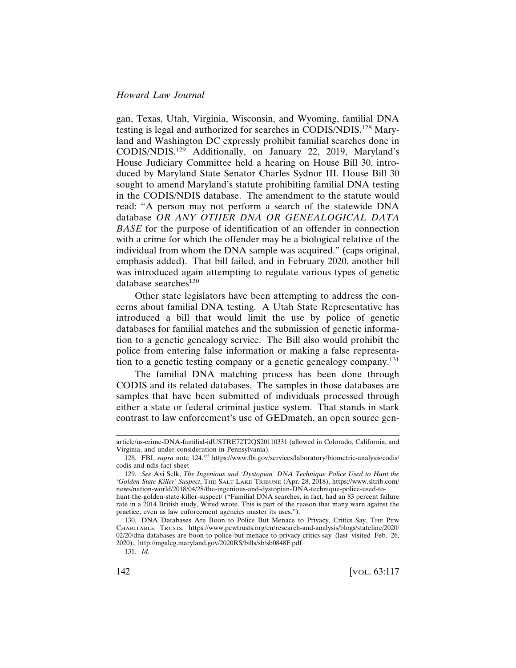gan, Texas, Utah, Virginia, Wisconsin, and Wyoming, familial DNA testing is legal and authorized for searches in CODIS/NDIS.128 Maryland and Washington DC expressly prohibit familial searches done in CODIS/NDIS.129 Additionally, on January 22, 2019, Maryland's House Judiciary Committee held a hearing on House Bill 30, introduced by Maryland State Senator Charles Sydnor III. House Bill 30 sought to amend Maryland's statute prohibiting familial DNA testing in the CODIS/NDIS database. The amendment to the statute would read: "A person may not perform a search of the statewide DNA database *OR ANY OTHER DNA OR GENEALOGICAL DATA BASE* for the purpose of identification of an offender in connection with a crime for which the offender may be a biological relative of the individual from whom the DNA sample was acquired." (caps original, emphasis added). That bill failed, and in February 2020, another bill was introduced again attempting to regulate various types of genetic database searches<sup>130</sup>

Other state legislators have been attempting to address the concerns about familial DNA testing. A Utah State Representative has introduced a bill that would limit the use by police of genetic databases for familial matches and the submission of genetic information to a genetic genealogy service. The Bill also would prohibit the police from entering false information or making a false representation to a genetic testing company or a genetic genealogy company.131

The familial DNA matching process has been done through CODIS and its related databases. The samples in those databases are samples that have been submitted of individuals processed through either a state or federal criminal justice system. That stands in stark contrast to law enforcement's use of GEDmatch, an open source gen-

article/us-crime-DNA-familial-idUSTRE72T2QS20110331 (allowed in Colorado, California, and Virginia, and under consideration in Pennsylvania).

<sup>128.</sup> FBI, *supra* note 124.125 https://www.fbi.gov/services/laboratory/biometric-analysis/codis/ codis-and-ndis-fact-sheet

<sup>129.</sup> *See* Avi Selk, *The Ingenious and 'Dystopian' DNA Technique Police Used to Hunt the 'Golden State Killer' Suspect*, THE SALT LAKE TRIBUNE (Apr. 28, 2018), https://www.sltrib.com/ news/nation-world/2018/04/28/the-ingenious-and-dystopian-DNA-technique-police-used-tohunt-the-golden-state-killer-suspect/ ("Familial DNA searches, in fact, had an 83 percent failure rate in a 2014 British study, Wired wrote. This is part of the reason that many warn against the

practice, even as law enforcement agencies master its uses.").

<sup>130.</sup> DNA Databases Are Boon to Police But Menace to Privacy, Critics Say, THE PEW CHARITABLE TRUSTS, https://www.pewtrusts.org/en/research-and-analysis/blogs/stateline/2020/ 02/20/dna-databases-are-boon-to-police-but-menace-to-privacy-critics-say (last visited Feb. 26, 2020)., http://mgaleg.maryland.gov/2020RS/bills/sb/sb0848F.pdf

<sup>131.</sup> *Id.*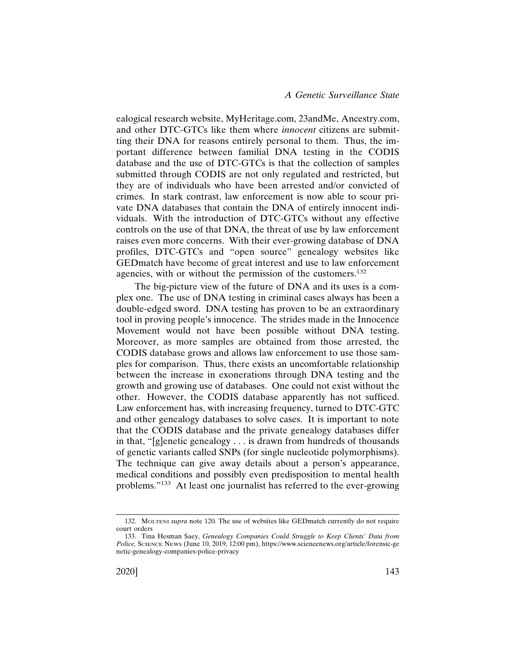ealogical research website, MyHeritage.com, 23andMe, Ancestry.com, and other DTC-GTCs like them where *innocent* citizens are submitting their DNA for reasons entirely personal to them. Thus, the important difference between familial DNA testing in the CODIS database and the use of DTC-GTCs is that the collection of samples submitted through CODIS are not only regulated and restricted, but they are of individuals who have been arrested and/or convicted of crimes. In stark contrast, law enforcement is now able to scour private DNA databases that contain the DNA of entirely innocent individuals. With the introduction of DTC-GTCs without any effective controls on the use of that DNA, the threat of use by law enforcement raises even more concerns. With their ever-growing database of DNA profiles, DTC-GTCs and "open source" genealogy websites like GEDmatch have become of great interest and use to law enforcement agencies, with or without the permission of the customers.<sup>132</sup>

The big-picture view of the future of DNA and its uses is a complex one. The use of DNA testing in criminal cases always has been a double-edged sword. DNA testing has proven to be an extraordinary tool in proving people's innocence. The strides made in the Innocence Movement would not have been possible without DNA testing. Moreover, as more samples are obtained from those arrested, the CODIS database grows and allows law enforcement to use those samples for comparison. Thus, there exists an uncomfortable relationship between the increase in exonerations through DNA testing and the growth and growing use of databases. One could not exist without the other. However, the CODIS database apparently has not sufficed. Law enforcement has, with increasing frequency, turned to DTC-GTC and other genealogy databases to solve cases. It is important to note that the CODIS database and the private genealogy databases differ in that, "[g]enetic genealogy . . . is drawn from hundreds of thousands of genetic variants called SNPs (for single nucleotide polymorphisms). The technique can give away details about a person's appearance, medical conditions and possibly even predisposition to mental health problems."133 At least one journalist has referred to the ever-growing

<sup>132.</sup> MOLTENI *supra* note 120. The use of websites like GEDmatch currently do not require court orders

<sup>133.</sup> Tina Hesman Saey, *Genealogy Companies Could Struggle to Keep Clients' Data from Police,* SCIENCE NEWS (June 10, 2019, 12:00 pm), https://www.sciencenews.org/article/forensic-ge netic-genealogy-companies-police-privacy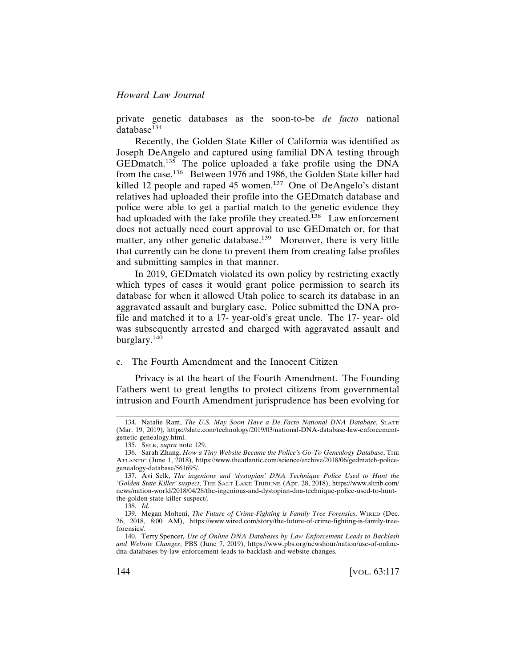private genetic databases as the soon-to-be *de facto* national database<sup>134</sup>

Recently, the Golden State Killer of California was identified as Joseph DeAngelo and captured using familial DNA testing through GEDmatch.135 The police uploaded a fake profile using the DNA from the case.136 Between 1976 and 1986, the Golden State killer had killed 12 people and raped 45 women.<sup>137</sup> One of DeAngelo's distant relatives had uploaded their profile into the GEDmatch database and police were able to get a partial match to the genetic evidence they had uploaded with the fake profile they created.<sup>138</sup> Law enforcement does not actually need court approval to use GEDmatch or, for that matter, any other genetic database.<sup>139</sup> Moreover, there is very little that currently can be done to prevent them from creating false profiles and submitting samples in that manner.

In 2019, GEDmatch violated its own policy by restricting exactly which types of cases it would grant police permission to search its database for when it allowed Utah police to search its database in an aggravated assault and burglary case. Police submitted the DNA profile and matched it to a 17- year-old's great uncle. The 17- year- old was subsequently arrested and charged with aggravated assault and burglary.140

## c. The Fourth Amendment and the Innocent Citizen

Privacy is at the heart of the Fourth Amendment. The Founding Fathers went to great lengths to protect citizens from governmental intrusion and Fourth Amendment jurisprudence has been evolving for

<sup>134.</sup> Natalie Ram, *The U.S. May Soon Have a De Facto National DNA Database*, SLATE (Mar. 19, 2019), https://slate.com/technology/2019/03/national-DNA-database-law-enforcementgenetic-genealogy.html.

<sup>135.</sup> SELK, *supra* note 129.

<sup>136.</sup> Sarah Zhang, *How a Tiny Website Became the Police's Go-To Genealogy Database*, THE ATLANTIC (June 1, 2018), https://www.theatlantic.com/science/archive/2018/06/gedmatch-policegenealogy-database/561695/.

<sup>137.</sup> Avi Selk, *The ingenious and 'dystopian' DNA Technique Police Used to Hunt the 'Golden State Killer' suspect*, THE SALT LAKE TRIBUNE (Apr. 28, 2018), https://www.sltrib.com/ news/nation-world/2018/04/28/the-ingenious-and-dystopian-dna-technique-police-used-to-huntthe-golden-state-killer-suspect/.

<sup>138.</sup> *Id.*

<sup>139.</sup> Megan Molteni, *The Future of Crime-Fighting is Family Tree Forensics*, WIRED (Dec. 26, 2018, 8:00 AM), https://www.wired.com/story/the-future-of-crime-fighting-is-family-treeforensics/.

<sup>140.</sup> Terry Spencer*, Use of Online DNA Databases by Law Enforcement Leads to Backlash and Website Changes*, PBS (June 7, 2019), https://www.pbs.org/newshour/nation/use-of-onlinedna-databases-by-law-enforcement-leads-to-backlash-and-website-changes.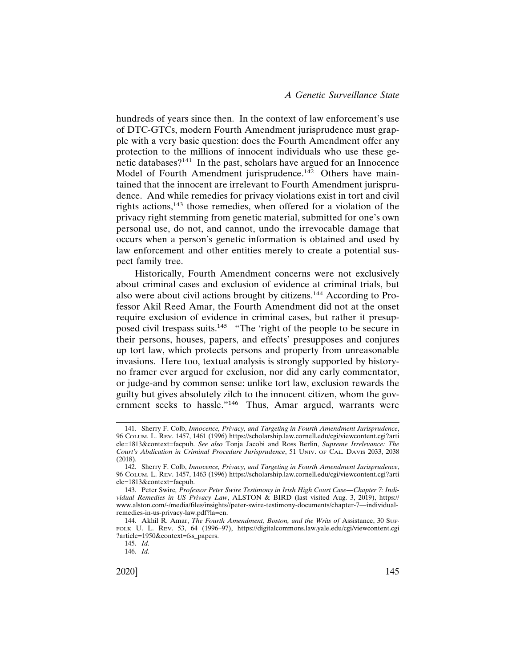hundreds of years since then. In the context of law enforcement's use of DTC-GTCs, modern Fourth Amendment jurisprudence must grapple with a very basic question: does the Fourth Amendment offer any protection to the millions of innocent individuals who use these genetic databases?141 In the past, scholars have argued for an Innocence Model of Fourth Amendment jurisprudence.<sup>142</sup> Others have maintained that the innocent are irrelevant to Fourth Amendment jurisprudence. And while remedies for privacy violations exist in tort and civil rights actions,<sup>143</sup> those remedies, when offered for a violation of the privacy right stemming from genetic material, submitted for one's own personal use, do not, and cannot, undo the irrevocable damage that occurs when a person's genetic information is obtained and used by law enforcement and other entities merely to create a potential suspect family tree.

Historically, Fourth Amendment concerns were not exclusively about criminal cases and exclusion of evidence at criminal trials, but also were about civil actions brought by citizens.144 According to Professor Akil Reed Amar, the Fourth Amendment did not at the onset require exclusion of evidence in criminal cases, but rather it presupposed civil trespass suits.145 "The 'right of the people to be secure in their persons, houses, papers, and effects' presupposes and conjures up tort law, which protects persons and property from unreasonable invasions. Here too, textual analysis is strongly supported by historyno framer ever argued for exclusion, nor did any early commentator, or judge-and by common sense: unlike tort law, exclusion rewards the guilty but gives absolutely zilch to the innocent citizen, whom the government seeks to hassle."146 Thus, Amar argued, warrants were

<sup>141.</sup> Sherry F. Colb, *Innocence, Privacy, and Targeting in Fourth Amendment Jurisprudence*, 96 COLUM. L. REV. 1457, 1461 (1996) https://scholarship.law.cornell.edu/cgi/viewcontent.cgi?arti cle=1813&context=facpub. *See also* Tonja Jacobi and Ross Berlin, *Supreme Irrelevance: The Court's Abdication in Criminal Procedure Jurisprudence*, 51 UNIV. OF CAL. DAVIS 2033, 2038 (2018).

<sup>142.</sup> Sherry F. Colb, *Innocence, Privacy, and Targeting in Fourth Amendment Jurisprudence*, 96 COLUM. L. REV. 1457, 1463 (1996) https://scholarship.law.cornell.edu/cgi/viewcontent.cgi?arti cle=1813&context=facpub.

<sup>143.</sup> Peter Swire*, Professor Peter Swire Testimony in Irish High Court Case—Chapter 7: Individual Remedies in US Privacy Law*, ALSTON & BIRD (last visited Aug. 3, 2019), https:// www.alston.com/-/media/files/insights//peter-swire-testimony-documents/chapter-7—individualremedies-in-us-privacy-law.pdf?la=en.

<sup>144.</sup> Akhil R. Amar, *The Fourth Amendment, Boston, and the Writs of* Assistance, 30 SUF-FOLK U. L. REV. 53, 64 (1996–97), https://digitalcommons.law.yale.edu/cgi/viewcontent.cgi ?article=1950&context=fss\_papers.

<sup>145.</sup> *Id.*

<sup>146.</sup> *Id.*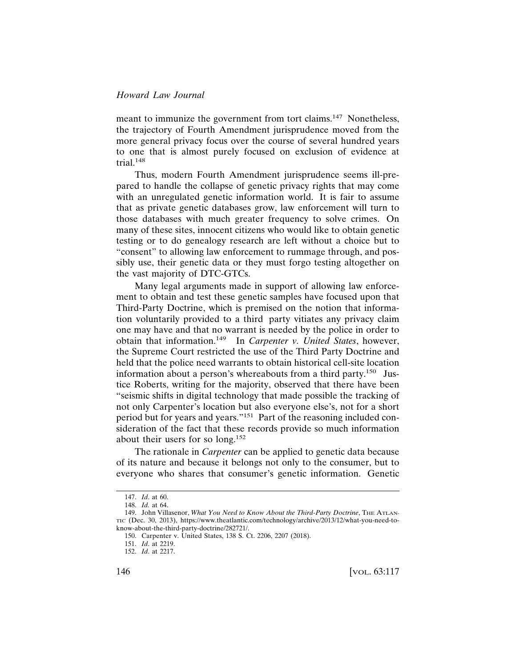meant to immunize the government from tort claims.<sup>147</sup> Nonetheless, the trajectory of Fourth Amendment jurisprudence moved from the more general privacy focus over the course of several hundred years to one that is almost purely focused on exclusion of evidence at trial.<sup>148</sup>

Thus, modern Fourth Amendment jurisprudence seems ill-prepared to handle the collapse of genetic privacy rights that may come with an unregulated genetic information world. It is fair to assume that as private genetic databases grow, law enforcement will turn to those databases with much greater frequency to solve crimes. On many of these sites, innocent citizens who would like to obtain genetic testing or to do genealogy research are left without a choice but to "consent" to allowing law enforcement to rummage through, and possibly use, their genetic data or they must forgo testing altogether on the vast majority of DTC-GTCs.

Many legal arguments made in support of allowing law enforcement to obtain and test these genetic samples have focused upon that Third-Party Doctrine, which is premised on the notion that information voluntarily provided to a third party vitiates any privacy claim one may have and that no warrant is needed by the police in order to obtain that information.149 In *Carpenter v. United States*, however, the Supreme Court restricted the use of the Third Party Doctrine and held that the police need warrants to obtain historical cell-site location information about a person's whereabouts from a third party.<sup>150</sup> Justice Roberts, writing for the majority, observed that there have been "seismic shifts in digital technology that made possible the tracking of not only Carpenter's location but also everyone else's, not for a short period but for years and years."151 Part of the reasoning included consideration of the fact that these records provide so much information about their users for so long.152

The rationale in *Carpenter* can be applied to genetic data because of its nature and because it belongs not only to the consumer, but to everyone who shares that consumer's genetic information. Genetic

<sup>147.</sup> *Id*. at 60.

<sup>148.</sup> *Id.* at 64.

<sup>149.</sup> John Villasenor, *What You Need to Know About the Third-Party Doctrine*, THE ATLAN-TIC (Dec. 30, 2013), https://www.theatlantic.com/technology/archive/2013/12/what-you-need-toknow-about-the-third-party-doctrine/282721/.

<sup>150.</sup> Carpenter v. United States, 138 S. Ct. 2206, 2207 (2018).

<sup>151.</sup> *Id*. at 2219.

<sup>152.</sup> *Id*. at 2217.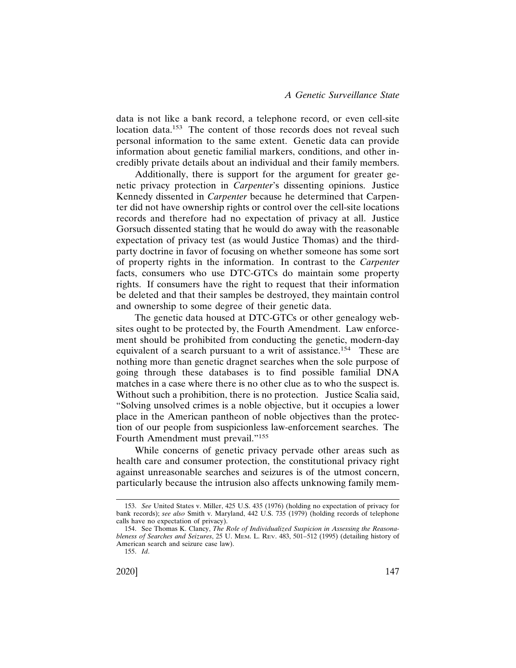data is not like a bank record, a telephone record, or even cell-site location data.153 The content of those records does not reveal such personal information to the same extent. Genetic data can provide information about genetic familial markers, conditions, and other incredibly private details about an individual and their family members.

Additionally, there is support for the argument for greater genetic privacy protection in *Carpenter*'s dissenting opinions. Justice Kennedy dissented in *Carpenter* because he determined that Carpenter did not have ownership rights or control over the cell-site locations records and therefore had no expectation of privacy at all. Justice Gorsuch dissented stating that he would do away with the reasonable expectation of privacy test (as would Justice Thomas) and the thirdparty doctrine in favor of focusing on whether someone has some sort of property rights in the information. In contrast to the *Carpenter* facts, consumers who use DTC-GTCs do maintain some property rights. If consumers have the right to request that their information be deleted and that their samples be destroyed, they maintain control and ownership to some degree of their genetic data.

The genetic data housed at DTC-GTCs or other genealogy websites ought to be protected by, the Fourth Amendment. Law enforcement should be prohibited from conducting the genetic, modern-day equivalent of a search pursuant to a writ of assistance.<sup>154</sup> These are nothing more than genetic dragnet searches when the sole purpose of going through these databases is to find possible familial DNA matches in a case where there is no other clue as to who the suspect is. Without such a prohibition, there is no protection. Justice Scalia said, "Solving unsolved crimes is a noble objective, but it occupies a lower place in the American pantheon of noble objectives than the protection of our people from suspicionless law-enforcement searches. The Fourth Amendment must prevail."155

While concerns of genetic privacy pervade other areas such as health care and consumer protection, the constitutional privacy right against unreasonable searches and seizures is of the utmost concern, particularly because the intrusion also affects unknowing family mem-

<sup>153.</sup> *See* United States v. Miller, 425 U.S. 435 (1976) (holding no expectation of privacy for bank records); *see also* Smith v. Maryland, 442 U.S. 735 (1979) (holding records of telephone calls have no expectation of privacy).

<sup>154.</sup> See Thomas K. Clancy, *The Role of Individualized Suspicion in Assessing the Reasonableness of Searches and Seizures*, 25 U. MEM. L. REV. 483, 501–512 (1995) (detailing history of American search and seizure case law).

<sup>155.</sup> *Id*.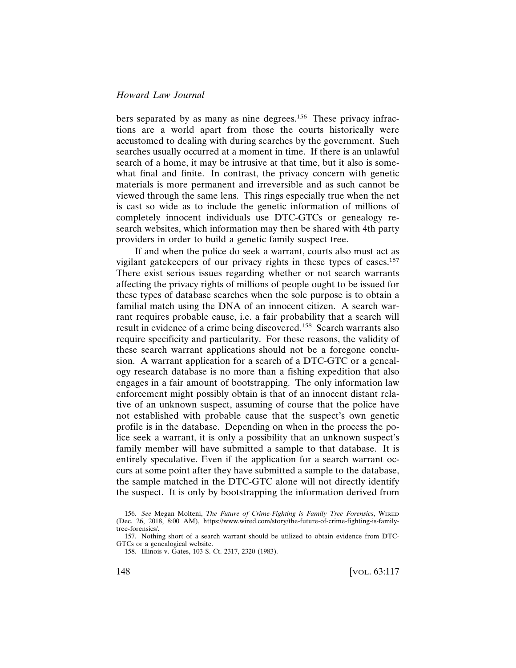bers separated by as many as nine degrees.<sup>156</sup> These privacy infractions are a world apart from those the courts historically were accustomed to dealing with during searches by the government. Such searches usually occurred at a moment in time. If there is an unlawful search of a home, it may be intrusive at that time, but it also is somewhat final and finite. In contrast, the privacy concern with genetic materials is more permanent and irreversible and as such cannot be viewed through the same lens. This rings especially true when the net is cast so wide as to include the genetic information of millions of completely innocent individuals use DTC-GTCs or genealogy research websites, which information may then be shared with 4th party providers in order to build a genetic family suspect tree.

If and when the police do seek a warrant, courts also must act as vigilant gatekeepers of our privacy rights in these types of cases.<sup>157</sup> There exist serious issues regarding whether or not search warrants affecting the privacy rights of millions of people ought to be issued for these types of database searches when the sole purpose is to obtain a familial match using the DNA of an innocent citizen. A search warrant requires probable cause, i.e. a fair probability that a search will result in evidence of a crime being discovered.158 Search warrants also require specificity and particularity. For these reasons, the validity of these search warrant applications should not be a foregone conclusion. A warrant application for a search of a DTC-GTC or a genealogy research database is no more than a fishing expedition that also engages in a fair amount of bootstrapping. The only information law enforcement might possibly obtain is that of an innocent distant relative of an unknown suspect, assuming of course that the police have not established with probable cause that the suspect's own genetic profile is in the database. Depending on when in the process the police seek a warrant, it is only a possibility that an unknown suspect's family member will have submitted a sample to that database. It is entirely speculative. Even if the application for a search warrant occurs at some point after they have submitted a sample to the database, the sample matched in the DTC-GTC alone will not directly identify the suspect. It is only by bootstrapping the information derived from

<sup>156.</sup> *See* Megan Molteni, *The Future of Crime-Fighting is Family Tree Forensics*, WIRED (Dec. 26, 2018, 8:00 AM), https://www.wired.com/story/the-future-of-crime-fighting-is-familytree-forensics/.

<sup>157.</sup> Nothing short of a search warrant should be utilized to obtain evidence from DTC-GTCs or a genealogical website.

<sup>158.</sup> Illinois v. Gates, 103 S. Ct. 2317, 2320 (1983).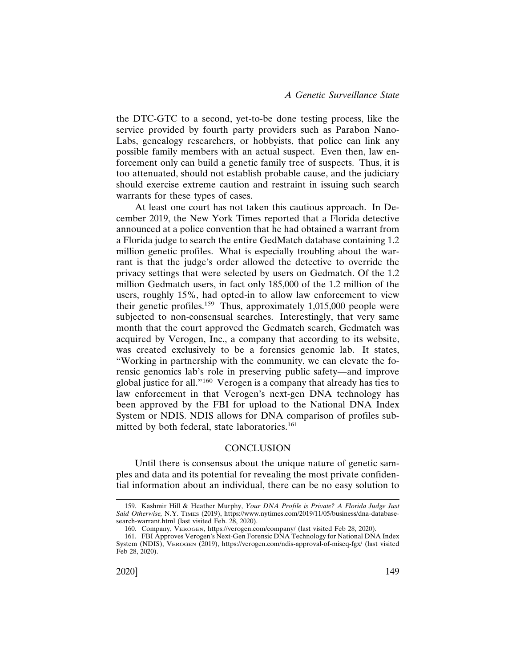the DTC-GTC to a second, yet-to-be done testing process, like the service provided by fourth party providers such as Parabon Nano-Labs, genealogy researchers, or hobbyists, that police can link any possible family members with an actual suspect. Even then, law enforcement only can build a genetic family tree of suspects. Thus, it is too attenuated, should not establish probable cause, and the judiciary should exercise extreme caution and restraint in issuing such search warrants for these types of cases.

At least one court has not taken this cautious approach. In December 2019, the New York Times reported that a Florida detective announced at a police convention that he had obtained a warrant from a Florida judge to search the entire GedMatch database containing 1.2 million genetic profiles. What is especially troubling about the warrant is that the judge's order allowed the detective to override the privacy settings that were selected by users on Gedmatch. Of the 1.2 million Gedmatch users, in fact only 185,000 of the 1.2 million of the users, roughly 15%, had opted-in to allow law enforcement to view their genetic profiles.<sup>159</sup> Thus, approximately 1,015,000 people were subjected to non-consensual searches. Interestingly, that very same month that the court approved the Gedmatch search, Gedmatch was acquired by Verogen, Inc., a company that according to its website, was created exclusively to be a forensics genomic lab. It states, "Working in partnership with the community, we can elevate the forensic genomics lab's role in preserving public safety—and improve global justice for all."160 Verogen is a company that already has ties to law enforcement in that Verogen's next-gen DNA technology has been approved by the FBI for upload to the National DNA Index System or NDIS. NDIS allows for DNA comparison of profiles submitted by both federal, state laboratories.<sup>161</sup>

#### **CONCLUSION**

Until there is consensus about the unique nature of genetic samples and data and its potential for revealing the most private confidential information about an individual, there can be no easy solution to

<sup>159.</sup> Kashmir Hill & Heather Murphy, *Your DNA Profile is Private? A Florida Judge Just Said Otherwise,* N.Y. TIMES (2019), https://www.nytimes.com/2019/11/05/business/dna-databasesearch-warrant.html (last visited Feb. 28, 2020).

<sup>160.</sup> Company, VEROGEN, https://verogen.com/company/ (last visited Feb 28, 2020).

<sup>161.</sup> FBI Approves Verogen's Next-Gen Forensic DNA Technology for National DNA Index System (NDIS), VEROGEN (2019), https://verogen.com/ndis-approval-of-miseq-fgx/ (last visited Feb 28, 2020).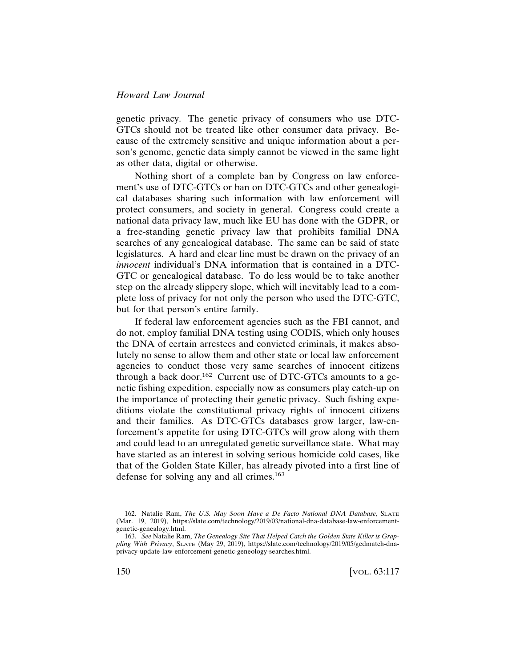genetic privacy. The genetic privacy of consumers who use DTC-GTCs should not be treated like other consumer data privacy. Because of the extremely sensitive and unique information about a person's genome, genetic data simply cannot be viewed in the same light as other data, digital or otherwise.

Nothing short of a complete ban by Congress on law enforcement's use of DTC-GTCs or ban on DTC-GTCs and other genealogical databases sharing such information with law enforcement will protect consumers, and society in general. Congress could create a national data privacy law, much like EU has done with the GDPR, or a free-standing genetic privacy law that prohibits familial DNA searches of any genealogical database. The same can be said of state legislatures. A hard and clear line must be drawn on the privacy of an *innocent* individual's DNA information that is contained in a DTC-GTC or genealogical database. To do less would be to take another step on the already slippery slope, which will inevitably lead to a complete loss of privacy for not only the person who used the DTC-GTC, but for that person's entire family.

If federal law enforcement agencies such as the FBI cannot, and do not, employ familial DNA testing using CODIS, which only houses the DNA of certain arrestees and convicted criminals, it makes absolutely no sense to allow them and other state or local law enforcement agencies to conduct those very same searches of innocent citizens through a back door.<sup>162</sup> Current use of DTC-GTCs amounts to a genetic fishing expedition, especially now as consumers play catch-up on the importance of protecting their genetic privacy. Such fishing expeditions violate the constitutional privacy rights of innocent citizens and their families. As DTC-GTCs databases grow larger, law-enforcement's appetite for using DTC-GTCs will grow along with them and could lead to an unregulated genetic surveillance state. What may have started as an interest in solving serious homicide cold cases, like that of the Golden State Killer, has already pivoted into a first line of defense for solving any and all crimes.<sup>163</sup>

<sup>162.</sup> Natalie Ram, *The U.S. May Soon Have a De Facto National DNA Database*, SLATE (Mar. 19, 2019), https://slate.com/technology/2019/03/national-dna-database-law-enforcementgenetic-genealogy.html.

<sup>163.</sup> *See* Natalie Ram, *The Genealogy Site That Helped Catch the Golden State Killer is Grappling With Privacy*, SLATE (May 29, 2019), https://slate.com/technology/2019/05/gedmatch-dnaprivacy-update-law-enforcement-genetic-geneology-searches.html.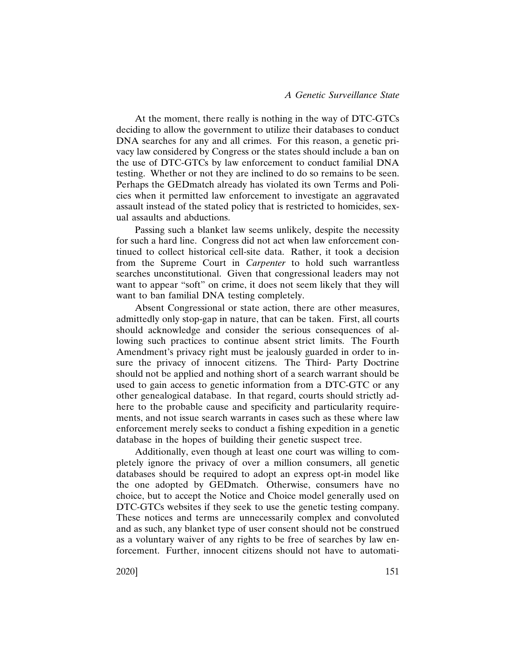At the moment, there really is nothing in the way of DTC-GTCs deciding to allow the government to utilize their databases to conduct DNA searches for any and all crimes. For this reason, a genetic privacy law considered by Congress or the states should include a ban on the use of DTC-GTCs by law enforcement to conduct familial DNA testing. Whether or not they are inclined to do so remains to be seen. Perhaps the GEDmatch already has violated its own Terms and Policies when it permitted law enforcement to investigate an aggravated assault instead of the stated policy that is restricted to homicides, sexual assaults and abductions.

Passing such a blanket law seems unlikely, despite the necessity for such a hard line. Congress did not act when law enforcement continued to collect historical cell-site data. Rather, it took a decision from the Supreme Court in *Carpenter* to hold such warrantless searches unconstitutional. Given that congressional leaders may not want to appear "soft" on crime, it does not seem likely that they will want to ban familial DNA testing completely.

Absent Congressional or state action, there are other measures, admittedly only stop-gap in nature, that can be taken. First, all courts should acknowledge and consider the serious consequences of allowing such practices to continue absent strict limits. The Fourth Amendment's privacy right must be jealously guarded in order to insure the privacy of innocent citizens. The Third- Party Doctrine should not be applied and nothing short of a search warrant should be used to gain access to genetic information from a DTC-GTC or any other genealogical database. In that regard, courts should strictly adhere to the probable cause and specificity and particularity requirements, and not issue search warrants in cases such as these where law enforcement merely seeks to conduct a fishing expedition in a genetic database in the hopes of building their genetic suspect tree.

Additionally, even though at least one court was willing to completely ignore the privacy of over a million consumers, all genetic databases should be required to adopt an express opt-in model like the one adopted by GEDmatch. Otherwise, consumers have no choice, but to accept the Notice and Choice model generally used on DTC-GTCs websites if they seek to use the genetic testing company. These notices and terms are unnecessarily complex and convoluted and as such, any blanket type of user consent should not be construed as a voluntary waiver of any rights to be free of searches by law enforcement. Further, innocent citizens should not have to automati-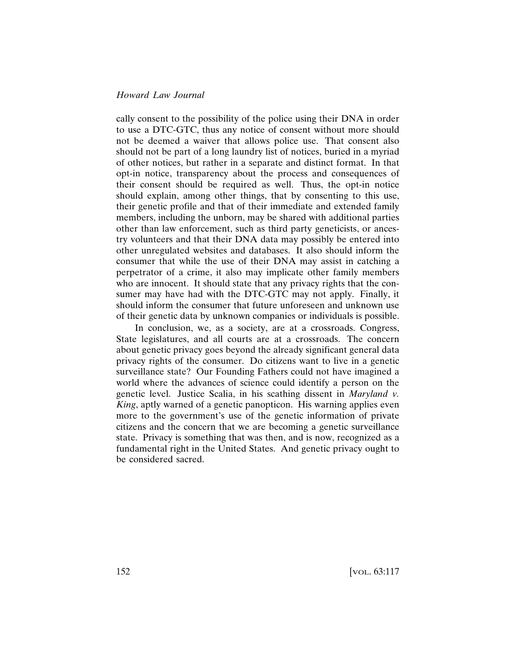cally consent to the possibility of the police using their DNA in order to use a DTC-GTC, thus any notice of consent without more should not be deemed a waiver that allows police use. That consent also should not be part of a long laundry list of notices, buried in a myriad of other notices, but rather in a separate and distinct format. In that opt-in notice, transparency about the process and consequences of their consent should be required as well. Thus, the opt-in notice should explain, among other things, that by consenting to this use, their genetic profile and that of their immediate and extended family members, including the unborn, may be shared with additional parties other than law enforcement, such as third party geneticists, or ancestry volunteers and that their DNA data may possibly be entered into other unregulated websites and databases. It also should inform the consumer that while the use of their DNA may assist in catching a perpetrator of a crime, it also may implicate other family members who are innocent. It should state that any privacy rights that the consumer may have had with the DTC-GTC may not apply. Finally, it should inform the consumer that future unforeseen and unknown use of their genetic data by unknown companies or individuals is possible.

In conclusion, we, as a society, are at a crossroads. Congress, State legislatures, and all courts are at a crossroads. The concern about genetic privacy goes beyond the already significant general data privacy rights of the consumer. Do citizens want to live in a genetic surveillance state? Our Founding Fathers could not have imagined a world where the advances of science could identify a person on the genetic level. Justice Scalia, in his scathing dissent in *Maryland v. King*, aptly warned of a genetic panopticon. His warning applies even more to the government's use of the genetic information of private citizens and the concern that we are becoming a genetic surveillance state. Privacy is something that was then, and is now, recognized as a fundamental right in the United States. And genetic privacy ought to be considered sacred.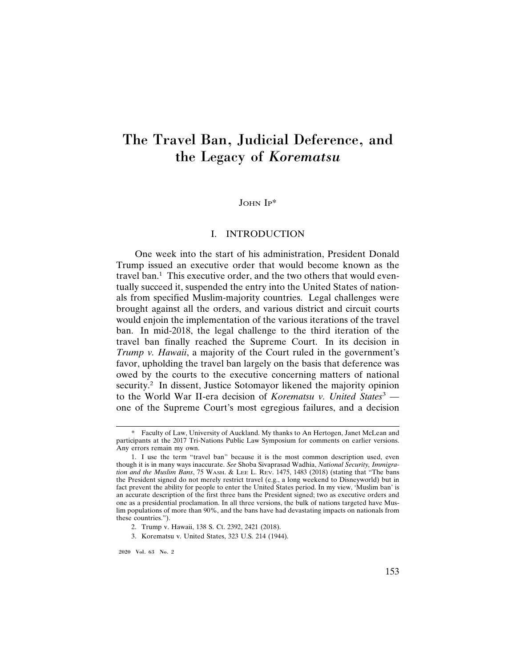# The Travel Ban, Judicial Deference, and the Legacy of *Korematsu*

#### JOHN IP\*

#### I. INTRODUCTION

One week into the start of his administration, President Donald Trump issued an executive order that would become known as the travel ban.1 This executive order, and the two others that would eventually succeed it, suspended the entry into the United States of nationals from specified Muslim-majority countries. Legal challenges were brought against all the orders, and various district and circuit courts would enjoin the implementation of the various iterations of the travel ban. In mid-2018, the legal challenge to the third iteration of the travel ban finally reached the Supreme Court. In its decision in *Trump v. Hawaii*, a majority of the Court ruled in the government's favor, upholding the travel ban largely on the basis that deference was owed by the courts to the executive concerning matters of national security.<sup>2</sup> In dissent, Justice Sotomayor likened the majority opinion to the World War II-era decision of *Korematsu v. United States*<sup>3</sup> one of the Supreme Court's most egregious failures, and a decision

2020 Vol. 63 No. 2

<sup>\*</sup> Faculty of Law, University of Auckland. My thanks to An Hertogen, Janet McLean and participants at the 2017 Tri-Nations Public Law Symposium for comments on earlier versions. Any errors remain my own.

<sup>1.</sup> I use the term "travel ban" because it is the most common description used, even though it is in many ways inaccurate. *See* Shoba Sivaprasad Wadhia, *National Security, Immigration and the Muslim Bans*, 75 WASH. & LEE L. REV. 1475, 1483 (2018) (stating that "The bans the President signed do not merely restrict travel (e.g., a long weekend to Disneyworld) but in fact prevent the ability for people to enter the United States period. In my view, 'Muslim ban' is an accurate description of the first three bans the President signed; two as executive orders and one as a presidential proclamation. In all three versions, the bulk of nations targeted have Muslim populations of more than 90%, and the bans have had devastating impacts on nationals from these countries.").

<sup>2.</sup> Trump v. Hawaii, 138 S. Ct. 2392, 2421 (2018).

<sup>3.</sup> Korematsu v. United States, 323 U.S. 214 (1944).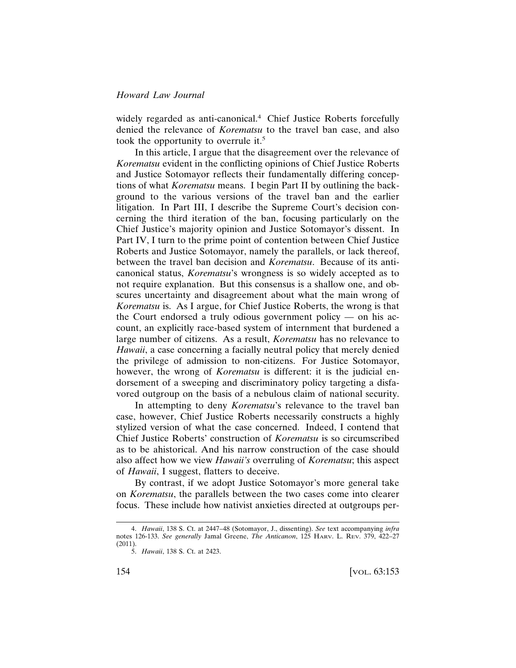widely regarded as anti-canonical.<sup>4</sup> Chief Justice Roberts forcefully denied the relevance of *Korematsu* to the travel ban case, and also took the opportunity to overrule it.<sup>5</sup>

In this article, I argue that the disagreement over the relevance of *Korematsu* evident in the conflicting opinions of Chief Justice Roberts and Justice Sotomayor reflects their fundamentally differing conceptions of what *Korematsu* means. I begin Part II by outlining the background to the various versions of the travel ban and the earlier litigation. In Part III, I describe the Supreme Court's decision concerning the third iteration of the ban, focusing particularly on the Chief Justice's majority opinion and Justice Sotomayor's dissent. In Part IV, I turn to the prime point of contention between Chief Justice Roberts and Justice Sotomayor, namely the parallels, or lack thereof, between the travel ban decision and *Korematsu*. Because of its anticanonical status, *Korematsu*'s wrongness is so widely accepted as to not require explanation. But this consensus is a shallow one, and obscures uncertainty and disagreement about what the main wrong of *Korematsu* is. As I argue, for Chief Justice Roberts, the wrong is that the Court endorsed a truly odious government policy — on his account, an explicitly race-based system of internment that burdened a large number of citizens. As a result, *Korematsu* has no relevance to *Hawaii*, a case concerning a facially neutral policy that merely denied the privilege of admission to non-citizens. For Justice Sotomayor, however, the wrong of *Korematsu* is different: it is the judicial endorsement of a sweeping and discriminatory policy targeting a disfavored outgroup on the basis of a nebulous claim of national security.

In attempting to deny *Korematsu*'s relevance to the travel ban case, however, Chief Justice Roberts necessarily constructs a highly stylized version of what the case concerned. Indeed, I contend that Chief Justice Roberts' construction of *Korematsu* is so circumscribed as to be ahistorical. And his narrow construction of the case should also affect how we view *Hawaii's* overruling of *Korematsu*; this aspect of *Hawaii*, I suggest, flatters to deceive.

By contrast, if we adopt Justice Sotomayor's more general take on *Korematsu*, the parallels between the two cases come into clearer focus. These include how nativist anxieties directed at outgroups per-

<sup>4.</sup> *Hawaii*, 138 S. Ct. at 2447–48 (Sotomayor, J., dissenting). *See* text accompanying *infra* notes 126-133. *See generally* Jamal Greene, *The Anticanon*, 125 HARV. L. REV. 379, 422–27 (2011).

<sup>5.</sup> *Hawaii*, 138 S. Ct. at 2423.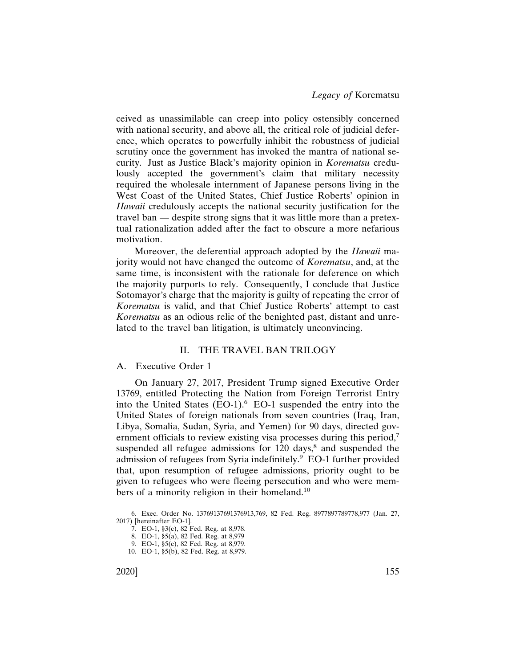ceived as unassimilable can creep into policy ostensibly concerned with national security, and above all, the critical role of judicial deference, which operates to powerfully inhibit the robustness of judicial scrutiny once the government has invoked the mantra of national security. Just as Justice Black's majority opinion in *Korematsu* credulously accepted the government's claim that military necessity required the wholesale internment of Japanese persons living in the West Coast of the United States, Chief Justice Roberts' opinion in *Hawaii* credulously accepts the national security justification for the travel ban — despite strong signs that it was little more than a pretextual rationalization added after the fact to obscure a more nefarious motivation.

Moreover, the deferential approach adopted by the *Hawaii* majority would not have changed the outcome of *Korematsu*, and, at the same time, is inconsistent with the rationale for deference on which the majority purports to rely. Consequently, I conclude that Justice Sotomayor's charge that the majority is guilty of repeating the error of *Korematsu* is valid, and that Chief Justice Roberts' attempt to cast *Korematsu* as an odious relic of the benighted past, distant and unrelated to the travel ban litigation, is ultimately unconvincing.

## II. THE TRAVEL BAN TRILOGY

## A. Executive Order 1

On January 27, 2017, President Trump signed Executive Order 13769, entitled Protecting the Nation from Foreign Terrorist Entry into the United States  $(EO-1)$ .<sup>6</sup> EO-1 suspended the entry into the United States of foreign nationals from seven countries (Iraq, Iran, Libya, Somalia, Sudan, Syria, and Yemen) for 90 days, directed government officials to review existing visa processes during this period,<sup>7</sup> suspended all refugee admissions for 120 days,<sup>8</sup> and suspended the admission of refugees from Syria indefinitely.<sup>9</sup> EO-1 further provided that, upon resumption of refugee admissions, priority ought to be given to refugees who were fleeing persecution and who were members of a minority religion in their homeland.10

<sup>6.</sup> Exec. Order No. 13769137691376913,769, 82 Fed. Reg. 8977897789778,977 (Jan. 27, 2017) [hereinafter EO-1].

<sup>7.</sup> EO-1, §3(c), 82 Fed. Reg. at 8,978.

<sup>8.</sup> EO-1, §5(a), 82 Fed. Reg. at 8,979

<sup>9.</sup> EO-1, §5(c), 82 Fed. Reg. at 8,979.

<sup>10.</sup> EO-1, §5(b), 82 Fed. Reg. at 8,979.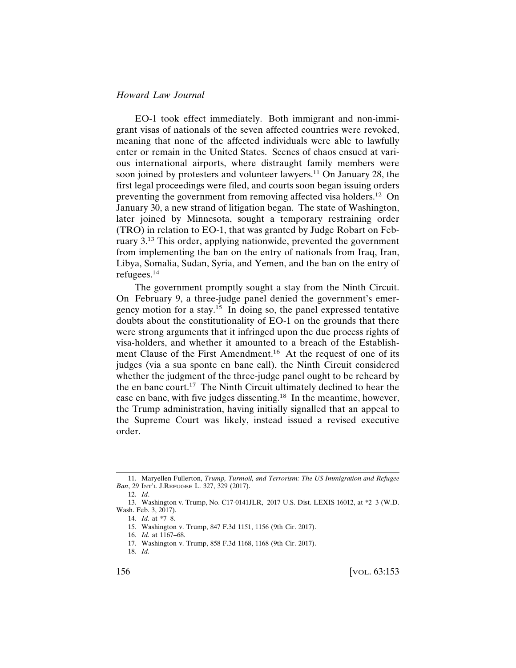EO-1 took effect immediately. Both immigrant and non-immigrant visas of nationals of the seven affected countries were revoked, meaning that none of the affected individuals were able to lawfully enter or remain in the United States. Scenes of chaos ensued at various international airports, where distraught family members were soon joined by protesters and volunteer lawyers.<sup>11</sup> On January 28, the first legal proceedings were filed, and courts soon began issuing orders preventing the government from removing affected visa holders.12 On January 30, a new strand of litigation began. The state of Washington, later joined by Minnesota, sought a temporary restraining order (TRO) in relation to EO-1, that was granted by Judge Robart on February 3.13 This order, applying nationwide, prevented the government from implementing the ban on the entry of nationals from Iraq, Iran, Libya, Somalia, Sudan, Syria, and Yemen, and the ban on the entry of refugees.<sup>14</sup>

The government promptly sought a stay from the Ninth Circuit. On February 9, a three-judge panel denied the government's emergency motion for a stay.<sup>15</sup> In doing so, the panel expressed tentative doubts about the constitutionality of EO-1 on the grounds that there were strong arguments that it infringed upon the due process rights of visa-holders, and whether it amounted to a breach of the Establishment Clause of the First Amendment.<sup>16</sup> At the request of one of its judges (via a sua sponte en banc call), the Ninth Circuit considered whether the judgment of the three-judge panel ought to be reheard by the en banc court.17 The Ninth Circuit ultimately declined to hear the case en banc, with five judges dissenting.18 In the meantime, however, the Trump administration, having initially signalled that an appeal to the Supreme Court was likely, instead issued a revised executive order.

<sup>11.</sup> Maryellen Fullerton, *Trump, Turmoil, and Terrorism: The US Immigration and Refugee Ban*, 29 INT'L J.REFUGEE L. 327, 329 (2017).

<sup>12.</sup> *Id*.

<sup>13.</sup> Washington v. Trump, No. C17-0141JLR, 2017 U.S. Dist. LEXIS 16012, at \*2–3 (W.D. Wash. Feb. 3, 2017).

<sup>14.</sup> *Id.* at \*7–8.

<sup>15.</sup> Washington v. Trump, 847 F.3d 1151, 1156 (9th Cir. 2017).

<sup>16.</sup> *Id.* at 1167–68.

<sup>17.</sup> Washington v. Trump, 858 F.3d 1168, 1168 (9th Cir. 2017).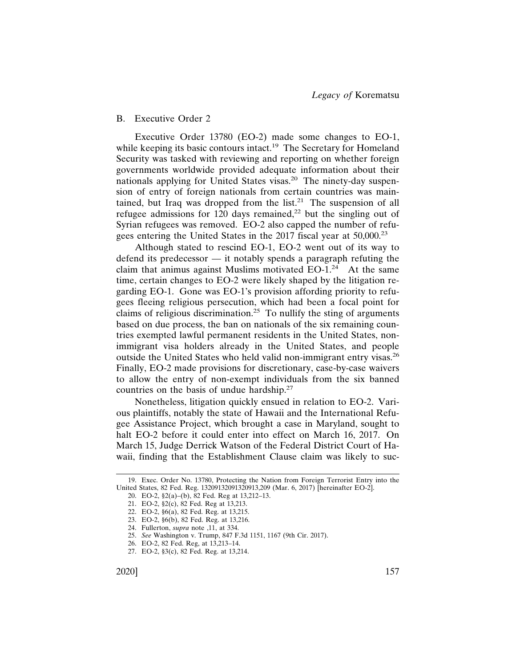#### B. Executive Order 2

Executive Order 13780 (EO-2) made some changes to EO-1, while keeping its basic contours intact.<sup>19</sup> The Secretary for Homeland Security was tasked with reviewing and reporting on whether foreign governments worldwide provided adequate information about their nationals applying for United States visas.<sup>20</sup> The ninety-day suspension of entry of foreign nationals from certain countries was maintained, but Iraq was dropped from the list.<sup>21</sup> The suspension of all refugee admissions for 120 days remained,<sup>22</sup> but the singling out of Syrian refugees was removed. EO-2 also capped the number of refugees entering the United States in the 2017 fiscal year at 50,000.23

Although stated to rescind EO-1, EO-2 went out of its way to defend its predecessor — it notably spends a paragraph refuting the claim that animus against Muslims motivated  $EO-1<sup>24</sup>$  At the same time, certain changes to EO-2 were likely shaped by the litigation regarding EO-1. Gone was EO-1's provision affording priority to refugees fleeing religious persecution, which had been a focal point for claims of religious discrimination.<sup>25</sup> To nullify the sting of arguments based on due process, the ban on nationals of the six remaining countries exempted lawful permanent residents in the United States, nonimmigrant visa holders already in the United States, and people outside the United States who held valid non-immigrant entry visas.<sup>26</sup> Finally, EO-2 made provisions for discretionary, case-by-case waivers to allow the entry of non-exempt individuals from the six banned countries on the basis of undue hardship.27

Nonetheless, litigation quickly ensued in relation to EO-2. Various plaintiffs, notably the state of Hawaii and the International Refugee Assistance Project, which brought a case in Maryland, sought to halt EO-2 before it could enter into effect on March 16, 2017. On March 15, Judge Derrick Watson of the Federal District Court of Hawaii, finding that the Establishment Clause claim was likely to suc-

<sup>19.</sup> Exec. Order No. 13780, Protecting the Nation from Foreign Terrorist Entry into the United States, 82 Fed. Reg. 13209132091320913,209 (Mar. 6, 2017) [hereinafter EO-2].

<sup>20.</sup> EO-2, §2(a)–(b), 82 Fed. Reg at 13,212–13.

<sup>21.</sup> EO-2, §2(c), 82 Fed. Reg at 13,213.

<sup>22.</sup> EO-2, §6(a), 82 Fed. Reg. at 13,215.

<sup>23.</sup> EO-2, §6(b), 82 Fed. Reg. at 13,216.

<sup>24.</sup> Fullerton, *supra* note ,11, at 334.

<sup>25.</sup> *See* Washington v. Trump, 847 F.3d 1151, 1167 (9th Cir. 2017).

<sup>26.</sup> EO-2, 82 Fed. Reg, at 13,213–14.

<sup>27.</sup> EO-2, §3(c), 82 Fed. Reg. at 13,214.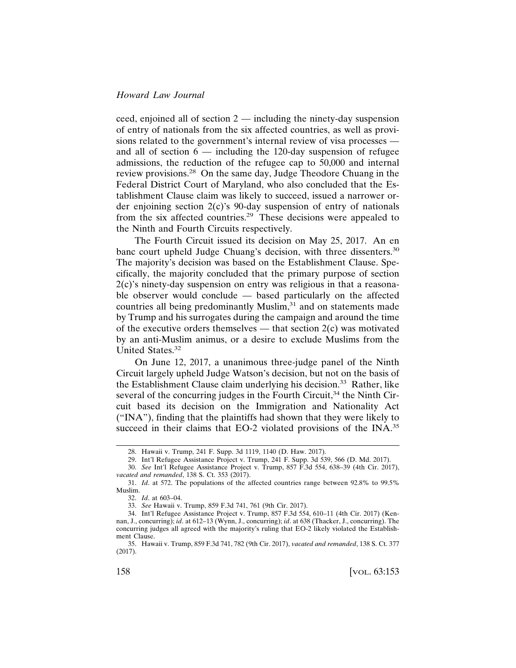ceed, enjoined all of section 2 — including the ninety-day suspension of entry of nationals from the six affected countries, as well as provisions related to the government's internal review of visa processes and all of section  $6$  — including the 120-day suspension of refugee admissions, the reduction of the refugee cap to 50,000 and internal review provisions.28 On the same day, Judge Theodore Chuang in the Federal District Court of Maryland, who also concluded that the Establishment Clause claim was likely to succeed, issued a narrower order enjoining section 2(c)'s 90-day suspension of entry of nationals from the six affected countries.29 These decisions were appealed to the Ninth and Fourth Circuits respectively.

The Fourth Circuit issued its decision on May 25, 2017. An en banc court upheld Judge Chuang's decision, with three dissenters.<sup>30</sup> The majority's decision was based on the Establishment Clause. Specifically, the majority concluded that the primary purpose of section  $2(c)$ 's ninety-day suspension on entry was religious in that a reasonable observer would conclude — based particularly on the affected countries all being predominantly Muslim, $31$  and on statements made by Trump and his surrogates during the campaign and around the time of the executive orders themselves — that section  $2(c)$  was motivated by an anti-Muslim animus, or a desire to exclude Muslims from the United States.<sup>32</sup>

On June 12, 2017, a unanimous three-judge panel of the Ninth Circuit largely upheld Judge Watson's decision, but not on the basis of the Establishment Clause claim underlying his decision.<sup>33</sup> Rather, like several of the concurring judges in the Fourth Circuit,  $34$  the Ninth Circuit based its decision on the Immigration and Nationality Act ("INA"), finding that the plaintiffs had shown that they were likely to succeed in their claims that EO-2 violated provisions of the INA.<sup>35</sup>

<sup>28.</sup> Hawaii v. Trump, 241 F. Supp. 3d 1119, 1140 (D. Haw. 2017).

<sup>29.</sup> Int'l Refugee Assistance Project v. Trump, 241 F. Supp. 3d 539, 566 (D. Md. 2017).

<sup>30.</sup> *See* Int'l Refugee Assistance Project v. Trump, 857 F.3d 554, 638–39 (4th Cir. 2017), *vacated and remanded*, 138 S. Ct. 353 (2017).

<sup>31.</sup> *Id*. at 572. The populations of the affected countries range between 92.8% to 99.5% Muslim.

<sup>32.</sup> *Id*. at 603–04.

<sup>33.</sup> *See* Hawaii v. Trump, 859 F.3d 741, 761 (9th Cir. 2017).

<sup>34.</sup> Int'l Refugee Assistance Project v. Trump, 857 F.3d 554, 610–11 (4th Cir. 2017) (Kennan, J., concurring); *id*. at 612–13 (Wynn, J., concurring); *id*. at 638 (Thacker, J., concurring). The concurring judges all agreed with the majority's ruling that EO-2 likely violated the Establishment Clause.

<sup>35.</sup> Hawaii v. Trump, 859 F.3d 741, 782 (9th Cir. 2017), *vacated and remanded*, 138 S. Ct. 377 (2017).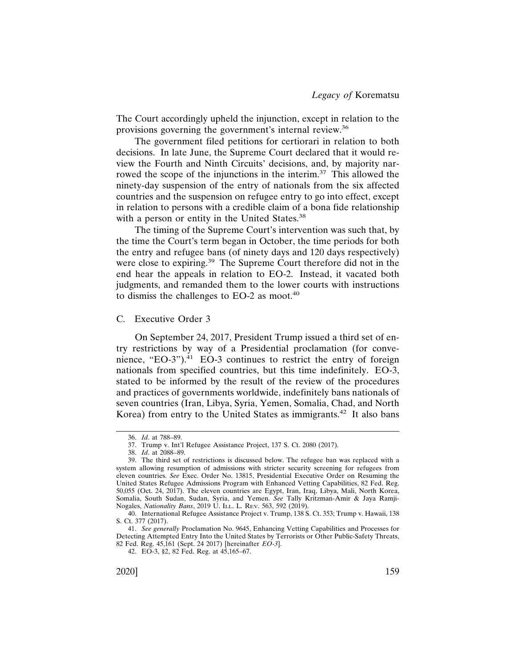The Court accordingly upheld the injunction, except in relation to the provisions governing the government's internal review.36

The government filed petitions for certiorari in relation to both decisions. In late June, the Supreme Court declared that it would review the Fourth and Ninth Circuits' decisions, and, by majority narrowed the scope of the injunctions in the interim.<sup>37</sup> This allowed the ninety-day suspension of the entry of nationals from the six affected countries and the suspension on refugee entry to go into effect, except in relation to persons with a credible claim of a bona fide relationship with a person or entity in the United States.<sup>38</sup>

The timing of the Supreme Court's intervention was such that, by the time the Court's term began in October, the time periods for both the entry and refugee bans (of ninety days and 120 days respectively) were close to expiring.<sup>39</sup> The Supreme Court therefore did not in the end hear the appeals in relation to EO-2. Instead, it vacated both judgments, and remanded them to the lower courts with instructions to dismiss the challenges to EO-2 as moot.40

C. Executive Order 3

On September 24, 2017, President Trump issued a third set of entry restrictions by way of a Presidential proclamation (for convenience, "EO-3").41 EO-3 continues to restrict the entry of foreign nationals from specified countries, but this time indefinitely. EO-3, stated to be informed by the result of the review of the procedures and practices of governments worldwide, indefinitely bans nationals of seven countries (Iran, Libya, Syria, Yemen, Somalia, Chad, and North Korea) from entry to the United States as immigrants.<sup>42</sup> It also bans

<sup>36.</sup> *Id*. at 788–89.

<sup>37.</sup> Trump v. Int'l Refugee Assistance Project, 137 S. Ct. 2080 (2017).

<sup>38.</sup> *Id*. at 2088–89.

<sup>39.</sup> The third set of restrictions is discussed below. The refugee ban was replaced with a system allowing resumption of admissions with stricter security screening for refugees from eleven countries. *See* Exec. Order No. 13815, Presidential Executive Order on Resuming the United States Refugee Admissions Program with Enhanced Vetting Capabilities, 82 Fed. Reg. 50,055 (Oct. 24, 2017). The eleven countries are Egypt, Iran, Iraq, Libya, Mali, North Korea, Somalia, South Sudan, Sudan, Syria, and Yemen. *See* Tally Kritzman-Amir & Jaya Ramji-Nogales, *Nationality Bans*, 2019 U. ILL. L. REV. 563, 592 (2019).

<sup>40.</sup> International Refugee Assistance Project v. Trump, 138 S. Ct. 353; Trump v. Hawaii, 138 S. Ct. 377 (2017).

<sup>41.</sup> *See generally* Proclamation No. 9645, Enhancing Vetting Capabilities and Processes for Detecting Attempted Entry Into the United States by Terrorists or Other Public-Safety Threats, 82 Fed. Reg. 45,161 (Sept. 24 2017) [hereinafter *EO-3*].

<sup>42.</sup> EO-3, §2, 82 Fed. Reg. at 45,165–67.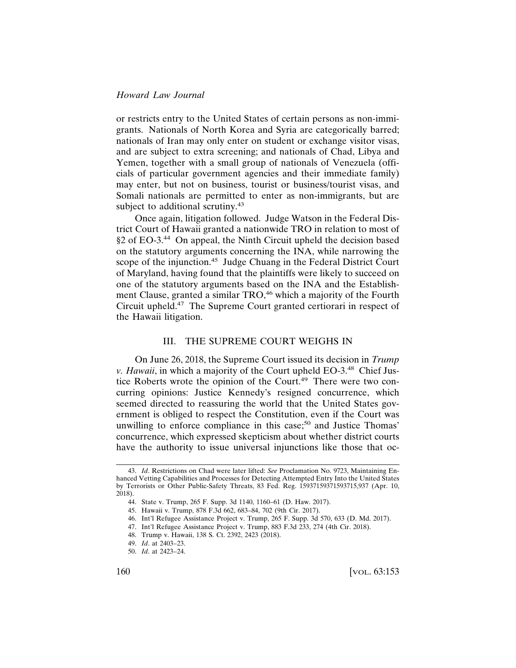or restricts entry to the United States of certain persons as non-immigrants. Nationals of North Korea and Syria are categorically barred; nationals of Iran may only enter on student or exchange visitor visas, and are subject to extra screening; and nationals of Chad, Libya and Yemen, together with a small group of nationals of Venezuela (officials of particular government agencies and their immediate family) may enter, but not on business, tourist or business/tourist visas, and Somali nationals are permitted to enter as non-immigrants, but are subject to additional scrutiny.<sup>43</sup>

Once again, litigation followed. Judge Watson in the Federal District Court of Hawaii granted a nationwide TRO in relation to most of §2 of EO-3.44 On appeal, the Ninth Circuit upheld the decision based on the statutory arguments concerning the INA, while narrowing the scope of the injunction.<sup>45</sup> Judge Chuang in the Federal District Court of Maryland, having found that the plaintiffs were likely to succeed on one of the statutory arguments based on the INA and the Establishment Clause, granted a similar TRO,<sup>46</sup> which a majority of the Fourth Circuit upheld.47 The Supreme Court granted certiorari in respect of the Hawaii litigation.

#### III. THE SUPREME COURT WEIGHS IN

On June 26, 2018, the Supreme Court issued its decision in *Trump v. Hawaii*, in which a majority of the Court upheld EO-3.<sup>48</sup> Chief Justice Roberts wrote the opinion of the Court.<sup>49</sup> There were two concurring opinions: Justice Kennedy's resigned concurrence, which seemed directed to reassuring the world that the United States government is obliged to respect the Constitution, even if the Court was unwilling to enforce compliance in this case;<sup>50</sup> and Justice Thomas' concurrence, which expressed skepticism about whether district courts have the authority to issue universal injunctions like those that oc-

<sup>43.</sup> *Id*. Restrictions on Chad were later lifted: *See* Proclamation No. 9723, Maintaining Enhanced Vetting Capabilities and Processes for Detecting Attempted Entry Into the United States by Terrorists or Other Public-Safety Threats, 83 Fed. Reg. 15937159371593715,937 (Apr. 10, 2018).

<sup>44.</sup> State v. Trump, 265 F. Supp. 3d 1140, 1160–61 (D. Haw. 2017).

<sup>45.</sup> Hawaii v. Trump, 878 F.3d 662, 683–84, 702 (9th Cir. 2017).

<sup>46.</sup> Int'l Refugee Assistance Project v. Trump, 265 F. Supp. 3d 570, 633 (D. Md. 2017).

<sup>47.</sup> Int'l Refugee Assistance Project v. Trump, 883 F.3d 233, 274 (4th Cir. 2018).

<sup>48.</sup> Trump v. Hawaii, 138 S. Ct. 2392, 2423 (2018).

<sup>49.</sup> *Id*. at 2403–23.

<sup>50.</sup> *Id*. at 2423–24.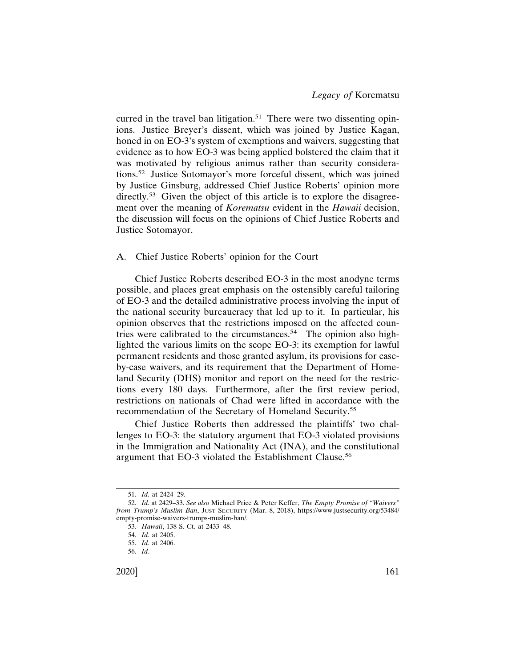curred in the travel ban litigation.<sup>51</sup> There were two dissenting opinions. Justice Breyer's dissent, which was joined by Justice Kagan, honed in on EO-3's system of exemptions and waivers, suggesting that evidence as to how EO-3 was being applied bolstered the claim that it was motivated by religious animus rather than security considerations.52 Justice Sotomayor's more forceful dissent, which was joined by Justice Ginsburg, addressed Chief Justice Roberts' opinion more directly.<sup>53</sup> Given the object of this article is to explore the disagreement over the meaning of *Korematsu* evident in the *Hawaii* decision, the discussion will focus on the opinions of Chief Justice Roberts and Justice Sotomayor.

## A. Chief Justice Roberts' opinion for the Court

Chief Justice Roberts described EO-3 in the most anodyne terms possible, and places great emphasis on the ostensibly careful tailoring of EO-3 and the detailed administrative process involving the input of the national security bureaucracy that led up to it. In particular, his opinion observes that the restrictions imposed on the affected countries were calibrated to the circumstances.<sup>54</sup> The opinion also highlighted the various limits on the scope EO-3: its exemption for lawful permanent residents and those granted asylum, its provisions for caseby-case waivers, and its requirement that the Department of Homeland Security (DHS) monitor and report on the need for the restrictions every 180 days. Furthermore, after the first review period, restrictions on nationals of Chad were lifted in accordance with the recommendation of the Secretary of Homeland Security.55

Chief Justice Roberts then addressed the plaintiffs' two challenges to EO-3: the statutory argument that EO-3 violated provisions in the Immigration and Nationality Act (INA), and the constitutional argument that EO-3 violated the Establishment Clause.<sup>56</sup>

<sup>51.</sup> *Id.* at 2424–29.

<sup>52.</sup> *Id.* at 2429–33. *See also* Michael Price & Peter Keffer, *The Empty Promise of "Waivers" from Trump's Muslim Ban*, JUST SECURITY (Mar. 8, 2018), https://www.justsecurity.org/53484/ empty-promise-waivers-trumps-muslim-ban/.

<sup>53.</sup> *Hawaii*, 138 S. Ct. at 2433–48.

<sup>54.</sup> *Id*. at 2405.

<sup>55.</sup> *Id*. at 2406.

<sup>56.</sup> *Id*.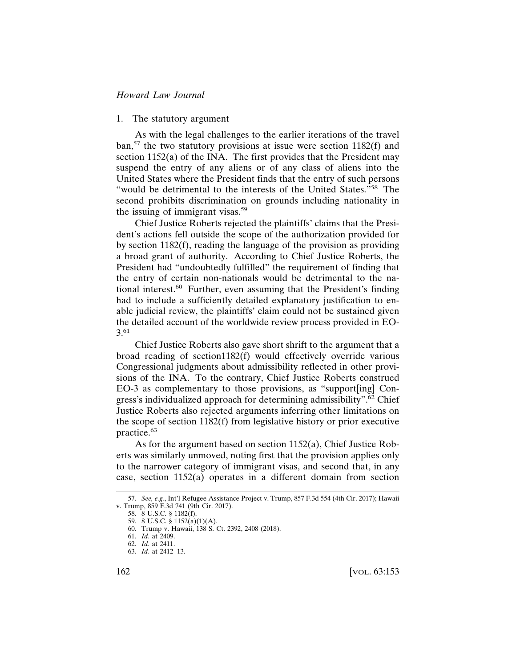#### 1. The statutory argument

As with the legal challenges to the earlier iterations of the travel ban,<sup>57</sup> the two statutory provisions at issue were section 1182(f) and section 1152(a) of the INA. The first provides that the President may suspend the entry of any aliens or of any class of aliens into the United States where the President finds that the entry of such persons "would be detrimental to the interests of the United States."58 The second prohibits discrimination on grounds including nationality in the issuing of immigrant visas.<sup>59</sup>

Chief Justice Roberts rejected the plaintiffs' claims that the President's actions fell outside the scope of the authorization provided for by section 1182(f), reading the language of the provision as providing a broad grant of authority. According to Chief Justice Roberts, the President had "undoubtedly fulfilled" the requirement of finding that the entry of certain non-nationals would be detrimental to the national interest.60 Further, even assuming that the President's finding had to include a sufficiently detailed explanatory justification to enable judicial review, the plaintiffs' claim could not be sustained given the detailed account of the worldwide review process provided in EO-3.<sup>61</sup>

Chief Justice Roberts also gave short shrift to the argument that a broad reading of section1182(f) would effectively override various Congressional judgments about admissibility reflected in other provisions of the INA. To the contrary, Chief Justice Roberts construed EO-3 as complementary to those provisions, as "support[ing] Congress's individualized approach for determining admissibility".62 Chief Justice Roberts also rejected arguments inferring other limitations on the scope of section 1182(f) from legislative history or prior executive practice.63

As for the argument based on section 1152(a), Chief Justice Roberts was similarly unmoved, noting first that the provision applies only to the narrower category of immigrant visas, and second that, in any case, section 1152(a) operates in a different domain from section

<sup>57.</sup> *See, e.g.*, Int'l Refugee Assistance Project v. Trump, 857 F.3d 554 (4th Cir. 2017); Hawaii v. Trump, 859 F.3d 741 (9th Cir. 2017).

<sup>58. 8</sup> U.S.C. § 1182(f).

<sup>59. 8</sup> U.S.C. § 1152(a)(1)(A).

<sup>60.</sup> Trump v. Hawaii, 138 S. Ct. 2392, 2408 (2018).

<sup>61.</sup> *Id*. at 2409.

<sup>62.</sup> *Id*. at 2411.

<sup>63.</sup> *Id*. at 2412–13.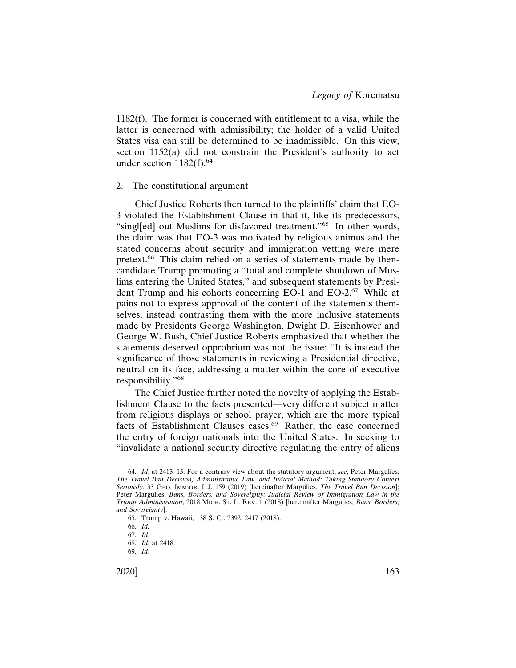1182(f). The former is concerned with entitlement to a visa, while the latter is concerned with admissibility; the holder of a valid United States visa can still be determined to be inadmissible. On this view, section 1152(a) did not constrain the President's authority to act under section  $1182(f).<sup>64</sup>$ 

#### 2. The constitutional argument

Chief Justice Roberts then turned to the plaintiffs' claim that EO-3 violated the Establishment Clause in that it, like its predecessors, "singl[ed] out Muslims for disfavored treatment."65 In other words, the claim was that EO-3 was motivated by religious animus and the stated concerns about security and immigration vetting were mere pretext.<sup>66</sup> This claim relied on a series of statements made by thencandidate Trump promoting a "total and complete shutdown of Muslims entering the United States," and subsequent statements by President Trump and his cohorts concerning EO-1 and EO-2.67 While at pains not to express approval of the content of the statements themselves, instead contrasting them with the more inclusive statements made by Presidents George Washington, Dwight D. Eisenhower and George W. Bush, Chief Justice Roberts emphasized that whether the statements deserved opprobrium was not the issue: "It is instead the significance of those statements in reviewing a Presidential directive, neutral on its face, addressing a matter within the core of executive responsibility."68

The Chief Justice further noted the novelty of applying the Establishment Clause to the facts presented—very different subject matter from religious displays or school prayer, which are the more typical facts of Establishment Clauses cases.<sup>69</sup> Rather, the case concerned the entry of foreign nationals into the United States. In seeking to "invalidate a national security directive regulating the entry of aliens

<sup>64.</sup> *Id*. at 2413–15. For a contrary view about the statutory argument, *see*, Peter Margulies, *The Travel Ban Decision, Administrative Law, and Judicial Method: Taking Statutory Context Seriously*, 33 GEO. IMMIGR. L.J. 159 (2019) [hereinafter Margulies, *The Travel Ban Decision*]; Peter Margulies, *Bans, Borders, and Sovereignty: Judicial Review of Immigration Law in the Trump Administration*, 2018 MICH. ST. L. REV. 1 (2018) [hereinafter Margulies, *Bans, Borders, and Sovereignty*].

<sup>65.</sup> Trump v. Hawaii, 138 S. Ct. 2392, 2417 (2018).

<sup>66.</sup> *Id.*

<sup>67.</sup> *Id*.

<sup>68.</sup> *Id*. at 2418.

<sup>69.</sup> *Id*.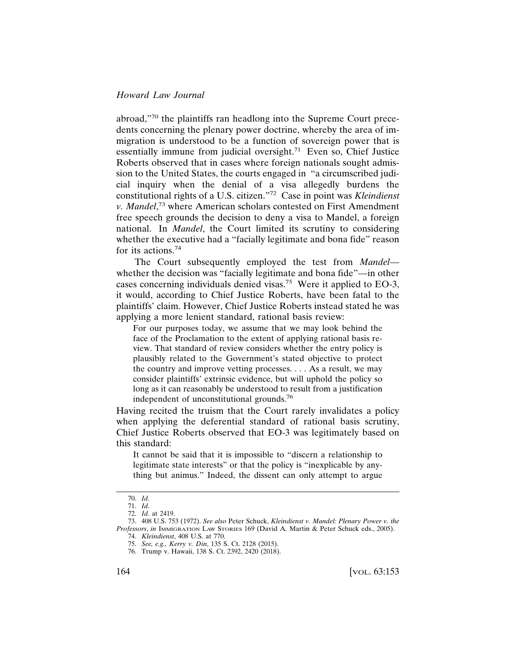abroad,"70 the plaintiffs ran headlong into the Supreme Court precedents concerning the plenary power doctrine, whereby the area of immigration is understood to be a function of sovereign power that is essentially immune from judicial oversight.<sup>71</sup> Even so, Chief Justice Roberts observed that in cases where foreign nationals sought admission to the United States, the courts engaged in "a circumscribed judicial inquiry when the denial of a visa allegedly burdens the constitutional rights of a U.S. citizen."72 Case in point was *Kleindienst v. Mandel*, 73 where American scholars contested on First Amendment free speech grounds the decision to deny a visa to Mandel, a foreign national. In *Mandel*, the Court limited its scrutiny to considering whether the executive had a "facially legitimate and bona fide" reason for its actions.<sup>74</sup>

The Court subsequently employed the test from *Mandel* whether the decision was "facially legitimate and bona fide"—in other cases concerning individuals denied visas.75 Were it applied to EO-3, it would, according to Chief Justice Roberts, have been fatal to the plaintiffs' claim. However, Chief Justice Roberts instead stated he was applying a more lenient standard, rational basis review:

For our purposes today, we assume that we may look behind the face of the Proclamation to the extent of applying rational basis review. That standard of review considers whether the entry policy is plausibly related to the Government's stated objective to protect the country and improve vetting processes. . . . As a result, we may consider plaintiffs' extrinsic evidence, but will uphold the policy so long as it can reasonably be understood to result from a justification independent of unconstitutional grounds.76

Having recited the truism that the Court rarely invalidates a policy when applying the deferential standard of rational basis scrutiny, Chief Justice Roberts observed that EO-3 was legitimately based on this standard:

It cannot be said that it is impossible to "discern a relationship to legitimate state interests" or that the policy is "inexplicable by anything but animus." Indeed, the dissent can only attempt to argue

<sup>70.</sup> *Id*.

<sup>71.</sup> *Id*.

<sup>72.</sup> *Id*. at 2419.

<sup>73. 408</sup> U.S. 753 (1972). *See also* Peter Schuck, *Kleindienst v. Mandel: Plenary Power v. the Professors*, *in* IMMIGRATION LAW STORIES 169 (David A. Martin & Peter Schuck eds., 2005). 74. *Kleindienst*, 408 U.S. at 770.

<sup>75.</sup> *See, e.g., Kerry v. Din*, 135 S. Ct. 2128 (2015).

<sup>76.</sup> Trump v. Hawaii, 138 S. Ct. 2392, 2420 (2018).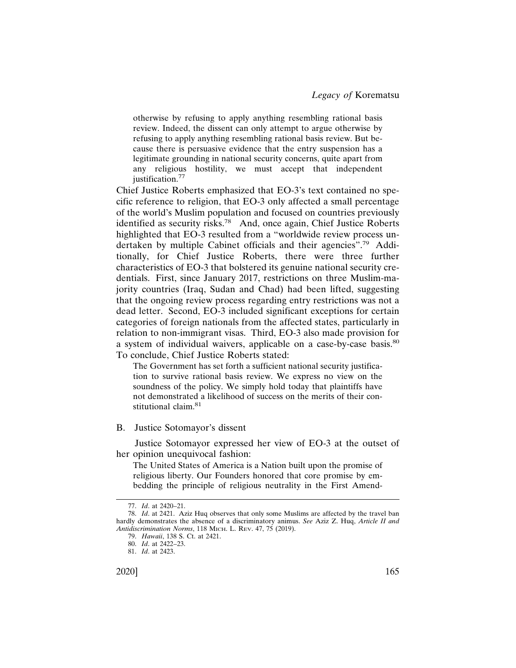otherwise by refusing to apply anything resembling rational basis review. Indeed, the dissent can only attempt to argue otherwise by refusing to apply anything resembling rational basis review. But because there is persuasive evidence that the entry suspension has a legitimate grounding in national security concerns, quite apart from any religious hostility, we must accept that independent justification.<sup>77</sup>

Chief Justice Roberts emphasized that EO-3's text contained no specific reference to religion, that EO-3 only affected a small percentage of the world's Muslim population and focused on countries previously identified as security risks.78 And, once again, Chief Justice Roberts highlighted that EO-3 resulted from a "worldwide review process undertaken by multiple Cabinet officials and their agencies".79 Additionally, for Chief Justice Roberts, there were three further characteristics of EO-3 that bolstered its genuine national security credentials. First, since January 2017, restrictions on three Muslim-majority countries (Iraq, Sudan and Chad) had been lifted, suggesting that the ongoing review process regarding entry restrictions was not a dead letter. Second, EO-3 included significant exceptions for certain categories of foreign nationals from the affected states, particularly in relation to non-immigrant visas. Third, EO-3 also made provision for a system of individual waivers, applicable on a case-by-case basis.<sup>80</sup> To conclude, Chief Justice Roberts stated:

The Government has set forth a sufficient national security justification to survive rational basis review. We express no view on the soundness of the policy. We simply hold today that plaintiffs have not demonstrated a likelihood of success on the merits of their constitutional claim <sup>81</sup>

#### B. Justice Sotomayor's dissent

Justice Sotomayor expressed her view of EO-3 at the outset of her opinion unequivocal fashion:

The United States of America is a Nation built upon the promise of religious liberty. Our Founders honored that core promise by embedding the principle of religious neutrality in the First Amend-

<sup>77.</sup> *Id*. at 2420–21.

<sup>78.</sup> *Id*. at 2421. Aziz Huq observes that only some Muslims are affected by the travel ban hardly demonstrates the absence of a discriminatory animus. *See* Aziz Z. Huq, *Article II and Antidiscrimination Norms*, 118 MICH. L. REV. 47, 75 (2019).

<sup>79.</sup> *Hawaii*, 138 S. Ct. at 2421.

<sup>80.</sup> *Id*. at 2422–23.

<sup>81.</sup> *Id*. at 2423.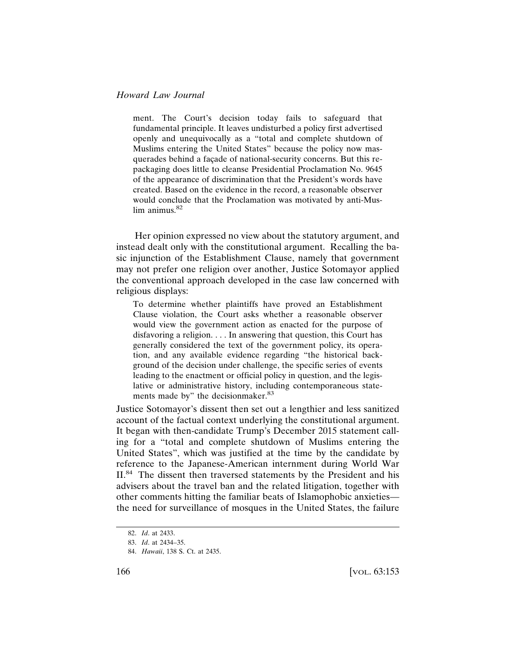ment. The Court's decision today fails to safeguard that fundamental principle. It leaves undisturbed a policy first advertised openly and unequivocally as a "total and complete shutdown of Muslims entering the United States" because the policy now masquerades behind a façade of national-security concerns. But this repackaging does little to cleanse Presidential Proclamation No. 9645 of the appearance of discrimination that the President's words have created. Based on the evidence in the record, a reasonable observer would conclude that the Proclamation was motivated by anti-Muslim animus.<sup>82</sup>

Her opinion expressed no view about the statutory argument, and instead dealt only with the constitutional argument. Recalling the basic injunction of the Establishment Clause, namely that government may not prefer one religion over another, Justice Sotomayor applied the conventional approach developed in the case law concerned with religious displays:

To determine whether plaintiffs have proved an Establishment Clause violation, the Court asks whether a reasonable observer would view the government action as enacted for the purpose of disfavoring a religion. . . . In answering that question, this Court has generally considered the text of the government policy, its operation, and any available evidence regarding "the historical background of the decision under challenge, the specific series of events leading to the enactment or official policy in question, and the legislative or administrative history, including contemporaneous statements made by" the decisionmaker.<sup>83</sup>

Justice Sotomayor's dissent then set out a lengthier and less sanitized account of the factual context underlying the constitutional argument. It began with then-candidate Trump's December 2015 statement calling for a "total and complete shutdown of Muslims entering the United States", which was justified at the time by the candidate by reference to the Japanese-American internment during World War II.84 The dissent then traversed statements by the President and his advisers about the travel ban and the related litigation, together with other comments hitting the familiar beats of Islamophobic anxieties the need for surveillance of mosques in the United States, the failure

<sup>82.</sup> *Id*. at 2433.

<sup>83.</sup> *Id*. at 2434–35.

<sup>84.</sup> *Hawaii*, 138 S. Ct. at 2435.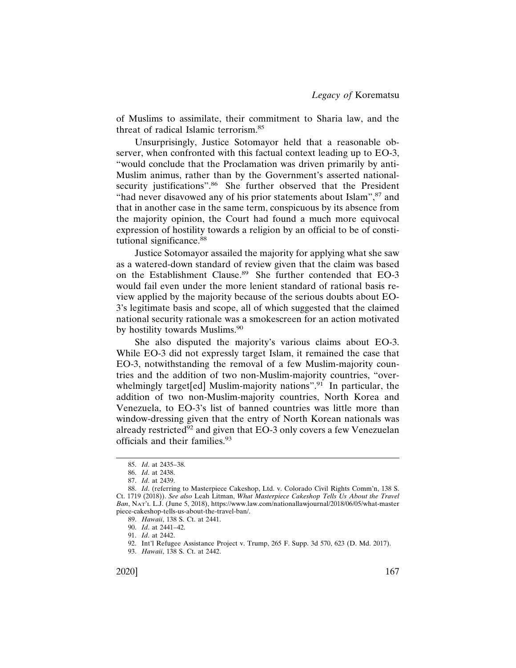of Muslims to assimilate, their commitment to Sharia law, and the threat of radical Islamic terrorism.85

Unsurprisingly, Justice Sotomayor held that a reasonable observer, when confronted with this factual context leading up to EO-3, "would conclude that the Proclamation was driven primarily by anti-Muslim animus, rather than by the Government's asserted nationalsecurity justifications".<sup>86</sup> She further observed that the President "had never disavowed any of his prior statements about Islam", $87$  and that in another case in the same term, conspicuous by its absence from the majority opinion, the Court had found a much more equivocal expression of hostility towards a religion by an official to be of constitutional significance.<sup>88</sup>

Justice Sotomayor assailed the majority for applying what she saw as a watered-down standard of review given that the claim was based on the Establishment Clause.<sup>89</sup> She further contended that EO-3 would fail even under the more lenient standard of rational basis review applied by the majority because of the serious doubts about EO-3's legitimate basis and scope, all of which suggested that the claimed national security rationale was a smokescreen for an action motivated by hostility towards Muslims.<sup>90</sup>

She also disputed the majority's various claims about EO-3. While EO-3 did not expressly target Islam, it remained the case that EO-3, notwithstanding the removal of a few Muslim-majority countries and the addition of two non-Muslim-majority countries, "overwhelmingly target [ed] Muslim-majority nations".<sup>91</sup> In particular, the addition of two non-Muslim-majority countries, North Korea and Venezuela, to EO-3's list of banned countries was little more than window-dressing given that the entry of North Korean nationals was already restricted<sup>92</sup> and given that EO-3 only covers a few Venezuelan officials and their families.<sup>93</sup>

<sup>85.</sup> *Id*. at 2435–38.

<sup>86.</sup> *Id*. at 2438.

<sup>87.</sup> *Id*. at 2439.

<sup>88.</sup> *Id*. (referring to Masterpiece Cakeshop, Ltd. v. Colorado Civil Rights Comm'n, 138 S. Ct. 1719 (2018)). *See also* Leah Litman, *What Masterpiece Cakeshop Tells Us About the Travel Ban*, NAT'L L.J. (June 5, 2018), https://www.law.com/nationallawjournal/2018/06/05/what-master piece-cakeshop-tells-us-about-the-travel-ban/.

<sup>89.</sup> *Hawaii*, 138 S. Ct. at 2441.

<sup>90.</sup> *Id*. at 2441–42.

<sup>91.</sup> *Id*. at 2442.

<sup>92.</sup> Int'l Refugee Assistance Project v. Trump, 265 F. Supp. 3d 570, 623 (D. Md. 2017).

<sup>93.</sup> *Hawaii*, 138 S. Ct. at 2442.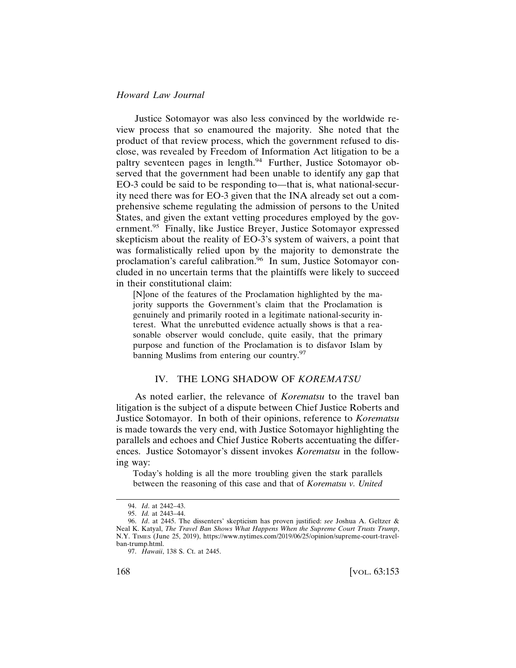Justice Sotomayor was also less convinced by the worldwide review process that so enamoured the majority. She noted that the product of that review process, which the government refused to disclose, was revealed by Freedom of Information Act litigation to be a paltry seventeen pages in length.<sup>94</sup> Further, Justice Sotomayor observed that the government had been unable to identify any gap that EO-3 could be said to be responding to—that is, what national-security need there was for EO-3 given that the INA already set out a comprehensive scheme regulating the admission of persons to the United States, and given the extant vetting procedures employed by the government.95 Finally, like Justice Breyer, Justice Sotomayor expressed skepticism about the reality of EO-3's system of waivers, a point that was formalistically relied upon by the majority to demonstrate the proclamation's careful calibration.<sup>96</sup> In sum, Justice Sotomayor concluded in no uncertain terms that the plaintiffs were likely to succeed in their constitutional claim:

[N]one of the features of the Proclamation highlighted by the majority supports the Government's claim that the Proclamation is genuinely and primarily rooted in a legitimate national-security interest. What the unrebutted evidence actually shows is that a reasonable observer would conclude, quite easily, that the primary purpose and function of the Proclamation is to disfavor Islam by banning Muslims from entering our country.97

#### IV. THE LONG SHADOW OF *KOREMATSU*

As noted earlier, the relevance of *Korematsu* to the travel ban litigation is the subject of a dispute between Chief Justice Roberts and Justice Sotomayor. In both of their opinions, reference to *Korematsu* is made towards the very end, with Justice Sotomayor highlighting the parallels and echoes and Chief Justice Roberts accentuating the differences. Justice Sotomayor's dissent invokes *Korematsu* in the following way:

Today's holding is all the more troubling given the stark parallels between the reasoning of this case and that of *Korematsu v. United*

<sup>94.</sup> *Id*. at 2442–43.

<sup>95.</sup> *Id.* at 2443–44.

<sup>96.</sup> *Id*. at 2445. The dissenters' skepticism has proven justified: *see* Joshua A. Geltzer & Neal K. Katyal, *The Travel Ban Shows What Happens When the Supreme Court Trusts Trump*, N.Y. TIMES (June 25, 2019), https://www.nytimes.com/2019/06/25/opinion/supreme-court-travelban-trump.html.

<sup>97.</sup> *Hawaii*, 138 S. Ct. at 2445.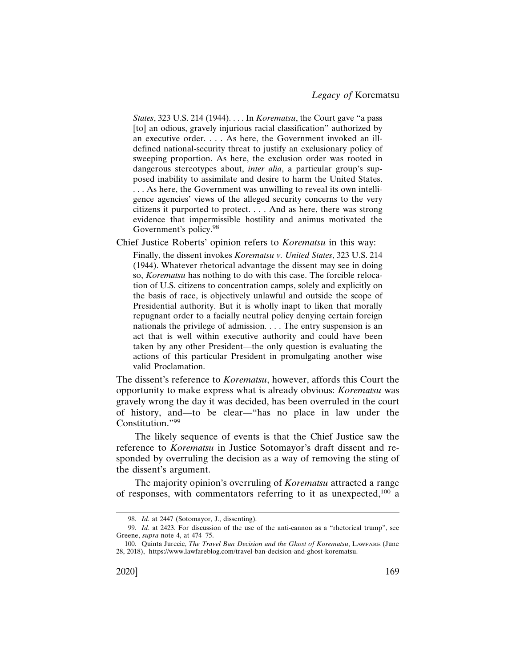*States*, 323 U.S. 214 (1944). . . . In *Korematsu*, the Court gave "a pass [to] an odious, gravely injurious racial classification" authorized by an executive order. . . . As here, the Government invoked an illdefined national-security threat to justify an exclusionary policy of sweeping proportion. As here, the exclusion order was rooted in dangerous stereotypes about, *inter alia*, a particular group's supposed inability to assimilate and desire to harm the United States. . . . As here, the Government was unwilling to reveal its own intelligence agencies' views of the alleged security concerns to the very citizens it purported to protect. . . . And as here, there was strong evidence that impermissible hostility and animus motivated the Government's policy.<sup>98</sup>

Chief Justice Roberts' opinion refers to *Korematsu* in this way:

Finally, the dissent invokes *Korematsu v. United States*, 323 U.S. 214 (1944). Whatever rhetorical advantage the dissent may see in doing so, *Korematsu* has nothing to do with this case. The forcible relocation of U.S. citizens to concentration camps, solely and explicitly on the basis of race, is objectively unlawful and outside the scope of Presidential authority. But it is wholly inapt to liken that morally repugnant order to a facially neutral policy denying certain foreign nationals the privilege of admission. . . . The entry suspension is an act that is well within executive authority and could have been taken by any other President—the only question is evaluating the actions of this particular President in promulgating another wise valid Proclamation.

The dissent's reference to *Korematsu*, however, affords this Court the opportunity to make express what is already obvious: *Korematsu* was gravely wrong the day it was decided, has been overruled in the court of history, and—to be clear—"has no place in law under the Constitution."<sup>99</sup>

The likely sequence of events is that the Chief Justice saw the reference to *Korematsu* in Justice Sotomayor's draft dissent and responded by overruling the decision as a way of removing the sting of the dissent's argument.

The majority opinion's overruling of *Korematsu* attracted a range of responses, with commentators referring to it as unexpected, $100$  a

<sup>98.</sup> *Id*. at 2447 (Sotomayor, J., dissenting).

<sup>99.</sup> *Id*. at 2423. For discussion of the use of the anti-cannon as a "rhetorical trump", see Greene, *supra* note 4, at 474–75.

<sup>100.</sup> Quinta Jurecic, *The Travel Ban Decision and the Ghost of Korematsu*, LAWFARE (June 28, 2018), https://www.lawfareblog.com/travel-ban-decision-and-ghost-korematsu.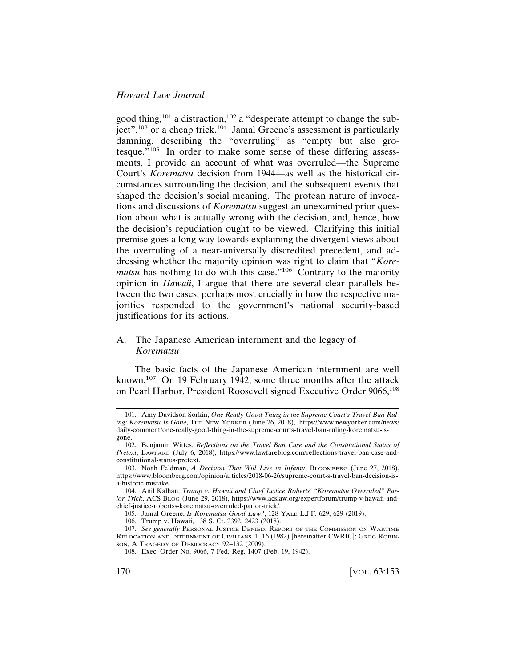good thing,<sup>101</sup> a distraction,<sup>102</sup> a "desperate attempt to change the subject",103 or a cheap trick.104 Jamal Greene's assessment is particularly damning, describing the "overruling" as "empty but also grotesque."105 In order to make some sense of these differing assessments, I provide an account of what was overruled—the Supreme Court's *Korematsu* decision from 1944—as well as the historical circumstances surrounding the decision, and the subsequent events that shaped the decision's social meaning. The protean nature of invocations and discussions of *Korematsu* suggest an unexamined prior question about what is actually wrong with the decision, and, hence, how the decision's repudiation ought to be viewed. Clarifying this initial premise goes a long way towards explaining the divergent views about the overruling of a near-universally discredited precedent, and addressing whether the majority opinion was right to claim that "*Korematsu* has nothing to do with this case."<sup>106</sup> Contrary to the majority opinion in *Hawaii*, I argue that there are several clear parallels between the two cases, perhaps most crucially in how the respective majorities responded to the government's national security-based justifications for its actions.

# A. The Japanese American internment and the legacy of *Korematsu*

The basic facts of the Japanese American internment are well known.107 On 19 February 1942, some three months after the attack on Pearl Harbor, President Roosevelt signed Executive Order 9066,<sup>108</sup>

105. Jamal Greene, *Is Korematsu Good Law?*, 128 YALE L.J.F. 629, 629 (2019).

<sup>101.</sup> Amy Davidson Sorkin, *One Really Good Thing in the Supreme Court's Travel-Ban Ruling: Korematsu Is Gone*, THE NEW YORKER (June 26, 2018), https://www.newyorker.com/news/ daily-comment/one-really-good-thing-in-the-supreme-courts-travel-ban-ruling-korematsu-isgone.

<sup>102.</sup> Benjamin Wittes, *Reflections on the Travel Ban Case and the Constitutional Status of Pretext*, LAWFARE (July 6, 2018), https://www.lawfareblog.com/reflections-travel-ban-case-andconstitutional-status-pretext.

<sup>103.</sup> Noah Feldman, *A Decision That Will Live in Infamy*, BLOOMBERG (June 27, 2018), https://www.bloomberg.com/opinion/articles/2018-06-26/supreme-court-s-travel-ban-decision-isa-historic-mistake.

<sup>104.</sup> Anil Kalhan, *Trump v. Hawaii and Chief Justice Roberts' "Korematsu Overruled" Parlor Trick*, ACS BLOG (June 29, 2018), https://www.acslaw.org/expertforum/trump-v-hawaii-andchief-justice-robertss-korematsu-overruled-parlor-trick/.

<sup>106.</sup> Trump v. Hawaii, 138 S. Ct. 2392, 2423 (2018).

<sup>107.</sup> *See generally* PERSONAL JUSTICE DENIED: REPORT OF THE COMMISSION ON WARTIME RELOCATION AND INTERNMENT OF CIVILIANS 1–16 (1982) [hereinafter CWRIC]; GREG ROBIN-SON, A TRAGEDY OF DEMOCRACY 92-132 (2009).

<sup>108.</sup> Exec. Order No. 9066, 7 Fed. Reg. 1407 (Feb. 19, 1942).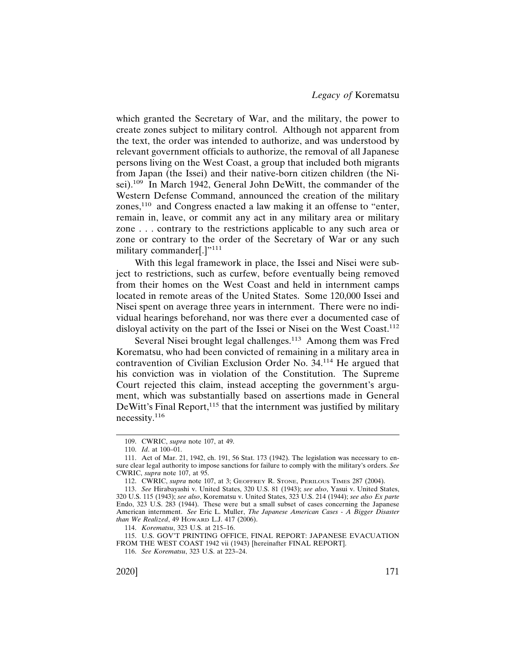which granted the Secretary of War, and the military, the power to create zones subject to military control. Although not apparent from the text, the order was intended to authorize, and was understood by relevant government officials to authorize, the removal of all Japanese persons living on the West Coast, a group that included both migrants from Japan (the Issei) and their native-born citizen children (the Nisei).<sup>109</sup> In March 1942, General John DeWitt, the commander of the Western Defense Command, announced the creation of the military zones, $110$  and Congress enacted a law making it an offense to "enter, remain in, leave, or commit any act in any military area or military zone . . . contrary to the restrictions applicable to any such area or zone or contrary to the order of the Secretary of War or any such military commander[.]"111

With this legal framework in place, the Issei and Nisei were subject to restrictions, such as curfew, before eventually being removed from their homes on the West Coast and held in internment camps located in remote areas of the United States. Some 120,000 Issei and Nisei spent on average three years in internment. There were no individual hearings beforehand, nor was there ever a documented case of disloyal activity on the part of the Issei or Nisei on the West Coast.<sup>112</sup>

Several Nisei brought legal challenges.<sup>113</sup> Among them was Fred Korematsu, who had been convicted of remaining in a military area in contravention of Civilian Exclusion Order No. 34.114 He argued that his conviction was in violation of the Constitution. The Supreme Court rejected this claim, instead accepting the government's argument, which was substantially based on assertions made in General DeWitt's Final Report,<sup>115</sup> that the internment was justified by military necessity.116

114. *Korematsu*, 323 U.S. at 215–16.

115. U.S. GOV'T PRINTING OFFICE, FINAL REPORT: JAPANESE EVACUATION FROM THE WEST COAST 1942 vii (1943) [hereinafter FINAL REPORT].

116. *See Korematsu*, 323 U.S. at 223–24.

<sup>109.</sup> CWRIC, *supra* note 107, at 49.

<sup>110.</sup> *Id*. at 100–01.

<sup>111.</sup> Act of Mar. 21, 1942, ch. 191, 56 Stat. 173 (1942). The legislation was necessary to ensure clear legal authority to impose sanctions for failure to comply with the military's orders. *See* CWRIC, *supra* note 107, at 95.

<sup>112.</sup> CWRIC, *supra* note 107, at 3; GEOFFREY R. STONE, PERILOUS TIMES 287 (2004).

<sup>113.</sup> *See* Hirabayashi v. United States, 320 U.S. 81 (1943); *see also*, Yasui v. United States, 320 U.S. 115 (1943); *see also*, Korematsu v. United States, 323 U.S. 214 (1944); *see also Ex parte* Endo, 323 U.S. 283 (1944). These were but a small subset of cases concerning the Japanese American internment. *See* Eric L. Muller, *The Japanese American Cases - A Bigger Disaster than We Realized*, 49 HOWARD L.J. 417 (2006).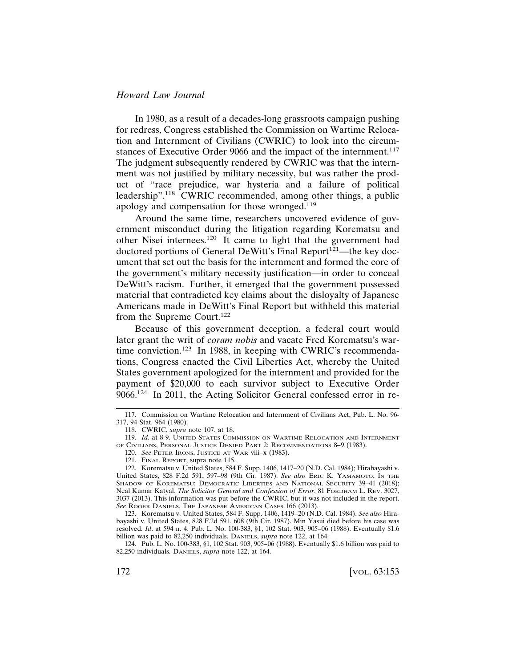In 1980, as a result of a decades-long grassroots campaign pushing for redress, Congress established the Commission on Wartime Relocation and Internment of Civilians (CWRIC) to look into the circumstances of Executive Order 9066 and the impact of the internment.<sup>117</sup> The judgment subsequently rendered by CWRIC was that the internment was not justified by military necessity, but was rather the product of "race prejudice, war hysteria and a failure of political leadership".118 CWRIC recommended, among other things, a public apology and compensation for those wronged.<sup>119</sup>

Around the same time, researchers uncovered evidence of government misconduct during the litigation regarding Korematsu and other Nisei internees.120 It came to light that the government had doctored portions of General DeWitt's Final Report<sup>121</sup>—the key document that set out the basis for the internment and formed the core of the government's military necessity justification—in order to conceal DeWitt's racism. Further, it emerged that the government possessed material that contradicted key claims about the disloyalty of Japanese Americans made in DeWitt's Final Report but withheld this material from the Supreme Court.122

Because of this government deception, a federal court would later grant the writ of *coram nobis* and vacate Fred Korematsu's wartime conviction.<sup>123</sup> In 1988, in keeping with CWRIC's recommendations, Congress enacted the Civil Liberties Act, whereby the United States government apologized for the internment and provided for the payment of \$20,000 to each survivor subject to Executive Order 9066.124 In 2011, the Acting Solicitor General confessed error in re-

<sup>117.</sup> Commission on Wartime Relocation and Internment of Civilians Act, Pub. L. No. 96- 317, 94 Stat. 964 (1980).

<sup>118.</sup> CWRIC, *supra* note 107, at 18.

<sup>119.</sup> *Id.* at 8-9. UNITED STATES COMMISSION ON WARTIME RELOCATION AND INTERNMENT OF CIVILIANS, PERSONAL JUSTICE DENIED PART 2: RECOMMENDATIONS 8–9 (1983).

<sup>120.</sup> *See* PETER IRONS, JUSTICE AT WAR viii–x (1983).

<sup>121.</sup> FINAL REPORT, supra note 115.

<sup>122.</sup> Korematsu v. United States, 584 F. Supp. 1406, 1417–20 (N.D. Cal. 1984); Hirabayashi v. United States, 828 F.2d 591, 597–98 (9th Cir. 1987). *See also* ERIC K. YAMAMOTO, IN THE SHADOW OF KOREMATSU: DEMOCRATIC LIBERTIES AND NATIONAL SECURITY 39–41 (2018); Neal Kumar Katyal, *The Solicitor General and Confession of Error*, 81 FORDHAM L. REV. 3027, 3037 (2013). This information was put before the CWRIC, but it was not included in the report. *See* ROGER DANIELS, THE JAPANESE AMERICAN CASES 166 (2013).

<sup>123.</sup> Korematsu v. United States, 584 F. Supp. 1406, 1419–20 (N.D. Cal. 1984). *See also* Hirabayashi v. United States, 828 F.2d 591, 608 (9th Cir. 1987). Min Yasui died before his case was resolved. *Id*. at 594 n. 4. Pub. L. No. 100-383, §1, 102 Stat. 903, 905–06 (1988). Eventually \$1.6 billion was paid to 82,250 individuals. DANIELS, *supra* note 122, at 164.

<sup>124.</sup> Pub. L. No. 100-383, §1, 102 Stat. 903, 905–06 (1988). Eventually \$1.6 billion was paid to 82,250 individuals. DANIELS, *supra* note 122, at 164.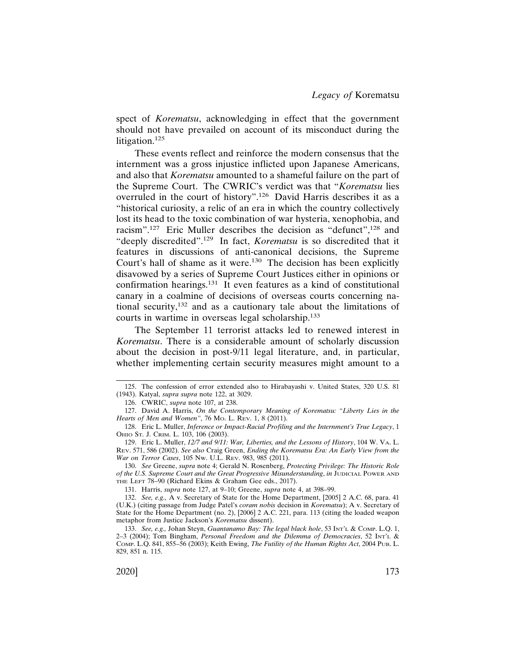spect of *Korematsu*, acknowledging in effect that the government should not have prevailed on account of its misconduct during the litigation.<sup>125</sup>

These events reflect and reinforce the modern consensus that the internment was a gross injustice inflicted upon Japanese Americans, and also that *Korematsu* amounted to a shameful failure on the part of the Supreme Court. The CWRIC's verdict was that "*Korematsu* lies overruled in the court of history".126 David Harris describes it as a "historical curiosity, a relic of an era in which the country collectively lost its head to the toxic combination of war hysteria, xenophobia, and racism".127 Eric Muller describes the decision as "defunct",128 and "deeply discredited".129 In fact, *Korematsu* is so discredited that it features in discussions of anti-canonical decisions, the Supreme Court's hall of shame as it were.<sup>130</sup> The decision has been explicitly disavowed by a series of Supreme Court Justices either in opinions or confirmation hearings.131 It even features as a kind of constitutional canary in a coalmine of decisions of overseas courts concerning national security, $132$  and as a cautionary tale about the limitations of courts in wartime in overseas legal scholarship.<sup>133</sup>

The September 11 terrorist attacks led to renewed interest in *Korematsu*. There is a considerable amount of scholarly discussion about the decision in post-9/11 legal literature, and, in particular, whether implementing certain security measures might amount to a

<sup>125.</sup> The confession of error extended also to Hirabayashi v. United States, 320 U.S. 81 (1943). Katyal, *supra supra* note 122, at 3029.

<sup>126.</sup> CWRIC, *supra* note 107, at 238.

<sup>127.</sup> David A. Harris, *On the Contemporary Meaning of Korematsu: "Liberty Lies in the Hearts of Men and Women"*, 76 MO. L. REV. 1, 8 (2011).

<sup>128.</sup> Eric L. Muller, *Inference or Impact-Racial Profiling and the Internment's True Legacy*, 1 OHIO ST. J. CRIM. L. 103, 106 (2003).

<sup>129.</sup> Eric L. Muller, *12/7 and 9/11: War, Liberties, and the Lessons of History*, 104 W. VA. L. REV. 571, 586 (2002). *See also* Craig Green, *Ending the Korematsu Era: An Early View from the War on Terror Cases*, 105 NW. U.L. REV. 983, 985 (2011).

<sup>130.</sup> *See* Greene, *supra* note 4; Gerald N. Rosenberg, *Protecting Privilege: The Historic Role of the U.S. Supreme Court and the Great Progressive Misunderstanding*, *in* JUDICIAL POWER AND THE LEFT 78–90 (Richard Ekins & Graham Gee eds., 2017).

<sup>131.</sup> Harris, *supra* note 127, at 9–10; Greene, *supra* note 4, at 398–99.

<sup>132.</sup> *See, e.g.,* A v. Secretary of State for the Home Department, [2005] 2 A.C. 68, para. 41 (U.K.) (citing passage from Judge Patel's *coram nobis* decision in *Korematsu*); A v. Secretary of State for the Home Department (no. 2), [2006] 2 A.C. 221, para. 113 (citing the loaded weapon metaphor from Justice Jackson's *Korematsu* dissent).

<sup>133.</sup> *See, e.g.,* Johan Steyn, *Guantanamo Bay: The legal black hole*, 53 INT'L & COMP. L.Q. 1, 2–3 (2004); Tom Bingham, *Personal Freedom and the Dilemma of Democracies*, 52 INT'L & COMP. L.Q. 841, 855–56 (2003); Keith Ewing, *The Futility of the Human Rights Act*, 2004 PUB. L. 829, 851 n. 115.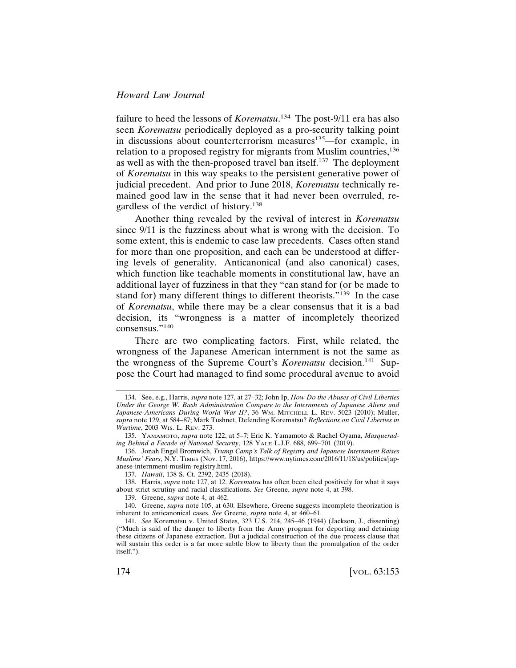failure to heed the lessons of *Korematsu*. 134 The post-9/11 era has also seen *Korematsu* periodically deployed as a pro-security talking point in discussions about counterterrorism measures $135$ —for example, in relation to a proposed registry for migrants from Muslim countries,<sup>136</sup> as well as with the then-proposed travel ban itself.137 The deployment of *Korematsu* in this way speaks to the persistent generative power of judicial precedent. And prior to June 2018, *Korematsu* technically remained good law in the sense that it had never been overruled, regardless of the verdict of history.138

Another thing revealed by the revival of interest in *Korematsu* since 9/11 is the fuzziness about what is wrong with the decision. To some extent, this is endemic to case law precedents. Cases often stand for more than one proposition, and each can be understood at differing levels of generality. Anticanonical (and also canonical) cases, which function like teachable moments in constitutional law, have an additional layer of fuzziness in that they "can stand for (or be made to stand for) many different things to different theorists."<sup>139</sup> In the case of *Korematsu*, while there may be a clear consensus that it is a bad decision, its "wrongness is a matter of incompletely theorized consensus."<sup>140</sup>

There are two complicating factors. First, while related, the wrongness of the Japanese American internment is not the same as the wrongness of the Supreme Court's *Korematsu* decision.<sup>141</sup> Suppose the Court had managed to find some procedural avenue to avoid

<sup>134.</sup> See, e.g., Harris, *supra* note 127, at 27–32; John Ip, *How Do the Abuses of Civil Liberties Under the George W. Bush Administration Compare to the Internments of Japanese Aliens and* Japanese-Americans During World War II?, 36 WM. MITCHELL L. REV. 5023 (2010); Muller, *supra* note 129, at 584–87; Mark Tushnet, Defending Korematsu? *Reflections on Civil Liberties in Wartime*, 2003 WIS. L. REV. 273.

<sup>135.</sup> YAMAMOTO, *supra* note 122, at 5–7; Eric K. Yamamoto & Rachel Oyama, *Masquerading Behind a Facade of National Security*, 128 YALE L.J.F. 688, 699–701 (2019).

<sup>136.</sup> Jonah Engel Bromwich, *Trump Camp's Talk of Registry and Japanese Internment Raises Muslims' Fears*, N.Y. TIMES (Nov. 17, 2016), https://www.nytimes.com/2016/11/18/us/politics/japanese-internment-muslim-registry.html.

<sup>137.</sup> *Hawaii*, 138 S. Ct. 2392, 2435 (2018).

<sup>138.</sup> Harris, *supra* note 127, at 12. *Korematsu* has often been cited positively for what it says about strict scrutiny and racial classifications. *See* Greene, *supra* note 4, at 398.

<sup>139.</sup> Greene, *supra* note 4, at 462.

<sup>140.</sup> Greene, *supra* note 105, at 630. Elsewhere, Greene suggests incomplete theorization is inherent to anticanonical cases. *See* Greene, *supra* note 4, at 460–61.

<sup>141.</sup> *See* Korematsu v. United States, 323 U.S. 214, 245–46 (1944) (Jackson, J., dissenting) ("Much is said of the danger to liberty from the Army program for deporting and detaining these citizens of Japanese extraction. But a judicial construction of the due process clause that will sustain this order is a far more subtle blow to liberty than the promulgation of the order itself.").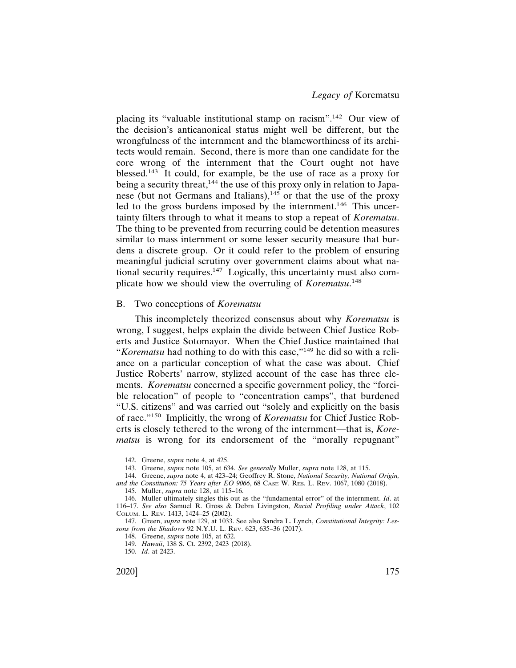placing its "valuable institutional stamp on racism".142 Our view of the decision's anticanonical status might well be different, but the wrongfulness of the internment and the blameworthiness of its architects would remain. Second, there is more than one candidate for the core wrong of the internment that the Court ought not have blessed.143 It could, for example, be the use of race as a proxy for being a security threat,<sup>144</sup> the use of this proxy only in relation to Japanese (but not Germans and Italians), $145$  or that the use of the proxy led to the gross burdens imposed by the internment.<sup>146</sup> This uncertainty filters through to what it means to stop a repeat of *Korematsu*. The thing to be prevented from recurring could be detention measures similar to mass internment or some lesser security measure that burdens a discrete group. Or it could refer to the problem of ensuring meaningful judicial scrutiny over government claims about what national security requires.<sup>147</sup> Logically, this uncertainty must also complicate how we should view the overruling of *Korematsu*. 148

#### B. Two conceptions of *Korematsu*

This incompletely theorized consensus about why *Korematsu* is wrong, I suggest, helps explain the divide between Chief Justice Roberts and Justice Sotomayor. When the Chief Justice maintained that "*Korematsu* had nothing to do with this case,"149 he did so with a reliance on a particular conception of what the case was about. Chief Justice Roberts' narrow, stylized account of the case has three elements. *Korematsu* concerned a specific government policy, the "forcible relocation" of people to "concentration camps", that burdened "U.S. citizens" and was carried out "solely and explicitly on the basis of race."150 Implicitly, the wrong of *Korematsu* for Chief Justice Roberts is closely tethered to the wrong of the internment—that is, *Korematsu* is wrong for its endorsement of the "morally repugnant"

<sup>142.</sup> Greene, *supra* note 4, at 425.

<sup>143.</sup> Greene, *supra* note 105, at 634. *See generally* Muller, *supra* note 128, at 115.

<sup>144.</sup> Greene, *supra* note 4, at 423–24; Geoffrey R. Stone, *National Security, National Origin, and the Constitution: 75 Years after EO 9066*, 68 CASE W. RES. L. REV. 1067, 1080 (2018).

<sup>145.</sup> Muller, *supra* note 128, at 115–16.

<sup>146.</sup> Muller ultimately singles this out as the "fundamental error" of the internment. *Id*. at 116–17. *See also* Samuel R. Gross & Debra Livingston, *Racial Profiling under Attack*, 102 COLUM. L. REV. 1413, 1424–25 (2002).

<sup>147.</sup> Green, *supra* note 129, at 1033. See also Sandra L. Lynch, *Constitutional Integrity: Lessons from the Shadows* 92 N.Y.U. L. REV. 623, 635–36 (2017).

<sup>148.</sup> Greene, *supra* note 105, at 632.

<sup>149.</sup> *Hawaii*, 138 S. Ct. 2392, 2423 (2018).

<sup>150.</sup> *Id*. at 2423.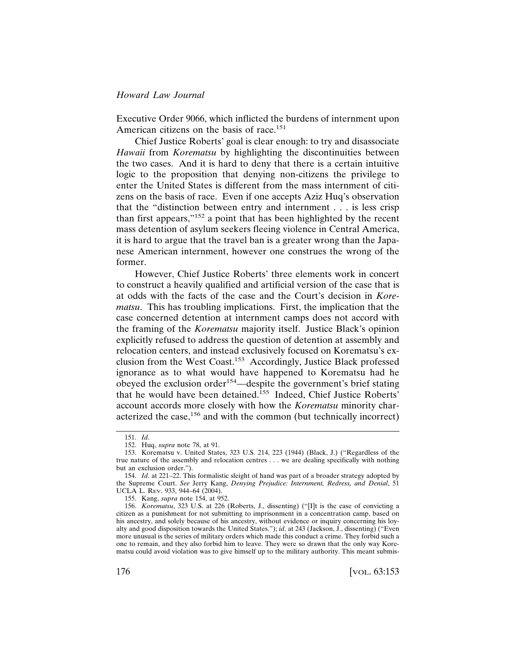Executive Order 9066, which inflicted the burdens of internment upon American citizens on the basis of race.<sup>151</sup>

Chief Justice Roberts' goal is clear enough: to try and disassociate *Hawaii* from *Korematsu* by highlighting the discontinuities between the two cases. And it is hard to deny that there is a certain intuitive logic to the proposition that denying non-citizens the privilege to enter the United States is different from the mass internment of citizens on the basis of race. Even if one accepts Aziz Huq's observation that the "distinction between entry and internment . . . is less crisp than first appears,"152 a point that has been highlighted by the recent mass detention of asylum seekers fleeing violence in Central America, it is hard to argue that the travel ban is a greater wrong than the Japanese American internment, however one construes the wrong of the former.

However, Chief Justice Roberts' three elements work in concert to construct a heavily qualified and artificial version of the case that is at odds with the facts of the case and the Court's decision in *Korematsu*. This has troubling implications. First, the implication that the case concerned detention at internment camps does not accord with the framing of the *Korematsu* majority itself. Justice Black's opinion explicitly refused to address the question of detention at assembly and relocation centers, and instead exclusively focused on Korematsu's exclusion from the West Coast.153 Accordingly, Justice Black professed ignorance as to what would have happened to Korematsu had he obeyed the exclusion order<sup>154</sup>—despite the government's brief stating that he would have been detained.155 Indeed, Chief Justice Roberts' account accords more closely with how the *Korematsu* minority characterized the case,<sup>156</sup> and with the common (but technically incorrect)

<sup>151.</sup> *Id*.

<sup>152.</sup> Huq, *supra* note 78, at 91.

<sup>153.</sup> Korematsu v. United States, 323 U.S. 214, 223 (1944) (Black, J.) ("Regardless of the true nature of the assembly and relocation centres . . . we are dealing specifically with nothing but an exclusion order.").

<sup>154.</sup> *Id*. at 221–22. This formalistic sleight of hand was part of a broader strategy adopted by the Supreme Court. *See* Jerry Kang, *Denying Prejudice: Internment, Redress, and Denial*, 51 UCLA L. REV. 933, 944–64 (2004).

<sup>155.</sup> Kang, *supra* note 154, at 952.

<sup>156.</sup> *Korematsu*, 323 U.S. at 226 (Roberts, J., dissenting) ("[I]t is the case of convicting a citizen as a punishment for not submitting to imprisonment in a concentration camp, based on his ancestry, and solely because of his ancestry, without evidence or inquiry concerning his loyalty and good disposition towards the United States."); *id*. at 243 (Jackson, J., dissenting) ("Even more unusual is the series of military orders which made this conduct a crime. They forbid such a one to remain, and they also forbid him to leave. They were so drawn that the only way Korematsu could avoid violation was to give himself up to the military authority. This meant submis-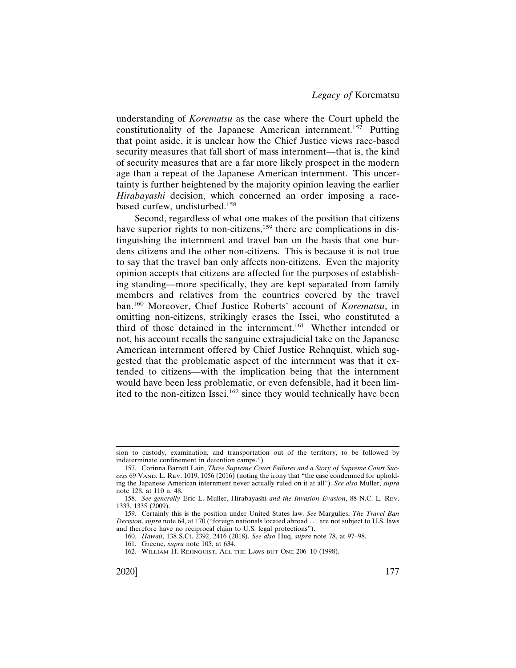## *Legacy of* Korematsu

understanding of *Korematsu* as the case where the Court upheld the constitutionality of the Japanese American internment.<sup>157</sup> Putting that point aside, it is unclear how the Chief Justice views race-based security measures that fall short of mass internment—that is, the kind of security measures that are a far more likely prospect in the modern age than a repeat of the Japanese American internment. This uncertainty is further heightened by the majority opinion leaving the earlier *Hirabayashi* decision, which concerned an order imposing a racebased curfew, undisturbed.158

Second, regardless of what one makes of the position that citizens have superior rights to non-citizens, $159$  there are complications in distinguishing the internment and travel ban on the basis that one burdens citizens and the other non-citizens. This is because it is not true to say that the travel ban only affects non-citizens. Even the majority opinion accepts that citizens are affected for the purposes of establishing standing—more specifically, they are kept separated from family members and relatives from the countries covered by the travel ban.160 Moreover, Chief Justice Roberts' account of *Korematsu*, in omitting non-citizens, strikingly erases the Issei, who constituted a third of those detained in the internment.161 Whether intended or not, his account recalls the sanguine extrajudicial take on the Japanese American internment offered by Chief Justice Rehnquist, which suggested that the problematic aspect of the internment was that it extended to citizens—with the implication being that the internment would have been less problematic, or even defensible, had it been limited to the non-citizen Issei, $162$  since they would technically have been

sion to custody, examination, and transportation out of the territory, to be followed by indeterminate confinement in detention camps.").

<sup>157.</sup> Corinna Barrett Lain, *Three Supreme Court Failures and a Story of Supreme Court Success* 69 VAND. L. REV. 1019, 1056 (2016) (noting the irony that "the case condemned for upholding the Japanese American internment never actually ruled on it at all"). *See also* Muller, *supra* note 128, at 110 n. 48.

<sup>158.</sup> *See generally* Eric L. Muller, Hirabayashi *and the Invasion Evasion*, 88 N.C. L. REV. 1333, 1335 (2009).

<sup>159.</sup> Certainly this is the position under United States law. *See* Margulies, *The Travel Ban Decision*, *supra* note 64, at 170 ("foreign nationals located abroad . . . are not subject to U.S. laws and therefore have no reciprocal claim to U.S. legal protections").

<sup>160.</sup> *Hawaii*, 138 S.Ct. 2392, 2416 (2018). *See also* Huq, *supra* note 78, at 97–98.

<sup>161.</sup> Greene, *supra* note 105, at 634.

<sup>162.</sup> WILLIAM H. REHNQUIST, ALL THE LAWS BUT ONE 206–10 (1998).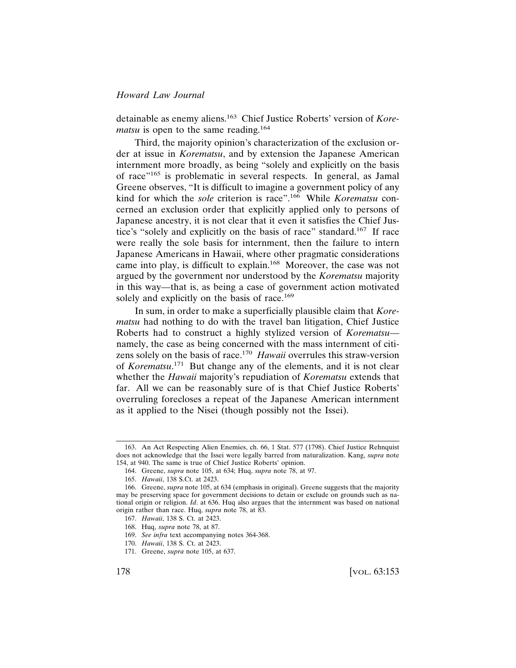detainable as enemy aliens.163 Chief Justice Roberts' version of *Korematsu* is open to the same reading.<sup>164</sup>

Third, the majority opinion's characterization of the exclusion order at issue in *Korematsu*, and by extension the Japanese American internment more broadly, as being "solely and explicitly on the basis of race"165 is problematic in several respects. In general, as Jamal Greene observes, "It is difficult to imagine a government policy of any kind for which the *sole* criterion is race".<sup>166</sup> While *Korematsu* concerned an exclusion order that explicitly applied only to persons of Japanese ancestry, it is not clear that it even it satisfies the Chief Justice's "solely and explicitly on the basis of race" standard.167 If race were really the sole basis for internment, then the failure to intern Japanese Americans in Hawaii, where other pragmatic considerations came into play, is difficult to explain.168 Moreover, the case was not argued by the government nor understood by the *Korematsu* majority in this way—that is, as being a case of government action motivated solely and explicitly on the basis of race.<sup>169</sup>

In sum, in order to make a superficially plausible claim that *Korematsu* had nothing to do with the travel ban litigation, Chief Justice Roberts had to construct a highly stylized version of *Korematsu* namely, the case as being concerned with the mass internment of citizens solely on the basis of race.<sup>170</sup> *Hawaii* overrules this straw-version of *Korematsu*. 171 But change any of the elements, and it is not clear whether the *Hawaii* majority's repudiation of *Korematsu* extends that far. All we can be reasonably sure of is that Chief Justice Roberts' overruling forecloses a repeat of the Japanese American internment as it applied to the Nisei (though possibly not the Issei).

<sup>163.</sup> An Act Respecting Alien Enemies, ch. 66, 1 Stat. 577 (1798). Chief Justice Rehnquist does not acknowledge that the Issei were legally barred from naturalization. Kang, *supra* note 154, at 940. The same is true of Chief Justice Roberts' opinion.

<sup>164.</sup> Greene, *supra* note 105, at 634; Huq, *supra* note 78, at 97.

<sup>165.</sup> *Hawaii*, 138 S.Ct. at 2423.

<sup>166.</sup> Greene, *supra* note 105, at 634 (emphasis in original). Greene suggests that the majority may be preserving space for government decisions to detain or exclude on grounds such as national origin or religion. *Id*. at 636. Huq also argues that the internment was based on national origin rather than race. Huq, *supra* note 78, at 83.

<sup>167.</sup> *Hawaii*, 138 S. Ct. at 2423.

<sup>168.</sup> Huq, *supra* note 78, at 87.

<sup>169.</sup> *See infra* text accompanying notes 364-368.

<sup>170.</sup> *Hawaii*, 138 S. Ct. at 2423.

<sup>171.</sup> Greene, *supra* note 105, at 637.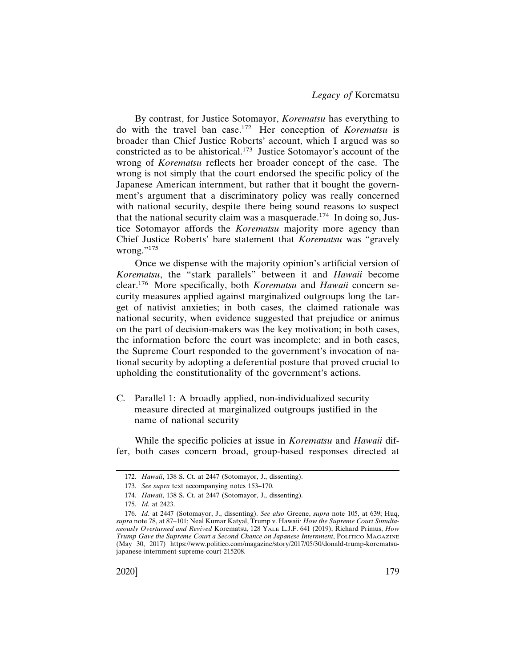### *Legacy of* Korematsu

By contrast, for Justice Sotomayor, *Korematsu* has everything to do with the travel ban case.172 Her conception of *Korematsu* is broader than Chief Justice Roberts' account, which I argued was so constricted as to be ahistorical.173 Justice Sotomayor's account of the wrong of *Korematsu* reflects her broader concept of the case. The wrong is not simply that the court endorsed the specific policy of the Japanese American internment, but rather that it bought the government's argument that a discriminatory policy was really concerned with national security, despite there being sound reasons to suspect that the national security claim was a masquerade.<sup>174</sup> In doing so, Justice Sotomayor affords the *Korematsu* majority more agency than Chief Justice Roberts' bare statement that *Korematsu* was "gravely wrong."<sup>175</sup>

Once we dispense with the majority opinion's artificial version of *Korematsu*, the "stark parallels" between it and *Hawaii* become clear.176 More specifically, both *Korematsu* and *Hawaii* concern security measures applied against marginalized outgroups long the target of nativist anxieties; in both cases, the claimed rationale was national security, when evidence suggested that prejudice or animus on the part of decision-makers was the key motivation; in both cases, the information before the court was incomplete; and in both cases, the Supreme Court responded to the government's invocation of national security by adopting a deferential posture that proved crucial to upholding the constitutionality of the government's actions.

C. Parallel 1: A broadly applied, non-individualized security measure directed at marginalized outgroups justified in the name of national security

While the specific policies at issue in *Korematsu* and *Hawaii* differ, both cases concern broad, group-based responses directed at

<sup>172.</sup> *Hawaii*, 138 S. Ct. at 2447 (Sotomayor, J., dissenting).

<sup>173.</sup> *See supra* text accompanying notes 153–170.

<sup>174.</sup> *Hawaii*, 138 S. Ct. at 2447 (Sotomayor, J., dissenting).

<sup>175.</sup> *Id.* at 2423.

<sup>176.</sup> *Id*. at 2447 (Sotomayor, J., dissenting). *See also* Greene, *supra* note 105, at 639; Huq, *supra* note 78, at 87–101; Neal Kumar Katyal, Trump v. Hawaii*: How the Supreme Court Simultaneously Overturned and Revived* Korematsu, 128 YALE L.J.F. 641 (2019); Richard Primus, *How Trump Gave the Supreme Court a Second Chance on Japanese Internment*, POLITICO MAGAZINE (May 30, 2017) https://www.politico.com/magazine/story/2017/05/30/donald-trump-korematsujapanese-internment-supreme-court-215208.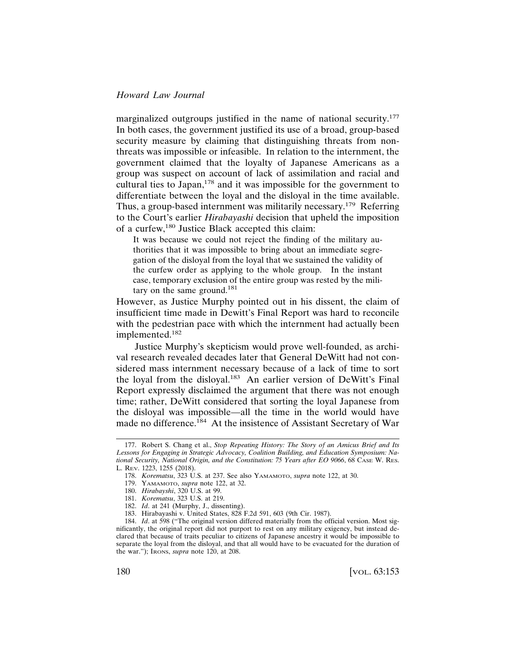marginalized outgroups justified in the name of national security.<sup>177</sup> In both cases, the government justified its use of a broad, group-based security measure by claiming that distinguishing threats from nonthreats was impossible or infeasible. In relation to the internment, the government claimed that the loyalty of Japanese Americans as a group was suspect on account of lack of assimilation and racial and cultural ties to Japan, $178$  and it was impossible for the government to differentiate between the loyal and the disloyal in the time available. Thus, a group-based internment was militarily necessary.179 Referring to the Court's earlier *Hirabayashi* decision that upheld the imposition of a curfew,180 Justice Black accepted this claim:

It was because we could not reject the finding of the military authorities that it was impossible to bring about an immediate segregation of the disloyal from the loyal that we sustained the validity of the curfew order as applying to the whole group. In the instant case, temporary exclusion of the entire group was rested by the military on the same ground.<sup>181</sup>

However, as Justice Murphy pointed out in his dissent, the claim of insufficient time made in Dewitt's Final Report was hard to reconcile with the pedestrian pace with which the internment had actually been implemented.182

Justice Murphy's skepticism would prove well-founded, as archival research revealed decades later that General DeWitt had not considered mass internment necessary because of a lack of time to sort the loyal from the disloyal.<sup>183</sup> An earlier version of DeWitt's Final Report expressly disclaimed the argument that there was not enough time; rather, DeWitt considered that sorting the loyal Japanese from the disloyal was impossible—all the time in the world would have made no difference.184 At the insistence of Assistant Secretary of War

<sup>177.</sup> Robert S. Chang et al., *Stop Repeating History: The Story of an Amicus Brief and Its Lessons for Engaging in Strategic Advocacy, Coalition Building, and Education Symposium: National Security, National Origin, and the Constitution: 75 Years after EO 9066, 68 CASE W. RES.* L. REV. 1223, 1255 (2018).

<sup>178.</sup> *Korematsu*, 323 U.S. at 237. See also YAMAMOTO, *supra* note 122, at 30.

<sup>179.</sup> YAMAMOTO, *supra* note 122, at 32.

<sup>180.</sup> *Hirabayshi*, 320 U.S. at 99.

<sup>181.</sup> *Korematsu*, 323 U.S. at 219.

<sup>182.</sup> *Id*. at 241 (Murphy, J., dissenting).

<sup>183.</sup> Hirabayashi v. United States, 828 F.2d 591, 603 (9th Cir. 1987).

<sup>184.</sup> *Id*. at 598 ("The original version differed materially from the official version. Most significantly, the original report did not purport to rest on any military exigency, but instead declared that because of traits peculiar to citizens of Japanese ancestry it would be impossible to separate the loyal from the disloyal, and that all would have to be evacuated for the duration of the war."); IRONS, *supra* note 120, at 208.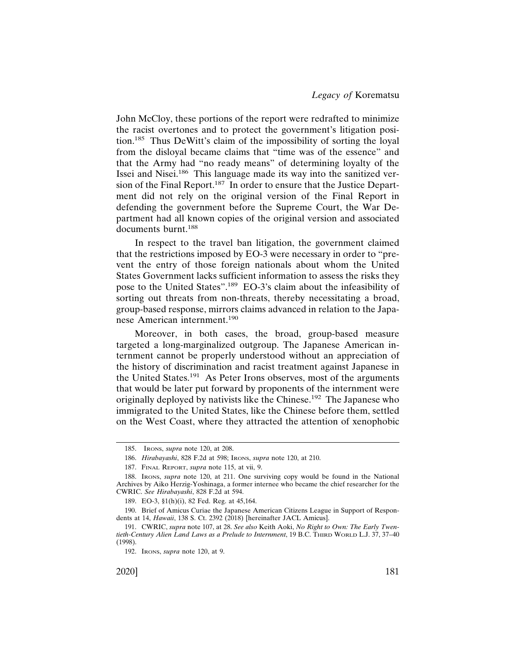#### *Legacy of* Korematsu

John McCloy, these portions of the report were redrafted to minimize the racist overtones and to protect the government's litigation position.185 Thus DeWitt's claim of the impossibility of sorting the loyal from the disloyal became claims that "time was of the essence" and that the Army had "no ready means" of determining loyalty of the Issei and Nisei.186 This language made its way into the sanitized version of the Final Report.<sup>187</sup> In order to ensure that the Justice Department did not rely on the original version of the Final Report in defending the government before the Supreme Court, the War Department had all known copies of the original version and associated documents burnt.<sup>188</sup>

In respect to the travel ban litigation, the government claimed that the restrictions imposed by EO-3 were necessary in order to "prevent the entry of those foreign nationals about whom the United States Government lacks sufficient information to assess the risks they pose to the United States".189 EO-3's claim about the infeasibility of sorting out threats from non-threats, thereby necessitating a broad, group-based response, mirrors claims advanced in relation to the Japanese American internment.<sup>190</sup>

Moreover, in both cases, the broad, group-based measure targeted a long-marginalized outgroup. The Japanese American internment cannot be properly understood without an appreciation of the history of discrimination and racist treatment against Japanese in the United States.191 As Peter Irons observes, most of the arguments that would be later put forward by proponents of the internment were originally deployed by nativists like the Chinese.192 The Japanese who immigrated to the United States, like the Chinese before them, settled on the West Coast, where they attracted the attention of xenophobic

<sup>185.</sup> IRONS, *supra* note 120, at 208.

<sup>186.</sup> *Hirabayashi*, 828 F.2d at 598; IRONS, *supra* note 120, at 210.

<sup>187.</sup> FINAL REPORT, *supra* note 115, at vii, 9.

<sup>188.</sup> IRONS, *supra* note 120, at 211. One surviving copy would be found in the National Archives by Aiko Herzig-Yoshinaga, a former internee who became the chief researcher for the CWRIC. *See Hirabayashi*, 828 F.2d at 594.

<sup>189.</sup> EO-3, §1(h)(i), 82 Fed. Reg. at 45,164.

<sup>190.</sup> Brief of Amicus Curiae the Japanese American Citizens League in Support of Respondents at 14, *Hawaii*, 138 S. Ct. 2392 (2018) [hereinafter JACL Amicus].

<sup>191.</sup> CWRIC, *supra* note 107, at 28. *See also* Keith Aoki, *No Right to Own: The Early Twentieth-Century Alien Land Laws as a Prelude to Internment*, 19 B.C. THIRD WORLD L.J. 37, 37–40 (1998).

<sup>192.</sup> IRONS, *supra* note 120, at 9.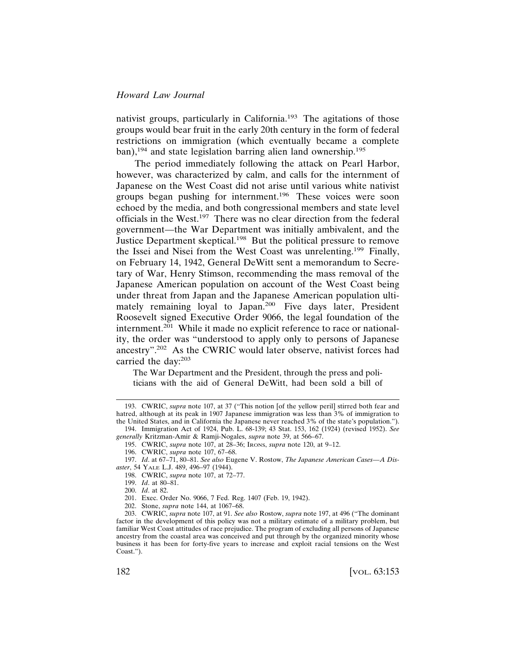nativist groups, particularly in California.<sup>193</sup> The agitations of those groups would bear fruit in the early 20th century in the form of federal restrictions on immigration (which eventually became a complete ban),<sup>194</sup> and state legislation barring alien land ownership.<sup>195</sup>

The period immediately following the attack on Pearl Harbor, however, was characterized by calm, and calls for the internment of Japanese on the West Coast did not arise until various white nativist groups began pushing for internment.196 These voices were soon echoed by the media, and both congressional members and state level officials in the West.197 There was no clear direction from the federal government—the War Department was initially ambivalent, and the Justice Department skeptical.<sup>198</sup> But the political pressure to remove the Issei and Nisei from the West Coast was unrelenting.199 Finally, on February 14, 1942, General DeWitt sent a memorandum to Secretary of War, Henry Stimson, recommending the mass removal of the Japanese American population on account of the West Coast being under threat from Japan and the Japanese American population ultimately remaining loyal to Japan.<sup>200</sup> Five days later, President Roosevelt signed Executive Order 9066, the legal foundation of the internment.201 While it made no explicit reference to race or nationality, the order was "understood to apply only to persons of Japanese ancestry".202 As the CWRIC would later observe, nativist forces had carried the day:<sup>203</sup>

The War Department and the President, through the press and politicians with the aid of General DeWitt, had been sold a bill of

<sup>193.</sup> CWRIC, *supra* note 107, at 37 ("This notion [of the yellow peril] stirred both fear and hatred, although at its peak in 1907 Japanese immigration was less than 3% of immigration to the United States, and in California the Japanese never reached 3% of the state's population.").

<sup>194.</sup> Immigration Act of 1924, Pub. L. 68-139; 43 Stat. 153, 162 (1924) (revised 1952). *See generally* Kritzman-Amir & Ramji-Nogales, *supra* note 39, at 566–67.

<sup>195.</sup> CWRIC, *supra* note 107, at 28–36; IRONS, *supra* note 120, at 9–12.

<sup>196.</sup> CWRIC, *supra* note 107, 67–68.

<sup>197.</sup> *Id*. at 67–71, 80–81. *See also* Eugene V. Rostow, *The Japanese American Cases—A Disaster*, 54 YALE L.J. 489, 496–97 (1944).

<sup>198.</sup> CWRIC, *supra* note 107, at 72–77.

<sup>199.</sup> *Id*. at 80–81.

<sup>200.</sup> *Id*. at 82.

<sup>201.</sup> Exec. Order No. 9066, 7 Fed. Reg. 1407 (Feb. 19, 1942).

<sup>202.</sup> Stone, *supra* note 144, at 1067–68.

<sup>203.</sup> CWRIC, *supra* note 107, at 91. *See also* Rostow, *supra* note 197, at 496 ("The dominant factor in the development of this policy was not a military estimate of a military problem, but familiar West Coast attitudes of race prejudice. The program of excluding all persons of Japanese ancestry from the coastal area was conceived and put through by the organized minority whose business it has been for forty-five years to increase and exploit racial tensions on the West Coast.").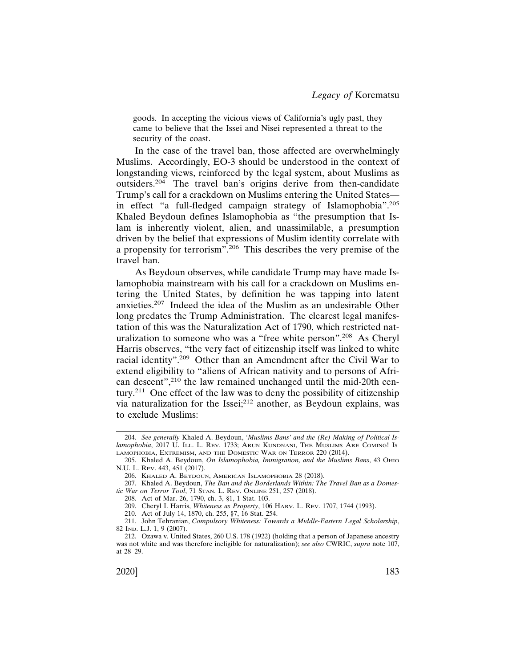goods. In accepting the vicious views of California's ugly past, they came to believe that the Issei and Nisei represented a threat to the security of the coast.

In the case of the travel ban, those affected are overwhelmingly Muslims. Accordingly, EO-3 should be understood in the context of longstanding views, reinforced by the legal system, about Muslims as outsiders.204 The travel ban's origins derive from then-candidate Trump's call for a crackdown on Muslims entering the United States in effect "a full-fledged campaign strategy of Islamophobia".205 Khaled Beydoun defines Islamophobia as "the presumption that Islam is inherently violent, alien, and unassimilable, a presumption driven by the belief that expressions of Muslim identity correlate with a propensity for terrorism".206 This describes the very premise of the travel ban.

As Beydoun observes, while candidate Trump may have made Islamophobia mainstream with his call for a crackdown on Muslims entering the United States, by definition he was tapping into latent anxieties.207 Indeed the idea of the Muslim as an undesirable Other long predates the Trump Administration. The clearest legal manifestation of this was the Naturalization Act of 1790, which restricted naturalization to someone who was a "free white person".208 As Cheryl Harris observes, "the very fact of citizenship itself was linked to white racial identity".209 Other than an Amendment after the Civil War to extend eligibility to "aliens of African nativity and to persons of African descent",<sup>210</sup> the law remained unchanged until the mid-20th century.211 One effect of the law was to deny the possibility of citizenship via naturalization for the Issei;<sup>212</sup> another, as Beydoun explains, was to exclude Muslims:

<sup>204.</sup> *See generally* Khaled A. Beydoun, *'Muslims Bans' and the (Re) Making of Political Islamophobia*, 2017 U. ILL. L. REV. 1733; ARUN KUNDNANI, THE MUSLIMS ARE COMING! IS-LAMOPHOBIA, EXTREMISM, AND THE DOMESTIC WAR ON TERROR 220 (2014).

<sup>205.</sup> Khaled A. Beydoun, *On Islamophobia, Immigration, and the Muslims Bans*, 43 OHIO N.U. L. REV. 443, 451 (2017).

<sup>206.</sup> KHALED A. BEYDOUN, AMERICAN ISLAMOPHOBIA 28 (2018).

<sup>207.</sup> Khaled A. Beydoun, *The Ban and the Borderlands Within: The Travel Ban as a Domestic War on Terror Tool*, 71 STAN. L. REV. ONLINE 251, 257 (2018).

<sup>208.</sup> Act of Mar. 26, 1790, ch. 3, §1, 1 Stat. 103.

<sup>209.</sup> Cheryl I. Harris, *Whiteness as Property*, 106 HARV. L. REV. 1707, 1744 (1993).

<sup>210.</sup> Act of July 14, 1870, ch. 255, §7, 16 Stat. 254.

<sup>211.</sup> John Tehranian, *Compulsory Whiteness: Towards a Middle-Eastern Legal Scholarship*, 82 IND. L.J. 1, 9 (2007).

<sup>212.</sup> Ozawa v. United States, 260 U.S. 178 (1922) (holding that a person of Japanese ancestry was not white and was therefore ineligible for naturalization); *see also* CWRIC, *supra* note 107, at 28–29.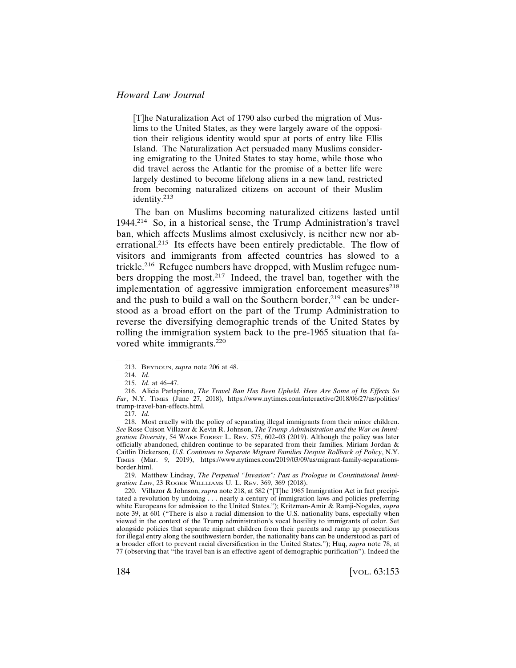[T]he Naturalization Act of 1790 also curbed the migration of Muslims to the United States, as they were largely aware of the opposition their religious identity would spur at ports of entry like Ellis Island. The Naturalization Act persuaded many Muslims considering emigrating to the United States to stay home, while those who did travel across the Atlantic for the promise of a better life were largely destined to become lifelong aliens in a new land, restricted from becoming naturalized citizens on account of their Muslim identity.<sup>213</sup>

The ban on Muslims becoming naturalized citizens lasted until 1944.214 So, in a historical sense, the Trump Administration's travel ban, which affects Muslims almost exclusively, is neither new nor aberrational.215 Its effects have been entirely predictable. The flow of visitors and immigrants from affected countries has slowed to a trickle.216 Refugee numbers have dropped, with Muslim refugee numbers dropping the most.217 Indeed, the travel ban, together with the implementation of aggressive immigration enforcement measures $^{218}$ and the push to build a wall on the Southern border, $2^{19}$  can be understood as a broad effort on the part of the Trump Administration to reverse the diversifying demographic trends of the United States by rolling the immigration system back to the pre-1965 situation that favored white immigrants.220

<sup>213.</sup> BEYDOUN, *supra* note 206 at 48.

<sup>214.</sup> *Id*.

<sup>215.</sup> *Id*. at 46–47.

<sup>216.</sup> Alicia Parlapiano, *The Travel Ban Has Been Upheld. Here Are Some of Its Effects So Far*, N.Y. TIMES (June 27, 2018), https://www.nytimes.com/interactive/2018/06/27/us/politics/ trump-travel-ban-effects.html.

<sup>217.</sup> *Id.*

<sup>218.</sup> Most cruelly with the policy of separating illegal immigrants from their minor children. *See* Rose Cuison Villazor & Kevin R. Johnson, *The Trump Administration and the War on Immigration Diversity*, 54 WAKE FOREST L. REV. 575, 602–03 (2019). Although the policy was later officially abandoned, children continue to be separated from their families. Miriam Jordan & Caitlin Dickerson, *U.S. Continues to Separate Migrant Families Despite Rollback of Policy*, N.Y. TIMES (Mar. 9, 2019), https://www.nytimes.com/2019/03/09/us/migrant-family-separationsborder.html.

<sup>219.</sup> Matthew Lindsay, *The Perpetual "Invasion": Past as Prologue in Constitutional Immigration Law*, 23 ROGER WILLLIAMS U. L. REV. 369, 369 (2018).

<sup>220.</sup> Villazor & Johnson, *supra* note 218, at 582 ("[T]he 1965 Immigration Act in fact precipitated a revolution by undoing . . . nearly a century of immigration laws and policies preferring white Europeans for admission to the United States."); Kritzman-Amir & Ramji-Nogales, *supra* note 39, at 601 ("There is also a racial dimension to the U.S. nationality bans, especially when viewed in the context of the Trump administration's vocal hostility to immigrants of color. Set alongside policies that separate migrant children from their parents and ramp up prosecutions for illegal entry along the southwestern border, the nationality bans can be understood as part of a broader effort to prevent racial diversification in the United States."); Huq, *supra* note 78, at 77 (observing that "the travel ban is an effective agent of demographic purification"). Indeed the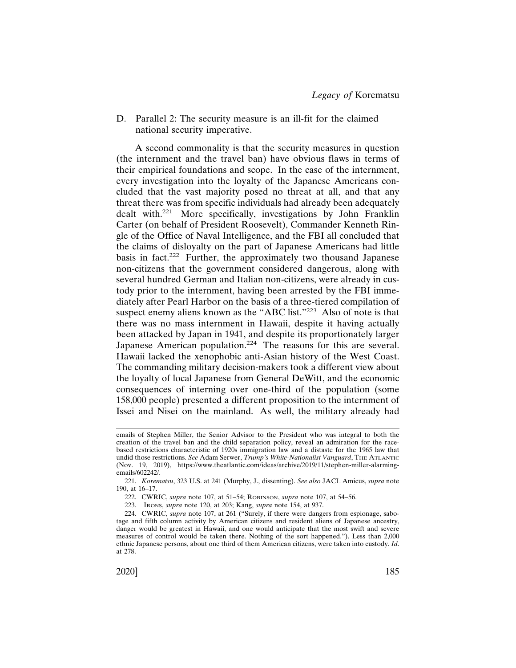D. Parallel 2: The security measure is an ill-fit for the claimed national security imperative.

A second commonality is that the security measures in question (the internment and the travel ban) have obvious flaws in terms of their empirical foundations and scope. In the case of the internment, every investigation into the loyalty of the Japanese Americans concluded that the vast majority posed no threat at all, and that any threat there was from specific individuals had already been adequately dealt with.221 More specifically, investigations by John Franklin Carter (on behalf of President Roosevelt), Commander Kenneth Ringle of the Office of Naval Intelligence, and the FBI all concluded that the claims of disloyalty on the part of Japanese Americans had little basis in fact.222 Further, the approximately two thousand Japanese non-citizens that the government considered dangerous, along with several hundred German and Italian non-citizens, were already in custody prior to the internment, having been arrested by the FBI immediately after Pearl Harbor on the basis of a three-tiered compilation of suspect enemy aliens known as the "ABC list."<sup>223</sup> Also of note is that there was no mass internment in Hawaii, despite it having actually been attacked by Japan in 1941, and despite its proportionately larger Japanese American population.<sup>224</sup> The reasons for this are several. Hawaii lacked the xenophobic anti-Asian history of the West Coast. The commanding military decision-makers took a different view about the loyalty of local Japanese from General DeWitt, and the economic consequences of interning over one-third of the population (some 158,000 people) presented a different proposition to the internment of Issei and Nisei on the mainland. As well, the military already had

emails of Stephen Miller, the Senior Advisor to the President who was integral to both the creation of the travel ban and the child separation policy, reveal an admiration for the racebased restrictions characteristic of 1920s immigration law and a distaste for the 1965 law that undid those restrictions. See Adam Serwer, *Trump's White-Nationalist Vanguard*, THE ATLANTIC (Nov. 19, 2019), https://www.theatlantic.com/ideas/archive/2019/11/stephen-miller-alarmingemails/602242/.

<sup>221.</sup> *Korematsu*, 323 U.S. at 241 (Murphy, J., dissenting). *See also* JACL Amicus, *supra* note 190, at 16–17.

<sup>222.</sup> CWRIC, *supra* note 107, at 51–54; ROBINSON, *supra* note 107, at 54–56.

<sup>223.</sup> IRONS, *supra* note 120, at 203; Kang, *supra* note 154, at 937.

<sup>224.</sup> CWRIC, *supra* note 107, at 261 ("Surely, if there were dangers from espionage, sabotage and fifth column activity by American citizens and resident aliens of Japanese ancestry, danger would be greatest in Hawaii, and one would anticipate that the most swift and severe measures of control would be taken there. Nothing of the sort happened."). Less than 2,000 ethnic Japanese persons, about one third of them American citizens, were taken into custody. *Id*. at 278.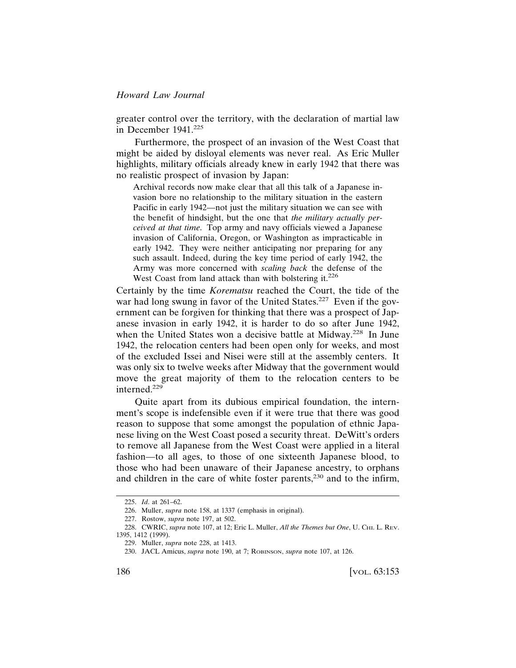greater control over the territory, with the declaration of martial law in December 1941.225

Furthermore, the prospect of an invasion of the West Coast that might be aided by disloyal elements was never real. As Eric Muller highlights, military officials already knew in early 1942 that there was no realistic prospect of invasion by Japan:

Archival records now make clear that all this talk of a Japanese invasion bore no relationship to the military situation in the eastern Pacific in early 1942—not just the military situation we can see with the benefit of hindsight, but the one that *the military actually perceived at that time*. Top army and navy officials viewed a Japanese invasion of California, Oregon, or Washington as impracticable in early 1942. They were neither anticipating nor preparing for any such assault. Indeed, during the key time period of early 1942, the Army was more concerned with *scaling back* the defense of the West Coast from land attack than with bolstering it. $226$ 

Certainly by the time *Korematsu* reached the Court, the tide of the war had long swung in favor of the United States.<sup>227</sup> Even if the government can be forgiven for thinking that there was a prospect of Japanese invasion in early 1942, it is harder to do so after June 1942, when the United States won a decisive battle at Midway.<sup>228</sup> In June 1942, the relocation centers had been open only for weeks, and most of the excluded Issei and Nisei were still at the assembly centers. It was only six to twelve weeks after Midway that the government would move the great majority of them to the relocation centers to be interned.229

Quite apart from its dubious empirical foundation, the internment's scope is indefensible even if it were true that there was good reason to suppose that some amongst the population of ethnic Japanese living on the West Coast posed a security threat. DeWitt's orders to remove all Japanese from the West Coast were applied in a literal fashion—to all ages, to those of one sixteenth Japanese blood, to those who had been unaware of their Japanese ancestry, to orphans and children in the care of white foster parents, $230$  and to the infirm,

<sup>225.</sup> *Id*. at 261–62.

<sup>226.</sup> Muller, *supra* note 158, at 1337 (emphasis in original).

<sup>227.</sup> Rostow, *supra* note 197, at 502.

<sup>228.</sup> CWRIC, *supra* note 107, at 12; Eric L. Muller, *All the Themes but One*, U. CHI. L. REV. 1395, 1412 (1999).

<sup>229.</sup> Muller, *supra* note 228, at 1413.

<sup>230.</sup> JACL Amicus, *supra* note 190, at 7; ROBINSON, *supra* note 107, at 126.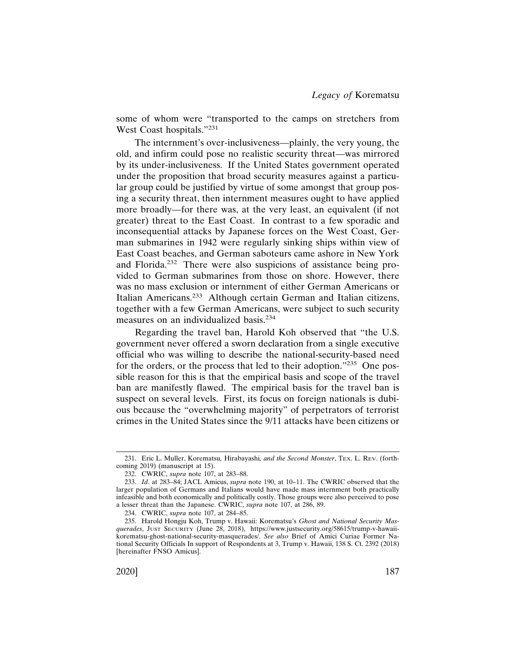some of whom were "transported to the camps on stretchers from West Coast hospitals."231

The internment's over-inclusiveness—plainly, the very young, the old, and infirm could pose no realistic security threat—was mirrored by its under-inclusiveness. If the United States government operated under the proposition that broad security measures against a particular group could be justified by virtue of some amongst that group posing a security threat, then internment measures ought to have applied more broadly—for there was, at the very least, an equivalent (if not greater) threat to the East Coast. In contrast to a few sporadic and inconsequential attacks by Japanese forces on the West Coast, German submarines in 1942 were regularly sinking ships within view of East Coast beaches, and German saboteurs came ashore in New York and Florida.<sup>232</sup> There were also suspicions of assistance being provided to German submarines from those on shore. However, there was no mass exclusion or internment of either German Americans or Italian Americans.233 Although certain German and Italian citizens, together with a few German Americans, were subject to such security measures on an individualized basis.<sup>234</sup>

Regarding the travel ban, Harold Koh observed that "the U.S. government never offered a sworn declaration from a single executive official who was willing to describe the national-security-based need for the orders, or the process that led to their adoption."<sup>235</sup> One possible reason for this is that the empirical basis and scope of the travel ban are manifestly flawed. The empirical basis for the travel ban is suspect on several levels. First, its focus on foreign nationals is dubious because the "overwhelming majority" of perpetrators of terrorist crimes in the United States since the 9/11 attacks have been citizens or

<sup>231.</sup> Eric L. Muller, Korematsu*,* Hirabayashi*, and the Second Monster*, TEX. L. REV. (forthcoming 2019) (manuscript at 15).

<sup>232.</sup> CWRIC, *supra* note 107, at 283–88.

<sup>233.</sup> *Id*. at 283–84; JACL Amicus, *supra* note 190, at 10–11. The CWRIC observed that the larger population of Germans and Italians would have made mass internment both practically infeasible and both economically and politically costly. Those groups were also perceived to pose a lesser threat than the Japanese. CWRIC, *supra* note 107, at 286, 89.

<sup>234.</sup> CWRIC, *supra* note 107, at 284–85.

<sup>235.</sup> Harold Hongju Koh, Trump v. Hawaii: Korematsu's *Ghost and National Security Masquerades*, JUST SECURITY (June 28, 2018), https://www.justsecurity.org/58615/trump-v-hawaiikorematsu-ghost-national-security-masquerades/. *See also* Brief of Amici Curiae Former National Security Officials In support of Respondents at 3, Trump v. Hawaii, 138 S. Ct. 2392 (2018) [hereinafter FNSO Amicus].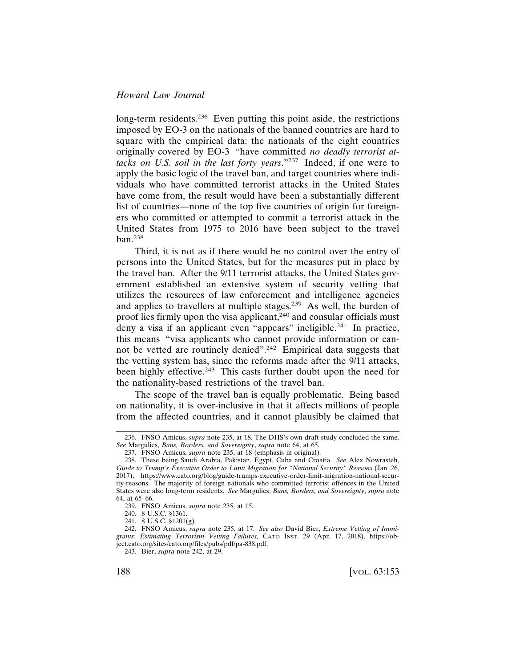long-term residents.<sup>236</sup> Even putting this point aside, the restrictions imposed by EO-3 on the nationals of the banned countries are hard to square with the empirical data: the nationals of the eight countries originally covered by EO-3 "have committed *no deadly terrorist attacks on U.S. soil in the last forty years*."237 Indeed, if one were to apply the basic logic of the travel ban, and target countries where individuals who have committed terrorist attacks in the United States have come from, the result would have been a substantially different list of countries—none of the top five countries of origin for foreigners who committed or attempted to commit a terrorist attack in the United States from 1975 to 2016 have been subject to the travel ban.238

Third, it is not as if there would be no control over the entry of persons into the United States, but for the measures put in place by the travel ban. After the 9/11 terrorist attacks, the United States government established an extensive system of security vetting that utilizes the resources of law enforcement and intelligence agencies and applies to travellers at multiple stages.<sup>239</sup> As well, the burden of proof lies firmly upon the visa applicant, $240$  and consular officials must deny a visa if an applicant even "appears" ineligible.<sup>241</sup> In practice, this means "visa applicants who cannot provide information or cannot be vetted are routinely denied".242 Empirical data suggests that the vetting system has, since the reforms made after the 9/11 attacks, been highly effective.<sup>243</sup> This casts further doubt upon the need for the nationality-based restrictions of the travel ban.

The scope of the travel ban is equally problematic. Being based on nationality, it is over-inclusive in that it affects millions of people from the affected countries, and it cannot plausibly be claimed that

<sup>236.</sup> FNSO Amicus, *supra* note 235, at 18. The DHS's own draft study concluded the same. *See* Margulies, *Bans, Borders, and Sovereignty*, *supra* note 64, at 65.

<sup>237.</sup> FNSO Amicus, *supra* note 235, at 18 (emphasis in original).

<sup>238.</sup> These being Saudi Arabia, Pakistan, Egypt, Cuba and Croatia. *See* Alex Nowrasteh, *Guide to Trump's Executive Order to Limit Migration for "National Security" Reasons* (Jan. 26, 2017), https://www.cato.org/blog/guide-trumps-executive-order-limit-migration-national-security-reasons. The majority of foreign nationals who committed terrorist offences in the United States were also long-term residents. *See* Margulies, *Bans, Borders, and Sovereignty*, *supra* note 64, at 65–66.

<sup>239.</sup> FNSO Amicus, *supra* note 235, at 15.

<sup>240. 8</sup> U.S.C. §1361.

<sup>241. 8</sup> U.S.C. §1201(g).

<sup>242.</sup> FNSO Amicus, *supra* note 235, at 17. *See also* David Bier, *Extreme Vetting of Immigrants: Estimating Terrorism Vetting Failures,* CATO INST. 29 (Apr. 17, 2018), https://object.cato.org/sites/cato.org/files/pubs/pdf/pa-838.pdf.

<sup>243.</sup> Bier, *supra* note 242, at 29.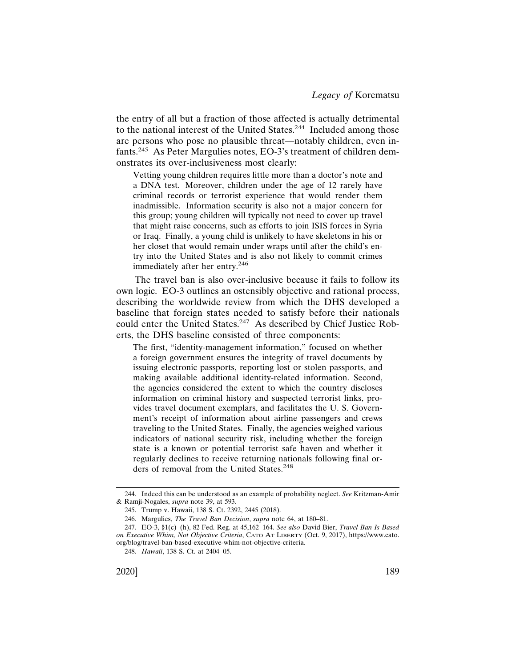the entry of all but a fraction of those affected is actually detrimental to the national interest of the United States.<sup>244</sup> Included among those are persons who pose no plausible threat—notably children, even infants.245 As Peter Margulies notes, EO-3's treatment of children demonstrates its over-inclusiveness most clearly:

Vetting young children requires little more than a doctor's note and a DNA test. Moreover, children under the age of 12 rarely have criminal records or terrorist experience that would render them inadmissible. Information security is also not a major concern for this group; young children will typically not need to cover up travel that might raise concerns, such as efforts to join ISIS forces in Syria or Iraq. Finally, a young child is unlikely to have skeletons in his or her closet that would remain under wraps until after the child's entry into the United States and is also not likely to commit crimes immediately after her entry.246

The travel ban is also over-inclusive because it fails to follow its own logic. EO-3 outlines an ostensibly objective and rational process, describing the worldwide review from which the DHS developed a baseline that foreign states needed to satisfy before their nationals could enter the United States.<sup>247</sup> As described by Chief Justice Roberts, the DHS baseline consisted of three components:

The first, "identity-management information," focused on whether a foreign government ensures the integrity of travel documents by issuing electronic passports, reporting lost or stolen passports, and making available additional identity-related information. Second, the agencies considered the extent to which the country discloses information on criminal history and suspected terrorist links, provides travel document exemplars, and facilitates the U. S. Government's receipt of information about airline passengers and crews traveling to the United States. Finally, the agencies weighed various indicators of national security risk, including whether the foreign state is a known or potential terrorist safe haven and whether it regularly declines to receive returning nationals following final orders of removal from the United States.<sup>248</sup>

<sup>244.</sup> Indeed this can be understood as an example of probability neglect. *See* Kritzman-Amir & Ramji-Nogales, *supra* note 39, at 593.

<sup>245.</sup> Trump v. Hawaii, 138 S. Ct. 2392, 2445 (2018).

<sup>246.</sup> Margulies, *The Travel Ban Decision*, *supra* note 64, at 180–81.

<sup>247.</sup> EO-3, §1(c)–(h), 82 Fed. Reg. at 45,162–164. *See also* David Bier, *Travel Ban Is Based on Executive Whim, Not Objective Criteria*, CATO AT LIBERTY (Oct. 9, 2017), https://www.cato. org/blog/travel-ban-based-executive-whim-not-objective-criteria.

<sup>248.</sup> *Hawaii*, 138 S. Ct. at 2404–05.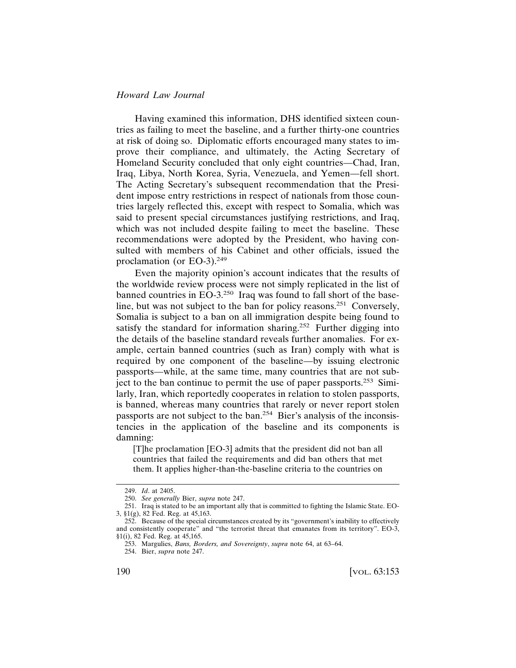Having examined this information, DHS identified sixteen countries as failing to meet the baseline, and a further thirty-one countries at risk of doing so. Diplomatic efforts encouraged many states to improve their compliance, and ultimately, the Acting Secretary of Homeland Security concluded that only eight countries—Chad, Iran, Iraq, Libya, North Korea, Syria, Venezuela, and Yemen—fell short. The Acting Secretary's subsequent recommendation that the President impose entry restrictions in respect of nationals from those countries largely reflected this, except with respect to Somalia, which was said to present special circumstances justifying restrictions, and Iraq, which was not included despite failing to meet the baseline. These recommendations were adopted by the President, who having consulted with members of his Cabinet and other officials, issued the proclamation (or EO-3).<sup>249</sup>

Even the majority opinion's account indicates that the results of the worldwide review process were not simply replicated in the list of banned countries in EO-3.<sup>250</sup> Iraq was found to fall short of the baseline, but was not subject to the ban for policy reasons.251 Conversely, Somalia is subject to a ban on all immigration despite being found to satisfy the standard for information sharing.<sup>252</sup> Further digging into the details of the baseline standard reveals further anomalies. For example, certain banned countries (such as Iran) comply with what is required by one component of the baseline—by issuing electronic passports—while, at the same time, many countries that are not subject to the ban continue to permit the use of paper passports.253 Similarly, Iran, which reportedly cooperates in relation to stolen passports, is banned, whereas many countries that rarely or never report stolen passports are not subject to the ban.254 Bier's analysis of the inconsistencies in the application of the baseline and its components is damning:

[T]he proclamation [EO-3] admits that the president did not ban all countries that failed the requirements and did ban others that met them. It applies higher-than-the-baseline criteria to the countries on

<sup>249.</sup> *Id*. at 2405.

<sup>250.</sup> *See generally* Bier, *supra* note 247.

<sup>251.</sup> Iraq is stated to be an important ally that is committed to fighting the Islamic State. EO-3, §1(g), 82 Fed. Reg. at 45,163.

<sup>252.</sup> Because of the special circumstances created by its "government's inability to effectively and consistently cooperate" and "the terrorist threat that emanates from its territory". EO-3, §1(i), 82 Fed. Reg. at 45,165.

<sup>253.</sup> Margulies, *Bans, Borders, and Sovereignty*, *supra* note 64, at 63–64.

<sup>254.</sup> Bier, *supra* note 247.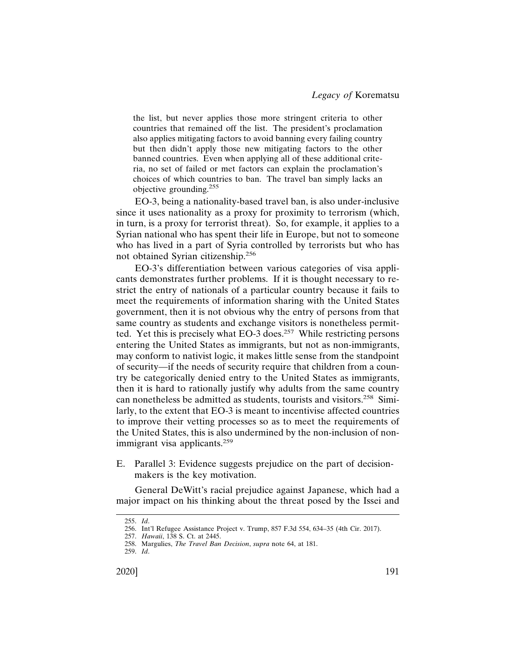the list, but never applies those more stringent criteria to other countries that remained off the list. The president's proclamation also applies mitigating factors to avoid banning every failing country but then didn't apply those new mitigating factors to the other banned countries. Even when applying all of these additional criteria, no set of failed or met factors can explain the proclamation's choices of which countries to ban. The travel ban simply lacks an objective grounding.255

EO-3, being a nationality-based travel ban, is also under-inclusive since it uses nationality as a proxy for proximity to terrorism (which, in turn, is a proxy for terrorist threat). So, for example, it applies to a Syrian national who has spent their life in Europe, but not to someone who has lived in a part of Syria controlled by terrorists but who has not obtained Syrian citizenship.<sup>256</sup>

EO-3's differentiation between various categories of visa applicants demonstrates further problems. If it is thought necessary to restrict the entry of nationals of a particular country because it fails to meet the requirements of information sharing with the United States government, then it is not obvious why the entry of persons from that same country as students and exchange visitors is nonetheless permitted. Yet this is precisely what EO-3 does.257 While restricting persons entering the United States as immigrants, but not as non-immigrants, may conform to nativist logic, it makes little sense from the standpoint of security—if the needs of security require that children from a country be categorically denied entry to the United States as immigrants, then it is hard to rationally justify why adults from the same country can nonetheless be admitted as students, tourists and visitors.258 Similarly, to the extent that EO-3 is meant to incentivise affected countries to improve their vetting processes so as to meet the requirements of the United States, this is also undermined by the non-inclusion of nonimmigrant visa applicants.<sup>259</sup>

E. Parallel 3: Evidence suggests prejudice on the part of decisionmakers is the key motivation.

General DeWitt's racial prejudice against Japanese, which had a major impact on his thinking about the threat posed by the Issei and

<sup>255.</sup> *Id*.

<sup>256.</sup> Int'l Refugee Assistance Project v. Trump, 857 F.3d 554, 634–35 (4th Cir. 2017).

<sup>257.</sup> *Hawaii*, 138 S. Ct. at 2445.

<sup>258.</sup> Margulies, *The Travel Ban Decision*, *supra* note 64, at 181.

<sup>259.</sup> *Id*.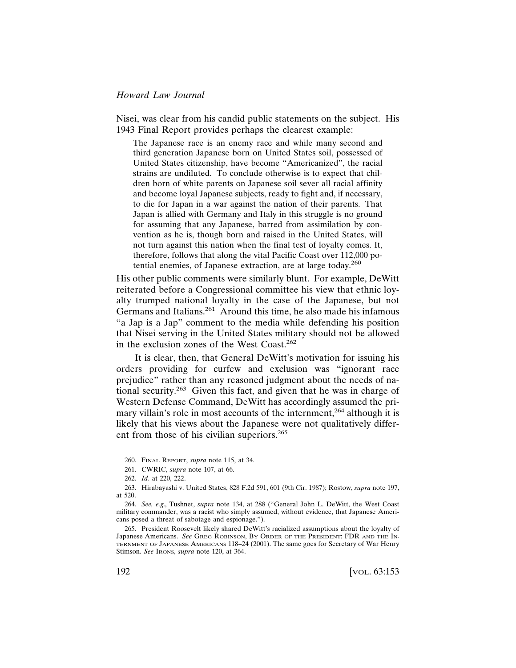Nisei, was clear from his candid public statements on the subject. His 1943 Final Report provides perhaps the clearest example:

The Japanese race is an enemy race and while many second and third generation Japanese born on United States soil, possessed of United States citizenship, have become "Americanized", the racial strains are undiluted. To conclude otherwise is to expect that children born of white parents on Japanese soil sever all racial affinity and become loyal Japanese subjects, ready to fight and, if necessary, to die for Japan in a war against the nation of their parents. That Japan is allied with Germany and Italy in this struggle is no ground for assuming that any Japanese, barred from assimilation by convention as he is, though born and raised in the United States, will not turn against this nation when the final test of loyalty comes. It, therefore, follows that along the vital Pacific Coast over 112,000 potential enemies, of Japanese extraction, are at large today.<sup>260</sup>

His other public comments were similarly blunt. For example, DeWitt reiterated before a Congressional committee his view that ethnic loyalty trumped national loyalty in the case of the Japanese, but not Germans and Italians.<sup>261</sup> Around this time, he also made his infamous "a Jap is a Jap" comment to the media while defending his position that Nisei serving in the United States military should not be allowed in the exclusion zones of the West Coast.<sup>262</sup>

It is clear, then, that General DeWitt's motivation for issuing his orders providing for curfew and exclusion was "ignorant race prejudice" rather than any reasoned judgment about the needs of national security.263 Given this fact, and given that he was in charge of Western Defense Command, DeWitt has accordingly assumed the primary villain's role in most accounts of the internment,<sup>264</sup> although it is likely that his views about the Japanese were not qualitatively different from those of his civilian superiors.<sup>265</sup>

<sup>260.</sup> FINAL REPORT, *supra* note 115, at 34.

<sup>261.</sup> CWRIC, *supra* note 107, at 66.

<sup>262.</sup> *Id*. at 220, 222.

<sup>263.</sup> Hirabayashi v. United States, 828 F.2d 591, 601 (9th Cir. 1987); Rostow, *supra* note 197, at 520.

<sup>264.</sup> *See, e.g.,* Tushnet, *supra* note 134, at 288 ("General John L. DeWitt, the West Coast military commander, was a racist who simply assumed, without evidence, that Japanese Americans posed a threat of sabotage and espionage.").

<sup>265.</sup> President Roosevelt likely shared DeWitt's racialized assumptions about the loyalty of Japanese Americans. *See* GREG ROBINSON, BY ORDER OF THE PRESIDENT: FDR AND THE IN-TERNMENT OF JAPANESE AMERICANS 118–24 (2001). The same goes for Secretary of War Henry Stimson. *See* IRONS, *supra* note 120, at 364.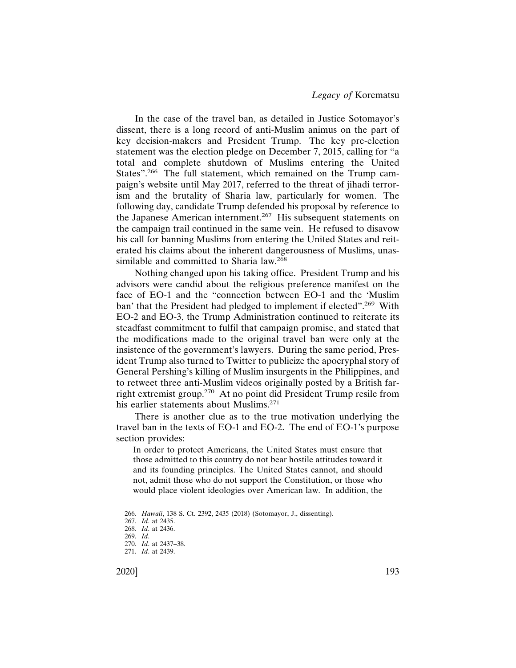### *Legacy of* Korematsu

In the case of the travel ban, as detailed in Justice Sotomayor's dissent, there is a long record of anti-Muslim animus on the part of key decision-makers and President Trump. The key pre-election statement was the election pledge on December 7, 2015, calling for "a total and complete shutdown of Muslims entering the United States".<sup>266</sup> The full statement, which remained on the Trump campaign's website until May 2017, referred to the threat of jihadi terrorism and the brutality of Sharia law, particularly for women. The following day, candidate Trump defended his proposal by reference to the Japanese American internment.<sup>267</sup> His subsequent statements on the campaign trail continued in the same vein. He refused to disavow his call for banning Muslims from entering the United States and reiterated his claims about the inherent dangerousness of Muslims, unassimilable and committed to Sharia law.<sup>268</sup>

Nothing changed upon his taking office. President Trump and his advisors were candid about the religious preference manifest on the face of EO-1 and the "connection between EO-1 and the 'Muslim ban' that the President had pledged to implement if elected".<sup>269</sup> With EO-2 and EO-3, the Trump Administration continued to reiterate its steadfast commitment to fulfil that campaign promise, and stated that the modifications made to the original travel ban were only at the insistence of the government's lawyers. During the same period, President Trump also turned to Twitter to publicize the apocryphal story of General Pershing's killing of Muslim insurgents in the Philippines, and to retweet three anti-Muslim videos originally posted by a British farright extremist group.270 At no point did President Trump resile from his earlier statements about Muslims.<sup>271</sup>

There is another clue as to the true motivation underlying the travel ban in the texts of EO-1 and EO-2. The end of EO-1's purpose section provides:

In order to protect Americans, the United States must ensure that those admitted to this country do not bear hostile attitudes toward it and its founding principles. The United States cannot, and should not, admit those who do not support the Constitution, or those who would place violent ideologies over American law. In addition, the

2020] 193

<sup>266.</sup> *Hawaii*, 138 S. Ct. 2392, 2435 (2018) (Sotomayor, J., dissenting).

<sup>267.</sup> *Id*. at 2435.

<sup>268.</sup> *Id*. at 2436.

<sup>269.</sup> *Id*.

<sup>270.</sup> *Id*. at 2437–38. 271. *Id*. at 2439.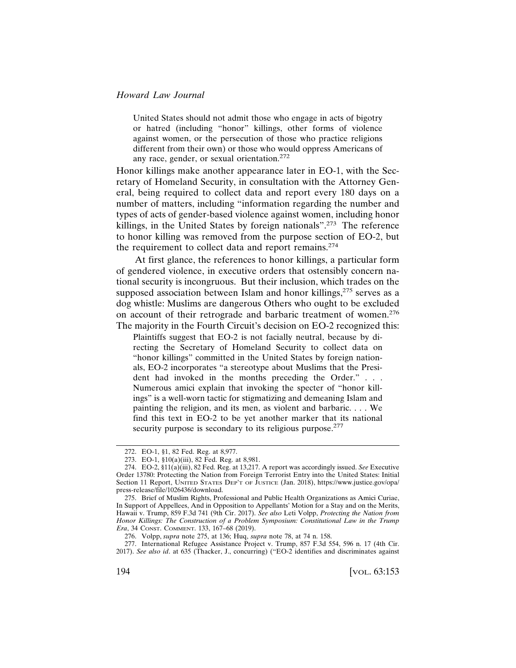United States should not admit those who engage in acts of bigotry or hatred (including "honor" killings, other forms of violence against women, or the persecution of those who practice religions different from their own) or those who would oppress Americans of any race, gender, or sexual orientation.<sup>272</sup>

Honor killings make another appearance later in EO-1, with the Secretary of Homeland Security, in consultation with the Attorney General, being required to collect data and report every 180 days on a number of matters, including "information regarding the number and types of acts of gender-based violence against women, including honor killings, in the United States by foreign nationals".<sup>273</sup> The reference to honor killing was removed from the purpose section of EO-2, but the requirement to collect data and report remains.274

At first glance, the references to honor killings, a particular form of gendered violence, in executive orders that ostensibly concern national security is incongruous. But their inclusion, which trades on the supposed association between Islam and honor killings, $275$  serves as a dog whistle: Muslims are dangerous Others who ought to be excluded on account of their retrograde and barbaric treatment of women.276 The majority in the Fourth Circuit's decision on EO-2 recognized this:

Plaintiffs suggest that EO-2 is not facially neutral, because by directing the Secretary of Homeland Security to collect data on "honor killings" committed in the United States by foreign nationals, EO-2 incorporates "a stereotype about Muslims that the President had invoked in the months preceding the Order." . . . Numerous amici explain that invoking the specter of "honor killings" is a well-worn tactic for stigmatizing and demeaning Islam and painting the religion, and its men, as violent and barbaric. . . . We find this text in EO-2 to be yet another marker that its national security purpose is secondary to its religious purpose.<sup>277</sup>

<sup>272.</sup> EO-1, §1, 82 Fed. Reg. at 8,977.

<sup>273.</sup> EO-1, §10(a)(iii), 82 Fed. Reg. at 8,981.

<sup>274.</sup> EO-2, §11(a)(iii), 82 Fed. Reg. at 13,217. A report was accordingly issued. *See* Executive Order 13780: Protecting the Nation from Foreign Terrorist Entry into the United States: Initial Section 11 Report, UNITED STATES DEP'T OF JUSTICE (Jan. 2018), https://www.justice.gov/opa/ press-release/file/1026436/download.

<sup>275.</sup> Brief of Muslim Rights, Professional and Public Health Organizations as Amici Curiae, In Support of Appellees, And in Opposition to Appellants' Motion for a Stay and on the Merits, Hawaii v. Trump, 859 F.3d 741 (9th Cir. 2017). *See also* Leti Volpp, *Protecting the Nation from Honor Killings: The Construction of a Problem Symposium: Constitutional Law in the Trump Era*, 34 CONST. COMMENT. 133, 167–68 (2019).

<sup>276.</sup> Volpp, *supra* note 275, at 136; Huq, *supra* note 78, at 74 n. 158.

<sup>277.</sup> International Refugee Assistance Project v. Trump, 857 F.3d 554, 596 n. 17 (4th Cir. 2017). *See also id*. at 635 (Thacker, J., concurring) ("EO-2 identifies and discriminates against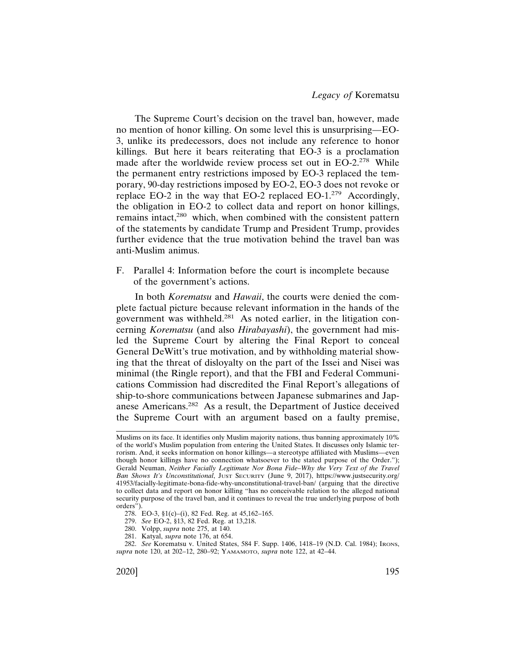The Supreme Court's decision on the travel ban, however, made no mention of honor killing. On some level this is unsurprising—EO-3, unlike its predecessors, does not include any reference to honor killings. But here it bears reiterating that EO-3 is a proclamation made after the worldwide review process set out in EO-2.<sup>278</sup> While the permanent entry restrictions imposed by EO-3 replaced the temporary, 90-day restrictions imposed by EO-2, EO-3 does not revoke or replace EO-2 in the way that EO-2 replaced EO-1.<sup>279</sup> Accordingly, the obligation in EO-2 to collect data and report on honor killings, remains intact,280 which, when combined with the consistent pattern of the statements by candidate Trump and President Trump, provides further evidence that the true motivation behind the travel ban was anti-Muslim animus.

F. Parallel 4: Information before the court is incomplete because of the government's actions.

In both *Korematsu* and *Hawaii*, the courts were denied the complete factual picture because relevant information in the hands of the government was withheld.<sup>281</sup> As noted earlier, in the litigation concerning *Korematsu* (and also *Hirabayashi*), the government had misled the Supreme Court by altering the Final Report to conceal General DeWitt's true motivation, and by withholding material showing that the threat of disloyalty on the part of the Issei and Nisei was minimal (the Ringle report), and that the FBI and Federal Communications Commission had discredited the Final Report's allegations of ship-to-shore communications between Japanese submarines and Japanese Americans.282 As a result, the Department of Justice deceived the Supreme Court with an argument based on a faulty premise,

Muslims on its face. It identifies only Muslim majority nations, thus banning approximately 10% of the world's Muslim population from entering the United States. It discusses only Islamic terrorism. And, it seeks information on honor killings—a stereotype affiliated with Muslims—even though honor killings have no connection whatsoever to the stated purpose of the Order."); Gerald Neuman, *Neither Facially Legitimate Nor Bona Fide–Why the Very Text of the Travel Ban Shows It's Unconstitutional*, JUST SECURITY (June 9, 2017), https://www.justsecurity.org/ 41953/facially-legitimate-bona-fide-why-unconstitutional-travel-ban/ (arguing that the directive to collect data and report on honor killing "has no conceivable relation to the alleged national security purpose of the travel ban, and it continues to reveal the true underlying purpose of both orders").

<sup>278.</sup> EO-3, §1(c)–(i), 82 Fed. Reg. at 45,162–165.

<sup>279.</sup> *See* EO-2, §13, 82 Fed. Reg. at 13,218.

<sup>280.</sup> Volpp, *supra* note 275, at 140.

<sup>281.</sup> Katyal, *supra* note 176, at 654.

<sup>282.</sup> *See* Korematsu v. United States, 584 F. Supp. 1406, 1418–19 (N.D. Cal. 1984); IRONS, *supra* note 120, at 202–12, 280–92; YAMAMOTO, *supra* note 122, at 42–44.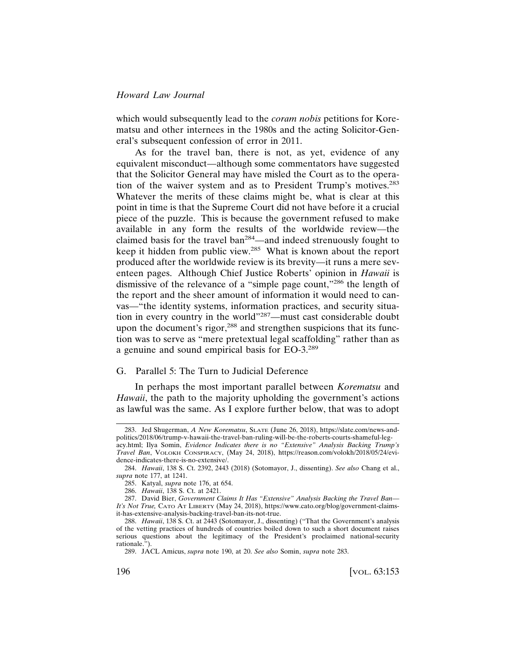which would subsequently lead to the *coram nobis* petitions for Korematsu and other internees in the 1980s and the acting Solicitor-General's subsequent confession of error in 2011.

As for the travel ban, there is not, as yet, evidence of any equivalent misconduct—although some commentators have suggested that the Solicitor General may have misled the Court as to the operation of the waiver system and as to President Trump's motives.283 Whatever the merits of these claims might be, what is clear at this point in time is that the Supreme Court did not have before it a crucial piece of the puzzle. This is because the government refused to make available in any form the results of the worldwide review—the claimed basis for the travel ban<sup>284</sup>—and indeed strenuously fought to keep it hidden from public view.285 What is known about the report produced after the worldwide review is its brevity—it runs a mere seventeen pages. Although Chief Justice Roberts' opinion in *Hawaii* is dismissive of the relevance of a "simple page count,"286 the length of the report and the sheer amount of information it would need to canvas—"the identity systems, information practices, and security situation in every country in the world"287—must cast considerable doubt upon the document's rigor, $288$  and strengthen suspicions that its function was to serve as "mere pretextual legal scaffolding" rather than as a genuine and sound empirical basis for EO-3.289

## G. Parallel 5: The Turn to Judicial Deference

In perhaps the most important parallel between *Korematsu* and *Hawaii*, the path to the majority upholding the government's actions as lawful was the same. As I explore further below, that was to adopt

<sup>283.</sup> Jed Shugerman, *A New Korematsu*, SLATE (June 26, 2018), https://slate.com/news-andpolitics/2018/06/trump-v-hawaii-the-travel-ban-ruling-will-be-the-roberts-courts-shameful-legacy.html; Ilya Somin, *Evidence Indicates there is no "Extensive" Analysis Backing Trump's Travel Ban*, VOLOKH CONSPIRACY, (May 24, 2018), https://reason.com/volokh/2018/05/24/evidence-indicates-there-is-no-extensive/.

<sup>284.</sup> *Hawaii*, 138 S. Ct. 2392, 2443 (2018) (Sotomayor, J., dissenting). *See also* Chang et al., *supra* note 177, at 1241.

<sup>285.</sup> Katyal, *supra* note 176, at 654.

<sup>286.</sup> *Hawaii*, 138 S. Ct. at 2421.

<sup>287.</sup> David Bier, *Government Claims It Has "Extensive" Analysis Backing the Travel Ban— It's Not True,* CATO AT LIBERTY (May 24, 2018), https://www.cato.org/blog/government-claimsit-has-extensive-analysis-backing-travel-ban-its-not-true.

<sup>288.</sup> *Hawaii*, 138 S. Ct. at 2443 (Sotomayor, J., dissenting) ("That the Government's analysis of the vetting practices of hundreds of countries boiled down to such a short document raises serious questions about the legitimacy of the President's proclaimed national-security rationale.").

<sup>289.</sup> JACL Amicus, *supra* note 190, at 20. *See also* Somin, *supra* note 283.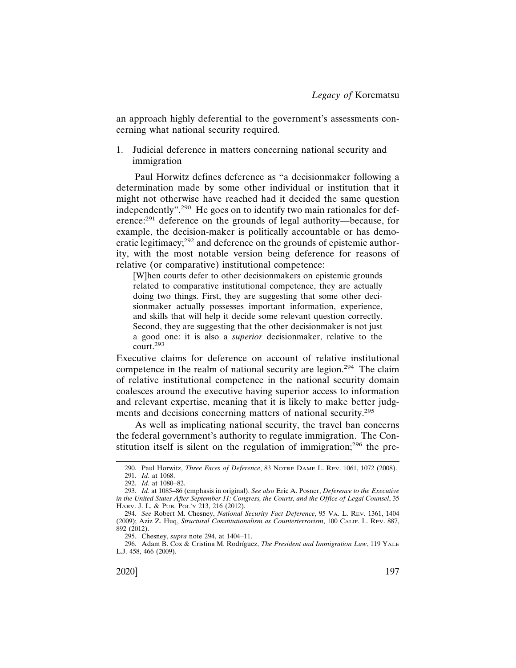an approach highly deferential to the government's assessments concerning what national security required.

1. Judicial deference in matters concerning national security and immigration

Paul Horwitz defines deference as "a decisionmaker following a determination made by some other individual or institution that it might not otherwise have reached had it decided the same question independently".290 He goes on to identify two main rationales for deference:291 deference on the grounds of legal authority—because, for example, the decision-maker is politically accountable or has democratic legitimacy;<sup>292</sup> and deference on the grounds of epistemic authority, with the most notable version being deference for reasons of relative (or comparative) institutional competence:

[W]hen courts defer to other decisionmakers on epistemic grounds related to comparative institutional competence, they are actually doing two things. First, they are suggesting that some other decisionmaker actually possesses important information, experience, and skills that will help it decide some relevant question correctly. Second, they are suggesting that the other decisionmaker is not just a good one: it is also a *superior* decisionmaker, relative to the court.<sup>293</sup>

Executive claims for deference on account of relative institutional competence in the realm of national security are legion.<sup>294</sup> The claim of relative institutional competence in the national security domain coalesces around the executive having superior access to information and relevant expertise, meaning that it is likely to make better judgments and decisions concerning matters of national security.<sup>295</sup>

As well as implicating national security, the travel ban concerns the federal government's authority to regulate immigration. The Constitution itself is silent on the regulation of immigration;<sup>296</sup> the pre-

<sup>290.</sup> Paul Horwitz, *Three Faces of Deference*, 83 NOTRE DAME L. REV. 1061, 1072 (2008). 291. *Id*. at 1068.

<sup>292.</sup> *Id*. at 1080–82.

<sup>293.</sup> *Id*. at 1085–86 (emphasis in original). *See also* Eric A. Posner, *Deference to the Executive in the United States After September 11: Congress, the Courts, and the Office of Legal Counsel*, 35 HARV. J. L. & PUB. POL'Y 213, 216 (2012).

<sup>294.</sup> *See* Robert M. Chesney, *National Security Fact Deference*, 95 VA. L. REV. 1361, 1404 (2009); Aziz Z. Huq, *Structural Constitutionalism as Counterterrorism*, 100 CALIF. L. REV. 887,  $892(2012)$ 

<sup>295.</sup> Chesney, *supra* note 294, at 1404–11.

<sup>296.</sup> Adam B. Cox & Cristina M. Rodríguez, *The President and Immigration Law*, 119 YALE L.J. 458, 466 (2009).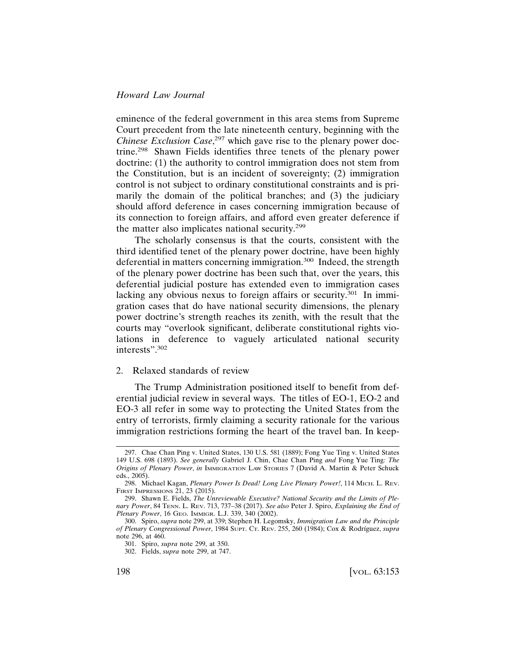eminence of the federal government in this area stems from Supreme Court precedent from the late nineteenth century, beginning with the *Chinese Exclusion Case*, 297 which gave rise to the plenary power doctrine.298 Shawn Fields identifies three tenets of the plenary power doctrine: (1) the authority to control immigration does not stem from the Constitution, but is an incident of sovereignty; (2) immigration control is not subject to ordinary constitutional constraints and is primarily the domain of the political branches; and (3) the judiciary should afford deference in cases concerning immigration because of its connection to foreign affairs, and afford even greater deference if the matter also implicates national security.299

The scholarly consensus is that the courts, consistent with the third identified tenet of the plenary power doctrine, have been highly deferential in matters concerning immigration.<sup>300</sup> Indeed, the strength of the plenary power doctrine has been such that, over the years, this deferential judicial posture has extended even to immigration cases lacking any obvious nexus to foreign affairs or security.<sup>301</sup> In immigration cases that do have national security dimensions, the plenary power doctrine's strength reaches its zenith, with the result that the courts may "overlook significant, deliberate constitutional rights violations in deference to vaguely articulated national security interests". 302

## 2. Relaxed standards of review

The Trump Administration positioned itself to benefit from deferential judicial review in several ways. The titles of EO-1, EO-2 and EO-3 all refer in some way to protecting the United States from the entry of terrorists, firmly claiming a security rationale for the various immigration restrictions forming the heart of the travel ban. In keep-

<sup>297.</sup> Chae Chan Ping v. United States, 130 U.S. 581 (1889); Fong Yue Ting v. United States 149 U.S. 698 (1893). *See generally* Gabriel J. Chin, Chae Chan Ping *and* Fong Yue Ting*: The Origins of Plenary Power*, *in* IMMIGRATION LAW STORIES 7 (David A. Martin & Peter Schuck eds., 2005).

<sup>298.</sup> Michael Kagan, *Plenary Power Is Dead! Long Live Plenary Power!*, 114 MICH. L. REV. FIRST IMPRESSIONS 21, 23 (2015).

<sup>299.</sup> Shawn E. Fields, *The Unreviewable Executive? National Security and the Limits of Plenary Power*, 84 TENN. L. REV. 713, 737–38 (2017). *See also* Peter J. Spiro, *Explaining the End of Plenary Power*, 16 GEO. IMMIGR. L.J. 339, 340 (2002).

<sup>300.</sup> Spiro, *supra* note 299, at 339; Stephen H. Legomsky, *Immigration Law and the Principle of Plenary Congressional Power*, 1984 SUPT. CT. REV. 255, 260 (1984); Cox & Rodr´ıguez, *supra* note 296, at 460.

<sup>301.</sup> Spiro, *supra* note 299, at 350.

<sup>302.</sup> Fields, *supra* note 299, at 747.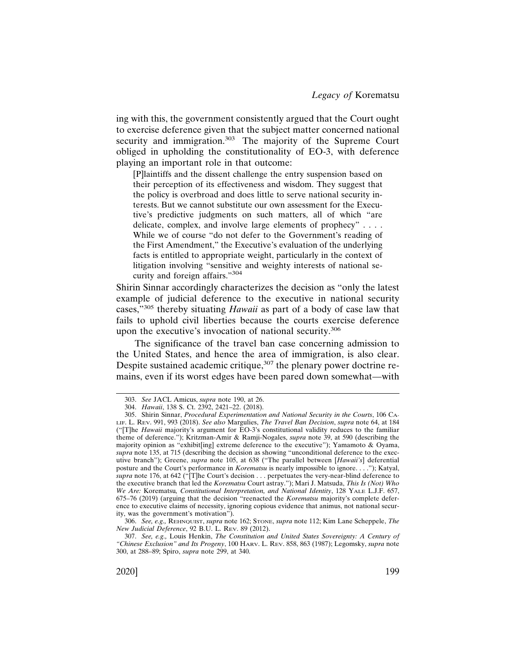ing with this, the government consistently argued that the Court ought to exercise deference given that the subject matter concerned national security and immigration.<sup>303</sup> The majority of the Supreme Court obliged in upholding the constitutionality of EO-3, with deference playing an important role in that outcome:

[P]laintiffs and the dissent challenge the entry suspension based on their perception of its effectiveness and wisdom. They suggest that the policy is overbroad and does little to serve national security interests. But we cannot substitute our own assessment for the Executive's predictive judgments on such matters, all of which "are delicate, complex, and involve large elements of prophecy" . . . . While we of course "do not defer to the Government's reading of the First Amendment," the Executive's evaluation of the underlying facts is entitled to appropriate weight, particularly in the context of litigation involving "sensitive and weighty interests of national security and foreign affairs."304

Shirin Sinnar accordingly characterizes the decision as "only the latest example of judicial deference to the executive in national security cases,"305 thereby situating *Hawaii* as part of a body of case law that fails to uphold civil liberties because the courts exercise deference upon the executive's invocation of national security.306

The significance of the travel ban case concerning admission to the United States, and hence the area of immigration, is also clear. Despite sustained academic critique,<sup>307</sup> the plenary power doctrine remains, even if its worst edges have been pared down somewhat—with

<sup>303.</sup> *See* JACL Amicus, *supra* note 190, at 26.

<sup>304.</sup> *Hawaii*, 138 S. Ct. 2392, 2421–22. (2018).

<sup>305.</sup> Shirin Sinnar, *Procedural Experimentation and National Security in the Courts*, 106 CA-LIF. L. REV. 991, 993 (2018). *See also* Margulies, *The Travel Ban Decision*, *supra* note 64, at 184 ("[T]he *Hawaii* majority's argument for EO-3's constitutional validity reduces to the familiar theme of deference."); Kritzman-Amir & Ramji-Nogales, *supra* note 39, at 590 (describing the majority opinion as "exhibit[ing] extreme deference to the executive"); Yamamoto & Oyama, *supra* note 135, at 715 (describing the decision as showing "unconditional deference to the executive branch"); Greene, *supra* note 105, at 638 ("The parallel between [*Hawaii's*] deferential posture and the Court's performance in *Korematsu* is nearly impossible to ignore. . . ."); Katyal, *supra* note 176, at 642 ("[T]he Court's decision . . . perpetuates the very-near-blind deference to the executive branch that led the *Korematsu* Court astray."); Mari J. Matsuda, *This Is (Not) Who We Are:* Korematsu*, Constitutional Interpretation, and National Identity*, 128 YALE L.J.F. 657, 675–76 (2019) (arguing that the decision "reenacted the *Korematsu* majority's complete deference to executive claims of necessity, ignoring copious evidence that animus, not national security, was the government's motivation").

<sup>306.</sup> *See, e.g.,* REHNQUIST, *supra* note 162; STONE, *supra* note 112; Kim Lane Scheppele, *The New Judicial Deference*, 92 B.U. L. REV. 89 (2012).

<sup>307.</sup> *See, e.g.,* Louis Henkin, *The Constitution and United States Sovereignty: A Century of "Chinese Exclusion" and Its Progeny*, 100 HARV. L. REV. 858, 863 (1987); Legomsky, *supra* note 300, at 288–89; Spiro, *supra* note 299, at 340.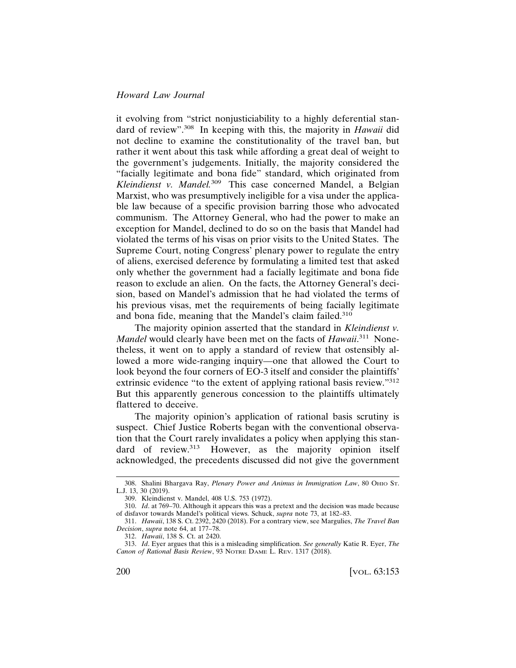it evolving from "strict nonjusticiability to a highly deferential standard of review".308 In keeping with this, the majority in *Hawaii* did not decline to examine the constitutionality of the travel ban, but rather it went about this task while affording a great deal of weight to the government's judgements. Initially, the majority considered the "facially legitimate and bona fide" standard, which originated from *Kleindienst v. Mandel.*309 This case concerned Mandel, a Belgian Marxist, who was presumptively ineligible for a visa under the applicable law because of a specific provision barring those who advocated communism. The Attorney General, who had the power to make an exception for Mandel, declined to do so on the basis that Mandel had violated the terms of his visas on prior visits to the United States. The Supreme Court, noting Congress' plenary power to regulate the entry of aliens, exercised deference by formulating a limited test that asked only whether the government had a facially legitimate and bona fide reason to exclude an alien. On the facts, the Attorney General's decision, based on Mandel's admission that he had violated the terms of his previous visas, met the requirements of being facially legitimate and bona fide, meaning that the Mandel's claim failed.<sup>310</sup>

The majority opinion asserted that the standard in *Kleindienst v. Mandel* would clearly have been met on the facts of *Hawaii*. 311 Nonetheless, it went on to apply a standard of review that ostensibly allowed a more wide-ranging inquiry—one that allowed the Court to look beyond the four corners of EO-3 itself and consider the plaintiffs' extrinsic evidence "to the extent of applying rational basis review."312 But this apparently generous concession to the plaintiffs ultimately flattered to deceive.

The majority opinion's application of rational basis scrutiny is suspect. Chief Justice Roberts began with the conventional observation that the Court rarely invalidates a policy when applying this standard of review.<sup>313</sup> However, as the majority opinion itself acknowledged, the precedents discussed did not give the government

<sup>308.</sup> Shalini Bhargava Ray, *Plenary Power and Animus in Immigration Law*, 80 OHIO ST. L.J. 13, 30 (2019).

<sup>309.</sup> Kleindienst v. Mandel, 408 U.S. 753 (1972).

<sup>310.</sup> *Id*. at 769–70. Although it appears this was a pretext and the decision was made because of disfavor towards Mandel's political views. Schuck, *supra* note 73, at 182–83.

<sup>311.</sup> *Hawaii*, 138 S. Ct. 2392, 2420 (2018). For a contrary view, see Margulies, *The Travel Ban Decision*, *supra* note 64, at 177–78.

<sup>312.</sup> *Hawaii*, 138 S. Ct. at 2420.

<sup>313.</sup> *Id*. Eyer argues that this is a misleading simplification. *See generally* Katie R. Eyer, *The Canon of Rational Basis Review*, 93 NOTRE DAME L. REV. 1317 (2018).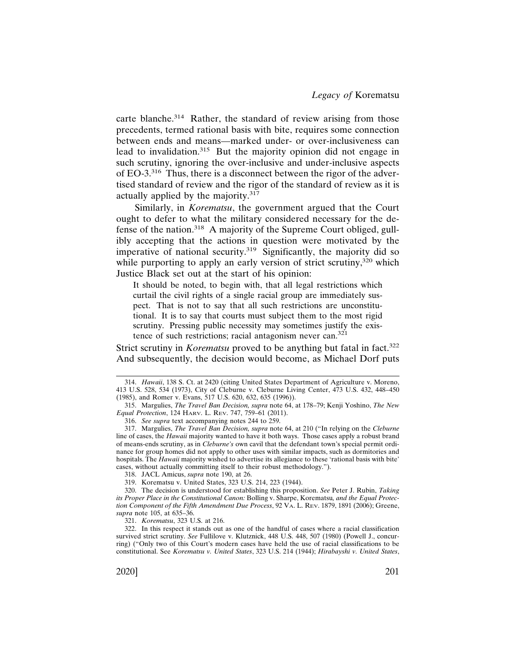carte blanche.<sup>314</sup> Rather, the standard of review arising from those precedents, termed rational basis with bite, requires some connection between ends and means—marked under- or over-inclusiveness can lead to invalidation.315 But the majority opinion did not engage in such scrutiny, ignoring the over-inclusive and under-inclusive aspects of EO-3.316 Thus, there is a disconnect between the rigor of the advertised standard of review and the rigor of the standard of review as it is actually applied by the majority.<sup>317</sup>

Similarly, in *Korematsu*, the government argued that the Court ought to defer to what the military considered necessary for the defense of the nation.318 A majority of the Supreme Court obliged, gullibly accepting that the actions in question were motivated by the imperative of national security.<sup>319</sup> Significantly, the majority did so while purporting to apply an early version of strict scrutiny,<sup>320</sup> which Justice Black set out at the start of his opinion:

It should be noted, to begin with, that all legal restrictions which curtail the civil rights of a single racial group are immediately suspect. That is not to say that all such restrictions are unconstitutional. It is to say that courts must subject them to the most rigid scrutiny. Pressing public necessity may sometimes justify the existence of such restrictions; racial antagonism never can.<sup>321</sup>

Strict scrutiny in *Korematsu* proved to be anything but fatal in fact.<sup>322</sup> And subsequently, the decision would become, as Michael Dorf puts

<sup>314.</sup> *Hawaii*, 138 S. Ct. at 2420 (citing United States Department of Agriculture v. Moreno, 413 U.S. 528, 534 (1973), City of Cleburne v. Cleburne Living Center, 473 U.S. 432, 448–450 (1985), and Romer v. Evans, 517 U.S. 620, 632, 635 (1996)).

<sup>315.</sup> Margulies, *The Travel Ban Decision, supra* note 64, at 178–79; Kenji Yoshino, *The New Equal Protection*, 124 HARV. L. REV. 747, 759–61 (2011).

<sup>316.</sup> *See supra* text accompanying notes 244 to 259.

<sup>317.</sup> Margulies, *The Travel Ban Decision, supra* note 64, at 210 ("In relying on the *Cleburne* line of cases, the *Hawaii* majority wanted to have it both ways. Those cases apply a robust brand of means-ends scrutiny, as in *Cleburne's* own cavil that the defendant town's special permit ordinance for group homes did not apply to other uses with similar impacts, such as dormitories and hospitals. The *Hawaii* majority wished to advertise its allegiance to these 'rational basis with bite' cases, without actually committing itself to their robust methodology.").

<sup>318.</sup> JACL Amicus, *supra* note 190, at 26.

<sup>319.</sup> Korematsu v. United States, 323 U.S. 214, 223 (1944).

<sup>320.</sup> The decision is understood for establishing this proposition. *See* Peter J. Rubin, *Taking its Proper Place in the Constitutional Canon:* Bolling v. Sharpe, Korematsu*, and the Equal Protection Component of the Fifth Amendment Due Process*, 92 VA. L. REV. 1879, 1891 (2006); Greene, *supra* note 105, at 635–36.

<sup>321.</sup> *Korematsu*, 323 U.S. at 216.

<sup>322.</sup> In this respect it stands out as one of the handful of cases where a racial classification survived strict scrutiny. *See* Fullilove v. Klutznick, 448 U.S. 448, 507 (1980) (Powell J., concurring) ("Only two of this Court's modern cases have held the use of racial classifications to be constitutional. See *Korematsu v. United States*, 323 U.S. 214 (1944); *Hirabayshi v. United States*,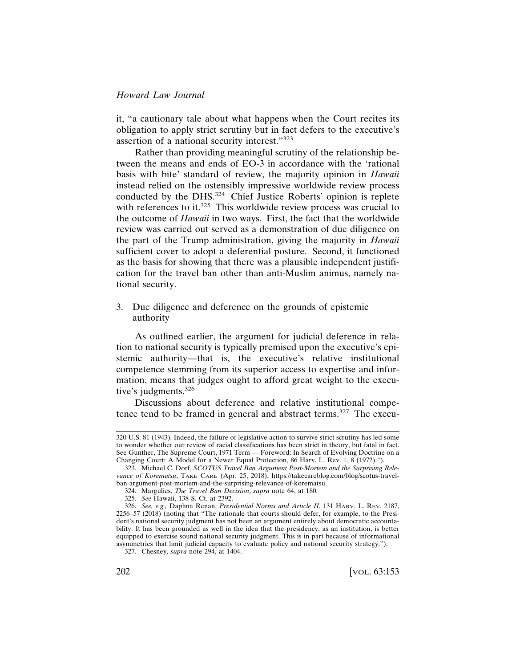it, "a cautionary tale about what happens when the Court recites its obligation to apply strict scrutiny but in fact defers to the executive's assertion of a national security interest."323

Rather than providing meaningful scrutiny of the relationship between the means and ends of EO-3 in accordance with the 'rational basis with bite' standard of review, the majority opinion in *Hawaii* instead relied on the ostensibly impressive worldwide review process conducted by the DHS.<sup>324</sup> Chief Justice Roberts' opinion is replete with references to it.<sup>325</sup> This worldwide review process was crucial to the outcome of *Hawaii* in two ways. First, the fact that the worldwide review was carried out served as a demonstration of due diligence on the part of the Trump administration, giving the majority in *Hawaii* sufficient cover to adopt a deferential posture. Second, it functioned as the basis for showing that there was a plausible independent justification for the travel ban other than anti-Muslim animus, namely national security.

## 3. Due diligence and deference on the grounds of epistemic authority

As outlined earlier, the argument for judicial deference in relation to national security is typically premised upon the executive's epistemic authority—that is, the executive's relative institutional competence stemming from its superior access to expertise and information, means that judges ought to afford great weight to the executive's judgments.<sup>326</sup>

Discussions about deference and relative institutional competence tend to be framed in general and abstract terms.<sup>327</sup> The execu-

<sup>320</sup> U.S. 81 (1943). Indeed, the failure of legislative action to survive strict scrutiny has led some to wonder whether our review of racial classifications has been strict in theory, but fatal in fact. See Gunther, The Supreme Court, 1971 Term — Foreword: In Search of Evolving Doctrine on a Changing Court: A Model for a Newer Equal Protection, 86 Harv. L. Rev. 1, 8 (1972).").

<sup>323.</sup> Michael C. Dorf, *SCOTUS Travel Ban Argument Post-Mortem and the Surprising Relevance of Korematsu*, TAKE CARE (Apr. 25, 2018), https://takecareblog.com/blog/scotus-travelban-argument-post-mortem-and-the-surprising-relevance-of-korematsu.

<sup>324.</sup> Margulies, *The Travel Ban Decision*, *supra* note 64, at 180.

<sup>325.</sup> *See* Hawaii, 138 S. Ct. at 2392.

<sup>326.</sup> *See, e.g.,* Daphna Renan, *Presidential Norms and Article II*, 131 HARV. L. REV. 2187, 2256–57 (2018) (noting that "The rationale that courts should defer, for example, to the President's national security judgment has not been an argument entirely about democratic accountability. It has been grounded as well in the idea that the presidency, as an institution, is better equipped to exercise sound national security judgment. This is in part because of informational asymmetries that limit judicial capacity to evaluate policy and national security strategy.").

<sup>327.</sup> Chesney, *supra* note 294, at 1404.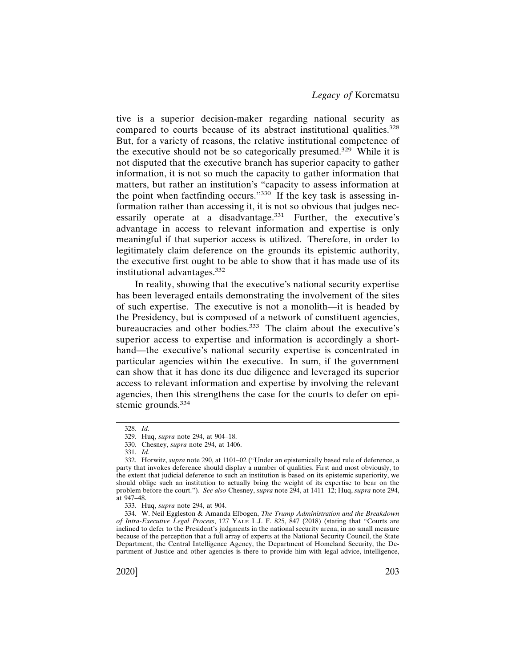tive is a superior decision-maker regarding national security as compared to courts because of its abstract institutional qualities.<sup>328</sup> But, for a variety of reasons, the relative institutional competence of the executive should not be so categorically presumed.329 While it is not disputed that the executive branch has superior capacity to gather information, it is not so much the capacity to gather information that matters, but rather an institution's "capacity to assess information at the point when factfinding occurs."<sup>330</sup> If the key task is assessing information rather than accessing it, it is not so obvious that judges necessarily operate at a disadvantage.<sup>331</sup> Further, the executive's advantage in access to relevant information and expertise is only meaningful if that superior access is utilized. Therefore, in order to legitimately claim deference on the grounds its epistemic authority, the executive first ought to be able to show that it has made use of its institutional advantages.332

In reality, showing that the executive's national security expertise has been leveraged entails demonstrating the involvement of the sites of such expertise. The executive is not a monolith—it is headed by the Presidency, but is composed of a network of constituent agencies, bureaucracies and other bodies.333 The claim about the executive's superior access to expertise and information is accordingly a shorthand—the executive's national security expertise is concentrated in particular agencies within the executive. In sum, if the government can show that it has done its due diligence and leveraged its superior access to relevant information and expertise by involving the relevant agencies, then this strengthens the case for the courts to defer on epistemic grounds.<sup>334</sup>

<sup>328.</sup> *Id.*

<sup>329.</sup> Huq, *supra* note 294, at 904–18.

<sup>330.</sup> Chesney, *supra* note 294, at 1406.

<sup>331.</sup> *Id*.

<sup>332.</sup> Horwitz, *supra* note 290, at 1101–02 ("Under an epistemically based rule of deference, a party that invokes deference should display a number of qualities. First and most obviously, to the extent that judicial deference to such an institution is based on its epistemic superiority, we should oblige such an institution to actually bring the weight of its expertise to bear on the problem before the court."). *See also* Chesney, *supra* note 294, at 1411–12; Huq, *supra* note 294, at 947–48.

<sup>333.</sup> Huq, *supra* note 294, at 904.

<sup>334.</sup> W. Neil Eggleston & Amanda Elbogen, *The Trump Administration and the Breakdown of Intra-Executive Legal Process*, 127 YALE L.J. F. 825, 847 (2018) (stating that "Courts are inclined to defer to the President's judgments in the national security arena, in no small measure because of the perception that a full array of experts at the National Security Council, the State Department, the Central Intelligence Agency, the Department of Homeland Security, the Department of Justice and other agencies is there to provide him with legal advice, intelligence,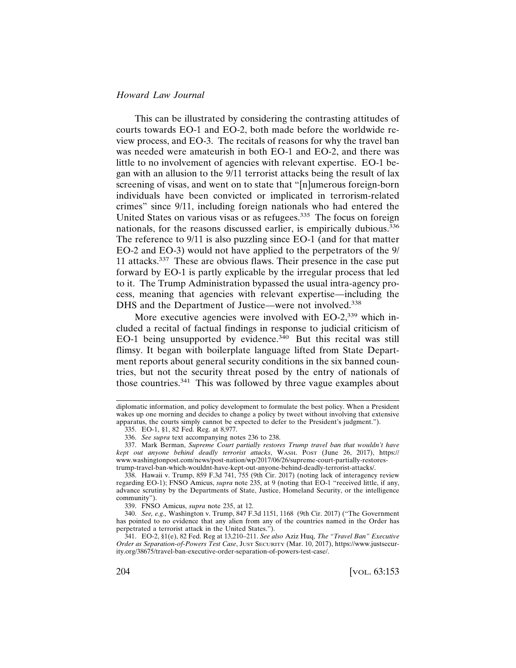This can be illustrated by considering the contrasting attitudes of courts towards EO-1 and EO-2, both made before the worldwide review process, and EO-3. The recitals of reasons for why the travel ban was needed were amateurish in both EO-1 and EO-2, and there was little to no involvement of agencies with relevant expertise. EO-1 began with an allusion to the 9/11 terrorist attacks being the result of lax screening of visas, and went on to state that "[n]umerous foreign-born individuals have been convicted or implicated in terrorism-related crimes" since 9/11, including foreign nationals who had entered the United States on various visas or as refugees.<sup>335</sup> The focus on foreign nationals, for the reasons discussed earlier, is empirically dubious.<sup>336</sup> The reference to 9/11 is also puzzling since EO-1 (and for that matter EO-2 and EO-3) would not have applied to the perpetrators of the 9/ 11 attacks.337 These are obvious flaws. Their presence in the case put forward by EO-1 is partly explicable by the irregular process that led to it. The Trump Administration bypassed the usual intra-agency process, meaning that agencies with relevant expertise—including the DHS and the Department of Justice—were not involved.<sup>338</sup>

More executive agencies were involved with EO-2,<sup>339</sup> which included a recital of factual findings in response to judicial criticism of EO-1 being unsupported by evidence.<sup> $3\overline{40}$ </sup> But this recital was still flimsy. It began with boilerplate language lifted from State Department reports about general security conditions in the six banned countries, but not the security threat posed by the entry of nationals of those countries.341 This was followed by three vague examples about

339. FNSO Amicus, *supra* note 235, at 12.

340. *See, e.g.,* Washington v. Trump, 847 F.3d 1151, 1168 (9th Cir. 2017) ("The Government has pointed to no evidence that any alien from any of the countries named in the Order has perpetrated a terrorist attack in the United States.").

341. EO-2, §1(e), 82 Fed. Reg at 13,210–211. *See also* Aziz Huq, *The "Travel Ban" Executive Order as Separation-of-Powers Test Case*, JUST SECURITY (Mar. 10, 2017), https://www.justsecurity.org/38675/travel-ban-executive-order-separation-of-powers-test-case/.

diplomatic information, and policy development to formulate the best policy. When a President wakes up one morning and decides to change a policy by tweet without involving that extensive apparatus, the courts simply cannot be expected to defer to the President's judgment.").

<sup>335.</sup> EO-1, §1, 82 Fed. Reg. at 8,977.

<sup>336.</sup> *See supra* text accompanying notes 236 to 238.

<sup>337.</sup> Mark Berman, *Supreme Court partially restores Trump travel ban that wouldn't have kept out anyone behind deadly terrorist attacks*, WASH. POST (June 26, 2017), https:// www.washingtonpost.com/news/post-nation/wp/2017/06/26/supreme-court-partially-restorestrump-travel-ban-which-wouldnt-have-kept-out-anyone-behind-deadly-terrorist-attacks/.

<sup>338.</sup> Hawaii v. Trump, 859 F.3d 741, 755 (9th Cir. 2017) (noting lack of interagency review regarding EO-1); FNSO Amicus, *supra* note 235, at 9 (noting that EO-1 "received little, if any, advance scrutiny by the Departments of State, Justice, Homeland Security, or the intelligence community").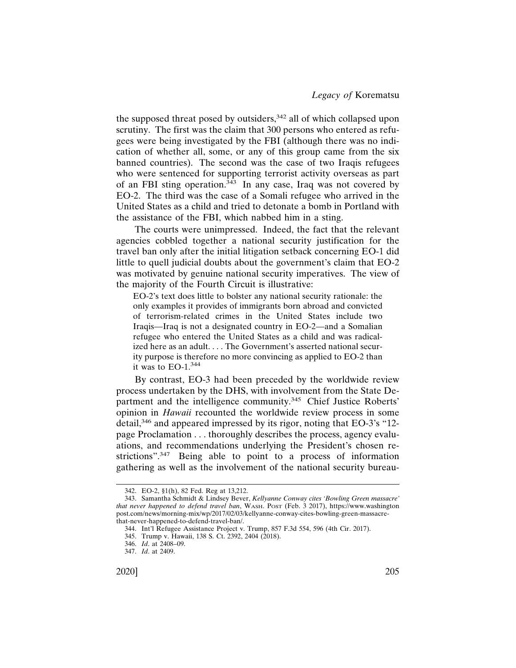the supposed threat posed by outsiders,<sup>342</sup> all of which collapsed upon scrutiny. The first was the claim that 300 persons who entered as refugees were being investigated by the FBI (although there was no indication of whether all, some, or any of this group came from the six banned countries). The second was the case of two Iraqis refugees who were sentenced for supporting terrorist activity overseas as part of an FBI sting operation. $343$  In any case, Iraq was not covered by EO-2. The third was the case of a Somali refugee who arrived in the United States as a child and tried to detonate a bomb in Portland with the assistance of the FBI, which nabbed him in a sting.

The courts were unimpressed. Indeed, the fact that the relevant agencies cobbled together a national security justification for the travel ban only after the initial litigation setback concerning EO-1 did little to quell judicial doubts about the government's claim that EO-2 was motivated by genuine national security imperatives. The view of the majority of the Fourth Circuit is illustrative:

EO-2's text does little to bolster any national security rationale: the only examples it provides of immigrants born abroad and convicted of terrorism-related crimes in the United States include two Iraqis—Iraq is not a designated country in EO-2—and a Somalian refugee who entered the United States as a child and was radicalized here as an adult. . . . The Government's asserted national security purpose is therefore no more convincing as applied to EO-2 than it was to EO-1.344

By contrast, EO-3 had been preceded by the worldwide review process undertaken by the DHS, with involvement from the State Department and the intelligence community.345 Chief Justice Roberts' opinion in *Hawaii* recounted the worldwide review process in some detail,346 and appeared impressed by its rigor, noting that EO-3's "12 page Proclamation . . . thoroughly describes the process, agency evaluations, and recommendations underlying the President's chosen restrictions".<sup>347</sup> Being able to point to a process of information gathering as well as the involvement of the national security bureau-

<sup>342.</sup> EO-2, §1(h), 82 Fed. Reg at 13,212.

<sup>343.</sup> Samantha Schmidt & Lindsey Bever, *Kellyanne Conway cites 'Bowling Green massacre' that never happened to defend travel ban*, WASH. POST (Feb. 3 2017), https://www.washington post.com/news/morning-mix/wp/2017/02/03/kellyanne-conway-cites-bowling-green-massacrethat-never-happened-to-defend-travel-ban/.

<sup>344.</sup> Int'l Refugee Assistance Project v. Trump, 857 F.3d 554, 596 (4th Cir. 2017).

<sup>345.</sup> Trump v. Hawaii, 138 S. Ct. 2392, 2404 (2018).

<sup>346.</sup> *Id*. at 2408–09.

<sup>347.</sup> *Id*. at 2409.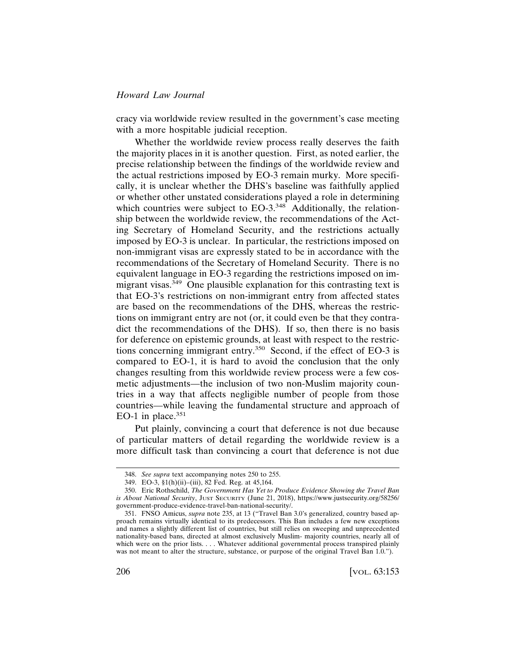cracy via worldwide review resulted in the government's case meeting with a more hospitable judicial reception.

Whether the worldwide review process really deserves the faith the majority places in it is another question. First, as noted earlier, the precise relationship between the findings of the worldwide review and the actual restrictions imposed by EO-3 remain murky. More specifically, it is unclear whether the DHS's baseline was faithfully applied or whether other unstated considerations played a role in determining which countries were subject to EO-3.<sup>348</sup> Additionally, the relationship between the worldwide review, the recommendations of the Acting Secretary of Homeland Security, and the restrictions actually imposed by EO-3 is unclear. In particular, the restrictions imposed on non-immigrant visas are expressly stated to be in accordance with the recommendations of the Secretary of Homeland Security. There is no equivalent language in EO-3 regarding the restrictions imposed on immigrant visas.<sup>349</sup> One plausible explanation for this contrasting text is that EO-3's restrictions on non-immigrant entry from affected states are based on the recommendations of the DHS, whereas the restrictions on immigrant entry are not (or, it could even be that they contradict the recommendations of the DHS). If so, then there is no basis for deference on epistemic grounds, at least with respect to the restrictions concerning immigrant entry.350 Second, if the effect of EO-3 is compared to EO-1, it is hard to avoid the conclusion that the only changes resulting from this worldwide review process were a few cosmetic adjustments—the inclusion of two non-Muslim majority countries in a way that affects negligible number of people from those countries—while leaving the fundamental structure and approach of EO-1 in place. $351$ 

Put plainly, convincing a court that deference is not due because of particular matters of detail regarding the worldwide review is a more difficult task than convincing a court that deference is not due

<sup>348.</sup> *See supra* text accompanying notes 250 to 255.

<sup>349.</sup> EO-3, §1(h)(ii)–(iii), 82 Fed. Reg. at 45,164.

<sup>350.</sup> Eric Rothschild, *The Government Has Yet to Produce Evidence Showing the Travel Ban is About National Security*, JUST SECURITY (June 21, 2018), https://www.justsecurity.org/58256/ government-produce-evidence-travel-ban-national-security/.

<sup>351.</sup> FNSO Amicus, *supra* note 235, at 13 ("Travel Ban 3.0's generalized, country based approach remains virtually identical to its predecessors. This Ban includes a few new exceptions and names a slightly different list of countries, but still relies on sweeping and unprecedented nationality-based bans, directed at almost exclusively Muslim- majority countries, nearly all of which were on the prior lists. . . . Whatever additional governmental process transpired plainly was not meant to alter the structure, substance, or purpose of the original Travel Ban 1.0.").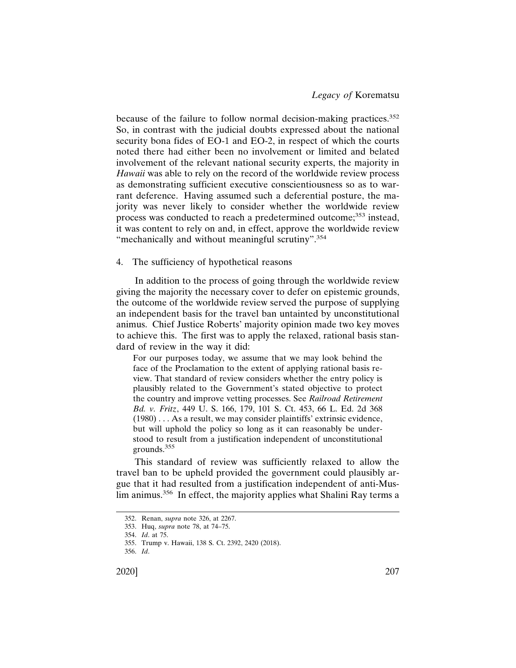because of the failure to follow normal decision-making practices.352 So, in contrast with the judicial doubts expressed about the national security bona fides of EO-1 and EO-2, in respect of which the courts noted there had either been no involvement or limited and belated involvement of the relevant national security experts, the majority in *Hawaii* was able to rely on the record of the worldwide review process as demonstrating sufficient executive conscientiousness so as to warrant deference. Having assumed such a deferential posture, the majority was never likely to consider whether the worldwide review process was conducted to reach a predetermined outcome;<sup>353</sup> instead, it was content to rely on and, in effect, approve the worldwide review "mechanically and without meaningful scrutiny".<sup>354</sup>

#### 4. The sufficiency of hypothetical reasons

In addition to the process of going through the worldwide review giving the majority the necessary cover to defer on epistemic grounds, the outcome of the worldwide review served the purpose of supplying an independent basis for the travel ban untainted by unconstitutional animus. Chief Justice Roberts' majority opinion made two key moves to achieve this. The first was to apply the relaxed, rational basis standard of review in the way it did:

For our purposes today, we assume that we may look behind the face of the Proclamation to the extent of applying rational basis review. That standard of review considers whether the entry policy is plausibly related to the Government's stated objective to protect the country and improve vetting processes. See *Railroad Retirement Bd. v. Fritz*, 449 U. S. 166, 179, 101 S. Ct. 453, 66 L. Ed. 2d 368 (1980) . . . As a result, we may consider plaintiffs' extrinsic evidence, but will uphold the policy so long as it can reasonably be understood to result from a justification independent of unconstitutional grounds.<sup>355</sup>

This standard of review was sufficiently relaxed to allow the travel ban to be upheld provided the government could plausibly argue that it had resulted from a justification independent of anti-Muslim animus.<sup>356</sup> In effect, the majority applies what Shalini Ray terms a

<sup>352.</sup> Renan, *supra* note 326, at 2267.

<sup>353.</sup> Huq, *supra* note 78, at 74–75.

<sup>354.</sup> *Id*. at 75.

<sup>355.</sup> Trump v. Hawaii, 138 S. Ct. 2392, 2420 (2018).

<sup>356.</sup> *Id*.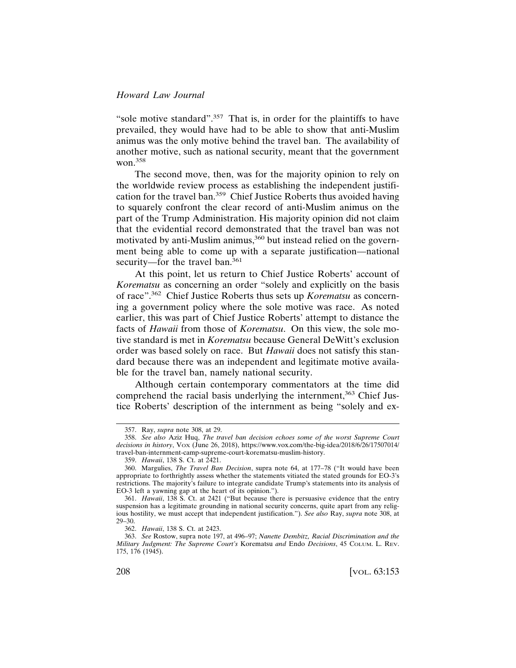"sole motive standard".<sup>357</sup> That is, in order for the plaintiffs to have prevailed, they would have had to be able to show that anti-Muslim animus was the only motive behind the travel ban. The availability of another motive, such as national security, meant that the government won.358

The second move, then, was for the majority opinion to rely on the worldwide review process as establishing the independent justification for the travel ban.359 Chief Justice Roberts thus avoided having to squarely confront the clear record of anti-Muslim animus on the part of the Trump Administration. His majority opinion did not claim that the evidential record demonstrated that the travel ban was not motivated by anti-Muslim animus,<sup>360</sup> but instead relied on the government being able to come up with a separate justification—national security—for the travel ban.<sup>361</sup>

At this point, let us return to Chief Justice Roberts' account of *Korematsu* as concerning an order "solely and explicitly on the basis of race".362 Chief Justice Roberts thus sets up *Korematsu* as concerning a government policy where the sole motive was race. As noted earlier, this was part of Chief Justice Roberts' attempt to distance the facts of *Hawaii* from those of *Korematsu*. On this view, the sole motive standard is met in *Korematsu* because General DeWitt's exclusion order was based solely on race. But *Hawaii* does not satisfy this standard because there was an independent and legitimate motive available for the travel ban, namely national security.

Although certain contemporary commentators at the time did comprehend the racial basis underlying the internment,<sup>363</sup> Chief Justice Roberts' description of the internment as being "solely and ex-

<sup>357.</sup> Ray, *supra* note 308, at 29.

<sup>358.</sup> *See also* Aziz Huq, *The travel ban decision echoes some of the worst Supreme Court decisions in history*, VOX (June 26, 2018), https://www.vox.com/the-big-idea/2018/6/26/17507014/ travel-ban-internment-camp-supreme-court-korematsu-muslim-history.

<sup>359.</sup> *Hawaii*, 138 S. Ct. at 2421.

<sup>360.</sup> Margulies, *The Travel Ban Decision*, supra note 64, at 177–78 ("It would have been appropriate to forthrightly assess whether the statements vitiated the stated grounds for EO-3's restrictions. The majority's failure to integrate candidate Trump's statements into its analysis of EO-3 left a yawning gap at the heart of its opinion.").

<sup>361.</sup> *Hawaii*, 138 S. Ct. at 2421 ("But because there is persuasive evidence that the entry suspension has a legitimate grounding in national security concerns, quite apart from any religious hostility, we must accept that independent justification."). *See also* Ray, *supra* note 308, at 29–30.

<sup>362.</sup> *Hawaii*, 138 S. Ct. at 2423.

<sup>363.</sup> *See* Rostow, supra note 197, at 496–97; *Nanette Dembitz, Racial Discrimination and the Military Judgment: The Supreme Court's* Korematsu *and* Endo *Decisions*, 45 COLUM. L. REV. 175, 176 (1945).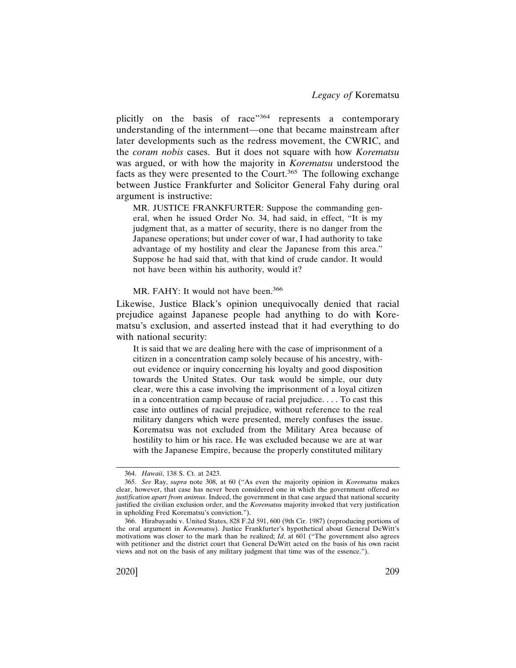plicitly on the basis of race"364 represents a contemporary understanding of the internment—one that became mainstream after later developments such as the redress movement, the CWRIC, and the *coram nobis* cases. But it does not square with how *Korematsu* was argued, or with how the majority in *Korematsu* understood the facts as they were presented to the Court.365 The following exchange between Justice Frankfurter and Solicitor General Fahy during oral argument is instructive:

MR. JUSTICE FRANKFURTER: Suppose the commanding general, when he issued Order No. 34, had said, in effect, "It is my judgment that, as a matter of security, there is no danger from the Japanese operations; but under cover of war, I had authority to take advantage of my hostility and clear the Japanese from this area." Suppose he had said that, with that kind of crude candor. It would not have been within his authority, would it?

#### MR. FAHY: It would not have been.<sup>366</sup>

Likewise, Justice Black's opinion unequivocally denied that racial prejudice against Japanese people had anything to do with Korematsu's exclusion, and asserted instead that it had everything to do with national security:

It is said that we are dealing here with the case of imprisonment of a citizen in a concentration camp solely because of his ancestry, without evidence or inquiry concerning his loyalty and good disposition towards the United States. Our task would be simple, our duty clear, were this a case involving the imprisonment of a loyal citizen in a concentration camp because of racial prejudice. . . . To cast this case into outlines of racial prejudice, without reference to the real military dangers which were presented, merely confuses the issue. Korematsu was not excluded from the Military Area because of hostility to him or his race. He was excluded because we are at war with the Japanese Empire, because the properly constituted military

<sup>364.</sup> *Hawaii*, 138 S. Ct. at 2423.

<sup>365.</sup> *See* Ray, *supra* note 308, at 60 ("As even the majority opinion in *Korematsu* makes clear, however, that case has never been considered one in which the government offered *no justification apart from animus*. Indeed, the government in that case argued that national security justified the civilian exclusion order, and the *Korematsu* majority invoked that very justification in upholding Fred Korematsu's conviction.").

<sup>366.</sup> Hirabayashi v. United States, 828 F.2d 591, 600 (9th Cir. 1987) (reproducing portions of the oral argument in *Korematsu*). Justice Frankfurter's hypothetical about General DeWitt's motivations was closer to the mark than he realized; *Id*. at 601 ("The government also agrees with petitioner and the district court that General DeWitt acted on the basis of his own racist views and not on the basis of any military judgment that time was of the essence.").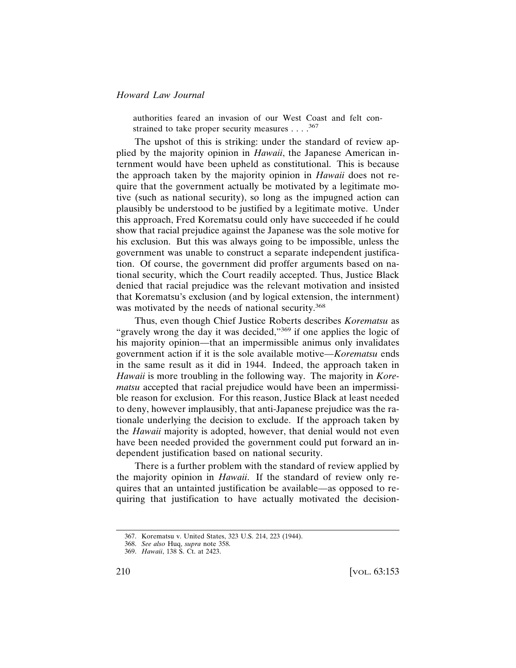authorities feared an invasion of our West Coast and felt constrained to take proper security measures . . . .<sup>367</sup>

The upshot of this is striking: under the standard of review applied by the majority opinion in *Hawaii*, the Japanese American internment would have been upheld as constitutional. This is because the approach taken by the majority opinion in *Hawaii* does not require that the government actually be motivated by a legitimate motive (such as national security), so long as the impugned action can plausibly be understood to be justified by a legitimate motive. Under this approach, Fred Korematsu could only have succeeded if he could show that racial prejudice against the Japanese was the sole motive for his exclusion. But this was always going to be impossible, unless the government was unable to construct a separate independent justification. Of course, the government did proffer arguments based on national security, which the Court readily accepted. Thus, Justice Black denied that racial prejudice was the relevant motivation and insisted that Korematsu's exclusion (and by logical extension, the internment) was motivated by the needs of national security.<sup>368</sup>

Thus, even though Chief Justice Roberts describes *Korematsu* as "gravely wrong the day it was decided,"<sup>369</sup> if one applies the logic of his majority opinion—that an impermissible animus only invalidates government action if it is the sole available motive—*Korematsu* ends in the same result as it did in 1944. Indeed, the approach taken in *Hawaii* is more troubling in the following way. The majority in *Korematsu* accepted that racial prejudice would have been an impermissible reason for exclusion. For this reason, Justice Black at least needed to deny, however implausibly, that anti-Japanese prejudice was the rationale underlying the decision to exclude. If the approach taken by the *Hawaii* majority is adopted, however, that denial would not even have been needed provided the government could put forward an independent justification based on national security.

There is a further problem with the standard of review applied by the majority opinion in *Hawaii*. If the standard of review only requires that an untainted justification be available—as opposed to requiring that justification to have actually motivated the decision-

<sup>367.</sup> Korematsu v. United States, 323 U.S. 214, 223 (1944).

<sup>368.</sup> *See also* Huq, *supra* note 358.

<sup>369.</sup> *Hawaii*, 138 S. Ct. at 2423.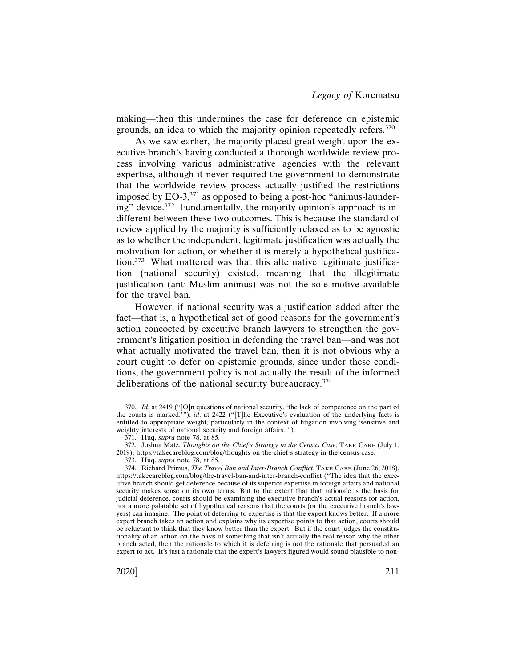making—then this undermines the case for deference on epistemic grounds, an idea to which the majority opinion repeatedly refers.370

As we saw earlier, the majority placed great weight upon the executive branch's having conducted a thorough worldwide review process involving various administrative agencies with the relevant expertise, although it never required the government to demonstrate that the worldwide review process actually justified the restrictions imposed by EO-3,371 as opposed to being a post-hoc "animus-laundering" device.<sup>372</sup> Fundamentally, the majority opinion's approach is indifferent between these two outcomes. This is because the standard of review applied by the majority is sufficiently relaxed as to be agnostic as to whether the independent, legitimate justification was actually the motivation for action, or whether it is merely a hypothetical justification.373 What mattered was that this alternative legitimate justification (national security) existed, meaning that the illegitimate justification (anti-Muslim animus) was not the sole motive available for the travel ban.

However, if national security was a justification added after the fact—that is, a hypothetical set of good reasons for the government's action concocted by executive branch lawyers to strengthen the government's litigation position in defending the travel ban—and was not what actually motivated the travel ban, then it is not obvious why a court ought to defer on epistemic grounds, since under these conditions, the government policy is not actually the result of the informed deliberations of the national security bureaucracy.<sup>374</sup>

<sup>370.</sup> *Id*. at 2419 ("[O]n questions of national security, 'the lack of competence on the part of the courts is marked.'"); *id*. at 2422 ("[T]he Executive's evaluation of the underlying facts is entitled to appropriate weight, particularly in the context of litigation involving 'sensitive and weighty interests of national security and foreign affairs.'").

<sup>371.</sup> Huq, *supra* note 78, at 85.

<sup>372.</sup> Joshua Matz, *Thoughts on the Chief's Strategy in the Census Case*, TAKE CARE (July 1, 2019), https://takecareblog.com/blog/thoughts-on-the-chief-s-strategy-in-the-census-case.

<sup>373.</sup> Huq, *supra* note 78, at 85.

<sup>374.</sup> Richard Primus, *The Travel Ban and Inter-Branch Conflict*, TAKE CARE (June 26, 2018), https://takecareblog.com/blog/the-travel-ban-and-inter-branch-conflict ("The idea that the executive branch should get deference because of its superior expertise in foreign affairs and national security makes sense on its own terms. But to the extent that that rationale is the basis for judicial deference, courts should be examining the executive branch's actual reasons for action, not a more palatable set of hypothetical reasons that the courts (or the executive branch's lawyers) can imagine. The point of deferring to expertise is that the expert knows better. If a more expert branch takes an action and explains why its expertise points to that action, courts should be reluctant to think that they know better than the expert. But if the court judges the constitutionality of an action on the basis of something that isn't actually the real reason why the other branch acted, then the rationale to which it is deferring is not the rationale that persuaded an expert to act. It's just a rationale that the expert's lawyers figured would sound plausible to non-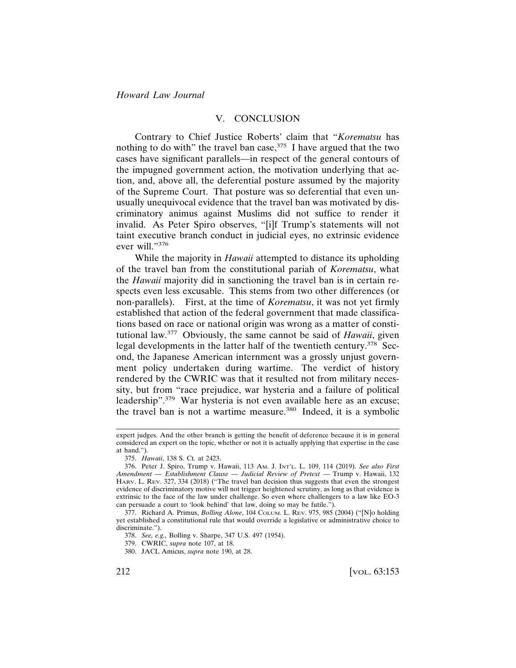#### V. CONCLUSION

Contrary to Chief Justice Roberts' claim that "*Korematsu* has nothing to do with" the travel ban case,  $375$  I have argued that the two cases have significant parallels—in respect of the general contours of the impugned government action, the motivation underlying that action, and, above all, the deferential posture assumed by the majority of the Supreme Court. That posture was so deferential that even unusually unequivocal evidence that the travel ban was motivated by discriminatory animus against Muslims did not suffice to render it invalid. As Peter Spiro observes, "[i]f Trump's statements will not taint executive branch conduct in judicial eyes, no extrinsic evidence ever will."376

While the majority in *Hawaii* attempted to distance its upholding of the travel ban from the constitutional pariah of *Korematsu*, what the *Hawaii* majority did in sanctioning the travel ban is in certain respects even less excusable. This stems from two other differences (or non-parallels). First, at the time of *Korematsu*, it was not yet firmly established that action of the federal government that made classifications based on race or national origin was wrong as a matter of constitutional law.377 Obviously, the same cannot be said of *Hawaii*, given legal developments in the latter half of the twentieth century.<sup>378</sup> Second, the Japanese American internment was a grossly unjust government policy undertaken during wartime. The verdict of history rendered by the CWRIC was that it resulted not from military necessity, but from "race prejudice, war hysteria and a failure of political leadership".379 War hysteria is not even available here as an excuse; the travel ban is not a wartime measure.<sup>380</sup> Indeed, it is a symbolic

expert judges. And the other branch is getting the benefit of deference because it is in general considered an expert on the topic, whether or not it is actually applying that expertise in the case at hand.").

<sup>375.</sup> *Hawaii*, 138 S. Ct. at 2423.

<sup>376.</sup> Peter J. Spiro, Trump v. Hawaii, 113 AM. J. INT'L. L. 109, 114 (2019). *See also First Amendment — Establishment Clause — Judicial Review of Pretext* — Trump v. Hawaii, 132 HARV. L. REV. 327, 334 (2018) ("The travel ban decision thus suggests that even the strongest evidence of discriminatory motive will not trigger heightened scrutiny, as long as that evidence is extrinsic to the face of the law under challenge. So even where challengers to a law like EO-3 can persuade a court to 'look behind' that law, doing so may be futile.").

<sup>377.</sup> Richard A. Primus, *Bolling Alone*, 104 COLUM. L. REV. 975, 985 (2004) ("[N]o holding yet established a constitutional rule that would override a legislative or administrative choice to discriminate.").

<sup>378.</sup> *See, e.g.,* Bolling v. Sharpe, 347 U.S. 497 (1954).

<sup>379.</sup> CWRIC, *supra* note 107, at 18.

<sup>380.</sup> JACL Amicus, *supra* note 190, at 28.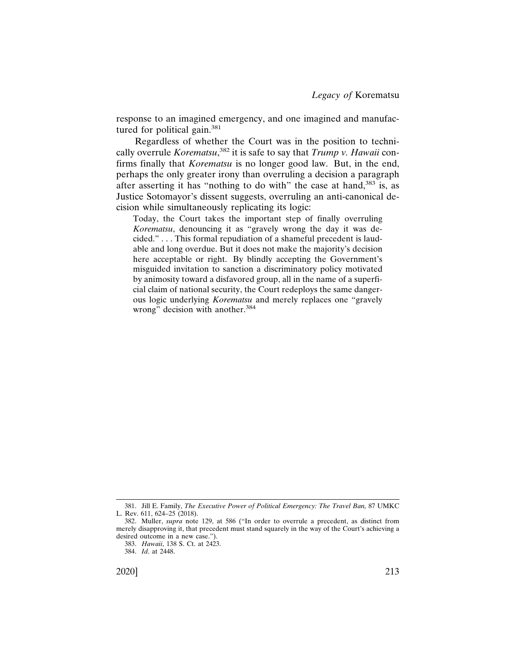response to an imagined emergency, and one imagined and manufactured for political gain.<sup>381</sup>

Regardless of whether the Court was in the position to technically overrule *Korematsu*, 382 it is safe to say that *Trump v. Hawaii* confirms finally that *Korematsu* is no longer good law. But, in the end, perhaps the only greater irony than overruling a decision a paragraph after asserting it has "nothing to do with" the case at hand,<sup>383</sup> is, as Justice Sotomayor's dissent suggests, overruling an anti-canonical decision while simultaneously replicating its logic:

Today, the Court takes the important step of finally overruling *Korematsu*, denouncing it as "gravely wrong the day it was decided." . . . This formal repudiation of a shameful precedent is laudable and long overdue. But it does not make the majority's decision here acceptable or right. By blindly accepting the Government's misguided invitation to sanction a discriminatory policy motivated by animosity toward a disfavored group, all in the name of a superficial claim of national security, the Court redeploys the same dangerous logic underlying *Korematsu* and merely replaces one "gravely wrong" decision with another.<sup>384</sup>

<sup>381.</sup> Jill E. Family, *The Executive Power of Political Emergency: The Travel Ban,* 87 UMKC L. Rev. 611, 624–25 (2018).

<sup>382.</sup> Muller, *supra* note 129, at 586 ("In order to overrule a precedent, as distinct from merely disapproving it, that precedent must stand squarely in the way of the Court's achieving a desired outcome in a new case.").

<sup>383.</sup> *Hawaii*, 138 S. Ct. at 2423. 384. *Id*. at 2448.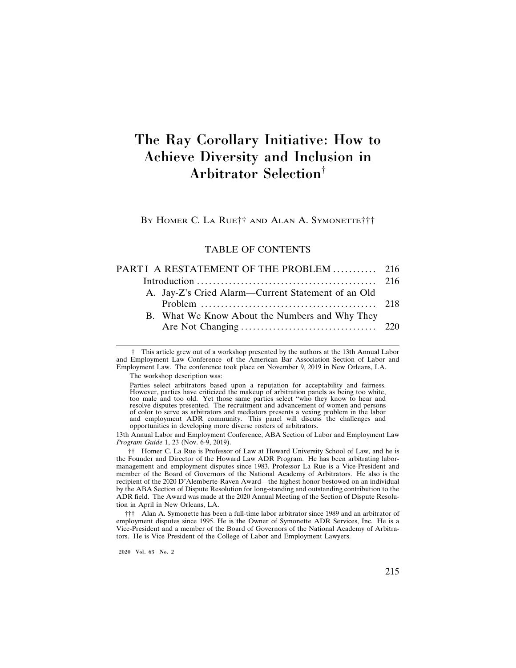# The Ray Corollary Initiative: How to Achieve Diversity and Inclusion in Arbitrator Selection†

#### BY HOMER C. LA RUE†† AND ALAN A. SYMONETTE†††

## TABLE OF CONTENTS

| PARTI A RESTATEMENT OF THE PROBLEM  216            |  |
|----------------------------------------------------|--|
|                                                    |  |
| A. Jay-Z's Cried Alarm—Current Statement of an Old |  |
|                                                    |  |
| B. What We Know About the Numbers and Why They     |  |
|                                                    |  |

† This article grew out of a workshop presented by the authors at the 13th Annual Labor and Employment Law Conference of the American Bar Association Section of Labor and Employment Law. The conference took place on November 9, 2019 in New Orleans, LA.

The workshop description was:

Parties select arbitrators based upon a reputation for acceptability and fairness. However, parties have criticized the makeup of arbitration panels as being too white, too male and too old. Yet those same parties select "who they know to hear and resolve disputes presented. The recruitment and advancement of women and persons of color to serve as arbitrators and mediators presents a vexing problem in the labor and employment ADR community. This panel will discuss the challenges and opportunities in developing more diverse rosters of arbitrators.

13th Annual Labor and Employment Conference, ABA Section of Labor and Employment Law *Program Guide* 1, 23 (Nov. 6-9, 2019).

†† Homer C. La Rue is Professor of Law at Howard University School of Law, and he is the Founder and Director of the Howard Law ADR Program. He has been arbitrating labormanagement and employment disputes since 1983. Professor La Rue is a Vice-President and member of the Board of Governors of the National Academy of Arbitrators. He also is the recipient of the 2020 D'Alemberte-Raven Award—the highest honor bestowed on an individual by the ABA Section of Dispute Resolution for long-standing and outstanding contribution to the ADR field. The Award was made at the 2020 Annual Meeting of the Section of Dispute Resolution in April in New Orleans, LA.

††† Alan A. Symonette has been a full-time labor arbitrator since 1989 and an arbitrator of employment disputes since 1995. He is the Owner of Symonette ADR Services, Inc. He is a Vice-President and a member of the Board of Governors of the National Academy of Arbitrators. He is Vice President of the College of Labor and Employment Lawyers.

2020 Vol. 63 No. 2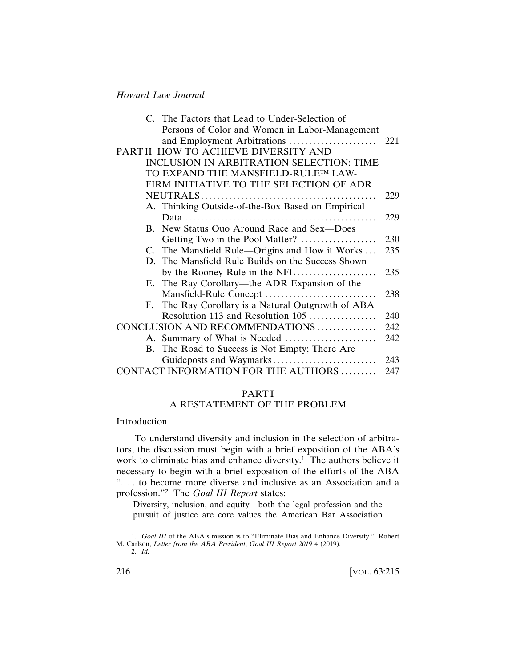|                                | C. The Factors that Lead to Under-Selection of     |     |
|--------------------------------|----------------------------------------------------|-----|
|                                | Persons of Color and Women in Labor-Management     |     |
|                                |                                                    | 221 |
|                                | PART II HOW TO ACHIEVE DIVERSITY AND               |     |
|                                | <b>INCLUSION IN ARBITRATION SELECTION: TIME</b>    |     |
|                                | TO EXPAND THE MANSFIELD-RULETM LAW-                |     |
|                                | FIRM INITIATIVE TO THE SELECTION OF ADR            |     |
|                                |                                                    | 229 |
|                                | A. Thinking Outside-of-the-Box Based on Empirical  |     |
|                                |                                                    | 229 |
|                                | B. New Status Quo Around Race and Sex-Does         |     |
|                                | Getting Two in the Pool Matter?                    | 230 |
|                                | C. The Mansfield Rule—Origins and How it Works     | 235 |
|                                | D. The Mansfield Rule Builds on the Success Shown  |     |
|                                | by the Rooney Rule in the NFL                      | 235 |
|                                | E. The Ray Corollary—the ADR Expansion of the      |     |
|                                | Mansfield-Rule Concept                             | 238 |
|                                | F. The Ray Corollary is a Natural Outgrowth of ABA |     |
|                                | Resolution 113 and Resolution 105                  | 240 |
| CONCLUSION AND RECOMMENDATIONS |                                                    | 242 |
|                                |                                                    | 242 |
|                                | B. The Road to Success is Not Empty; There Are     |     |
|                                | Guideposts and Waymarks                            | 243 |
|                                | CONTACT INFORMATION FOR THE AUTHORS                | 247 |

## **PARTI**

# A RESTATEMENT OF THE PROBLEM

#### Introduction

To understand diversity and inclusion in the selection of arbitrators, the discussion must begin with a brief exposition of the ABA's work to eliminate bias and enhance diversity.<sup>1</sup> The authors believe it necessary to begin with a brief exposition of the efforts of the ABA ". . . to become more diverse and inclusive as an Association and a profession."2 The *Goal III Report* states:

Diversity, inclusion, and equity—both the legal profession and the pursuit of justice are core values the American Bar Association

<sup>1.</sup> *Goal III* of the ABA's mission is to "Eliminate Bias and Enhance Diversity." Robert M. Carlson, *Letter from the ABA President*, *Goal III Report 2019* 4 (2019). 2. *Id.*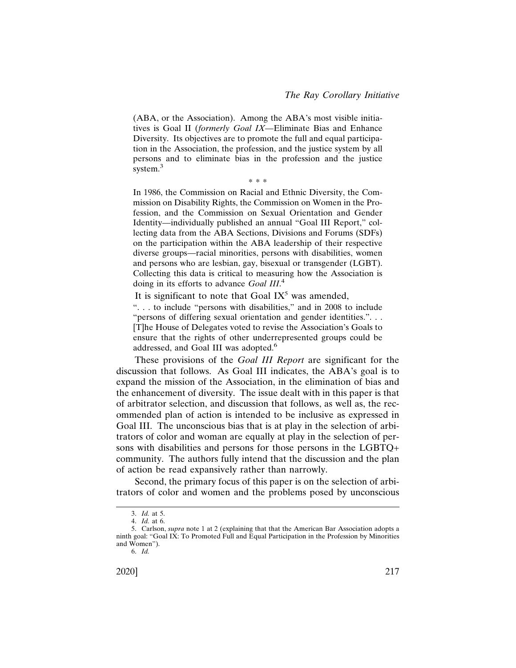(ABA, or the Association). Among the ABA's most visible initiatives is Goal II (*formerly Goal IX*—Eliminate Bias and Enhance Diversity. Its objectives are to promote the full and equal participation in the Association, the profession, and the justice system by all persons and to eliminate bias in the profession and the justice system.<sup>3</sup>

\* \* \*

In 1986, the Commission on Racial and Ethnic Diversity, the Commission on Disability Rights, the Commission on Women in the Profession, and the Commission on Sexual Orientation and Gender Identity—individually published an annual "Goal III Report," collecting data from the ABA Sections, Divisions and Forums (SDFs) on the participation within the ABA leadership of their respective diverse groups—racial minorities, persons with disabilities, women and persons who are lesbian, gay, bisexual or transgender (LGBT). Collecting this data is critical to measuring how the Association is doing in its efforts to advance *Goal III*. 4

It is significant to note that Goal  $IX<sup>5</sup>$  was amended,

". . . to include "persons with disabilities," and in 2008 to include "persons of differing sexual orientation and gender identities.". . . [T]he House of Delegates voted to revise the Association's Goals to ensure that the rights of other underrepresented groups could be addressed, and Goal III was adopted.6

These provisions of the *Goal III Report* are significant for the discussion that follows. As Goal III indicates, the ABA's goal is to expand the mission of the Association, in the elimination of bias and the enhancement of diversity. The issue dealt with in this paper is that of arbitrator selection, and discussion that follows, as well as, the recommended plan of action is intended to be inclusive as expressed in Goal III. The unconscious bias that is at play in the selection of arbitrators of color and woman are equally at play in the selection of persons with disabilities and persons for those persons in the LGBTQ+ community. The authors fully intend that the discussion and the plan of action be read expansively rather than narrowly.

Second, the primary focus of this paper is on the selection of arbitrators of color and women and the problems posed by unconscious

<sup>3.</sup> *Id.* at 5.

<sup>4.</sup> *Id.* at 6.

<sup>5.</sup> Carlson, *supra* note 1 at 2 (explaining that that the American Bar Association adopts a ninth goal: "Goal IX: To Promoted Full and Equal Participation in the Profession by Minorities and Women").

<sup>6.</sup> *Id.*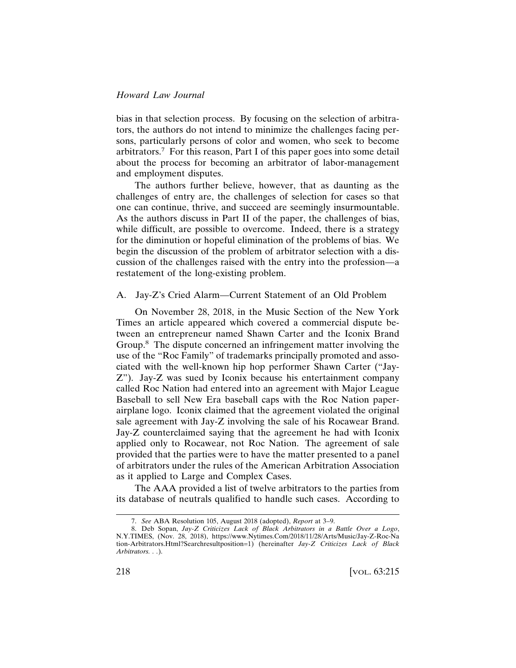bias in that selection process. By focusing on the selection of arbitrators, the authors do not intend to minimize the challenges facing persons, particularly persons of color and women, who seek to become arbitrators.7 For this reason, Part I of this paper goes into some detail about the process for becoming an arbitrator of labor-management and employment disputes.

The authors further believe, however, that as daunting as the challenges of entry are, the challenges of selection for cases so that one can continue, thrive, and succeed are seemingly insurmountable. As the authors discuss in Part II of the paper, the challenges of bias, while difficult, are possible to overcome. Indeed, there is a strategy for the diminution or hopeful elimination of the problems of bias. We begin the discussion of the problem of arbitrator selection with a discussion of the challenges raised with the entry into the profession—a restatement of the long-existing problem.

#### A. Jay-Z's Cried Alarm—Current Statement of an Old Problem

On November 28, 2018, in the Music Section of the New York Times an article appeared which covered a commercial dispute between an entrepreneur named Shawn Carter and the Iconix Brand Group.8 The dispute concerned an infringement matter involving the use of the "Roc Family" of trademarks principally promoted and associated with the well-known hip hop performer Shawn Carter ("Jay-Z"). Jay-Z was sued by Iconix because his entertainment company called Roc Nation had entered into an agreement with Major League Baseball to sell New Era baseball caps with the Roc Nation paperairplane logo. Iconix claimed that the agreement violated the original sale agreement with Jay-Z involving the sale of his Rocawear Brand. Jay-Z counterclaimed saying that the agreement he had with Iconix applied only to Rocawear, not Roc Nation. The agreement of sale provided that the parties were to have the matter presented to a panel of arbitrators under the rules of the American Arbitration Association as it applied to Large and Complex Cases.

The AAA provided a list of twelve arbitrators to the parties from its database of neutrals qualified to handle such cases. According to

<sup>7.</sup> *See* ABA Resolution 105, August 2018 (adopted), *Report* at 3–9.

<sup>8.</sup> Deb Sopan, *Jay-Z Criticizes Lack of Black Arbitrators in a Battle Over a Logo*, N.Y.TIMES, (Nov. 28, 2018), https://www.Nytimes.Com/2018/11/28/Arts/Music/Jay-Z-Roc-Na tion-Arbitrators.Html?Searchresultposition=1) (hereinafter *Jay-Z Criticizes Lack of Black Arbitrators. . .*).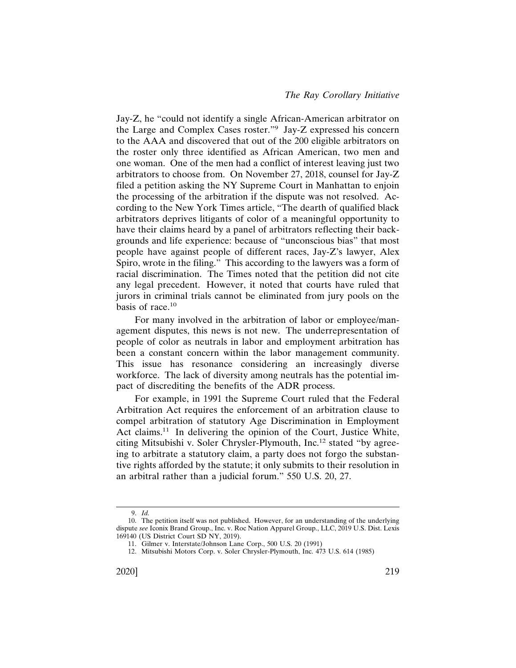Jay-Z, he "could not identify a single African-American arbitrator on the Large and Complex Cases roster."9 Jay-Z expressed his concern to the AAA and discovered that out of the 200 eligible arbitrators on the roster only three identified as African American, two men and one woman. One of the men had a conflict of interest leaving just two arbitrators to choose from. On November 27, 2018, counsel for Jay-Z filed a petition asking the NY Supreme Court in Manhattan to enjoin the processing of the arbitration if the dispute was not resolved. According to the New York Times article, "The dearth of qualified black arbitrators deprives litigants of color of a meaningful opportunity to have their claims heard by a panel of arbitrators reflecting their backgrounds and life experience: because of "unconscious bias" that most people have against people of different races, Jay-Z's lawyer, Alex Spiro, wrote in the filing." This according to the lawyers was a form of racial discrimination. The Times noted that the petition did not cite any legal precedent. However, it noted that courts have ruled that jurors in criminal trials cannot be eliminated from jury pools on the basis of race.<sup>10</sup>

For many involved in the arbitration of labor or employee/management disputes, this news is not new. The underrepresentation of people of color as neutrals in labor and employment arbitration has been a constant concern within the labor management community. This issue has resonance considering an increasingly diverse workforce. The lack of diversity among neutrals has the potential impact of discrediting the benefits of the ADR process.

For example, in 1991 the Supreme Court ruled that the Federal Arbitration Act requires the enforcement of an arbitration clause to compel arbitration of statutory Age Discrimination in Employment Act claims.<sup>11</sup> In delivering the opinion of the Court, Justice White, citing Mitsubishi v. Soler Chrysler-Plymouth, Inc.12 stated "by agreeing to arbitrate a statutory claim, a party does not forgo the substantive rights afforded by the statute; it only submits to their resolution in an arbitral rather than a judicial forum." 550 U.S. 20, 27.

<sup>9.</sup> *Id.*

<sup>10.</sup> The petition itself was not published. However, for an understanding of the underlying dispute *see* Iconix Brand Group., Inc. v. Roc Nation Apparel Group., LLC, 2019 U.S. Dist. Lexis 169140 (US District Court SD NY, 2019).

<sup>11.</sup> Gilmer v. Interstate/Johnson Lane Corp., 500 U.S. 20 (1991)

<sup>12.</sup> Mitsubishi Motors Corp. v. Soler Chrysler-Plymouth, Inc. 473 U.S. 614 (1985)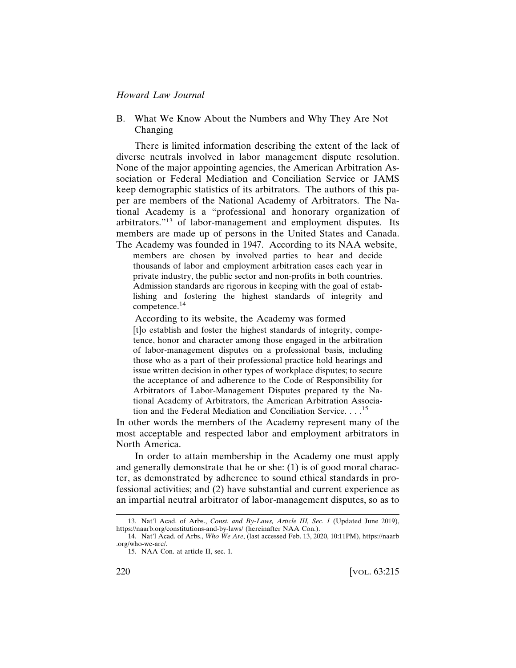B. What We Know About the Numbers and Why They Are Not Changing

There is limited information describing the extent of the lack of diverse neutrals involved in labor management dispute resolution. None of the major appointing agencies, the American Arbitration Association or Federal Mediation and Conciliation Service or JAMS keep demographic statistics of its arbitrators. The authors of this paper are members of the National Academy of Arbitrators. The National Academy is a "professional and honorary organization of arbitrators."13 of labor-management and employment disputes. Its members are made up of persons in the United States and Canada. The Academy was founded in 1947. According to its NAA website,

members are chosen by involved parties to hear and decide thousands of labor and employment arbitration cases each year in private industry, the public sector and non-profits in both countries. Admission standards are rigorous in keeping with the goal of establishing and fostering the highest standards of integrity and competence.<sup>14</sup>

According to its website, the Academy was formed

[t]o establish and foster the highest standards of integrity, competence, honor and character among those engaged in the arbitration of labor-management disputes on a professional basis, including those who as a part of their professional practice hold hearings and issue written decision in other types of workplace disputes; to secure the acceptance of and adherence to the Code of Responsibility for Arbitrators of Labor-Management Disputes prepared ty the National Academy of Arbitrators, the American Arbitration Association and the Federal Mediation and Conciliation Service. . . .15

In other words the members of the Academy represent many of the most acceptable and respected labor and employment arbitrators in North America.

In order to attain membership in the Academy one must apply and generally demonstrate that he or she: (1) is of good moral character, as demonstrated by adherence to sound ethical standards in professional activities; and (2) have substantial and current experience as an impartial neutral arbitrator of labor-management disputes, so as to

<sup>13.</sup> Nat'l Acad. of Arbs., *Const. and By-Laws, Article III, Sec. 1* (Updated June 2019), https://naarb.org/constitutions-and-by-laws/ (hereinafter NAA Con.).

<sup>14.</sup> Nat'l Acad. of Arbs., *Who We Are*, (last accessed Feb. 13, 2020, 10:11PM), https://naarb .org/who-we-are/.

<sup>15.</sup> NAA Con. at article II, sec. 1.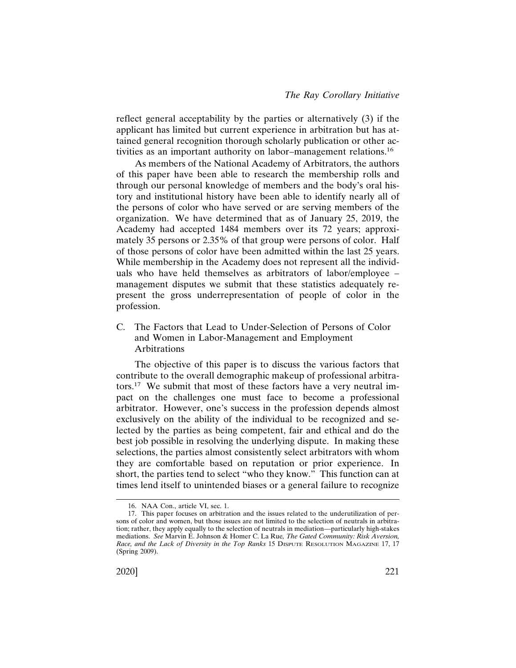reflect general acceptability by the parties or alternatively (3) if the applicant has limited but current experience in arbitration but has attained general recognition thorough scholarly publication or other activities as an important authority on labor–management relations.<sup>16</sup>

As members of the National Academy of Arbitrators, the authors of this paper have been able to research the membership rolls and through our personal knowledge of members and the body's oral history and institutional history have been able to identify nearly all of the persons of color who have served or are serving members of the organization. We have determined that as of January 25, 2019, the Academy had accepted 1484 members over its 72 years; approximately 35 persons or 2.35% of that group were persons of color. Half of those persons of color have been admitted within the last 25 years. While membership in the Academy does not represent all the individuals who have held themselves as arbitrators of labor/employee – management disputes we submit that these statistics adequately represent the gross underrepresentation of people of color in the profession.

C. The Factors that Lead to Under-Selection of Persons of Color and Women in Labor-Management and Employment Arbitrations

The objective of this paper is to discuss the various factors that contribute to the overall demographic makeup of professional arbitrators.17 We submit that most of these factors have a very neutral impact on the challenges one must face to become a professional arbitrator. However, one's success in the profession depends almost exclusively on the ability of the individual to be recognized and selected by the parties as being competent, fair and ethical and do the best job possible in resolving the underlying dispute. In making these selections, the parties almost consistently select arbitrators with whom they are comfortable based on reputation or prior experience. In short, the parties tend to select "who they know." This function can at times lend itself to unintended biases or a general failure to recognize

<sup>16.</sup> NAA Con., article VI, sec. 1.

<sup>17.</sup> This paper focuses on arbitration and the issues related to the underutilization of persons of color and women, but those issues are not limited to the selection of neutrals in arbitration; rather, they apply equally to the selection of neutrals in mediation—particularly high-stakes mediations. *See* Marvin E. Johnson & Homer C. La Rue*, The Gated Community: Risk Aversion, Race, and the Lack of Diversity in the Top Ranks* 15 DISPUTE RESOLUTION MAGAZINE 17, 17 (Spring 2009).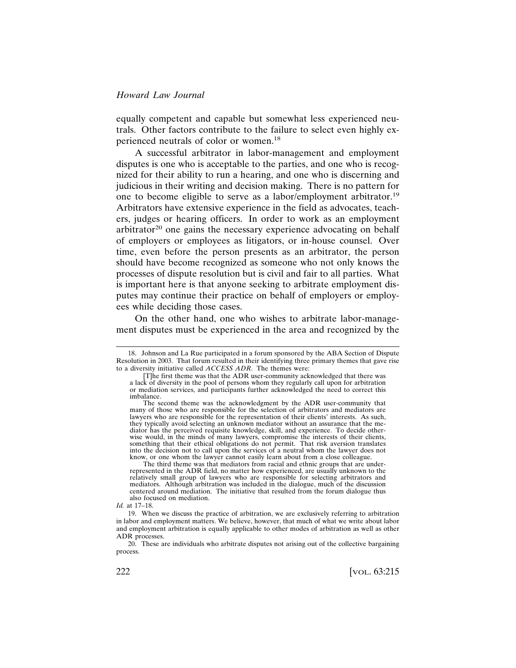equally competent and capable but somewhat less experienced neutrals. Other factors contribute to the failure to select even highly experienced neutrals of color or women.18

A successful arbitrator in labor-management and employment disputes is one who is acceptable to the parties, and one who is recognized for their ability to run a hearing, and one who is discerning and judicious in their writing and decision making. There is no pattern for one to become eligible to serve as a labor/employment arbitrator.<sup>19</sup> Arbitrators have extensive experience in the field as advocates, teachers, judges or hearing officers. In order to work as an employment  $arbitrary<sup>20</sup>$  one gains the necessary experience advocating on behalf of employers or employees as litigators, or in-house counsel. Over time, even before the person presents as an arbitrator, the person should have become recognized as someone who not only knows the processes of dispute resolution but is civil and fair to all parties. What is important here is that anyone seeking to arbitrate employment disputes may continue their practice on behalf of employers or employees while deciding those cases.

On the other hand, one who wishes to arbitrate labor-management disputes must be experienced in the area and recognized by the

<sup>18.</sup> Johnson and La Rue participated in a forum sponsored by the ABA Section of Dispute Resolution in 2003. That forum resulted in their identifying three primary themes that gave rise to a diversity initiative called *ACCESS ADR*. The themes were:

<sup>[</sup>T]he first theme was that the ADR user-community acknowledged that there was a lack of diversity in the pool of persons whom they regularly call upon for arbitration or mediation services, and participants further acknowledged the need to correct this imbalance.

The second theme was the acknowledgment by the ADR user-community that many of those who are responsible for the selection of arbitrators and mediators are lawyers who are responsible for the representation of their clients' interests. As such, they typically avoid selecting an unknown mediator without an assurance that the mediator has the perceived requisite knowledge, skill, and experience. To decide otherwise would, in the minds of many lawyers, compromise the interests of their clients, something that their ethical obligations do not permit. That risk aversion translates into the decision not to call upon the services of a neutral whom the lawyer does not know, or one whom the lawyer cannot easily learn about from a close colleague.

The third theme was that mediators from racial and ethnic groups that are underrepresented in the ADR field, no matter how experienced, are usually unknown to the relatively small group of lawyers who are responsible for selecting arbitrators and mediators. Although arbitration was included in the dialogue, much of the discussion centered around mediation. The initiative that resulted from the forum dialogue thus also focused on mediation.

*Id.* at 17–18.

<sup>19.</sup> When we discuss the practice of arbitration, we are exclusively referring to arbitration in labor and employment matters. We believe, however, that much of what we write about labor and employment arbitration is equally applicable to other modes of arbitration as well as other ADR processes.

<sup>20.</sup> These are individuals who arbitrate disputes not arising out of the collective bargaining process.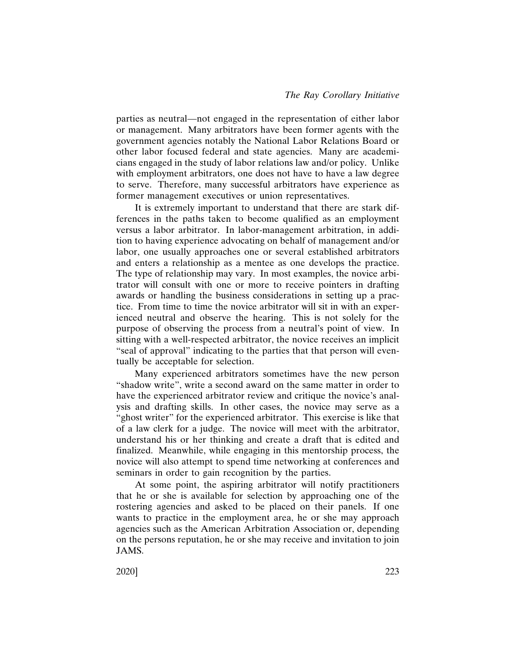parties as neutral—not engaged in the representation of either labor or management. Many arbitrators have been former agents with the government agencies notably the National Labor Relations Board or other labor focused federal and state agencies. Many are academicians engaged in the study of labor relations law and/or policy. Unlike with employment arbitrators, one does not have to have a law degree to serve. Therefore, many successful arbitrators have experience as former management executives or union representatives.

It is extremely important to understand that there are stark differences in the paths taken to become qualified as an employment versus a labor arbitrator. In labor-management arbitration, in addition to having experience advocating on behalf of management and/or labor, one usually approaches one or several established arbitrators and enters a relationship as a mentee as one develops the practice. The type of relationship may vary. In most examples, the novice arbitrator will consult with one or more to receive pointers in drafting awards or handling the business considerations in setting up a practice. From time to time the novice arbitrator will sit in with an experienced neutral and observe the hearing. This is not solely for the purpose of observing the process from a neutral's point of view. In sitting with a well-respected arbitrator, the novice receives an implicit "seal of approval" indicating to the parties that that person will eventually be acceptable for selection.

Many experienced arbitrators sometimes have the new person "shadow write", write a second award on the same matter in order to have the experienced arbitrator review and critique the novice's analysis and drafting skills. In other cases, the novice may serve as a "ghost writer" for the experienced arbitrator. This exercise is like that of a law clerk for a judge. The novice will meet with the arbitrator, understand his or her thinking and create a draft that is edited and finalized. Meanwhile, while engaging in this mentorship process, the novice will also attempt to spend time networking at conferences and seminars in order to gain recognition by the parties.

At some point, the aspiring arbitrator will notify practitioners that he or she is available for selection by approaching one of the rostering agencies and asked to be placed on their panels. If one wants to practice in the employment area, he or she may approach agencies such as the American Arbitration Association or, depending on the persons reputation, he or she may receive and invitation to join JAMS.

2020] 223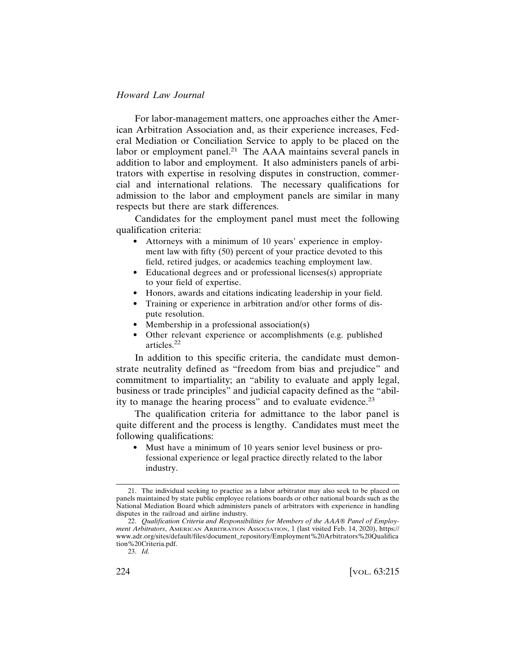For labor-management matters, one approaches either the American Arbitration Association and, as their experience increases, Federal Mediation or Conciliation Service to apply to be placed on the labor or employment panel.<sup>21</sup> The AAA maintains several panels in addition to labor and employment. It also administers panels of arbitrators with expertise in resolving disputes in construction, commercial and international relations. The necessary qualifications for admission to the labor and employment panels are similar in many respects but there are stark differences.

Candidates for the employment panel must meet the following qualification criteria:

- Attorneys with a minimum of 10 years' experience in employment law with fifty (50) percent of your practice devoted to this field, retired judges, or academics teaching employment law.
- Educational degrees and or professional licenses(s) appropriate to your field of expertise.
- Honors, awards and citations indicating leadership in your field.
- Training or experience in arbitration and/or other forms of dispute resolution.
- Membership in a professional association(s)
- Other relevant experience or accomplishments (e.g. published articles.<sup>22</sup>

In addition to this specific criteria, the candidate must demonstrate neutrality defined as "freedom from bias and prejudice" and commitment to impartiality; an "ability to evaluate and apply legal, business or trade principles" and judicial capacity defined as the "ability to manage the hearing process" and to evaluate evidence.23

The qualification criteria for admittance to the labor panel is quite different and the process is lengthy. Candidates must meet the following qualifications:

• Must have a minimum of 10 years senior level business or professional experience or legal practice directly related to the labor industry.

<sup>21.</sup> The individual seeking to practice as a labor arbitrator may also seek to be placed on panels maintained by state public employee relations boards or other national boards such as the National Mediation Board which administers panels of arbitrators with experience in handling disputes in the railroad and airline industry.

<sup>22.</sup> *Qualification Criteria and Responsibilities for Members of the AAA*® *Panel of Employment Arbitrators*, AMERICAN ARBITRATION ASSOCIATION, 1 (last visited Feb. 14, 2020), https:// www.adr.org/sites/default/files/document\_repository/Employment%20Arbitrators%20Qualifica tion%20Criteria.pdf.

<sup>23.</sup> *Id.*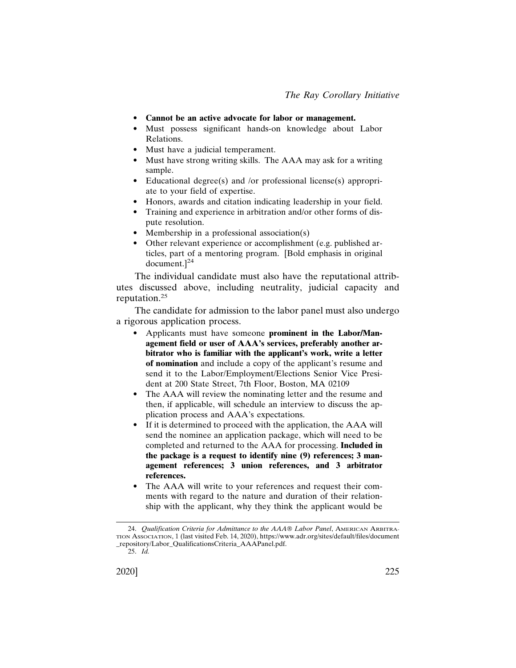- **Cannot be an active advocate for labor or management.**
- Must possess significant hands-on knowledge about Labor Relations.
- Must have a judicial temperament.
- Must have strong writing skills. The AAA may ask for a writing sample.
- Educational degree(s) and /or professional license(s) appropriate to your field of expertise.
- Honors, awards and citation indicating leadership in your field.
- Training and experience in arbitration and/or other forms of dispute resolution.
- Membership in a professional association(s)
- Other relevant experience or accomplishment (e.g. published articles, part of a mentoring program. [Bold emphasis in original document.]<sup>24</sup>

The individual candidate must also have the reputational attributes discussed above, including neutrality, judicial capacity and reputation.<sup>25</sup>

The candidate for admission to the labor panel must also undergo a rigorous application process.

- Applicants must have someone **prominent in the Labor/Management field or user of AAA's services, preferably another arbitrator who is familiar with the applicant's work, write a letter of nomination** and include a copy of the applicant's resume and send it to the Labor/Employment/Elections Senior Vice President at 200 State Street, 7th Floor, Boston, MA 02109
- The AAA will review the nominating letter and the resume and then, if applicable, will schedule an interview to discuss the application process and AAA's expectations.
- If it is determined to proceed with the application, the AAA will send the nominee an application package, which will need to be completed and returned to the AAA for processing. **Included in the package is a request to identify nine (9) references; 3 management references; 3 union references, and 3 arbitrator references.**
- The AAA will write to your references and request their comments with regard to the nature and duration of their relationship with the applicant, why they think the applicant would be

<sup>24.</sup> *Qualification Criteria for Admittance to the AAA*® *Labor Panel*, AMERICAN ARBITRA-TION ASSOCIATION, 1 (last visited Feb. 14, 2020), https://www.adr.org/sites/default/files/document \_repository/Labor\_QualificationsCriteria\_AAAPanel.pdf.

<sup>25.</sup> *Id.*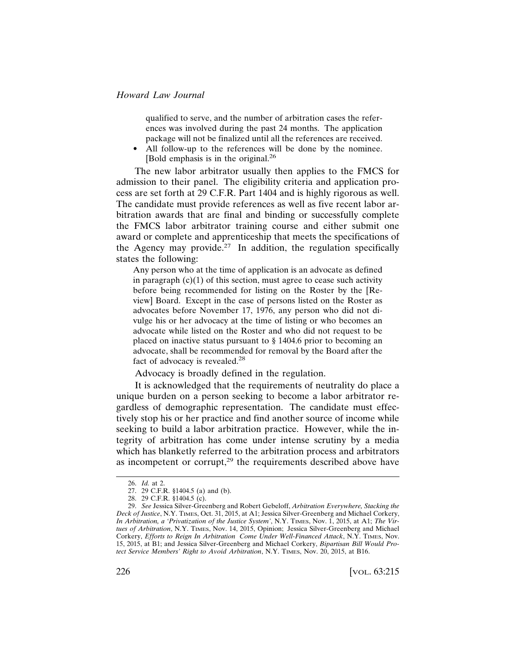qualified to serve, and the number of arbitration cases the references was involved during the past 24 months. The application package will not be finalized until all the references are received.

• All follow-up to the references will be done by the nominee. [Bold emphasis is in the original.26

The new labor arbitrator usually then applies to the FMCS for admission to their panel. The eligibility criteria and application process are set forth at 29 C.F.R. Part 1404 and is highly rigorous as well. The candidate must provide references as well as five recent labor arbitration awards that are final and binding or successfully complete the FMCS labor arbitrator training course and either submit one award or complete and apprenticeship that meets the specifications of the Agency may provide.<sup>27</sup> In addition, the regulation specifically states the following:

Any person who at the time of application is an advocate as defined in paragraph  $(c)(1)$  of this section, must agree to cease such activity before being recommended for listing on the Roster by the [Review] Board. Except in the case of persons listed on the Roster as advocates before November 17, 1976, any person who did not divulge his or her advocacy at the time of listing or who becomes an advocate while listed on the Roster and who did not request to be placed on inactive status pursuant to § 1404.6 prior to becoming an advocate, shall be recommended for removal by the Board after the fact of advocacy is revealed.<sup>28</sup>

Advocacy is broadly defined in the regulation.

It is acknowledged that the requirements of neutrality do place a unique burden on a person seeking to become a labor arbitrator regardless of demographic representation. The candidate must effectively stop his or her practice and find another source of income while seeking to build a labor arbitration practice. However, while the integrity of arbitration has come under intense scrutiny by a media which has blanketly referred to the arbitration process and arbitrators as incompetent or corrupt, $29$  the requirements described above have

<sup>26.</sup> *Id.* at 2.

<sup>27. 29</sup> C.F.R. §1404.5 (a) and (b).

<sup>28. 29</sup> C.F.R. §1404.5 (c).

<sup>29.</sup> *See* Jessica Silver-Greenberg and Robert Gebeloff, *Arbitration Everywhere, Stacking the Deck of Justice*, N.Y. TIMES, Oct. 31, 2015, at A1; Jessica Silver-Greenberg and Michael Corkery, In Arbitration, a 'Privatization of the Justice System', N.Y. TIMES, Nov. 1, 2015, at A1; The Vir*tues of Arbitration*, N.Y. TIMES, Nov. 14, 2015, Opinion; Jessica Silver-Greenberg and Michael Corkery, *Efforts to Reign In Arbitration Come Under Well-Financed Attack*, N.Y. TIMES, Nov. 15, 2015, at B1; and Jessica Silver-Greenberg and Michael Corkery, *Bipartisan Bill Would Protect Service Members' Right to Avoid Arbitration*, N.Y. TIMES, Nov. 20, 2015, at B16.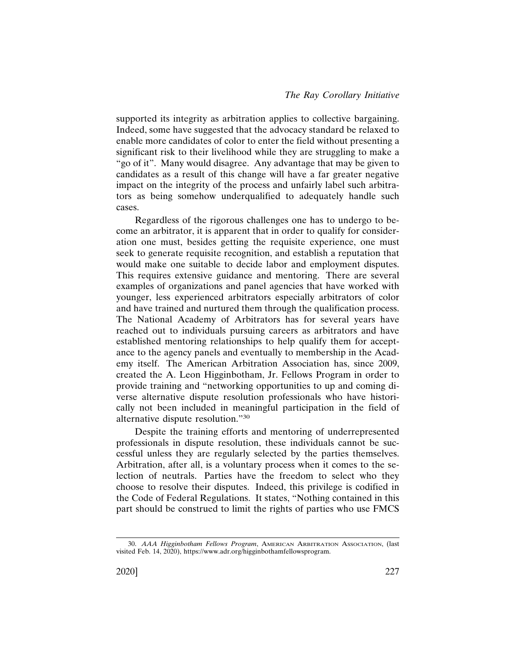supported its integrity as arbitration applies to collective bargaining. Indeed, some have suggested that the advocacy standard be relaxed to enable more candidates of color to enter the field without presenting a significant risk to their livelihood while they are struggling to make a "go of it". Many would disagree. Any advantage that may be given to candidates as a result of this change will have a far greater negative impact on the integrity of the process and unfairly label such arbitrators as being somehow underqualified to adequately handle such cases.

Regardless of the rigorous challenges one has to undergo to become an arbitrator, it is apparent that in order to qualify for consideration one must, besides getting the requisite experience, one must seek to generate requisite recognition, and establish a reputation that would make one suitable to decide labor and employment disputes. This requires extensive guidance and mentoring. There are several examples of organizations and panel agencies that have worked with younger, less experienced arbitrators especially arbitrators of color and have trained and nurtured them through the qualification process. The National Academy of Arbitrators has for several years have reached out to individuals pursuing careers as arbitrators and have established mentoring relationships to help qualify them for acceptance to the agency panels and eventually to membership in the Academy itself. The American Arbitration Association has, since 2009, created the A. Leon Higginbotham, Jr. Fellows Program in order to provide training and "networking opportunities to up and coming diverse alternative dispute resolution professionals who have historically not been included in meaningful participation in the field of alternative dispute resolution."30

Despite the training efforts and mentoring of underrepresented professionals in dispute resolution, these individuals cannot be successful unless they are regularly selected by the parties themselves. Arbitration, after all, is a voluntary process when it comes to the selection of neutrals. Parties have the freedom to select who they choose to resolve their disputes. Indeed, this privilege is codified in the Code of Federal Regulations. It states, "Nothing contained in this part should be construed to limit the rights of parties who use FMCS

<sup>30.</sup> *AAA Higginbotham Fellows Program*, AMERICAN ARBITRATION ASSOCIATION, (last visited Feb. 14, 2020), https://www.adr.org/higginbothamfellowsprogram.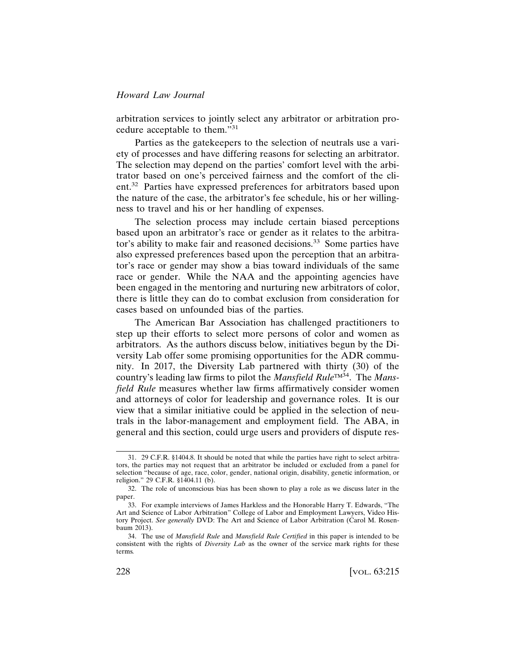arbitration services to jointly select any arbitrator or arbitration procedure acceptable to them."31

Parties as the gatekeepers to the selection of neutrals use a variety of processes and have differing reasons for selecting an arbitrator. The selection may depend on the parties' comfort level with the arbitrator based on one's perceived fairness and the comfort of the client.32 Parties have expressed preferences for arbitrators based upon the nature of the case, the arbitrator's fee schedule, his or her willingness to travel and his or her handling of expenses.

The selection process may include certain biased perceptions based upon an arbitrator's race or gender as it relates to the arbitrator's ability to make fair and reasoned decisions.<sup>33</sup> Some parties have also expressed preferences based upon the perception that an arbitrator's race or gender may show a bias toward individuals of the same race or gender. While the NAA and the appointing agencies have been engaged in the mentoring and nurturing new arbitrators of color, there is little they can do to combat exclusion from consideration for cases based on unfounded bias of the parties.

The American Bar Association has challenged practitioners to step up their efforts to select more persons of color and women as arbitrators. As the authors discuss below, initiatives begun by the Diversity Lab offer some promising opportunities for the ADR community. In 2017, the Diversity Lab partnered with thirty (30) of the country's leading law firms to pilot the *Mansfield Rule*™34. The *Mansfield Rule* measures whether law firms affirmatively consider women and attorneys of color for leadership and governance roles. It is our view that a similar initiative could be applied in the selection of neutrals in the labor-management and employment field. The ABA, in general and this section, could urge users and providers of dispute res-

<sup>31. 29</sup> C.F.R. §1404.8. It should be noted that while the parties have right to select arbitrators, the parties may not request that an arbitrator be included or excluded from a panel for selection "because of age, race, color, gender, national origin, disability, genetic information, or religion." 29 C.F.R. §1404.11 (b).

<sup>32.</sup> The role of unconscious bias has been shown to play a role as we discuss later in the paper.

<sup>33.</sup> For example interviews of James Harkless and the Honorable Harry T. Edwards, "The Art and Science of Labor Arbitration" College of Labor and Employment Lawyers, Video History Project. *See generally* DVD: The Art and Science of Labor Arbitration (Carol M. Rosenbaum 2013).

<sup>34.</sup> The use of *Mansfield Rule* and *Mansfield Rule Certified* in this paper is intended to be consistent with the rights of *Diversity Lab* as the owner of the service mark rights for these terms*.*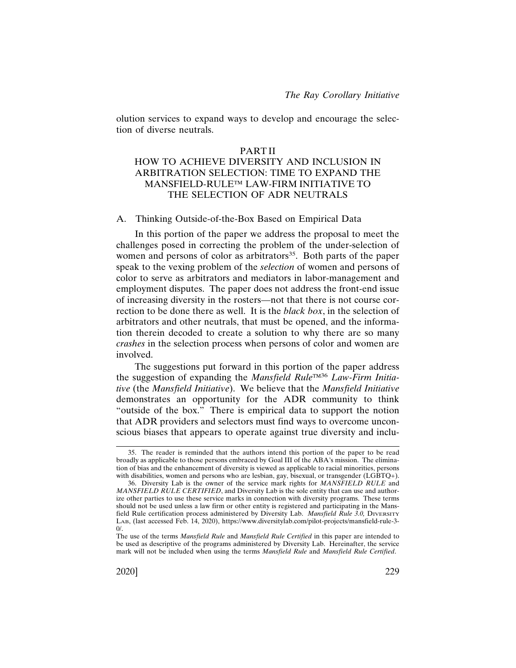olution services to expand ways to develop and encourage the selection of diverse neutrals.

#### PART II

# HOW TO ACHIEVE DIVERSITY AND INCLUSION IN ARBITRATION SELECTION: TIME TO EXPAND THE MANSFIELD-RULE™ LAW-FIRM INITIATIVE TO THE SELECTION OF ADR NEUTRALS

#### A. Thinking Outside-of-the-Box Based on Empirical Data

In this portion of the paper we address the proposal to meet the challenges posed in correcting the problem of the under-selection of women and persons of color as arbitrators<sup>35</sup>. Both parts of the paper speak to the vexing problem of the *selection* of women and persons of color to serve as arbitrators and mediators in labor-management and employment disputes. The paper does not address the front-end issue of increasing diversity in the rosters—not that there is not course correction to be done there as well. It is the *black box*, in the selection of arbitrators and other neutrals, that must be opened, and the information therein decoded to create a solution to why there are so many *crashes* in the selection process when persons of color and women are involved.

The suggestions put forward in this portion of the paper address the suggestion of expanding the *Mansfield Rule*™36 *Law-Firm Initiative* (the *Mansfield Initiative*). We believe that the *Mansfield Initiative* demonstrates an opportunity for the ADR community to think "outside of the box." There is empirical data to support the notion that ADR providers and selectors must find ways to overcome unconscious biases that appears to operate against true diversity and inclu-

<sup>35.</sup> The reader is reminded that the authors intend this portion of the paper to be read broadly as applicable to those persons embraced by Goal III of the ABA's mission. The elimination of bias and the enhancement of diversity is viewed as applicable to racial minorities, persons with disabilities, women and persons who are lesbian, gay, bisexual, or transgender (LGBTQ+).

<sup>36.</sup> Diversity Lab is the owner of the service mark rights for *MANSFIELD RULE* and *MANSFIELD RULE CERTIFIED*, and Diversity Lab is the sole entity that can use and authorize other parties to use these service marks in connection with diversity programs. These terms should not be used unless a law firm or other entity is registered and participating in the Mansfield Rule certification process administered by Diversity Lab. *Mansfield Rule 3.0,* DIVERSITY LAB, (last accessed Feb. 14, 2020), https://www.diversitylab.com/pilot-projects/mansfield-rule-3-  $\Omega$ 

The use of the terms *Mansfield Rule* and *Mansfield Rule Certified* in this paper are intended to be used as descriptive of the programs administered by Diversity Lab. Hereinafter, the service mark will not be included when using the terms *Mansfield Rule* and *Mansfield Rule Certified*.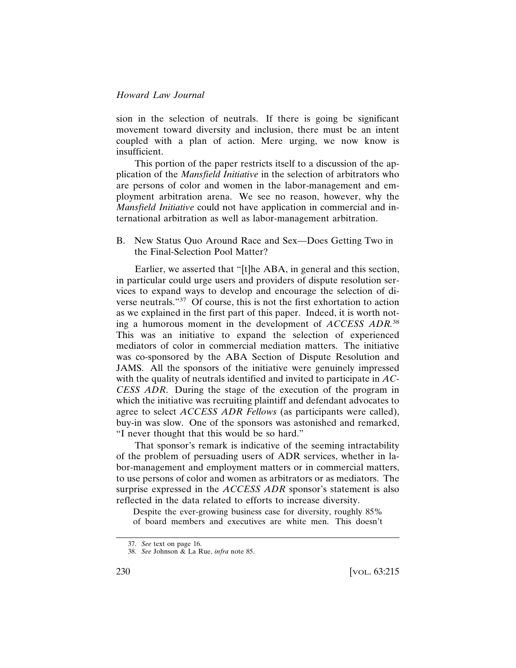sion in the selection of neutrals. If there is going be significant movement toward diversity and inclusion, there must be an intent coupled with a plan of action. Mere urging, we now know is insufficient.

This portion of the paper restricts itself to a discussion of the application of the *Mansfield Initiative* in the selection of arbitrators who are persons of color and women in the labor-management and employment arbitration arena. We see no reason, however, why the *Mansfield Initiative* could not have application in commercial and international arbitration as well as labor-management arbitration.

B. New Status Quo Around Race and Sex—Does Getting Two in the Final-Selection Pool Matter?

Earlier, we asserted that "[t]he ABA, in general and this section, in particular could urge users and providers of dispute resolution services to expand ways to develop and encourage the selection of diverse neutrals."37 Of course, this is not the first exhortation to action as we explained in the first part of this paper. Indeed, it is worth noting a humorous moment in the development of *ACCESS ADR.*<sup>38</sup> This was an initiative to expand the selection of experienced mediators of color in commercial mediation matters. The initiative was co-sponsored by the ABA Section of Dispute Resolution and JAMS. All the sponsors of the initiative were genuinely impressed with the quality of neutrals identified and invited to participate in *AC-CESS ADR*. During the stage of the execution of the program in which the initiative was recruiting plaintiff and defendant advocates to agree to select *ACCESS ADR Fellows* (as participants were called), buy-in was slow. One of the sponsors was astonished and remarked, "I never thought that this would be so hard."

That sponsor's remark is indicative of the seeming intractability of the problem of persuading users of ADR services, whether in labor-management and employment matters or in commercial matters, to use persons of color and women as arbitrators or as mediators. The surprise expressed in the *ACCESS ADR* sponsor's statement is also reflected in the data related to efforts to increase diversity.

Despite the ever-growing business case for diversity, roughly 85% of board members and executives are white men. This doesn't

<sup>37.</sup> *See* text on page 16.

<sup>38.</sup> *See* Johnson & La Rue, *infra* note 85.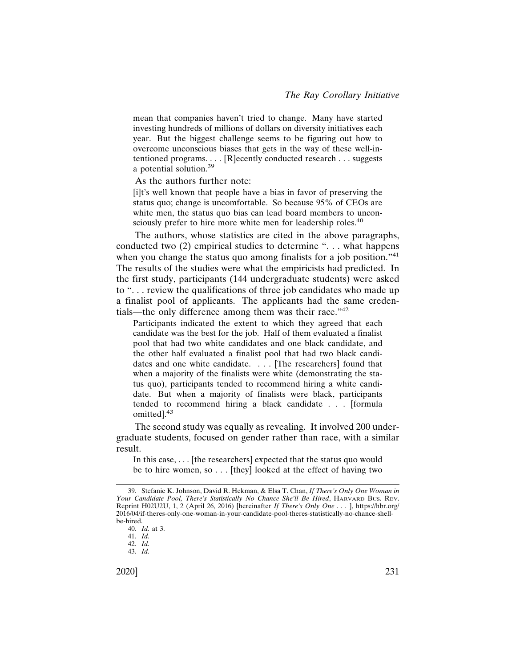mean that companies haven't tried to change. Many have started investing hundreds of millions of dollars on diversity initiatives each year. But the biggest challenge seems to be figuring out how to overcome unconscious biases that gets in the way of these well-intentioned programs. . . . [R]ecently conducted research . . . suggests a potential solution.39

As the authors further note:

[i]t's well known that people have a bias in favor of preserving the status quo; change is uncomfortable. So because 95% of CEOs are white men, the status quo bias can lead board members to unconsciously prefer to hire more white men for leadership roles.<sup>40</sup>

The authors, whose statistics are cited in the above paragraphs, conducted two (2) empirical studies to determine ". . . what happens when you change the status quo among finalists for a job position."<sup>41</sup> The results of the studies were what the empiricists had predicted. In the first study, participants (144 undergraduate students) were asked to ". . . review the qualifications of three job candidates who made up a finalist pool of applicants. The applicants had the same credentials—the only difference among them was their race."42

Participants indicated the extent to which they agreed that each candidate was the best for the job. Half of them evaluated a finalist pool that had two white candidates and one black candidate, and the other half evaluated a finalist pool that had two black candidates and one white candidate. . . . [The researchers] found that when a majority of the finalists were white (demonstrating the status quo), participants tended to recommend hiring a white candidate. But when a majority of finalists were black, participants tended to recommend hiring a black candidate . . . [formula omitted].<sup>43</sup>

The second study was equally as revealing. It involved 200 undergraduate students, focused on gender rather than race, with a similar result.

In this case, . . . [the researchers] expected that the status quo would be to hire women, so . . . [they] looked at the effect of having two

<sup>39.</sup> Stefanie K. Johnson, David R. Hekman, & Elsa T. Chan, *If There's Only One Woman in Your Candidate Pool, There's Statistically No Chance She'll Be Hired*, HARVARD BUS. REV. Reprint H02U2U, 1, 2 (April 26, 2016) [hereinafter *If There's Only One . . .* ], https://hbr.org/ 2016/04/if-theres-only-one-woman-in-your-candidate-pool-theres-statistically-no-chance-shellbe-hired.

<sup>40.</sup> *Id.* at 3.

<sup>41.</sup> *Id.*

<sup>42.</sup> *Id.* 43. *Id.*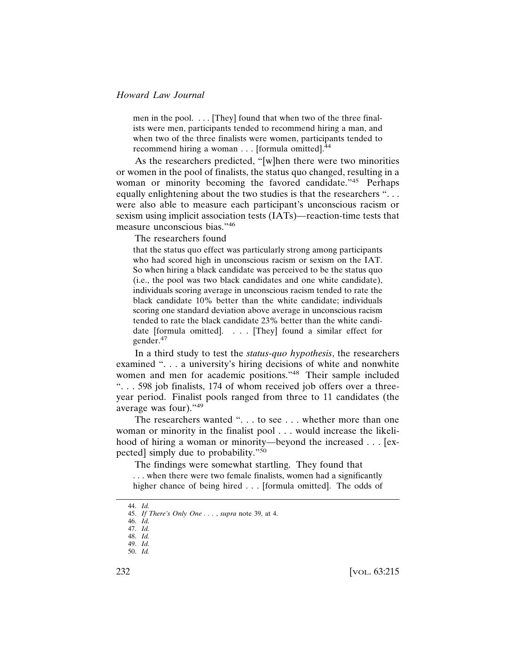men in the pool. . . . [They] found that when two of the three finalists were men, participants tended to recommend hiring a man, and when two of the three finalists were women, participants tended to recommend hiring a woman . . . [formula omitted].<sup>44</sup>

As the researchers predicted, "[w]hen there were two minorities or women in the pool of finalists, the status quo changed, resulting in a woman or minority becoming the favored candidate."45 Perhaps equally enlightening about the two studies is that the researchers "... were also able to measure each participant's unconscious racism or sexism using implicit association tests (IATs)—reaction-time tests that measure unconscious bias."46

The researchers found

that the status quo effect was particularly strong among participants who had scored high in unconscious racism or sexism on the IAT. So when hiring a black candidate was perceived to be the status quo (i.e., the pool was two black candidates and one white candidate), individuals scoring average in unconscious racism tended to rate the black candidate 10% better than the white candidate; individuals scoring one standard deviation above average in unconscious racism tended to rate the black candidate 23% better than the white candidate [formula omitted]. . . . [They] found a similar effect for gender.<sup>47</sup>

In a third study to test the *status-quo hypothesis*, the researchers examined ". . . a university's hiring decisions of white and nonwhite women and men for academic positions."48 Their sample included ". . . 598 job finalists, 174 of whom received job offers over a threeyear period. Finalist pools ranged from three to 11 candidates (the average was four)."49

The researchers wanted ". . . to see . . . whether more than one woman or minority in the finalist pool . . . would increase the likelihood of hiring a woman or minority—beyond the increased . . . [expected] simply due to probability."50

The findings were somewhat startling. They found that

. . . when there were two female finalists, women had a significantly higher chance of being hired . . . [formula omitted]. The odds of

<sup>44.</sup> *Id.* 45. *If There's Only One . . .* , *supra* note 39, at 4.

<sup>46.</sup> *Id.*

<sup>47.</sup> *Id.*

<sup>48.</sup> *Id.*

<sup>49.</sup> *Id.* 50. *Id.*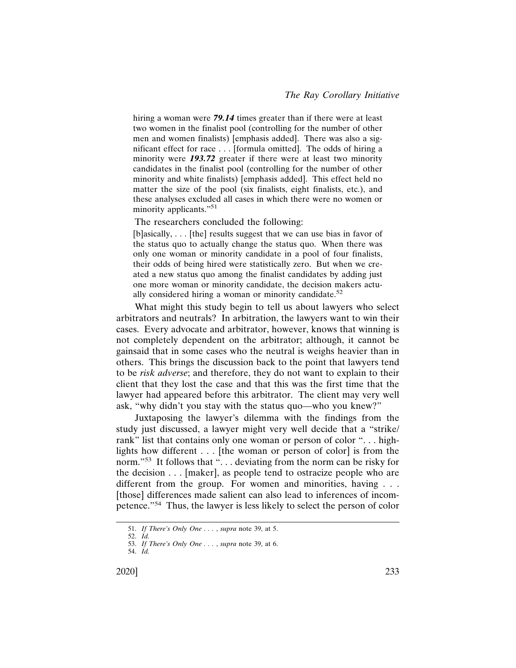hiring a woman were *79.14* times greater than if there were at least two women in the finalist pool (controlling for the number of other men and women finalists) [emphasis added]. There was also a significant effect for race . . . [formula omitted]. The odds of hiring a minority were *193.72* greater if there were at least two minority candidates in the finalist pool (controlling for the number of other minority and white finalists) [emphasis added]. This effect held no matter the size of the pool (six finalists, eight finalists, etc.), and these analyses excluded all cases in which there were no women or minority applicants."<sup>51</sup>

The researchers concluded the following:

[b]asically, . . . [the] results suggest that we can use bias in favor of the status quo to actually change the status quo. When there was only one woman or minority candidate in a pool of four finalists, their odds of being hired were statistically zero. But when we created a new status quo among the finalist candidates by adding just one more woman or minority candidate, the decision makers actually considered hiring a woman or minority candidate. $52$ 

What might this study begin to tell us about lawyers who select arbitrators and neutrals? In arbitration, the lawyers want to win their cases. Every advocate and arbitrator, however, knows that winning is not completely dependent on the arbitrator; although, it cannot be gainsaid that in some cases who the neutral is weighs heavier than in others. This brings the discussion back to the point that lawyers tend to be *risk adverse*; and therefore, they do not want to explain to their client that they lost the case and that this was the first time that the lawyer had appeared before this arbitrator. The client may very well ask, "why didn't you stay with the status quo—who you knew?"

Juxtaposing the lawyer's dilemma with the findings from the study just discussed, a lawyer might very well decide that a "strike/ rank" list that contains only one woman or person of color "... highlights how different . . . [the woman or person of color] is from the norm."53 It follows that ". . . deviating from the norm can be risky for the decision . . . [maker], as people tend to ostracize people who are different from the group. For women and minorities, having ... [those] differences made salient can also lead to inferences of incompetence."54 Thus, the lawyer is less likely to select the person of color

<sup>51.</sup> *If There's Only One . . .* , *supra* note 39, at 5.

<sup>52.</sup> *Id.* 53. *If There's Only One . . .* , *supra* note 39, at 6.

<sup>54.</sup> *Id.*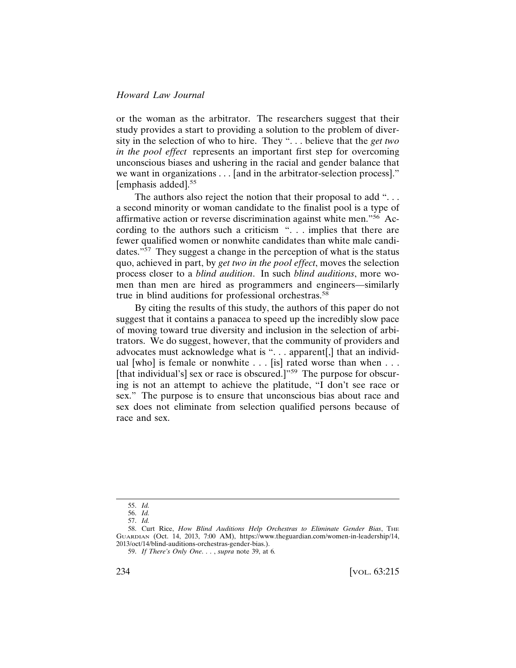or the woman as the arbitrator. The researchers suggest that their study provides a start to providing a solution to the problem of diversity in the selection of who to hire. They ". . . believe that the *get two in the pool effect* represents an important first step for overcoming unconscious biases and ushering in the racial and gender balance that we want in organizations . . . [and in the arbitrator-selection process]." [emphasis added].<sup>55</sup>

The authors also reject the notion that their proposal to add "... a second minority or woman candidate to the finalist pool is a type of affirmative action or reverse discrimination against white men."56 According to the authors such a criticism "... implies that there are fewer qualified women or nonwhite candidates than white male candidates."57 They suggest a change in the perception of what is the status quo, achieved in part, by *get two in the pool effect*, moves the selection process closer to a *blind audition*. In such *blind auditions*, more women than men are hired as programmers and engineers—similarly true in blind auditions for professional orchestras.<sup>58</sup>

By citing the results of this study, the authors of this paper do not suggest that it contains a panacea to speed up the incredibly slow pace of moving toward true diversity and inclusion in the selection of arbitrators. We do suggest, however, that the community of providers and advocates must acknowledge what is ". . . apparent[,] that an individual [who] is female or nonwhite  $\ldots$  [is] rated worse than when  $\ldots$ [that individual's] sex or race is obscured.]"<sup>59</sup> The purpose for obscuring is not an attempt to achieve the platitude, "I don't see race or sex." The purpose is to ensure that unconscious bias about race and sex does not eliminate from selection qualified persons because of race and sex.

<sup>55.</sup> *Id.*

<sup>56.</sup> *Id.*

<sup>57.</sup> *Id.*

<sup>58.</sup> Curt Rice, *How Blind Auditions Help Orchestras to Eliminate Gender Bias*, THE GUARDIAN (Oct. 14, 2013, 7:00 AM), https://www.theguardian.com/women-in-leadership/14, 2013/oct/14/blind-auditions-orchestras-gender-bias.).

<sup>59.</sup> *If There's Only One*. . . , *supra* note 39, at 6*.*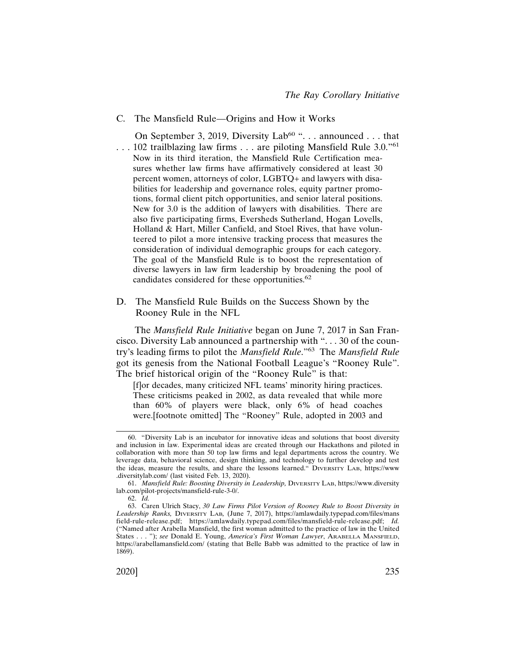C. The Mansfield Rule—Origins and How it Works

On September 3, 2019, Diversity Lab<sup>60</sup> ". . . announced . . . that ... 102 trailblazing law firms ... are piloting Mansfield Rule 3.0."<sup>61</sup> Now in its third iteration, the Mansfield Rule Certification measures whether law firms have affirmatively considered at least 30 percent women, attorneys of color, LGBTQ+ and lawyers with disabilities for leadership and governance roles, equity partner promotions, formal client pitch opportunities, and senior lateral positions. New for 3.0 is the addition of lawyers with disabilities. There are also five participating firms, Eversheds Sutherland, Hogan Lovells, Holland & Hart, Miller Canfield, and Stoel Rives, that have volunteered to pilot a more intensive tracking process that measures the consideration of individual demographic groups for each category. The goal of the Mansfield Rule is to boost the representation of diverse lawyers in law firm leadership by broadening the pool of candidates considered for these opportunities.<sup>62</sup>

D. The Mansfield Rule Builds on the Success Shown by the Rooney Rule in the NFL

The *Mansfield Rule Initiative* began on June 7, 2017 in San Francisco. Diversity Lab announced a partnership with ". . . 30 of the country's leading firms to pilot the *Mansfield Rule*."63 The *Mansfield Rule* got its genesis from the National Football League's "Rooney Rule". The brief historical origin of the "Rooney Rule" is that:

[f]or decades, many criticized NFL teams' minority hiring practices. These criticisms peaked in 2002, as data revealed that while more than 60% of players were black, only 6% of head coaches were.[footnote omitted] The "Rooney" Rule, adopted in 2003 and

<sup>60. &</sup>quot;Diversity Lab is an incubator for innovative ideas and solutions that boost diversity and inclusion in law. Experimental ideas are created through our Hackathons and piloted in collaboration with more than 50 top law firms and legal departments across the country. We leverage data, behavioral science, design thinking, and technology to further develop and test the ideas, measure the results, and share the lessons learned." DIVERSITY LAB, https://www .diversitylab.com/ (last visited Feb. 13, 2020).

<sup>61.</sup> *Mansfield Rule: Boosting Diversity in Leadership,* DIVERSITY LAB, https://www.diversity lab.com/pilot-projects/mansfield-rule-3-0/.

<sup>62.</sup> *Id.*

<sup>63.</sup> Caren Ulrich Stacy, *30 Law Firms Pilot Version of Rooney Rule to Boost Diversity in Leadership Ranks,* DIVERSITY LAB*,* (June 7, 2017), https://amlawdaily.typepad.com/files/mans field-rule-release.pdf; https://amlawdaily.typepad.com/files/mansfield-rule-release.pdf; *Id.* ("Named after Arabella Mansfield, the first woman admitted to the practice of law in the United States . . . "); *see* Donald E. Young, *America's First Woman Lawyer*, ARABELLA MANSFIELD, https://arabellamansfield.com/ (stating that Belle Babb was admitted to the practice of law in 1869).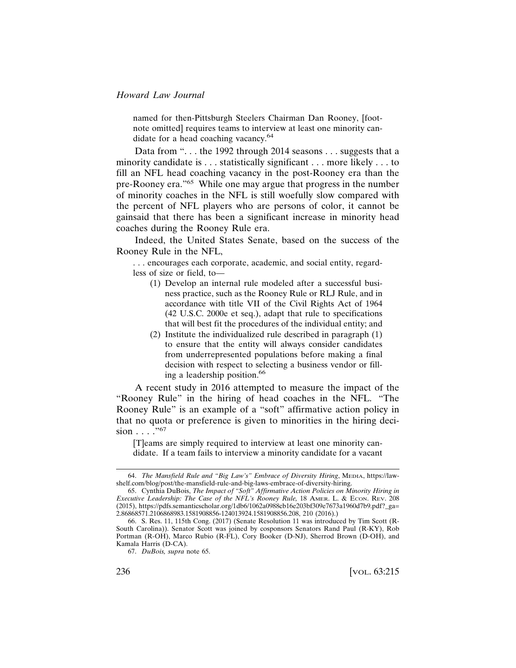named for then-Pittsburgh Steelers Chairman Dan Rooney, [footnote omitted] requires teams to interview at least one minority candidate for a head coaching vacancy.<sup>64</sup>

Data from "... the 1992 through 2014 seasons ... suggests that a minority candidate is . . . statistically significant . . . more likely . . . to fill an NFL head coaching vacancy in the post-Rooney era than the pre-Rooney era."65 While one may argue that progress in the number of minority coaches in the NFL is still woefully slow compared with the percent of NFL players who are persons of color, it cannot be gainsaid that there has been a significant increase in minority head coaches during the Rooney Rule era.

Indeed, the United States Senate, based on the success of the Rooney Rule in the NFL,

. . . encourages each corporate, academic, and social entity, regardless of size or field, to—

- (1) Develop an internal rule modeled after a successful business practice, such as the Rooney Rule or RLJ Rule, and in accordance with title VII of the Civil Rights Act of 1964 (42 U.S.C. 2000e et seq.), adapt that rule to specifications that will best fit the procedures of the individual entity; and
- (2) Institute the individualized rule described in paragraph (1) to ensure that the entity will always consider candidates from underrepresented populations before making a final decision with respect to selecting a business vendor or filling a leadership position.<sup>66</sup>

A recent study in 2016 attempted to measure the impact of the "Rooney Rule" in the hiring of head coaches in the NFL. "The Rooney Rule" is an example of a "soft" affirmative action policy in that no quota or preference is given to minorities in the hiring decision . . . . "67

[T]eams are simply required to interview at least one minority candidate. If a team fails to interview a minority candidate for a vacant

<sup>64.</sup> *The Mansfield Rule and "Big Law's" Embrace of Diversity Hiring*, MEDIA, https://lawshelf.com/blog/post/the-mansfield-rule-and-big-laws-embrace-of-diversity-hiring.

<sup>65.</sup> Cynthia DuBois, *The Impact of "Soft" Affirmative Action Policies on Minority Hiring in Executive Leadership: The Case of the NFL's Rooney Rule,* 18 AMER. L. & ECON. REV. 208 (2015), https://pdfs.semanticscholar.org/1db6/1062a0988cb16e203bf309e7673a1960d7b9.pdf?\_ga= 2.86868571.2106868983.1581908856-124013924.1581908856.208, 210 (2016).)

<sup>66.</sup> S. Res. 11, 115th Cong. (2017) (Senate Resolution 11 was introduced by Tim Scott (R-South Carolina)). Senator Scott was joined by cosponsors Senators Rand Paul (R-KY), Rob Portman (R-OH), Marco Rubio (R-FL), Cory Booker (D-NJ), Sherrod Brown (D-OH), and Kamala Harris (D-CA).

<sup>67.</sup> *DuBois, supra* note 65.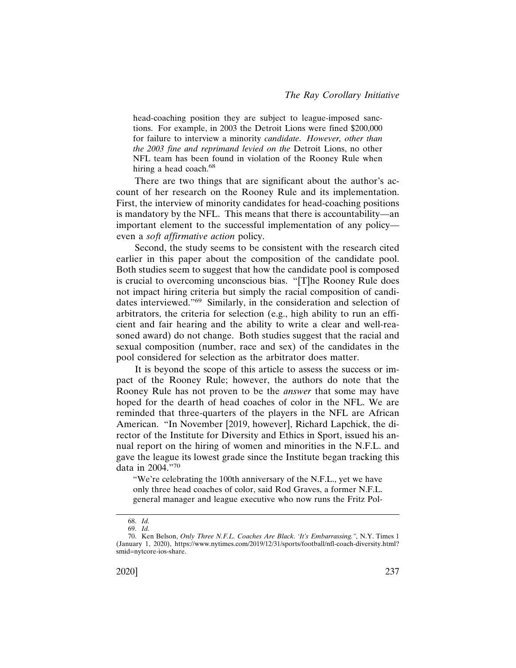head-coaching position they are subject to league-imposed sanctions. For example, in 2003 the Detroit Lions were fined \$200,000 for failure to interview a minority *candidate*. *However, other than the 2003 fine and reprimand levied on the* Detroit Lions, no other NFL team has been found in violation of the Rooney Rule when hiring a head coach.<sup>68</sup>

There are two things that are significant about the author's account of her research on the Rooney Rule and its implementation. First, the interview of minority candidates for head-coaching positions is mandatory by the NFL. This means that there is accountability—an important element to the successful implementation of any policy even a *soft affirmative action* policy.

Second, the study seems to be consistent with the research cited earlier in this paper about the composition of the candidate pool. Both studies seem to suggest that how the candidate pool is composed is crucial to overcoming unconscious bias. "[T]he Rooney Rule does not impact hiring criteria but simply the racial composition of candidates interviewed."69 Similarly, in the consideration and selection of arbitrators, the criteria for selection (e.g., high ability to run an efficient and fair hearing and the ability to write a clear and well-reasoned award) do not change. Both studies suggest that the racial and sexual composition (number, race and sex) of the candidates in the pool considered for selection as the arbitrator does matter.

It is beyond the scope of this article to assess the success or impact of the Rooney Rule; however, the authors do note that the Rooney Rule has not proven to be the *answer* that some may have hoped for the dearth of head coaches of color in the NFL. We are reminded that three-quarters of the players in the NFL are African American. "In November [2019, however], Richard Lapchick, the director of the Institute for Diversity and Ethics in Sport, issued his annual report on the hiring of women and minorities in the N.F.L. and gave the league its lowest grade since the Institute began tracking this data in 2004."70

"We're celebrating the 100th anniversary of the N.F.L., yet we have only three head coaches of color, said Rod Graves, a former N.F.L. general manager and league executive who now runs the Fritz Pol-

<sup>68.</sup> *Id.*

<sup>69.</sup> *Id.*

<sup>70.</sup> Ken Belson, *Only Three N.F.L. Coaches Are Black. 'It's Embarrassing.",* N.Y. Times 1 (January 1, 2020), https://www.nytimes.com/2019/12/31/sports/football/nfl-coach-diversity.html? smid=nytcore-ios-share.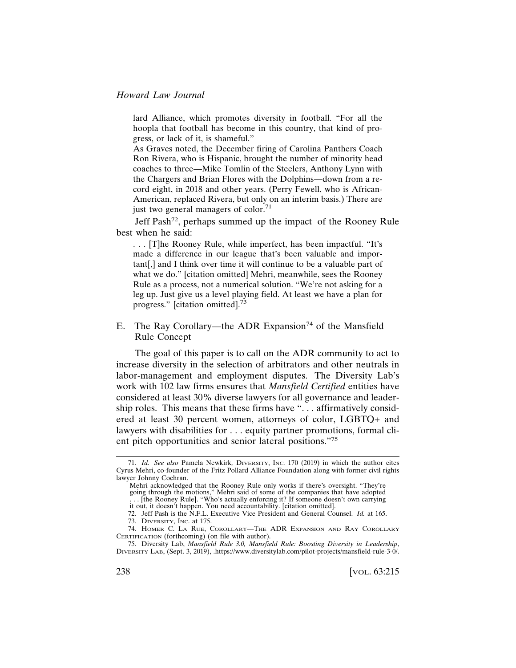lard Alliance, which promotes diversity in football. "For all the hoopla that football has become in this country, that kind of progress, or lack of it, is shameful."

As Graves noted, the December firing of Carolina Panthers Coach Ron Rivera, who is Hispanic, brought the number of minority head coaches to three—Mike Tomlin of the Steelers, Anthony Lynn with the Chargers and Brian Flores with the Dolphins—down from a record eight, in 2018 and other years. (Perry Fewell, who is African-American, replaced Rivera, but only on an interim basis.) There are just two general managers of color. $71$ 

Jeff Pash<sup>72</sup>, perhaps summed up the impact of the Rooney Rule best when he said:

. . . [T]he Rooney Rule, while imperfect, has been impactful. "It's made a difference in our league that's been valuable and important[,] and I think over time it will continue to be a valuable part of what we do." [citation omitted] Mehri, meanwhile, sees the Rooney Rule as a process, not a numerical solution. "We're not asking for a leg up. Just give us a level playing field. At least we have a plan for progress." [citation omitted].73

E. The Ray Corollary—the ADR Expansion<sup>74</sup> of the Mansfield Rule Concept

The goal of this paper is to call on the ADR community to act to increase diversity in the selection of arbitrators and other neutrals in labor-management and employment disputes. The Diversity Lab's work with 102 law firms ensures that *Mansfield Certified* entities have considered at least 30% diverse lawyers for all governance and leadership roles. This means that these firms have ". . . affirmatively considered at least 30 percent women, attorneys of color, LGBTQ+ and lawyers with disabilities for . . . equity partner promotions, formal client pitch opportunities and senior lateral positions."<sup>75</sup>

<sup>71.</sup> *Id. See also* Pamela Newkirk*,* DIVERSITY, INC. 170 (2019) in which the author cites Cyrus Mehri, co-founder of the Fritz Pollard Alliance Foundation along with former civil rights lawyer Johnny Cochran.

Mehri acknowledged that the Rooney Rule only works if there's oversight. "They're going through the motions," Mehri said of some of the companies that have adopted . . . [the Rooney Rule]. "Who's actually enforcing it? If someone doesn't own carrying it out, it doesn't happen. You need accountability. [citation omitted].

<sup>72.</sup> Jeff Pash is the N.F.L. Executive Vice President and General Counsel. *Id.* at 165.

<sup>73.</sup> DIVERSITY, INC. at 175.

<sup>74.</sup> HOMER C. LA RUE, COROLLARY—THE ADR EXPANSION AND RAY COROLLARY CERTIFICATION (forthcoming) (on file with author).

<sup>75.</sup> Diversity Lab, *Mansfield Rule 3.0, Mansfield Rule: Boosting Diversity in Leadership*, DIVERSITY LAB, (Sept. 3, 2019), .https://www.diversitylab.com/pilot-projects/mansfield-rule-3-0/.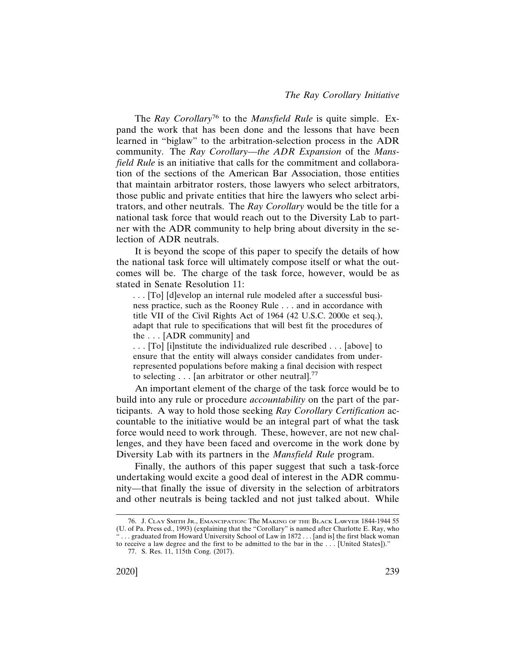The *Ray Corollary*76 to the *Mansfield Rule* is quite simple. Expand the work that has been done and the lessons that have been learned in "biglaw" to the arbitration-selection process in the ADR community. The *Ray Corollary—the ADR Expansion* of the *Mansfield Rule* is an initiative that calls for the commitment and collaboration of the sections of the American Bar Association, those entities that maintain arbitrator rosters, those lawyers who select arbitrators, those public and private entities that hire the lawyers who select arbitrators, and other neutrals. The *Ray Corollary* would be the title for a national task force that would reach out to the Diversity Lab to partner with the ADR community to help bring about diversity in the selection of ADR neutrals.

It is beyond the scope of this paper to specify the details of how the national task force will ultimately compose itself or what the outcomes will be. The charge of the task force, however, would be as stated in Senate Resolution 11:

. . . [To] [d]evelop an internal rule modeled after a successful business practice, such as the Rooney Rule . . . and in accordance with title VII of the Civil Rights Act of 1964 (42 U.S.C. 2000e et seq.), adapt that rule to specifications that will best fit the procedures of the . . . [ADR community] and

. . . [To] [i]nstitute the individualized rule described . . . [above] to ensure that the entity will always consider candidates from underrepresented populations before making a final decision with respect to selecting  $\ldots$  [an arbitrator or other neutral].<sup>77</sup>

An important element of the charge of the task force would be to build into any rule or procedure *accountability* on the part of the participants. A way to hold those seeking *Ray Corollary Certification* accountable to the initiative would be an integral part of what the task force would need to work through. These, however, are not new challenges, and they have been faced and overcome in the work done by Diversity Lab with its partners in the *Mansfield Rule* program.

Finally, the authors of this paper suggest that such a task-force undertaking would excite a good deal of interest in the ADR community—that finally the issue of diversity in the selection of arbitrators and other neutrals is being tackled and not just talked about. While

<sup>76.</sup> J. CLAY SMITH JR., EMANCIPATION: The MAKING OF THE BLACK LAWYER 1844-1944 55 (U. of Pa. Press ed., 1993) (explaining that the "Corollary" is named after Charlotte E. Ray, who " . . . graduated from Howard University School of Law in 1872 . . . [and is] the first black woman

to receive a law degree and the first to be admitted to the bar in the . . . [United States])."

<sup>77.</sup> S. Res. 11, 115th Cong. (2017).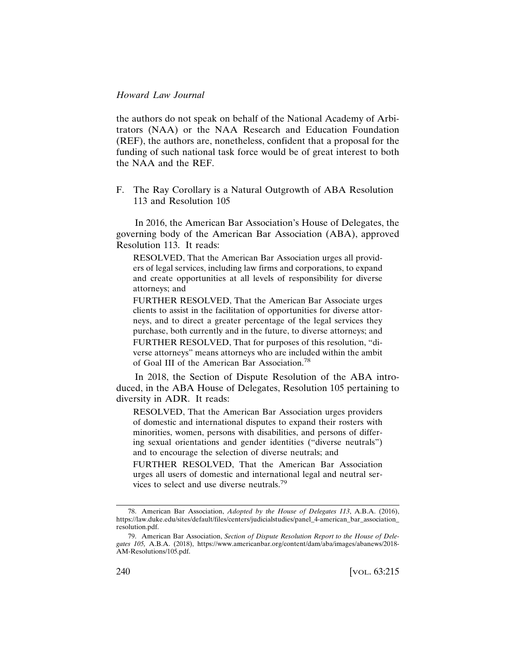the authors do not speak on behalf of the National Academy of Arbitrators (NAA) or the NAA Research and Education Foundation (REF), the authors are, nonetheless, confident that a proposal for the funding of such national task force would be of great interest to both the NAA and the REF.

F. The Ray Corollary is a Natural Outgrowth of ABA Resolution 113 and Resolution 105

In 2016, the American Bar Association's House of Delegates, the governing body of the American Bar Association (ABA), approved Resolution 113. It reads:

RESOLVED, That the American Bar Association urges all providers of legal services, including law firms and corporations, to expand and create opportunities at all levels of responsibility for diverse attorneys; and

FURTHER RESOLVED, That the American Bar Associate urges clients to assist in the facilitation of opportunities for diverse attorneys, and to direct a greater percentage of the legal services they purchase, both currently and in the future, to diverse attorneys; and FURTHER RESOLVED, That for purposes of this resolution, "diverse attorneys" means attorneys who are included within the ambit of Goal III of the American Bar Association.78

In 2018, the Section of Dispute Resolution of the ABA introduced, in the ABA House of Delegates, Resolution 105 pertaining to diversity in ADR. It reads:

RESOLVED, That the American Bar Association urges providers of domestic and international disputes to expand their rosters with minorities, women, persons with disabilities, and persons of differing sexual orientations and gender identities ("diverse neutrals") and to encourage the selection of diverse neutrals; and

FURTHER RESOLVED, That the American Bar Association urges all users of domestic and international legal and neutral services to select and use diverse neutrals.79

<sup>78.</sup> American Bar Association, *Adopted by the House of Delegates 113*, A.B.A. (2016), https://law.duke.edu/sites/default/files/centers/judicialstudies/panel\_4-american\_bar\_association resolution.pdf.

<sup>79.</sup> American Bar Association, *Section of Dispute Resolution Report to the House of Delegates 105,* A.B.A. (2018), https://www.americanbar.org/content/dam/aba/images/abanews/2018- AM-Resolutions/105.pdf.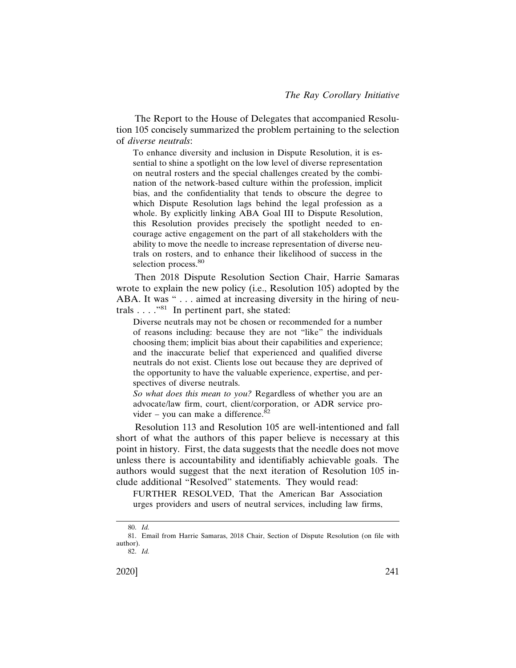The Report to the House of Delegates that accompanied Resolution 105 concisely summarized the problem pertaining to the selection of *diverse neutrals*:

To enhance diversity and inclusion in Dispute Resolution, it is essential to shine a spotlight on the low level of diverse representation on neutral rosters and the special challenges created by the combination of the network-based culture within the profession, implicit bias, and the confidentiality that tends to obscure the degree to which Dispute Resolution lags behind the legal profession as a whole. By explicitly linking ABA Goal III to Dispute Resolution, this Resolution provides precisely the spotlight needed to encourage active engagement on the part of all stakeholders with the ability to move the needle to increase representation of diverse neutrals on rosters, and to enhance their likelihood of success in the selection process.<sup>80</sup>

Then 2018 Dispute Resolution Section Chair, Harrie Samaras wrote to explain the new policy (i.e., Resolution 105) adopted by the ABA. It was " . . . aimed at increasing diversity in the hiring of neutrals  $\dots$   $\cdot$ <sup>81</sup>. In pertinent part, she stated:

Diverse neutrals may not be chosen or recommended for a number of reasons including: because they are not "like" the individuals choosing them; implicit bias about their capabilities and experience; and the inaccurate belief that experienced and qualified diverse neutrals do not exist. Clients lose out because they are deprived of the opportunity to have the valuable experience, expertise, and perspectives of diverse neutrals.

*So what does this mean to you?* Regardless of whether you are an advocate/law firm, court, client/corporation, or ADR service provider – you can make a difference. $82$ 

Resolution 113 and Resolution 105 are well-intentioned and fall short of what the authors of this paper believe is necessary at this point in history. First, the data suggests that the needle does not move unless there is accountability and identifiably achievable goals. The authors would suggest that the next iteration of Resolution 105 include additional "Resolved" statements. They would read:

FURTHER RESOLVED, That the American Bar Association urges providers and users of neutral services, including law firms,

<sup>80.</sup> *Id.*

<sup>81.</sup> Email from Harrie Samaras, 2018 Chair, Section of Dispute Resolution (on file with author).

<sup>82.</sup> *Id.*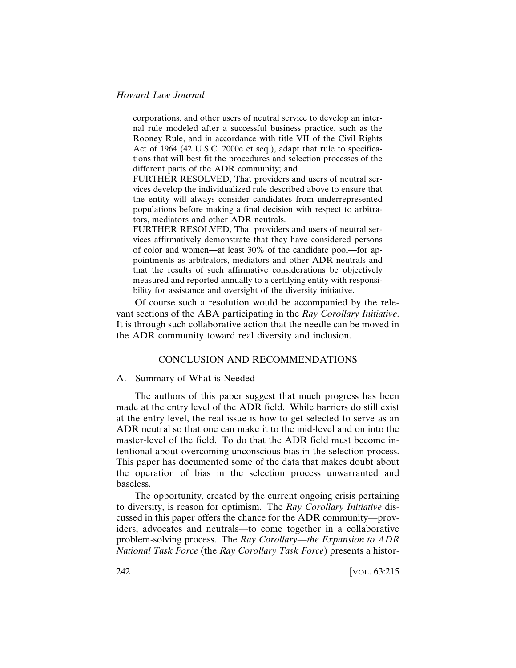corporations, and other users of neutral service to develop an internal rule modeled after a successful business practice, such as the Rooney Rule, and in accordance with title VII of the Civil Rights Act of 1964 (42 U.S.C. 2000e et seq.), adapt that rule to specifications that will best fit the procedures and selection processes of the different parts of the ADR community; and

FURTHER RESOLVED, That providers and users of neutral services develop the individualized rule described above to ensure that the entity will always consider candidates from underrepresented populations before making a final decision with respect to arbitrators, mediators and other ADR neutrals.

FURTHER RESOLVED, That providers and users of neutral services affirmatively demonstrate that they have considered persons of color and women—at least 30% of the candidate pool—for appointments as arbitrators, mediators and other ADR neutrals and that the results of such affirmative considerations be objectively measured and reported annually to a certifying entity with responsibility for assistance and oversight of the diversity initiative.

Of course such a resolution would be accompanied by the relevant sections of the ABA participating in the *Ray Corollary Initiative*. It is through such collaborative action that the needle can be moved in the ADR community toward real diversity and inclusion.

#### CONCLUSION AND RECOMMENDATIONS

#### A. Summary of What is Needed

The authors of this paper suggest that much progress has been made at the entry level of the ADR field. While barriers do still exist at the entry level, the real issue is how to get selected to serve as an ADR neutral so that one can make it to the mid-level and on into the master-level of the field. To do that the ADR field must become intentional about overcoming unconscious bias in the selection process. This paper has documented some of the data that makes doubt about the operation of bias in the selection process unwarranted and baseless.

The opportunity, created by the current ongoing crisis pertaining to diversity, is reason for optimism. The *Ray Corollary Initiative* discussed in this paper offers the chance for the ADR community—providers, advocates and neutrals—to come together in a collaborative problem-solving process. The *Ray Corollary—the Expansion to ADR National Task Force* (the *Ray Corollary Task Force*) presents a histor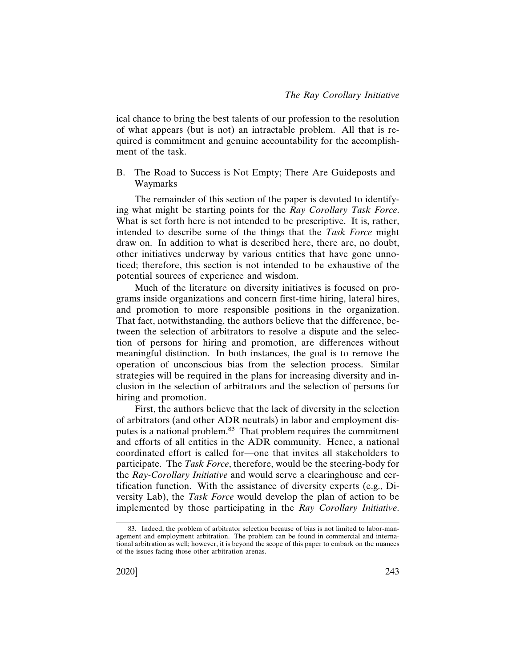ical chance to bring the best talents of our profession to the resolution of what appears (but is not) an intractable problem. All that is required is commitment and genuine accountability for the accomplishment of the task.

B. The Road to Success is Not Empty; There Are Guideposts and Waymarks

The remainder of this section of the paper is devoted to identifying what might be starting points for the *Ray Corollary Task Force*. What is set forth here is not intended to be prescriptive. It is, rather, intended to describe some of the things that the *Task Force* might draw on. In addition to what is described here, there are, no doubt, other initiatives underway by various entities that have gone unnoticed; therefore, this section is not intended to be exhaustive of the potential sources of experience and wisdom.

Much of the literature on diversity initiatives is focused on programs inside organizations and concern first-time hiring, lateral hires, and promotion to more responsible positions in the organization. That fact, notwithstanding, the authors believe that the difference, between the selection of arbitrators to resolve a dispute and the selection of persons for hiring and promotion, are differences without meaningful distinction. In both instances, the goal is to remove the operation of unconscious bias from the selection process. Similar strategies will be required in the plans for increasing diversity and inclusion in the selection of arbitrators and the selection of persons for hiring and promotion.

First, the authors believe that the lack of diversity in the selection of arbitrators (and other ADR neutrals) in labor and employment disputes is a national problem.<sup>83</sup> That problem requires the commitment and efforts of all entities in the ADR community. Hence, a national coordinated effort is called for—one that invites all stakeholders to participate. The *Task Force*, therefore, would be the steering-body for the *Ray-Corollary Initiative* and would serve a clearinghouse and certification function. With the assistance of diversity experts (e.g., Diversity Lab), the *Task Force* would develop the plan of action to be implemented by those participating in the *Ray Corollary Initiative*.

<sup>83.</sup> Indeed, the problem of arbitrator selection because of bias is not limited to labor-management and employment arbitration. The problem can be found in commercial and international arbitration as well; however, it is beyond the scope of this paper to embark on the nuances of the issues facing those other arbitration arenas.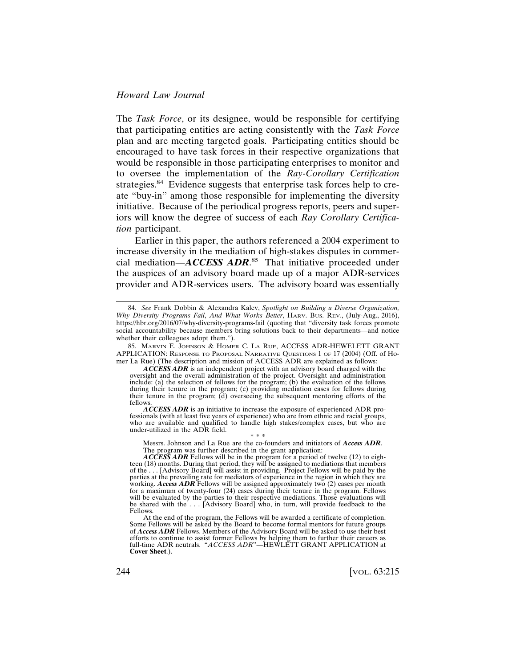The *Task Force*, or its designee, would be responsible for certifying that participating entities are acting consistently with the *Task Force* plan and are meeting targeted goals. Participating entities should be encouraged to have task forces in their respective organizations that would be responsible in those participating enterprises to monitor and to oversee the implementation of the *Ray-Corollary Certification* strategies.<sup>84</sup> Evidence suggests that enterprise task forces help to create "buy-in" among those responsible for implementing the diversity initiative. Because of the periodical progress reports, peers and superiors will know the degree of success of each *Ray Corollary Certification* participant.

Earlier in this paper, the authors referenced a 2004 experiment to increase diversity in the mediation of high-stakes disputes in commercial mediation—*ACCESS ADR*. 85 That initiative proceeded under the auspices of an advisory board made up of a major ADR-services provider and ADR-services users. The advisory board was essentially

*ACCESS ADR* is an initiative to increase the exposure of experienced ADR professionals (with at least five years of experience) who are from ethnic and racial groups, who are available and qualified to handle high stakes/complex cases, but who are under-utilized in the ADR field. \* \* \*

Messrs. Johnson and La Rue are the co-founders and initiators of *Access ADR*. The program was further described in the grant application:

*ACCESS ADR* Fellows will be in the program for a period of twelve (12) to eighteen (18) months. During that period, they will be assigned to mediations that members of the . . . [Advisory Board] will assist in providing. Project Fellows will be paid by the parties at the prevailing rate for mediators of experience in the region in which they are working. *Access ADR* Fellows will be assigned approximately two (2) cases per month for a maximum of twenty-four (24) cases during their tenure in the program. Fellows will be evaluated by the parties to their respective mediations. Those evaluations will be shared with the . . . [Advisory Board] who, in turn, will provide feedback to the Fellows.

At the end of the program, the Fellows will be awarded a certificate of completion. Some Fellows will be asked by the Board to become formal mentors for future groups of *Access ADR* Fellows. Members of the Advisory Board will be asked to use their best efforts to continue to assist former Fellows by helping them to further their careers as full-time ADR neutrals. "*ACCESS ADR*"—HEWLETT GRANT APPLICATION at **Cover Sheet**.).

<sup>84.</sup> *See* Frank Dobbin & Alexandra Kalev, *Spotlight on Building a Diverse Organization, Why Diversity Programs Fail*, *And What Works Better*, HARV. BUS. REV., (July-Aug., 2016), https://hbr.org/2016/07/why-diversity-programs-fail (quoting that "diversity task forces promote social accountability because members bring solutions back to their departments—and notice whether their colleagues adopt them.").

<sup>85.</sup> MARVIN E. JOHNSON & HOMER C. LA RUE, ACCESS ADR-HEWELETT GRANT APPLICATION: RESPONSE TO PROPOSAL NARRATIVE QUESTIONS 1 OF 17 (2004) (Off. of Homer La Rue) (The description and mission of ACCESS ADR are explained as follows:

*ACCESS ADR* is an independent project with an advisory board charged with the oversight and the overall administration of the project. Oversight and administration include: (a) the selection of fellows for the program; (b) the evaluation of the fellows during their tenure in the program; (c) providing mediation cases for fellows during their tenure in the program; (d) overseeing the subsequent mentoring efforts of the fellows.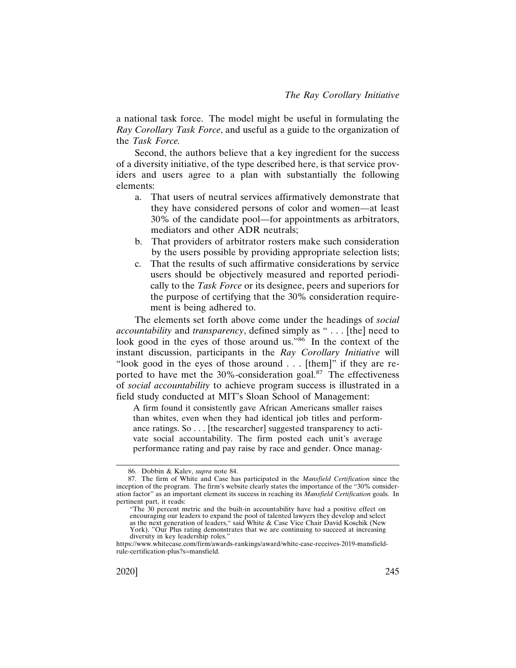a national task force. The model might be useful in formulating the *Ray Corollary Task Force*, and useful as a guide to the organization of the *Task Force.*

Second, the authors believe that a key ingredient for the success of a diversity initiative, of the type described here, is that service providers and users agree to a plan with substantially the following elements:

- a. That users of neutral services affirmatively demonstrate that they have considered persons of color and women—at least 30% of the candidate pool—for appointments as arbitrators, mediators and other ADR neutrals;
- b. That providers of arbitrator rosters make such consideration by the users possible by providing appropriate selection lists;
- c. That the results of such affirmative considerations by service users should be objectively measured and reported periodically to the *Task Force* or its designee, peers and superiors for the purpose of certifying that the 30% consideration requirement is being adhered to.

The elements set forth above come under the headings of *social accountability* and *transparency*, defined simply as " . . . [the] need to look good in the eyes of those around us."<sup>86</sup> In the context of the instant discussion, participants in the *Ray Corollary Initiative* will "look good in the eyes of those around . . . [them]" if they are reported to have met the 30%-consideration goal.<sup>87</sup> The effectiveness of *social accountability* to achieve program success is illustrated in a field study conducted at MIT's Sloan School of Management:

A firm found it consistently gave African Americans smaller raises than whites, even when they had identical job titles and performance ratings. So . . . [the researcher] suggested transparency to activate social accountability. The firm posted each unit's average performance rating and pay raise by race and gender. Once manag-

<sup>86.</sup> Dobbin & Kalev, *supra* note 84.

<sup>87.</sup> The firm of White and Case has participated in the *Mansfield Certification* since the inception of the program. The firm's website clearly states the importance of the "30% consideration factor" as an important element its success in reaching its *Mansfield Certification* goals. In pertinent part, it reads:

<sup>&</sup>quot;The 30 percent metric and the built-in accountability have had a positive effect on encouraging our leaders to expand the pool of talented lawyers they develop and select as the next generation of leaders," said White & Case Vice Chair David Koschik (New York). "Our Plus rating demonstrates that we are continuing to succeed at increasing

diversity in key leadership roles."

https://www.whitecase.com/firm/awards-rankings/award/white-case-receives-2019-mansfieldrule-certification-plus?s=mansfield.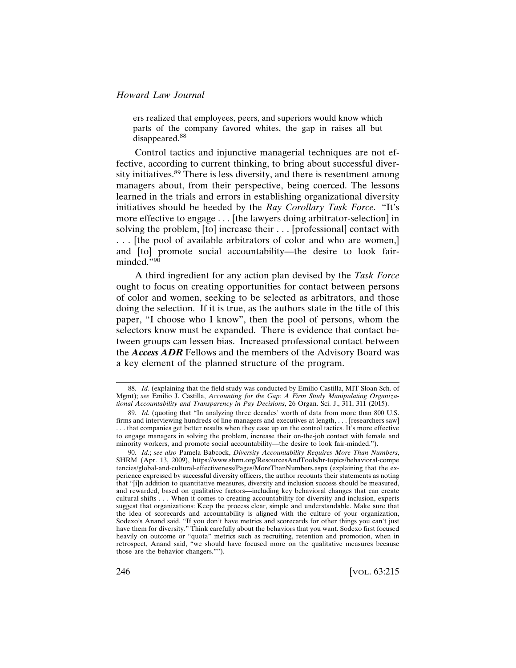ers realized that employees, peers, and superiors would know which parts of the company favored whites, the gap in raises all but disappeared.<sup>88</sup>

Control tactics and injunctive managerial techniques are not effective, according to current thinking, to bring about successful diversity initiatives.<sup>89</sup> There is less diversity, and there is resentment among managers about, from their perspective, being coerced. The lessons learned in the trials and errors in establishing organizational diversity initiatives should be heeded by the *Ray Corollary Task Force*. "It's more effective to engage . . . [the lawyers doing arbitrator-selection] in solving the problem, [to] increase their . . . [professional] contact with . . . [the pool of available arbitrators of color and who are women,] and [to] promote social accountability—the desire to look fairminded."90

A third ingredient for any action plan devised by the *Task Force* ought to focus on creating opportunities for contact between persons of color and women, seeking to be selected as arbitrators, and those doing the selection. If it is true, as the authors state in the title of this paper, "I choose who I know", then the pool of persons, whom the selectors know must be expanded. There is evidence that contact between groups can lessen bias. Increased professional contact between the *Access ADR* Fellows and the members of the Advisory Board was a key element of the planned structure of the program.

<sup>88.</sup> *Id*. (explaining that the field study was conducted by Emilio Castilla, MIT Sloan Sch. of Mgmt); *see* Emilio J. Castilla, *Accounting for the Gap: A Firm Study Manipulating Organizational Accountability and Transparency in Pay Decisions*, 26 Organ. Sci. J., 311, 311 (2015).

<sup>89.</sup> *Id.* (quoting that "In analyzing three decades' worth of data from more than 800 U.S. firms and interviewing hundreds of line managers and executives at length, . . . [researchers saw] . . . that companies get better results when they ease up on the control tactics. It's more effective to engage managers in solving the problem, increase their on-the-job contact with female and minority workers, and promote social accountability—the desire to look fair-minded.").

<sup>90.</sup> *Id.*; *see also* Pamela Babcock, *Diversity Accountability Requires More Than Numbers*, SHRM (Apr. 13, 2009), https://www.shrm.org/ResourcesAndTools/hr-topics/behavioral-compe tencies/global-and-cultural-effectiveness/Pages/MoreThanNumbers.aspx (explaining that the experience expressed by successful diversity officers, the author recounts their statements as noting that "[i]n addition to quantitative measures, diversity and inclusion success should be measured, and rewarded, based on qualitative factors—including key behavioral changes that can create cultural shifts . . . When it comes to creating accountability for diversity and inclusion, experts suggest that organizations: Keep the process clear, simple and understandable. Make sure that the idea of scorecards and accountability is aligned with the culture of your organization, Sodexo's Anand said. "If you don't have metrics and scorecards for other things you can't just have them for diversity." Think carefully about the behaviors that you want. Sodexo first focused heavily on outcome or "quota" metrics such as recruiting, retention and promotion, when in retrospect, Anand said, "we should have focused more on the qualitative measures because those are the behavior changers."").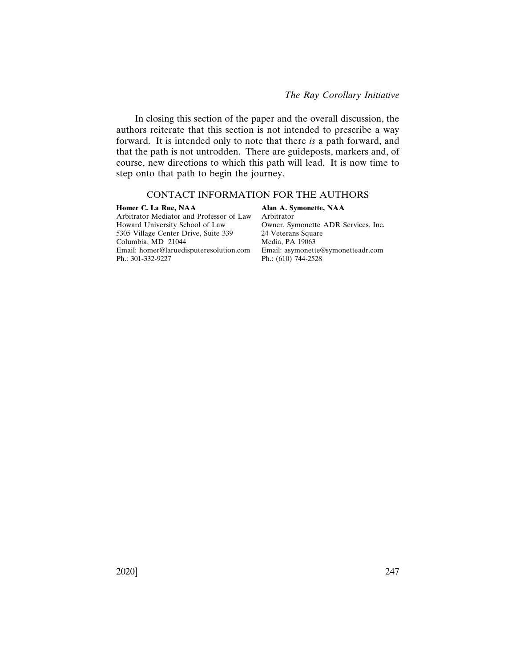## *The Ray Corollary Initiative*

In closing this section of the paper and the overall discussion, the authors reiterate that this section is not intended to prescribe a way forward. It is intended only to note that there *is* a path forward, and that the path is not untrodden. There are guideposts, markers and, of course, new directions to which this path will lead. It is now time to step onto that path to begin the journey.

#### CONTACT INFORMATION FOR THE AUTHORS

#### **Homer C. La Rue, NAA Alan A. Symonette, NAA**

Arbitrator Mediator and Professor of Law Arbitrator Howard University School of Law Owner, Symonette ADR Services, Inc. 5305 Village Center Drive, Suite 339 24 Veterans Square Columbia, MD 21044<br>Email: homer@laruedisputeresolution.com Email: homer@laruedisputeresolution.com Email: asymonette@symonetteadr.com

Ph.: (610) 744-2528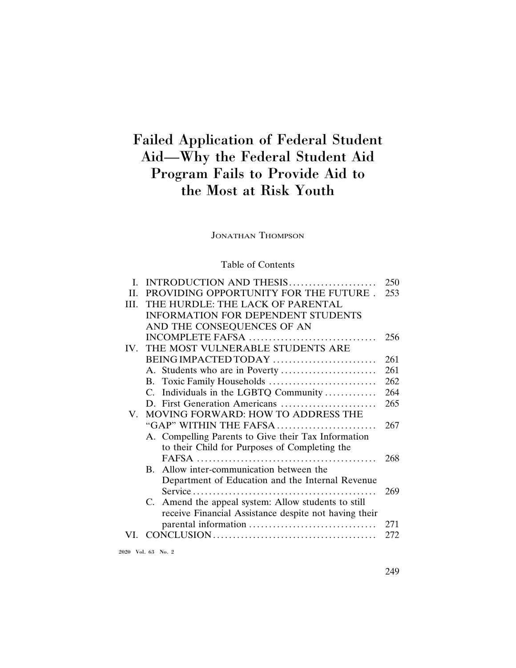# Failed Application of Federal Student Aid—Why the Federal Student Aid Program Fails to Provide Aid to the Most at Risk Youth

JONATHAN THOMPSON

# Table of Contents

| $\mathbf{I}$         | INTRODUCTION AND THESIS                               | 250 |
|----------------------|-------------------------------------------------------|-----|
| H                    | PROVIDING OPPORTUNITY FOR THE FUTURE.                 | 253 |
| HI.                  | THE HURDLE: THE LACK OF PARENTAL                      |     |
|                      | <b>INFORMATION FOR DEPENDENT STUDENTS</b>             |     |
|                      | AND THE CONSEQUENCES OF AN                            |     |
|                      |                                                       | 256 |
| $\mathbf{IV}_{-}$    | THE MOST VULNERABLE STUDENTS ARE                      |     |
|                      | BEING IMPACTED TODAY                                  | 261 |
|                      |                                                       | 261 |
|                      |                                                       | 262 |
|                      | C. Individuals in the LGBTQ Community                 | 264 |
|                      | D. First Generation Americans                         | 265 |
| $\mathbf{V}_{\cdot}$ | MOVING FORWARD: HOW TO ADDRESS THE                    |     |
|                      | "GAP" WITHIN THE FAFSA                                | 267 |
|                      | A. Compelling Parents to Give their Tax Information   |     |
|                      | to their Child for Purposes of Completing the         |     |
|                      |                                                       | 268 |
|                      | B. Allow inter-communication between the              |     |
|                      | Department of Education and the Internal Revenue      |     |
|                      |                                                       | 269 |
|                      | C. Amend the appeal system: Allow students to still   |     |
|                      | receive Financial Assistance despite not having their |     |
|                      |                                                       | 271 |
|                      |                                                       | 272 |
|                      |                                                       |     |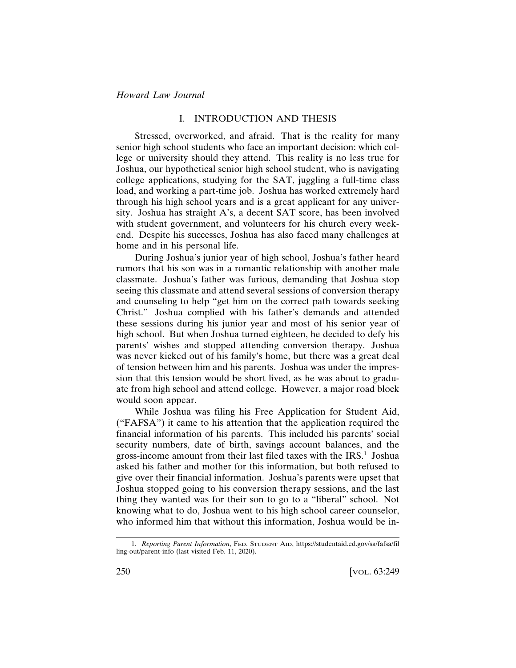#### I. INTRODUCTION AND THESIS

Stressed, overworked, and afraid. That is the reality for many senior high school students who face an important decision: which college or university should they attend. This reality is no less true for Joshua, our hypothetical senior high school student, who is navigating college applications, studying for the SAT, juggling a full-time class load, and working a part-time job. Joshua has worked extremely hard through his high school years and is a great applicant for any university. Joshua has straight A's, a decent SAT score, has been involved with student government, and volunteers for his church every weekend. Despite his successes, Joshua has also faced many challenges at home and in his personal life.

During Joshua's junior year of high school, Joshua's father heard rumors that his son was in a romantic relationship with another male classmate. Joshua's father was furious, demanding that Joshua stop seeing this classmate and attend several sessions of conversion therapy and counseling to help "get him on the correct path towards seeking Christ." Joshua complied with his father's demands and attended these sessions during his junior year and most of his senior year of high school. But when Joshua turned eighteen, he decided to defy his parents' wishes and stopped attending conversion therapy. Joshua was never kicked out of his family's home, but there was a great deal of tension between him and his parents. Joshua was under the impression that this tension would be short lived, as he was about to graduate from high school and attend college. However, a major road block would soon appear.

While Joshua was filing his Free Application for Student Aid, ("FAFSA") it came to his attention that the application required the financial information of his parents. This included his parents' social security numbers, date of birth, savings account balances, and the gross-income amount from their last filed taxes with the IRS.<sup>1</sup> Joshua asked his father and mother for this information, but both refused to give over their financial information. Joshua's parents were upset that Joshua stopped going to his conversion therapy sessions, and the last thing they wanted was for their son to go to a "liberal" school. Not knowing what to do, Joshua went to his high school career counselor, who informed him that without this information, Joshua would be in-

<sup>1.</sup> *Reporting Parent Information*, FED. STUDENT AID, https://studentaid.ed.gov/sa/fafsa/fil ling-out/parent-info (last visited Feb. 11, 2020).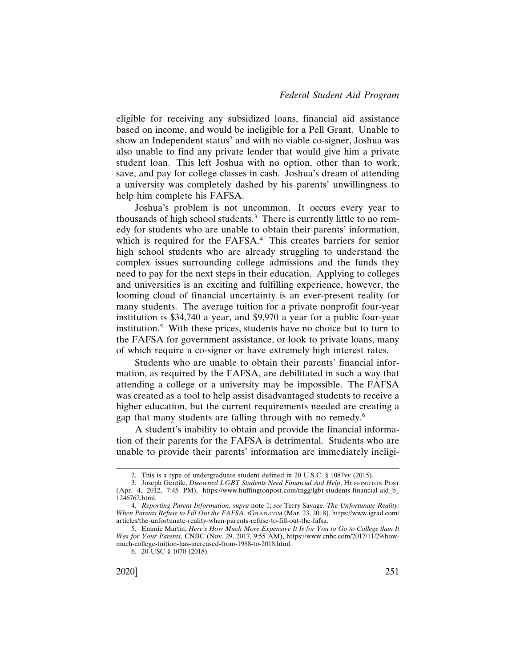eligible for receiving any subsidized loans, financial aid assistance based on income, and would be ineligible for a Pell Grant. Unable to show an Independent status<sup>2</sup> and with no viable co-signer, Joshua was also unable to find any private lender that would give him a private student loan. This left Joshua with no option, other than to work, save, and pay for college classes in cash. Joshua's dream of attending a university was completely dashed by his parents' unwillingness to help him complete his FAFSA.

Joshua's problem is not uncommon. It occurs every year to thousands of high school students.3 There is currently little to no remedy for students who are unable to obtain their parents' information, which is required for the FAFSA.<sup>4</sup> This creates barriers for senior high school students who are already struggling to understand the complex issues surrounding college admissions and the funds they need to pay for the next steps in their education. Applying to colleges and universities is an exciting and fulfilling experience, however, the looming cloud of financial uncertainty is an ever-present reality for many students. The average tuition for a private nonprofit four-year institution is \$34,740 a year, and \$9,970 a year for a public four-year institution.5 With these prices, students have no choice but to turn to the FAFSA for government assistance, or look to private loans, many of which require a co-signer or have extremely high interest rates.

Students who are unable to obtain their parents' financial information, as required by the FAFSA, are debilitated in such a way that attending a college or a university may be impossible. The FAFSA was created as a tool to help assist disadvantaged students to receive a higher education, but the current requirements needed are creating a gap that many students are falling through with no remedy.<sup>6</sup>

A student's inability to obtain and provide the financial information of their parents for the FAFSA is detrimental. Students who are unable to provide their parents' information are immediately ineligi-

<sup>2.</sup> This is a type of undergraduate student defined in 20 U.S.C. § 1087vv (2015).

<sup>3.</sup> Joseph Gentile, *Disowned LGBT Students Need Financial Aid Help*, HUFFINGTON POST (Apr. 4, 2012, 7:45 PM), https://www.huffingtonpost.com/tngg/lgbt-students-financial-aid\_b\_ 1246762.html.

<sup>4.</sup> *Reporting Parent Information*, *supra* note 1; *see* Terry Savage, *The Unfortunate Reality: When Parents Refuse to Fill Out the FAFSA*, IGRAD.COM (Mar. 23, 2018), https://www.igrad.com/ articles/the-unfortunate-reality-when-parents-refuse-to-fill-out-the-fafsa.

<sup>5.</sup> Emmie Martin, *Here's How Much More Expensive It Is for You to Go to College than It Was for Your Parents*, CNBC (Nov. 29, 2017, 9:55 AM), https://www.cnbc.com/2017/11/29/howmuch-college-tuition-has-increased-from-1988-to-2018.html.

<sup>6. 20</sup> USC § 1070 (2018).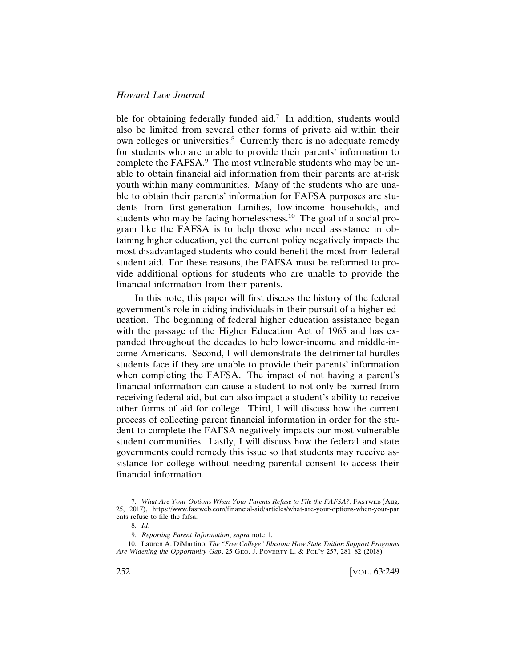ble for obtaining federally funded aid.<sup>7</sup> In addition, students would also be limited from several other forms of private aid within their own colleges or universities.8 Currently there is no adequate remedy for students who are unable to provide their parents' information to complete the FAFSA.<sup>9</sup> The most vulnerable students who may be unable to obtain financial aid information from their parents are at-risk youth within many communities. Many of the students who are unable to obtain their parents' information for FAFSA purposes are students from first-generation families, low-income households, and students who may be facing homelessness.<sup>10</sup> The goal of a social program like the FAFSA is to help those who need assistance in obtaining higher education, yet the current policy negatively impacts the most disadvantaged students who could benefit the most from federal student aid. For these reasons, the FAFSA must be reformed to provide additional options for students who are unable to provide the financial information from their parents.

In this note, this paper will first discuss the history of the federal government's role in aiding individuals in their pursuit of a higher education. The beginning of federal higher education assistance began with the passage of the Higher Education Act of 1965 and has expanded throughout the decades to help lower-income and middle-income Americans. Second, I will demonstrate the detrimental hurdles students face if they are unable to provide their parents' information when completing the FAFSA. The impact of not having a parent's financial information can cause a student to not only be barred from receiving federal aid, but can also impact a student's ability to receive other forms of aid for college. Third, I will discuss how the current process of collecting parent financial information in order for the student to complete the FAFSA negatively impacts our most vulnerable student communities. Lastly, I will discuss how the federal and state governments could remedy this issue so that students may receive assistance for college without needing parental consent to access their financial information.

<sup>7.</sup> *What Are Your Options When Your Parents Refuse to File the FAFSA?*, FASTWEB (Aug. 25, 2017), https://www.fastweb.com/financial-aid/articles/what-are-your-options-when-your-par ents-refuse-to-file-the-fafsa.

<sup>8.</sup> *Id*.

<sup>9.</sup> *Reporting Parent Information*, *supra* note 1.

<sup>10.</sup> Lauren A. DiMartino, *The "Free College" Illusion: How State Tuition Support Programs Are Widening the Opportunity Gap*, 25 GEO. J. POVERTY L. & POL'Y 257, 281–82 (2018).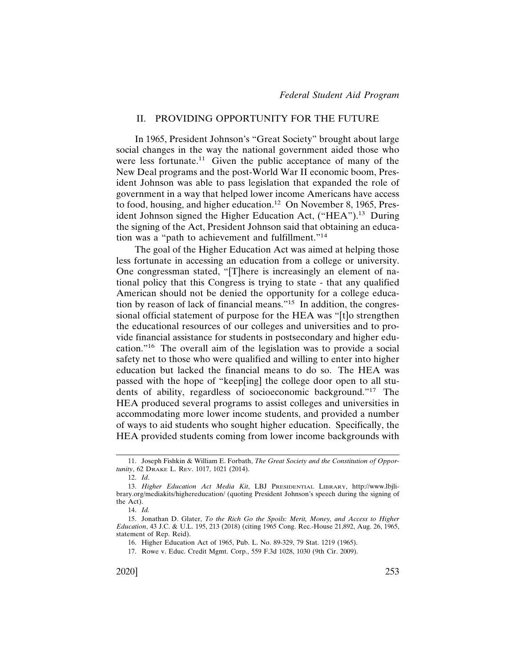### II. PROVIDING OPPORTUNITY FOR THE FUTURE

In 1965, President Johnson's "Great Society" brought about large social changes in the way the national government aided those who were less fortunate.<sup>11</sup> Given the public acceptance of many of the New Deal programs and the post-World War II economic boom, President Johnson was able to pass legislation that expanded the role of government in a way that helped lower income Americans have access to food, housing, and higher education.12 On November 8, 1965, President Johnson signed the Higher Education Act, ("HEA").<sup>13</sup> During the signing of the Act, President Johnson said that obtaining an education was a "path to achievement and fulfillment."<sup>14</sup>

The goal of the Higher Education Act was aimed at helping those less fortunate in accessing an education from a college or university. One congressman stated, "[T]here is increasingly an element of national policy that this Congress is trying to state - that any qualified American should not be denied the opportunity for a college education by reason of lack of financial means."15 In addition, the congressional official statement of purpose for the HEA was "[t]o strengthen the educational resources of our colleges and universities and to provide financial assistance for students in postsecondary and higher education."16 The overall aim of the legislation was to provide a social safety net to those who were qualified and willing to enter into higher education but lacked the financial means to do so. The HEA was passed with the hope of "keep[ing] the college door open to all students of ability, regardless of socioeconomic background."17 The HEA produced several programs to assist colleges and universities in accommodating more lower income students, and provided a number of ways to aid students who sought higher education. Specifically, the HEA provided students coming from lower income backgrounds with

<sup>11.</sup> Joseph Fishkin & William E. Forbath, *The Great Society and the Constitution of Opportunity*, 62 DRAKE L. REV. 1017, 1021 (2014).

<sup>12.</sup> *Id*.

<sup>13.</sup> *Higher Education Act Media Kit*, LBJ PRESIDENTIAL LIBRARY, http://www.lbjlibrary.org/mediakits/highereducation/ (quoting President Johnson's speech during the signing of the Act).

<sup>14.</sup> *Id.*

<sup>15.</sup> Jonathan D. Glater, *To the Rich Go the Spoils: Merit, Money, and Access to Higher Education*, 43 J.C. & U.L. 195, 213 (2018) (citing 1965 Cong. Rec.-House 21,892, Aug. 26, 1965, statement of Rep. Reid).

<sup>16.</sup> Higher Education Act of 1965, Pub. L. No. 89-329, 79 Stat. 1219 (1965).

<sup>17.</sup> Rowe v. Educ. Credit Mgmt. Corp., 559 F.3d 1028, 1030 (9th Cir. 2009).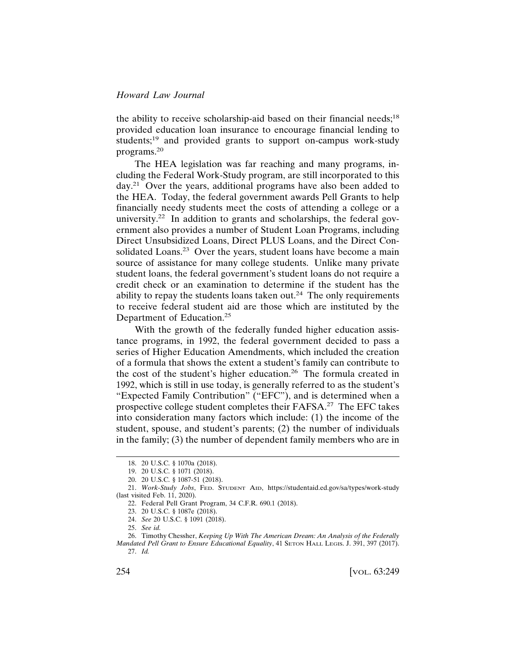the ability to receive scholarship-aid based on their financial needs;<sup>18</sup> provided education loan insurance to encourage financial lending to students;<sup>19</sup> and provided grants to support on-campus work-study programs.20

The HEA legislation was far reaching and many programs, including the Federal Work-Study program, are still incorporated to this day.21 Over the years, additional programs have also been added to the HEA. Today, the federal government awards Pell Grants to help financially needy students meet the costs of attending a college or a university.<sup>22</sup> In addition to grants and scholarships, the federal government also provides a number of Student Loan Programs, including Direct Unsubsidized Loans, Direct PLUS Loans, and the Direct Consolidated Loans.<sup>23</sup> Over the years, student loans have become a main source of assistance for many college students. Unlike many private student loans, the federal government's student loans do not require a credit check or an examination to determine if the student has the ability to repay the students loans taken out.<sup>24</sup> The only requirements to receive federal student aid are those which are instituted by the Department of Education.<sup>25</sup>

With the growth of the federally funded higher education assistance programs, in 1992, the federal government decided to pass a series of Higher Education Amendments, which included the creation of a formula that shows the extent a student's family can contribute to the cost of the student's higher education.<sup>26</sup> The formula created in 1992, which is still in use today, is generally referred to as the student's "Expected Family Contribution" ("EFC"), and is determined when a prospective college student completes their FAFSA.27 The EFC takes into consideration many factors which include: (1) the income of the student, spouse, and student's parents; (2) the number of individuals in the family; (3) the number of dependent family members who are in

<sup>18. 20</sup> U.S.C. § 1070a (2018).

<sup>19. 20</sup> U.S.C. § 1071 (2018).

<sup>20. 20</sup> U.S.C. § 1087-51 (2018).

<sup>21.</sup> *Work-Study Jobs*, FED. STUDENT AID, https://studentaid.ed.gov/sa/types/work-study (last visited Feb. 11, 2020).

<sup>22.</sup> Federal Pell Grant Program, 34 C.F.R. 690.1 (2018).

<sup>23. 20</sup> U.S.C. § 1087e (2018).

<sup>24.</sup> *See* 20 U.S.C. § 1091 (2018).

<sup>25.</sup> *See id.*

<sup>26.</sup> Timothy Chessher, *Keeping Up With The American Dream: An Analysis of the Federally Mandated Pell Grant to Ensure Educational Equality*, 41 SETON HALL LEGIS. J. 391, 397 (2017). 27. *Id.*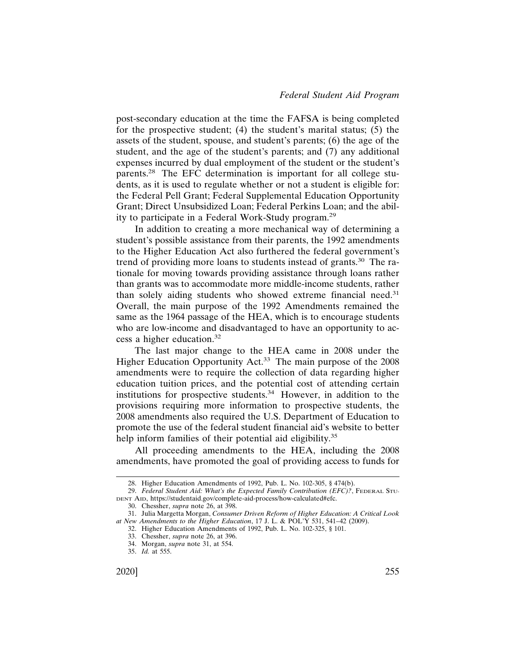post-secondary education at the time the FAFSA is being completed for the prospective student; (4) the student's marital status; (5) the assets of the student, spouse, and student's parents; (6) the age of the student, and the age of the student's parents; and (7) any additional expenses incurred by dual employment of the student or the student's parents.28 The EFC determination is important for all college students, as it is used to regulate whether or not a student is eligible for: the Federal Pell Grant; Federal Supplemental Education Opportunity Grant; Direct Unsubsidized Loan; Federal Perkins Loan; and the ability to participate in a Federal Work-Study program.<sup>29</sup>

In addition to creating a more mechanical way of determining a student's possible assistance from their parents, the 1992 amendments to the Higher Education Act also furthered the federal government's trend of providing more loans to students instead of grants.30 The rationale for moving towards providing assistance through loans rather than grants was to accommodate more middle-income students, rather than solely aiding students who showed extreme financial need. $31$ Overall, the main purpose of the 1992 Amendments remained the same as the 1964 passage of the HEA, which is to encourage students who are low-income and disadvantaged to have an opportunity to access a higher education.<sup>32</sup>

The last major change to the HEA came in 2008 under the Higher Education Opportunity Act.<sup>33</sup> The main purpose of the 2008 amendments were to require the collection of data regarding higher education tuition prices, and the potential cost of attending certain institutions for prospective students.34 However, in addition to the provisions requiring more information to prospective students, the 2008 amendments also required the U.S. Department of Education to promote the use of the federal student financial aid's website to better help inform families of their potential aid eligibility.<sup>35</sup>

All proceeding amendments to the HEA, including the 2008 amendments, have promoted the goal of providing access to funds for

<sup>28.</sup> Higher Education Amendments of 1992, Pub. L. No. 102-305, § 474(b).

<sup>29.</sup> *Federal Student Aid: What's the Expected Family Contribution (EFC)?*, FEDERAL STU-DENT AID, https://studentaid.gov/complete-aid-process/how-calculated#efc.

<sup>30.</sup> Chessher, *supra* note 26, at 398.

<sup>31.</sup> Julia Margetta Morgan, *Consumer Driven Reform of Higher Education: A Critical Look at New Amendments to the Higher Education*, 17 J. L. & POL'Y 531, 541–42 (2009).

<sup>32.</sup> Higher Education Amendments of 1992, Pub. L. No. 102-325, § 101.

<sup>33.</sup> Chessher, *supra* note 26, at 396.

<sup>34.</sup> Morgan, *supra* note 31, at 554.

<sup>35.</sup> *Id.* at 555.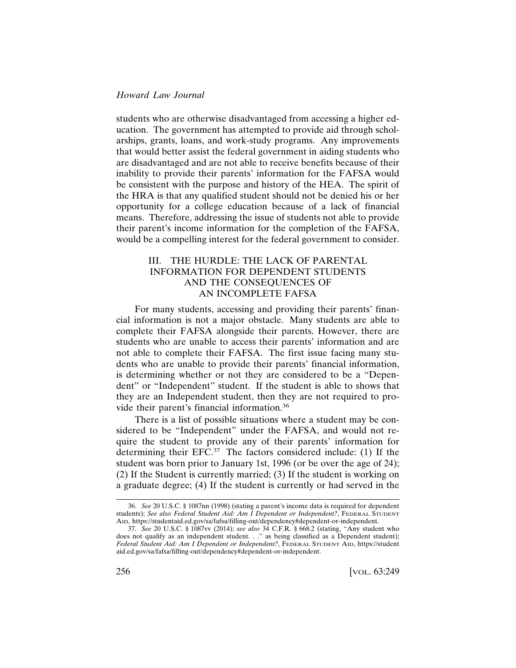students who are otherwise disadvantaged from accessing a higher education. The government has attempted to provide aid through scholarships, grants, loans, and work-study programs. Any improvements that would better assist the federal government in aiding students who are disadvantaged and are not able to receive benefits because of their inability to provide their parents' information for the FAFSA would be consistent with the purpose and history of the HEA. The spirit of the HRA is that any qualified student should not be denied his or her opportunity for a college education because of a lack of financial means. Therefore, addressing the issue of students not able to provide their parent's income information for the completion of the FAFSA, would be a compelling interest for the federal government to consider.

# III. THE HURDLE: THE LACK OF PARENTAL INFORMATION FOR DEPENDENT STUDENTS AND THE CONSEQUENCES OF AN INCOMPLETE FAFSA

For many students, accessing and providing their parents' financial information is not a major obstacle. Many students are able to complete their FAFSA alongside their parents. However, there are students who are unable to access their parents' information and are not able to complete their FAFSA. The first issue facing many students who are unable to provide their parents' financial information, is determining whether or not they are considered to be a "Dependent" or "Independent" student. If the student is able to shows that they are an Independent student, then they are not required to provide their parent's financial information.36

There is a list of possible situations where a student may be considered to be "Independent" under the FAFSA, and would not require the student to provide any of their parents' information for determining their EFC.37 The factors considered include: (1) If the student was born prior to January 1st, 1996 (or be over the age of 24); (2) If the Student is currently married; (3) If the student is working on a graduate degree; (4) If the student is currently or had served in the

<sup>36.</sup> *See* 20 U.S.C. § 1087nn (1998) (stating a parent's income data is required for dependent students); *See also Federal Student Aid: Am I Dependent or Independent?*, FEDERAL STUDENT AID, https://studentaid.ed.gov/sa/fafsa/filling-out/dependency#dependent-or-independent.

<sup>37.</sup> *See* 20 U.S.C. § 1087vv (2014); *see also* 34 C.F.R. § 668.2 (stating, "Any student who does not qualify as an independent student. . ." as being classified as a Dependent student); *Federal Student Aid: Am I Dependent or Independent?*, FEDERAL STUDENT AID, https://student aid.ed.gov/sa/fafsa/filling-out/dependency#dependent-or-independent.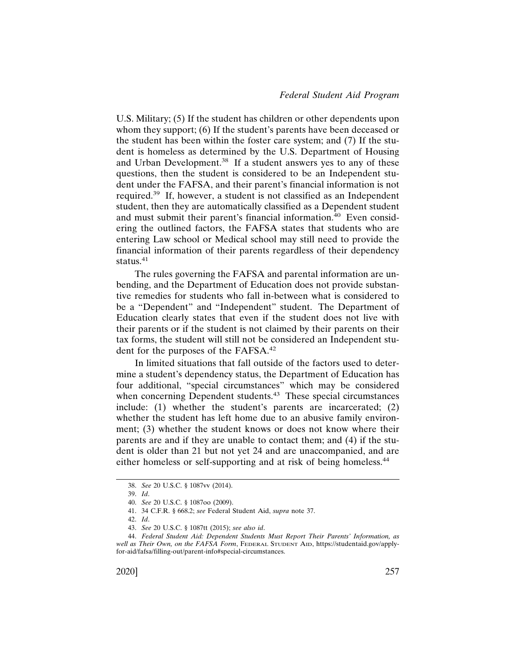U.S. Military; (5) If the student has children or other dependents upon whom they support; (6) If the student's parents have been deceased or the student has been within the foster care system; and (7) If the student is homeless as determined by the U.S. Department of Housing and Urban Development.<sup>38</sup> If a student answers yes to any of these questions, then the student is considered to be an Independent student under the FAFSA, and their parent's financial information is not required.39 If, however, a student is not classified as an Independent student, then they are automatically classified as a Dependent student and must submit their parent's financial information.40 Even considering the outlined factors, the FAFSA states that students who are entering Law school or Medical school may still need to provide the financial information of their parents regardless of their dependency status.<sup>41</sup>

The rules governing the FAFSA and parental information are unbending, and the Department of Education does not provide substantive remedies for students who fall in-between what is considered to be a "Dependent" and "Independent" student. The Department of Education clearly states that even if the student does not live with their parents or if the student is not claimed by their parents on their tax forms, the student will still not be considered an Independent student for the purposes of the FAFSA.<sup>42</sup>

In limited situations that fall outside of the factors used to determine a student's dependency status, the Department of Education has four additional, "special circumstances" which may be considered when concerning Dependent students.<sup>43</sup> These special circumstances include: (1) whether the student's parents are incarcerated; (2) whether the student has left home due to an abusive family environment; (3) whether the student knows or does not know where their parents are and if they are unable to contact them; and (4) if the student is older than 21 but not yet 24 and are unaccompanied, and are either homeless or self-supporting and at risk of being homeless.<sup>44</sup>

<sup>38.</sup> *See* 20 U.S.C. § 1087vv (2014).

<sup>39.</sup> *Id*.

<sup>40.</sup> *See* 20 U.S.C. § 1087oo (2009).

<sup>41. 34</sup> C.F.R. § 668.2; *see* Federal Student Aid, *supra* note 37.

<sup>42.</sup> *Id*.

<sup>43.</sup> *See* 20 U.S.C. § 1087tt (2015); *see also id*.

<sup>44.</sup> *Federal Student Aid: Dependent Students Must Report Their Parents' Information, as well as Their Own, on the FAFSA Form*, FEDERAL STUDENT AID, https://studentaid.gov/applyfor-aid/fafsa/filling-out/parent-info#special-circumstances.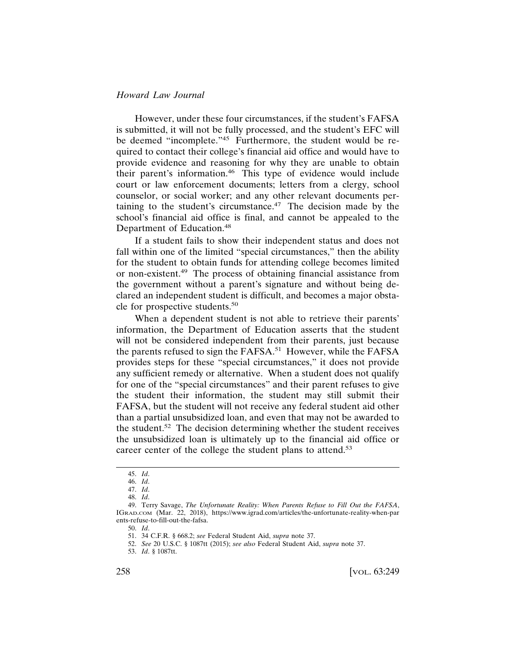However, under these four circumstances, if the student's FAFSA is submitted, it will not be fully processed, and the student's EFC will be deemed "incomplete."45 Furthermore, the student would be required to contact their college's financial aid office and would have to provide evidence and reasoning for why they are unable to obtain their parent's information.46 This type of evidence would include court or law enforcement documents; letters from a clergy, school counselor, or social worker; and any other relevant documents pertaining to the student's circumstance.47 The decision made by the school's financial aid office is final, and cannot be appealed to the Department of Education.<sup>48</sup>

If a student fails to show their independent status and does not fall within one of the limited "special circumstances," then the ability for the student to obtain funds for attending college becomes limited or non-existent.49 The process of obtaining financial assistance from the government without a parent's signature and without being declared an independent student is difficult, and becomes a major obstacle for prospective students.<sup>50</sup>

When a dependent student is not able to retrieve their parents' information, the Department of Education asserts that the student will not be considered independent from their parents, just because the parents refused to sign the FAFSA.<sup>51</sup> However, while the FAFSA provides steps for these "special circumstances," it does not provide any sufficient remedy or alternative. When a student does not qualify for one of the "special circumstances" and their parent refuses to give the student their information, the student may still submit their FAFSA, but the student will not receive any federal student aid other than a partial unsubsidized loan, and even that may not be awarded to the student.<sup>52</sup> The decision determining whether the student receives the unsubsidized loan is ultimately up to the financial aid office or career center of the college the student plans to attend.<sup>53</sup>

<sup>45.</sup> *Id*.

<sup>46.</sup> *Id*. 47. *Id*.

<sup>48.</sup> *Id*.

<sup>49.</sup> Terry Savage, *The Unfortunate Reality: When Parents Refuse to Fill Out the FAFSA*, IGRAD.COM (Mar. 22, 2018), https://www.igrad.com/articles/the-unfortunate-reality-when-par ents-refuse-to-fill-out-the-fafsa.

<sup>50.</sup> *Id*.

<sup>51. 34</sup> C.F.R. § 668.2; *see* Federal Student Aid, *supra* note 37.

<sup>52.</sup> *See* 20 U.S.C. § 1087tt (2015); *see also* Federal Student Aid, *supra* note 37.

<sup>53.</sup> *Id*. § 1087tt.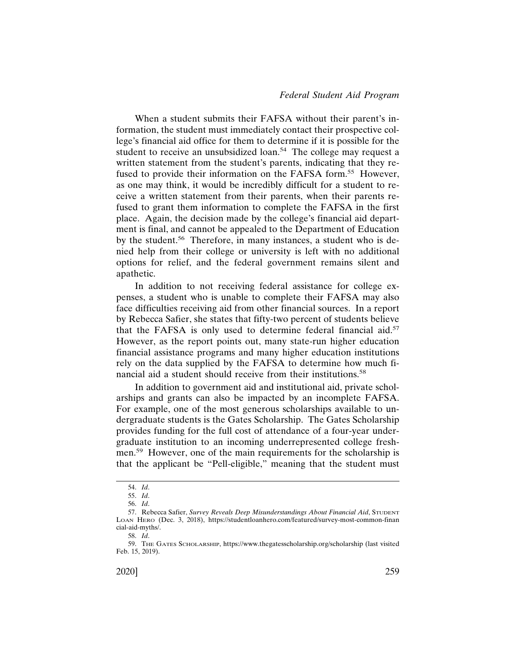When a student submits their FAFSA without their parent's information, the student must immediately contact their prospective college's financial aid office for them to determine if it is possible for the student to receive an unsubsidized loan.<sup>54</sup> The college may request a written statement from the student's parents, indicating that they refused to provide their information on the FAFSA form.<sup>55</sup> However, as one may think, it would be incredibly difficult for a student to receive a written statement from their parents, when their parents refused to grant them information to complete the FAFSA in the first place. Again, the decision made by the college's financial aid department is final, and cannot be appealed to the Department of Education by the student.<sup>56</sup> Therefore, in many instances, a student who is denied help from their college or university is left with no additional options for relief, and the federal government remains silent and apathetic.

In addition to not receiving federal assistance for college expenses, a student who is unable to complete their FAFSA may also face difficulties receiving aid from other financial sources. In a report by Rebecca Safier, she states that fifty-two percent of students believe that the FAFSA is only used to determine federal financial aid.<sup>57</sup> However, as the report points out, many state-run higher education financial assistance programs and many higher education institutions rely on the data supplied by the FAFSA to determine how much financial aid a student should receive from their institutions.<sup>58</sup>

In addition to government aid and institutional aid, private scholarships and grants can also be impacted by an incomplete FAFSA. For example, one of the most generous scholarships available to undergraduate students is the Gates Scholarship. The Gates Scholarship provides funding for the full cost of attendance of a four-year undergraduate institution to an incoming underrepresented college freshmen.59 However, one of the main requirements for the scholarship is that the applicant be "Pell-eligible," meaning that the student must

<sup>54.</sup> *Id*.

<sup>55.</sup> *Id*.

<sup>56.</sup> *Id*.

<sup>57.</sup> Rebecca Safier, *Survey Reveals Deep Misunderstandings About Financial Aid*, STUDENT LOAN HERO (Dec. 3, 2018), https://studentloanhero.com/featured/survey-most-common-finan cial-aid-myths/.

<sup>58.</sup> *Id*.

<sup>59.</sup> THE GATES SCHOLARSHIP, https://www.thegatesscholarship.org/scholarship (last visited Feb. 15, 2019).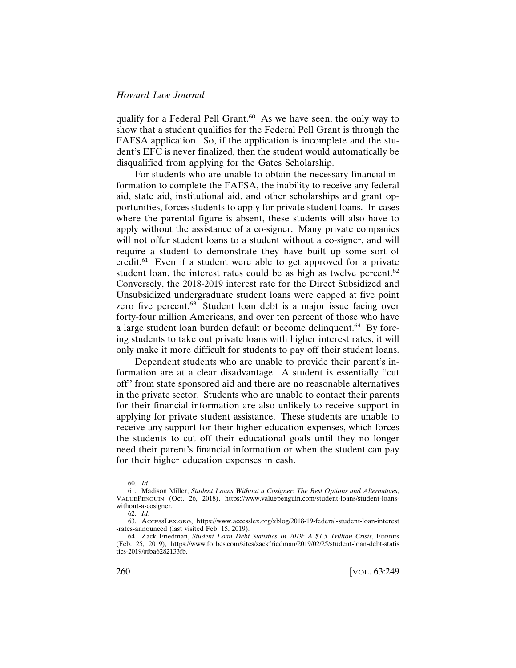qualify for a Federal Pell Grant.<sup>60</sup> As we have seen, the only way to show that a student qualifies for the Federal Pell Grant is through the FAFSA application. So, if the application is incomplete and the student's EFC is never finalized, then the student would automatically be disqualified from applying for the Gates Scholarship.

For students who are unable to obtain the necessary financial information to complete the FAFSA, the inability to receive any federal aid, state aid, institutional aid, and other scholarships and grant opportunities, forces students to apply for private student loans. In cases where the parental figure is absent, these students will also have to apply without the assistance of a co-signer. Many private companies will not offer student loans to a student without a co-signer, and will require a student to demonstrate they have built up some sort of credit.61 Even if a student were able to get approved for a private student loan, the interest rates could be as high as twelve percent.<sup>62</sup> Conversely, the 2018-2019 interest rate for the Direct Subsidized and Unsubsidized undergraduate student loans were capped at five point zero five percent.<sup>63</sup> Student loan debt is a major issue facing over forty-four million Americans, and over ten percent of those who have a large student loan burden default or become delinquent.64 By forcing students to take out private loans with higher interest rates, it will only make it more difficult for students to pay off their student loans.

Dependent students who are unable to provide their parent's information are at a clear disadvantage. A student is essentially "cut off" from state sponsored aid and there are no reasonable alternatives in the private sector. Students who are unable to contact their parents for their financial information are also unlikely to receive support in applying for private student assistance. These students are unable to receive any support for their higher education expenses, which forces the students to cut off their educational goals until they no longer need their parent's financial information or when the student can pay for their higher education expenses in cash.

<sup>60.</sup> *Id*.

<sup>61.</sup> Madison Miller, *Student Loans Without a Cosigner: The Best Options and Alternatives*, VALUEPENGUIN (Oct. 26, 2018), https://www.valuepenguin.com/student-loans/student-loanswithout-a-cosigner.

<sup>62.</sup> *Id*.

<sup>63.</sup> ACCESSLEX.ORG, https://www.accesslex.org/xblog/2018-19-federal-student-loan-interest -rates-announced (last visited Feb. 15, 2019).

<sup>64.</sup> Zack Friedman, *Student Loan Debt Statistics In 2019: A \$1.5 Trillion Crisis*, FORBES (Feb. 25, 2019), https://www.forbes.com/sites/zackfriedman/2019/02/25/student-loan-debt-statis tics-2019/#fba6282133fb.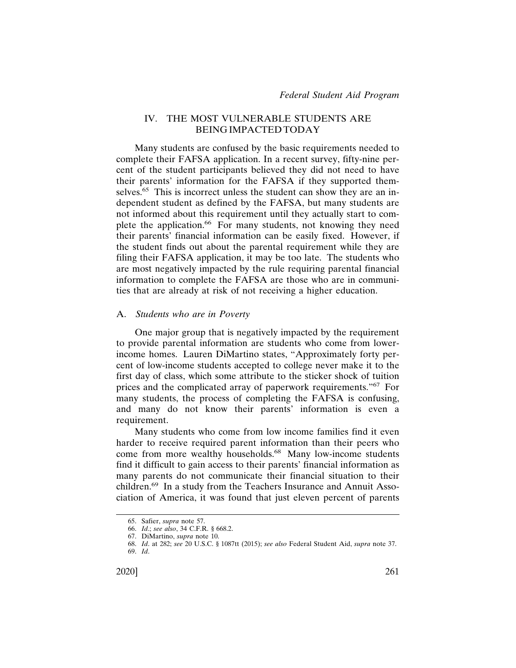# IV. THE MOST VULNERABLE STUDENTS ARE BEING IMPACTED TODAY

Many students are confused by the basic requirements needed to complete their FAFSA application. In a recent survey, fifty-nine percent of the student participants believed they did not need to have their parents' information for the FAFSA if they supported themselves.<sup>65</sup> This is incorrect unless the student can show they are an independent student as defined by the FAFSA, but many students are not informed about this requirement until they actually start to complete the application.<sup>66</sup> For many students, not knowing they need their parents' financial information can be easily fixed. However, if the student finds out about the parental requirement while they are filing their FAFSA application, it may be too late. The students who are most negatively impacted by the rule requiring parental financial information to complete the FAFSA are those who are in communities that are already at risk of not receiving a higher education.

### A. *Students who are in Poverty*

One major group that is negatively impacted by the requirement to provide parental information are students who come from lowerincome homes. Lauren DiMartino states, "Approximately forty percent of low-income students accepted to college never make it to the first day of class, which some attribute to the sticker shock of tuition prices and the complicated array of paperwork requirements."67 For many students, the process of completing the FAFSA is confusing, and many do not know their parents' information is even a requirement.

Many students who come from low income families find it even harder to receive required parent information than their peers who come from more wealthy households.<sup>68</sup> Many low-income students find it difficult to gain access to their parents' financial information as many parents do not communicate their financial situation to their children.69 In a study from the Teachers Insurance and Annuit Association of America, it was found that just eleven percent of parents

<sup>65.</sup> Safier, *supra* note 57.

<sup>66.</sup> *Id*.; *see also*, 34 C.F.R. § 668.2.

<sup>67.</sup> DiMartino, *supra* note 10.

<sup>68.</sup> *Id*. at 282; *see* 20 U.S.C. § 1087tt (2015); *see also* Federal Student Aid, *supra* note 37. 69. *Id*.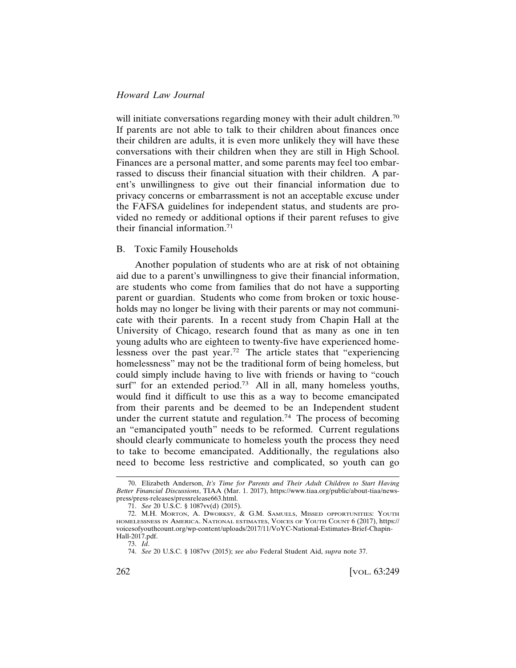will initiate conversations regarding money with their adult children.<sup>70</sup> If parents are not able to talk to their children about finances once their children are adults, it is even more unlikely they will have these conversations with their children when they are still in High School. Finances are a personal matter, and some parents may feel too embarrassed to discuss their financial situation with their children. A parent's unwillingness to give out their financial information due to privacy concerns or embarrassment is not an acceptable excuse under the FAFSA guidelines for independent status, and students are provided no remedy or additional options if their parent refuses to give their financial information.<sup>71</sup>

### B. Toxic Family Households

Another population of students who are at risk of not obtaining aid due to a parent's unwillingness to give their financial information, are students who come from families that do not have a supporting parent or guardian. Students who come from broken or toxic households may no longer be living with their parents or may not communicate with their parents. In a recent study from Chapin Hall at the University of Chicago, research found that as many as one in ten young adults who are eighteen to twenty-five have experienced homelessness over the past year.72 The article states that "experiencing homelessness" may not be the traditional form of being homeless, but could simply include having to live with friends or having to "couch surf" for an extended period.<sup>73</sup> All in all, many homeless youths, would find it difficult to use this as a way to become emancipated from their parents and be deemed to be an Independent student under the current statute and regulation.<sup>74</sup> The process of becoming an "emancipated youth" needs to be reformed. Current regulations should clearly communicate to homeless youth the process they need to take to become emancipated. Additionally, the regulations also need to become less restrictive and complicated, so youth can go

<sup>70.</sup> Elizabeth Anderson, *It's Time for Parents and Their Adult Children to Start Having Better Financial Discussions*, TIAA (Mar. 1. 2017), https://www.tiaa.org/public/about-tiaa/newspress/press-releases/pressrelease663.html.

<sup>71.</sup> *See* 20 U.S.C. § 1087vv(d) (2015).

<sup>72.</sup> M.H. MORTON, A. DWORKSY, & G.M. SAMUELS, MISSED OPPORTUNITIES: YOUTH HOMELESSNESS IN AMERICA. NATIONAL ESTIMATES, VOICES OF YOUTH COUNT 6 (2017), https:// voicesofyouthcount.org/wp-content/uploads/2017/11/VoYC-National-Estimates-Brief-Chapin-Hall-2017.pdf.

<sup>73.</sup> *Id*.

<sup>74.</sup> *See* 20 U.S.C. § 1087vv (2015); *see also* Federal Student Aid, *supra* note 37.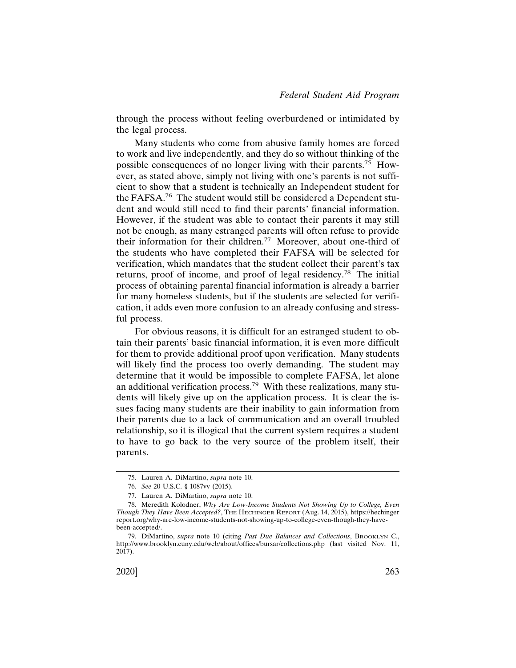through the process without feeling overburdened or intimidated by the legal process.

Many students who come from abusive family homes are forced to work and live independently, and they do so without thinking of the possible consequences of no longer living with their parents.75 However, as stated above, simply not living with one's parents is not sufficient to show that a student is technically an Independent student for the FAFSA.76 The student would still be considered a Dependent student and would still need to find their parents' financial information. However, if the student was able to contact their parents it may still not be enough, as many estranged parents will often refuse to provide their information for their children.77 Moreover, about one-third of the students who have completed their FAFSA will be selected for verification, which mandates that the student collect their parent's tax returns, proof of income, and proof of legal residency.78 The initial process of obtaining parental financial information is already a barrier for many homeless students, but if the students are selected for verification, it adds even more confusion to an already confusing and stressful process.

For obvious reasons, it is difficult for an estranged student to obtain their parents' basic financial information, it is even more difficult for them to provide additional proof upon verification. Many students will likely find the process too overly demanding. The student may determine that it would be impossible to complete FAFSA, let alone an additional verification process.79 With these realizations, many students will likely give up on the application process. It is clear the issues facing many students are their inability to gain information from their parents due to a lack of communication and an overall troubled relationship, so it is illogical that the current system requires a student to have to go back to the very source of the problem itself, their parents.

<sup>75.</sup> Lauren A. DiMartino, *supra* note 10.

<sup>76.</sup> *See* 20 U.S.C. § 1087vv (2015).

<sup>77.</sup> Lauren A. DiMartino, *supra* note 10.

<sup>78.</sup> Meredith Kolodner, *Why Are Low-Income Students Not Showing Up to College, Even Though They Have Been Accepted?*, THE HECHINGER REPORT (Aug. 14, 2015), https://hechinger report.org/why-are-low-income-students-not-showing-up-to-college-even-though-they-havebeen-accepted/.

<sup>79.</sup> DiMartino, *supra* note 10 (citing *Past Due Balances and Collections*, BROOKLYN C., http://www.brooklyn.cuny.edu/web/about/offices/bursar/collections.php (last visited Nov. 11, 2017).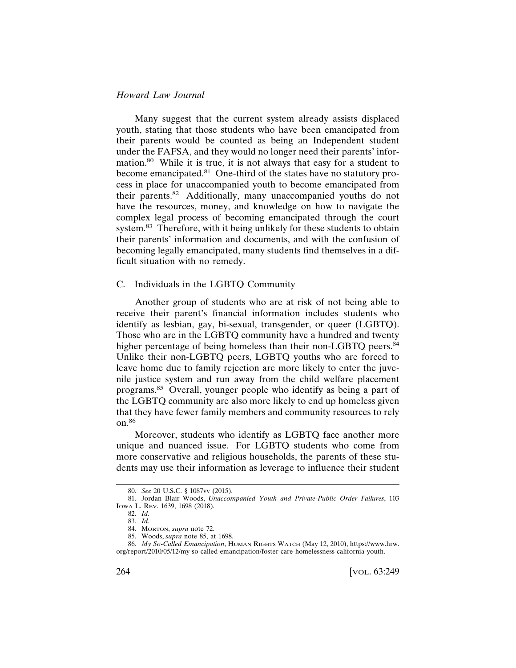Many suggest that the current system already assists displaced youth, stating that those students who have been emancipated from their parents would be counted as being an Independent student under the FAFSA, and they would no longer need their parents' information.80 While it is true, it is not always that easy for a student to become emancipated.<sup>81</sup> One-third of the states have no statutory process in place for unaccompanied youth to become emancipated from their parents.82 Additionally, many unaccompanied youths do not have the resources, money, and knowledge on how to navigate the complex legal process of becoming emancipated through the court system.<sup>83</sup> Therefore, with it being unlikely for these students to obtain their parents' information and documents, and with the confusion of becoming legally emancipated, many students find themselves in a difficult situation with no remedy.

### C. Individuals in the LGBTQ Community

Another group of students who are at risk of not being able to receive their parent's financial information includes students who identify as lesbian, gay, bi-sexual, transgender, or queer (LGBTQ). Those who are in the LGBTQ community have a hundred and twenty higher percentage of being homeless than their non-LGBTQ peers.<sup>84</sup> Unlike their non-LGBTQ peers, LGBTQ youths who are forced to leave home due to family rejection are more likely to enter the juvenile justice system and run away from the child welfare placement programs.85 Overall, younger people who identify as being a part of the LGBTQ community are also more likely to end up homeless given that they have fewer family members and community resources to rely on.86

Moreover, students who identify as LGBTQ face another more unique and nuanced issue. For LGBTQ students who come from more conservative and religious households, the parents of these students may use their information as leverage to influence their student

<sup>80.</sup> *See* 20 U.S.C. § 1087vv (2015).

<sup>81.</sup> Jordan Blair Woods, *Unaccompanied Youth and Private-Public Order Failures*, 103 IOWA L. REV. 1639, 1698 (2018).

<sup>82.</sup> *Id*.

<sup>83.</sup> *Id*.

<sup>84.</sup> MORTON, *supra* note 72.

<sup>85.</sup> Woods, *supra* note 85, at 1698.

<sup>86.</sup> *My So-Called Emancipation*, HUMAN RIGHTS WATCH (May 12, 2010), https://www.hrw. org/report/2010/05/12/my-so-called-emancipation/foster-care-homelessness-california-youth.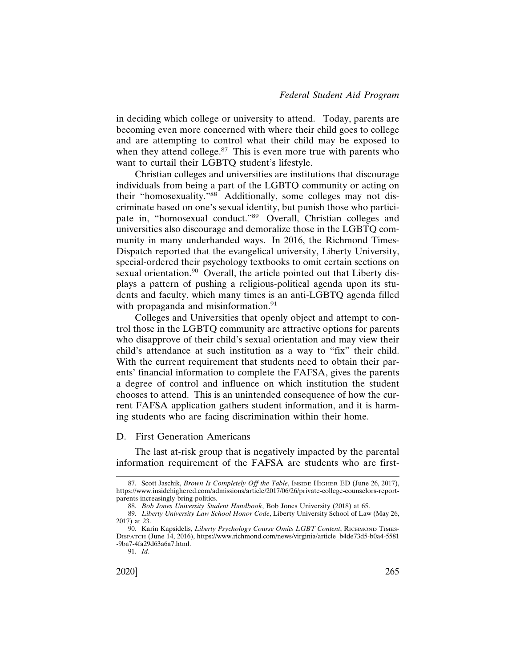in deciding which college or university to attend. Today, parents are becoming even more concerned with where their child goes to college and are attempting to control what their child may be exposed to when they attend college.<sup>87</sup> This is even more true with parents who want to curtail their LGBTQ student's lifestyle.

Christian colleges and universities are institutions that discourage individuals from being a part of the LGBTQ community or acting on their "homosexuality."88 Additionally, some colleges may not discriminate based on one's sexual identity, but punish those who participate in, "homosexual conduct."89 Overall, Christian colleges and universities also discourage and demoralize those in the LGBTQ community in many underhanded ways. In 2016, the Richmond Times-Dispatch reported that the evangelical university, Liberty University, special-ordered their psychology textbooks to omit certain sections on sexual orientation.<sup>90</sup> Overall, the article pointed out that Liberty displays a pattern of pushing a religious-political agenda upon its students and faculty, which many times is an anti-LGBTQ agenda filled with propaganda and misinformation.<sup>91</sup>

Colleges and Universities that openly object and attempt to control those in the LGBTQ community are attractive options for parents who disapprove of their child's sexual orientation and may view their child's attendance at such institution as a way to "fix" their child. With the current requirement that students need to obtain their parents' financial information to complete the FAFSA, gives the parents a degree of control and influence on which institution the student chooses to attend. This is an unintended consequence of how the current FAFSA application gathers student information, and it is harming students who are facing discrimination within their home.

### D. First Generation Americans

The last at-risk group that is negatively impacted by the parental information requirement of the FAFSA are students who are first-

<sup>87.</sup> Scott Jaschik, *Brown Is Completely Off the Table*, INSIDE HIGHER ED (June 26, 2017), https://www.insidehighered.com/admissions/article/2017/06/26/private-college-counselors-reportparents-increasingly-bring-politics.

<sup>88.</sup> *Bob Jones University Student Handbook*, Bob Jones University (2018) at 65.

<sup>89.</sup> *Liberty University Law School Honor Code*, Liberty University School of Law (May 26, 2017) at 23.

<sup>90.</sup> Karin Kapsidelis, *Liberty Psychology Course Omits LGBT Content*, RICHMOND TIMES-DISPATCH (June 14, 2016), https://www.richmond.com/news/virginia/article\_b4de73d5-b0a4-5581 -9ba7-4fa29d63a6a7.html.

<sup>91.</sup> *Id*.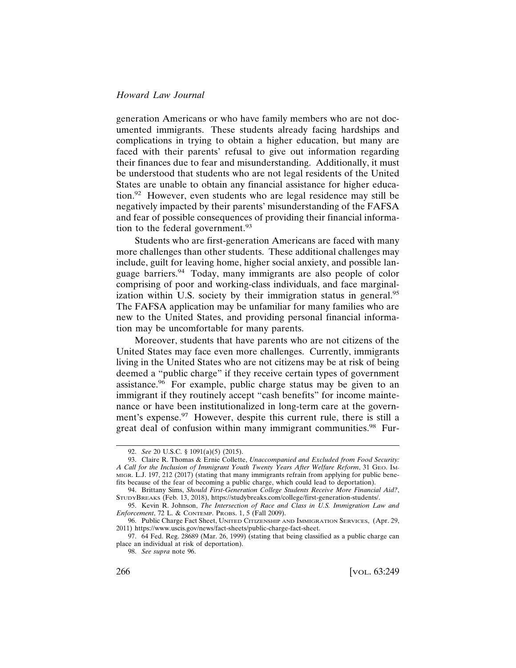generation Americans or who have family members who are not documented immigrants. These students already facing hardships and complications in trying to obtain a higher education, but many are faced with their parents' refusal to give out information regarding their finances due to fear and misunderstanding. Additionally, it must be understood that students who are not legal residents of the United States are unable to obtain any financial assistance for higher education.92 However, even students who are legal residence may still be negatively impacted by their parents' misunderstanding of the FAFSA and fear of possible consequences of providing their financial information to the federal government.<sup>93</sup>

Students who are first-generation Americans are faced with many more challenges than other students. These additional challenges may include, guilt for leaving home, higher social anxiety, and possible language barriers.94 Today, many immigrants are also people of color comprising of poor and working-class individuals, and face marginalization within U.S. society by their immigration status in general.<sup>95</sup> The FAFSA application may be unfamiliar for many families who are new to the United States, and providing personal financial information may be uncomfortable for many parents.

Moreover, students that have parents who are not citizens of the United States may face even more challenges. Currently, immigrants living in the United States who are not citizens may be at risk of being deemed a "public charge" if they receive certain types of government assistance.96 For example, public charge status may be given to an immigrant if they routinely accept "cash benefits" for income maintenance or have been institutionalized in long-term care at the government's expense.<sup>97</sup> However, despite this current rule, there is still a great deal of confusion within many immigrant communities.<sup>98</sup> Fur-

<sup>92.</sup> *See* 20 U.S.C. § 1091(a)(5) (2015).

<sup>93.</sup> Claire R. Thomas & Ernie Collette, *Unaccompanied and Excluded from Food Security: A Call for the Inclusion of Immigrant Youth Twenty Years After Welfare Reform*, 31 GEO. IM-MIGR. L.J. 197, 212 (2017) (stating that many immigrants refrain from applying for public benefits because of the fear of becoming a public charge, which could lead to deportation).

<sup>94.</sup> Brittany Sims, *Should First-Generation College Students Receive More Financial Aid?*, STUDYBREAKS (Feb. 13, 2018), https://studybreaks.com/college/first-generation-students/.

<sup>95.</sup> Kevin R. Johnson, *The Intersection of Race and Class in U.S. Immigration Law and Enforcement*, 72 L. & CONTEMP. PROBS. 1, 5 (Fall 2009).

<sup>96.</sup> Public Charge Fact Sheet, UNITED CITIZENSHIP AND IMMIGRATION SERVICES, (Apr. 29, 2011) https://www.uscis.gov/news/fact-sheets/public-charge-fact-sheet.

<sup>97. 64</sup> Fed. Reg. 28689 (Mar. 26, 1999) (stating that being classified as a public charge can place an individual at risk of deportation).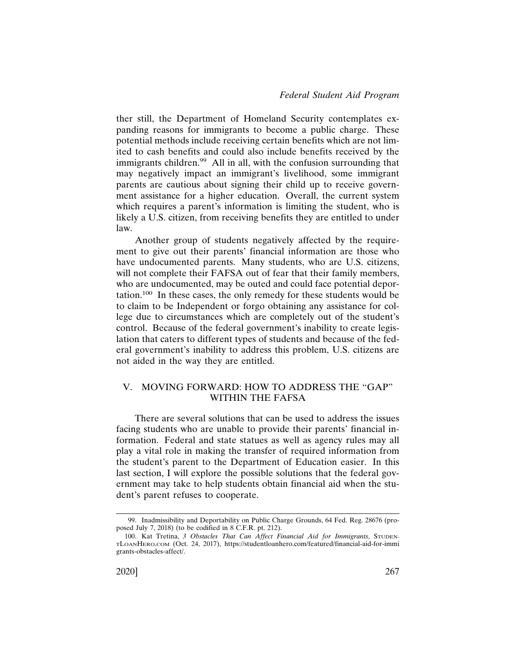ther still, the Department of Homeland Security contemplates expanding reasons for immigrants to become a public charge. These potential methods include receiving certain benefits which are not limited to cash benefits and could also include benefits received by the immigrants children.<sup>99</sup> All in all, with the confusion surrounding that may negatively impact an immigrant's livelihood, some immigrant parents are cautious about signing their child up to receive government assistance for a higher education. Overall, the current system which requires a parent's information is limiting the student, who is likely a U.S. citizen, from receiving benefits they are entitled to under law.

Another group of students negatively affected by the requirement to give out their parents' financial information are those who have undocumented parents. Many students, who are U.S. citizens, will not complete their FAFSA out of fear that their family members, who are undocumented, may be outed and could face potential deportation.100 In these cases, the only remedy for these students would be to claim to be Independent or forgo obtaining any assistance for college due to circumstances which are completely out of the student's control. Because of the federal government's inability to create legislation that caters to different types of students and because of the federal government's inability to address this problem, U.S. citizens are not aided in the way they are entitled.

# V. MOVING FORWARD: HOW TO ADDRESS THE "GAP" WITHIN THE FAFSA

There are several solutions that can be used to address the issues facing students who are unable to provide their parents' financial information. Federal and state statues as well as agency rules may all play a vital role in making the transfer of required information from the student's parent to the Department of Education easier. In this last section, I will explore the possible solutions that the federal government may take to help students obtain financial aid when the student's parent refuses to cooperate.

<sup>99.</sup> Inadmissibility and Deportability on Public Charge Grounds, 64 Fed. Reg. 28676 (proposed July 7, 2018) (to be codified in 8 C.F.R. pt. 212).

<sup>100.</sup> Kat Tretina, *3 Obstacles That Can Affect Financial Aid for Immigrants*, STUDEN-TLOANHERO.COM (Oct. 24, 2017), https://studentloanhero.com/featured/financial-aid-for-immi grants-obstacles-affect/.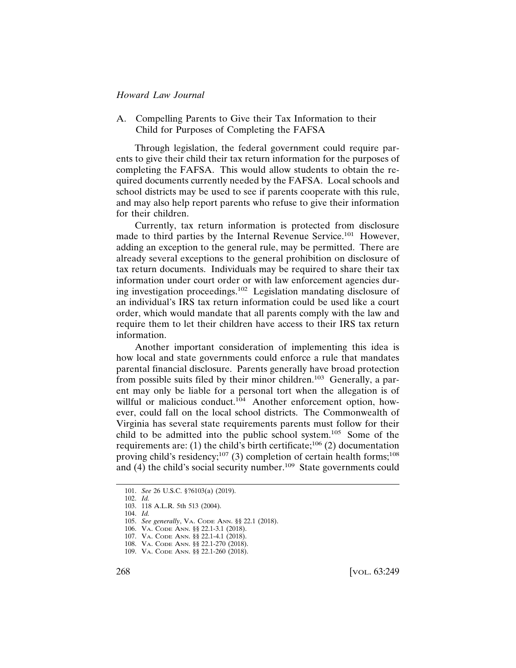A. Compelling Parents to Give their Tax Information to their Child for Purposes of Completing the FAFSA

Through legislation, the federal government could require parents to give their child their tax return information for the purposes of completing the FAFSA. This would allow students to obtain the required documents currently needed by the FAFSA. Local schools and school districts may be used to see if parents cooperate with this rule, and may also help report parents who refuse to give their information for their children.

Currently, tax return information is protected from disclosure made to third parties by the Internal Revenue Service.101 However, adding an exception to the general rule, may be permitted. There are already several exceptions to the general prohibition on disclosure of tax return documents. Individuals may be required to share their tax information under court order or with law enforcement agencies during investigation proceedings.102 Legislation mandating disclosure of an individual's IRS tax return information could be used like a court order, which would mandate that all parents comply with the law and require them to let their children have access to their IRS tax return information.

Another important consideration of implementing this idea is how local and state governments could enforce a rule that mandates parental financial disclosure. Parents generally have broad protection from possible suits filed by their minor children.<sup>103</sup> Generally, a parent may only be liable for a personal tort when the allegation is of willful or malicious conduct.<sup>104</sup> Another enforcement option, however, could fall on the local school districts. The Commonwealth of Virginia has several state requirements parents must follow for their child to be admitted into the public school system.105 Some of the requirements are: (1) the child's birth certificate;<sup>106</sup> (2) documentation proving child's residency;<sup>107</sup> (3) completion of certain health forms;<sup>108</sup> and (4) the child's social security number.<sup>109</sup> State governments could

104. *Id.*

<sup>101.</sup> *See* 26 U.S.C. §?6103(a) (2019).

<sup>102.</sup> *Id.*

<sup>103. 118</sup> A.L.R. 5th 513 (2004).

<sup>105.</sup> *See generally*, VA. CODE ANN. §§ 22.1 (2018).

<sup>106.</sup> VA. CODE ANN. §§ 22.1-3.1 (2018).

<sup>107.</sup> VA. CODE ANN. §§ 22.1-4.1 (2018).

<sup>108.</sup> VA. CODE ANN. §§ 22.1-270 (2018).

<sup>109.</sup> VA. CODE ANN. §§ 22.1-260 (2018).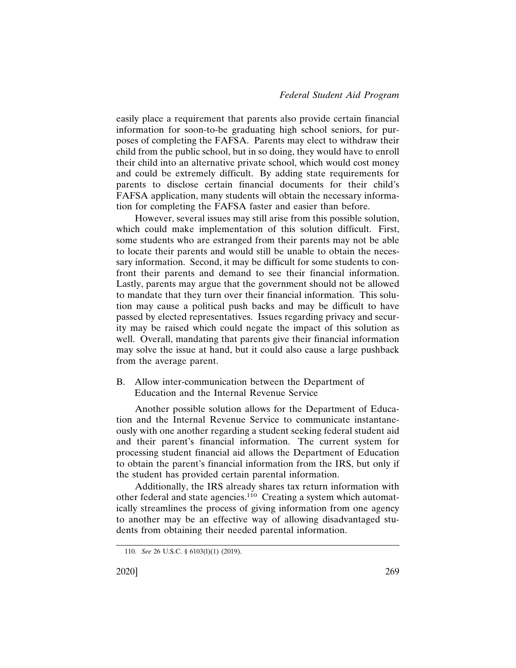easily place a requirement that parents also provide certain financial information for soon-to-be graduating high school seniors, for purposes of completing the FAFSA. Parents may elect to withdraw their child from the public school, but in so doing, they would have to enroll their child into an alternative private school, which would cost money and could be extremely difficult. By adding state requirements for parents to disclose certain financial documents for their child's FAFSA application, many students will obtain the necessary information for completing the FAFSA faster and easier than before.

However, several issues may still arise from this possible solution, which could make implementation of this solution difficult. First, some students who are estranged from their parents may not be able to locate their parents and would still be unable to obtain the necessary information. Second, it may be difficult for some students to confront their parents and demand to see their financial information. Lastly, parents may argue that the government should not be allowed to mandate that they turn over their financial information. This solution may cause a political push backs and may be difficult to have passed by elected representatives. Issues regarding privacy and security may be raised which could negate the impact of this solution as well. Overall, mandating that parents give their financial information may solve the issue at hand, but it could also cause a large pushback from the average parent.

B. Allow inter-communication between the Department of Education and the Internal Revenue Service

Another possible solution allows for the Department of Education and the Internal Revenue Service to communicate instantaneously with one another regarding a student seeking federal student aid and their parent's financial information. The current system for processing student financial aid allows the Department of Education to obtain the parent's financial information from the IRS, but only if the student has provided certain parental information.

Additionally, the IRS already shares tax return information with other federal and state agencies.110 Creating a system which automatically streamlines the process of giving information from one agency to another may be an effective way of allowing disadvantaged students from obtaining their needed parental information.

<sup>110.</sup> *See* 26 U.S.C. § 6103(l)(1) (2019).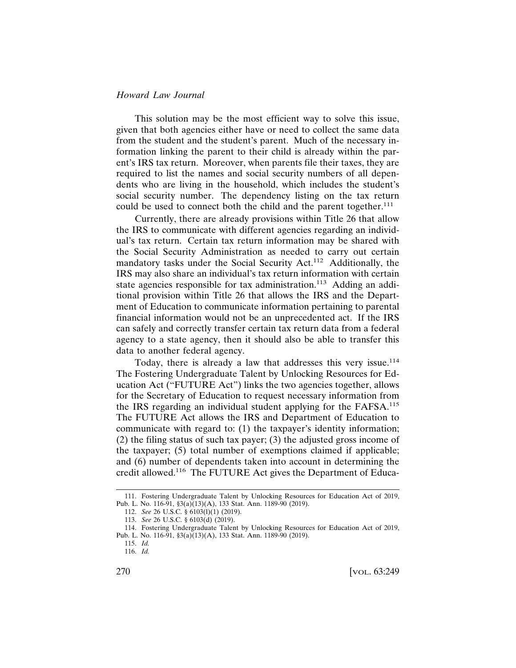This solution may be the most efficient way to solve this issue, given that both agencies either have or need to collect the same data from the student and the student's parent. Much of the necessary information linking the parent to their child is already within the parent's IRS tax return. Moreover, when parents file their taxes, they are required to list the names and social security numbers of all dependents who are living in the household, which includes the student's social security number. The dependency listing on the tax return could be used to connect both the child and the parent together.<sup>111</sup>

Currently, there are already provisions within Title 26 that allow the IRS to communicate with different agencies regarding an individual's tax return. Certain tax return information may be shared with the Social Security Administration as needed to carry out certain mandatory tasks under the Social Security Act.112 Additionally, the IRS may also share an individual's tax return information with certain state agencies responsible for tax administration.<sup>113</sup> Adding an additional provision within Title 26 that allows the IRS and the Department of Education to communicate information pertaining to parental financial information would not be an unprecedented act. If the IRS can safely and correctly transfer certain tax return data from a federal agency to a state agency, then it should also be able to transfer this data to another federal agency.

Today, there is already a law that addresses this very issue.<sup>114</sup> The Fostering Undergraduate Talent by Unlocking Resources for Education Act ("FUTURE Act") links the two agencies together, allows for the Secretary of Education to request necessary information from the IRS regarding an individual student applying for the FAFSA.<sup>115</sup> The FUTURE Act allows the IRS and Department of Education to communicate with regard to: (1) the taxpayer's identity information; (2) the filing status of such tax payer; (3) the adjusted gross income of the taxpayer; (5) total number of exemptions claimed if applicable; and (6) number of dependents taken into account in determining the credit allowed.116 The FUTURE Act gives the Department of Educa-

<sup>111.</sup> Fostering Undergraduate Talent by Unlocking Resources for Education Act of 2019, Pub. L. No. 116-91, §3(a)(13)(A), 133 Stat. Ann. 1189-90 (2019).

<sup>112.</sup> *See* 26 U.S.C. § 6103(l)(1) (2019).

<sup>113.</sup> *See* 26 U.S.C. § 6103(d) (2019).

<sup>114.</sup> Fostering Undergraduate Talent by Unlocking Resources for Education Act of 2019, Pub. L. No. 116-91, §3(a)(13)(A), 133 Stat. Ann. 1189-90 (2019).

<sup>115.</sup> *Id.*

<sup>116.</sup> *Id.*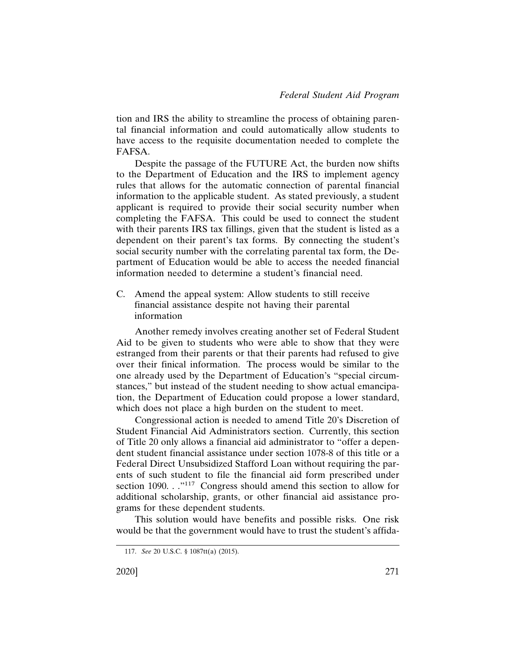tion and IRS the ability to streamline the process of obtaining parental financial information and could automatically allow students to have access to the requisite documentation needed to complete the FAFSA.

Despite the passage of the FUTURE Act, the burden now shifts to the Department of Education and the IRS to implement agency rules that allows for the automatic connection of parental financial information to the applicable student. As stated previously, a student applicant is required to provide their social security number when completing the FAFSA. This could be used to connect the student with their parents IRS tax fillings, given that the student is listed as a dependent on their parent's tax forms. By connecting the student's social security number with the correlating parental tax form, the Department of Education would be able to access the needed financial information needed to determine a student's financial need.

C. Amend the appeal system: Allow students to still receive financial assistance despite not having their parental information

Another remedy involves creating another set of Federal Student Aid to be given to students who were able to show that they were estranged from their parents or that their parents had refused to give over their finical information. The process would be similar to the one already used by the Department of Education's "special circumstances," but instead of the student needing to show actual emancipation, the Department of Education could propose a lower standard, which does not place a high burden on the student to meet.

Congressional action is needed to amend Title 20's Discretion of Student Financial Aid Administrators section. Currently, this section of Title 20 only allows a financial aid administrator to "offer a dependent student financial assistance under section 1078-8 of this title or a Federal Direct Unsubsidized Stafford Loan without requiring the parents of such student to file the financial aid form prescribed under section 1090. . ."<sup>117</sup> Congress should amend this section to allow for additional scholarship, grants, or other financial aid assistance programs for these dependent students.

This solution would have benefits and possible risks. One risk would be that the government would have to trust the student's affida-

<sup>117.</sup> *See* 20 U.S.C. § 1087tt(a) (2015).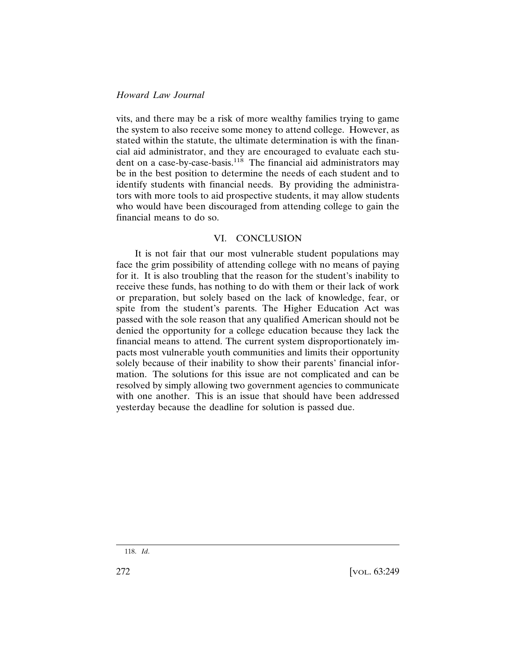vits, and there may be a risk of more wealthy families trying to game the system to also receive some money to attend college. However, as stated within the statute, the ultimate determination is with the financial aid administrator, and they are encouraged to evaluate each student on a case-by-case-basis.<sup>118</sup> The financial aid administrators may be in the best position to determine the needs of each student and to identify students with financial needs. By providing the administrators with more tools to aid prospective students, it may allow students who would have been discouraged from attending college to gain the financial means to do so.

## VI. CONCLUSION

It is not fair that our most vulnerable student populations may face the grim possibility of attending college with no means of paying for it. It is also troubling that the reason for the student's inability to receive these funds, has nothing to do with them or their lack of work or preparation, but solely based on the lack of knowledge, fear, or spite from the student's parents. The Higher Education Act was passed with the sole reason that any qualified American should not be denied the opportunity for a college education because they lack the financial means to attend. The current system disproportionately impacts most vulnerable youth communities and limits their opportunity solely because of their inability to show their parents' financial information. The solutions for this issue are not complicated and can be resolved by simply allowing two government agencies to communicate with one another. This is an issue that should have been addressed yesterday because the deadline for solution is passed due.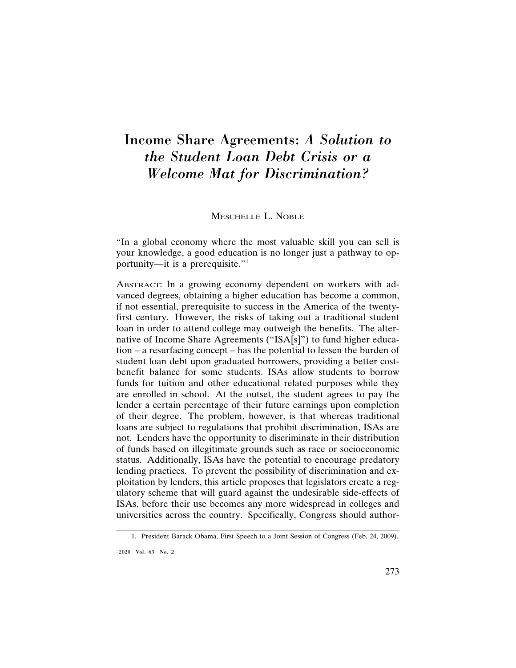# Income Share Agreements: *A Solution to the Student Loan Debt Crisis or a Welcome Mat for Discrimination?*

# MESCHELLE L. NOBLE

"In a global economy where the most valuable skill you can sell is your knowledge, a good education is no longer just a pathway to opportunity—it is a prerequisite."1

ABSTRACT: In a growing economy dependent on workers with advanced degrees, obtaining a higher education has become a common, if not essential, prerequisite to success in the America of the twentyfirst century. However, the risks of taking out a traditional student loan in order to attend college may outweigh the benefits. The alternative of Income Share Agreements ("ISA[s]") to fund higher education – a resurfacing concept – has the potential to lessen the burden of student loan debt upon graduated borrowers, providing a better costbenefit balance for some students. ISAs allow students to borrow funds for tuition and other educational related purposes while they are enrolled in school. At the outset, the student agrees to pay the lender a certain percentage of their future earnings upon completion of their degree. The problem, however, is that whereas traditional loans are subject to regulations that prohibit discrimination, ISAs are not. Lenders have the opportunity to discriminate in their distribution of funds based on illegitimate grounds such as race or socioeconomic status. Additionally, ISAs have the potential to encourage predatory lending practices. To prevent the possibility of discrimination and exploitation by lenders, this article proposes that legislators create a regulatory scheme that will guard against the undesirable side-effects of ISAs, before their use becomes any more widespread in colleges and universities across the country. Specifically, Congress should author-

<sup>1.</sup> President Barack Obama, First Speech to a Joint Session of Congress (Feb. 24, 2009).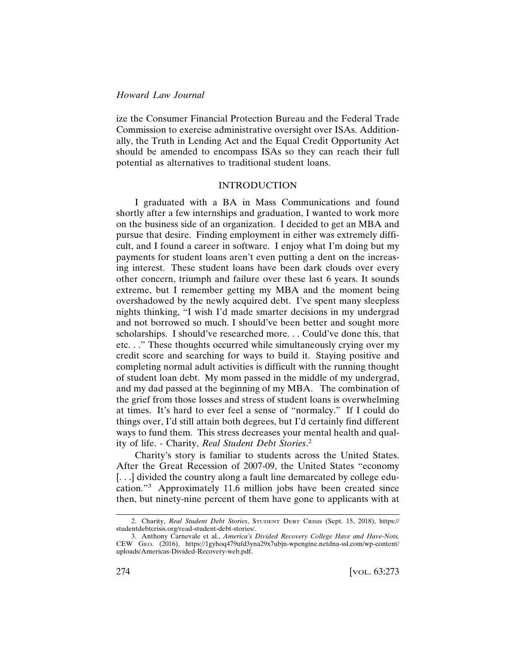ize the Consumer Financial Protection Bureau and the Federal Trade Commission to exercise administrative oversight over ISAs. Additionally, the Truth in Lending Act and the Equal Credit Opportunity Act should be amended to encompass ISAs so they can reach their full potential as alternatives to traditional student loans.

# INTRODUCTION

I graduated with a BA in Mass Communications and found shortly after a few internships and graduation, I wanted to work more on the business side of an organization. I decided to get an MBA and pursue that desire. Finding employment in either was extremely difficult, and I found a career in software. I enjoy what I'm doing but my payments for student loans aren't even putting a dent on the increasing interest. These student loans have been dark clouds over every other concern, triumph and failure over these last 6 years. It sounds extreme, but I remember getting my MBA and the moment being overshadowed by the newly acquired debt. I've spent many sleepless nights thinking, "I wish I'd made smarter decisions in my undergrad and not borrowed so much. I should've been better and sought more scholarships. I should've researched more. . . Could've done this, that etc. . ." These thoughts occurred while simultaneously crying over my credit score and searching for ways to build it. Staying positive and completing normal adult activities is difficult with the running thought of student loan debt. My mom passed in the middle of my undergrad, and my dad passed at the beginning of my MBA. The combination of the grief from those losses and stress of student loans is overwhelming at times. It's hard to ever feel a sense of "normalcy." If I could do things over, I'd still attain both degrees, but I'd certainly find different ways to fund them. This stress decreases your mental health and quality of life. - Charity, *Real Student Debt Stories*. 2

Charity's story is familiar to students across the United States. After the Great Recession of 2007-09, the United States "economy [...] divided the country along a fault line demarcated by college education."3 Approximately 11.6 million jobs have been created since then, but ninety-nine percent of them have gone to applicants with at

<sup>2.</sup> Charity, *Real Student Debt Stories*, STUDENT DEBT CRISIS (Sept. 15, 2018), https:// studentdebtcrisis.org/read-student-debt-stories/.

<sup>3.</sup> Anthony Carnevale et al., *America's Divided Recovery College Have and Have-Nots,* CEW GEO. (2016), https://1gyhoq479ufd3yna29x7ubjn-wpengine.netdna-ssl.com/wp-content/ uploads/Americas-Divided-Recovery-web.pdf.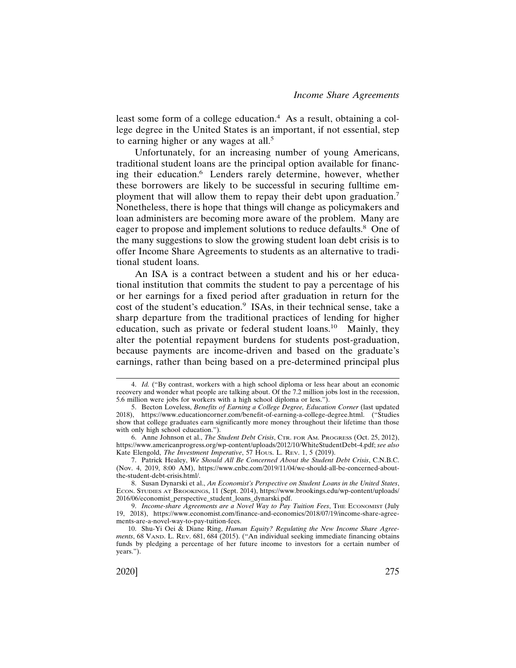least some form of a college education.<sup>4</sup> As a result, obtaining a college degree in the United States is an important, if not essential, step to earning higher or any wages at all.<sup>5</sup>

Unfortunately, for an increasing number of young Americans, traditional student loans are the principal option available for financing their education.<sup>6</sup> Lenders rarely determine, however, whether these borrowers are likely to be successful in securing fulltime employment that will allow them to repay their debt upon graduation.7 Nonetheless, there is hope that things will change as policymakers and loan administers are becoming more aware of the problem. Many are eager to propose and implement solutions to reduce defaults.<sup>8</sup> One of the many suggestions to slow the growing student loan debt crisis is to offer Income Share Agreements to students as an alternative to traditional student loans.

An ISA is a contract between a student and his or her educational institution that commits the student to pay a percentage of his or her earnings for a fixed period after graduation in return for the cost of the student's education.9 ISAs, in their technical sense, take a sharp departure from the traditional practices of lending for higher education, such as private or federal student loans.<sup>10</sup> Mainly, they alter the potential repayment burdens for students post-graduation, because payments are income-driven and based on the graduate's earnings, rather than being based on a pre-determined principal plus

6. Anne Johnson et al., *The Student Debt Crisis*, CTR. FOR AM. PROGRESS (Oct. 25, 2012), https://www.americanprogress.org/wp-content/uploads/2012/10/WhiteStudentDebt-4.pdf; *see also* Kate Elengold, *The Investment Imperative*, 57 Hous. L. Rev. 1, 5 (2019).

7. Patrick Healey, *We Should All Be Concerned About the Student Debt Crisis*, C.N.B.C. (Nov. 4, 2019, 8:00 AM), https://www.cnbc.com/2019/11/04/we-should-all-be-concerned-aboutthe-student-debt-crisis.html/.

8. Susan Dynarski et al., *An Economist's Perspective on Student Loans in the United States*, ECON. STUDIES AT BROOKINGS, 11 (Sept. 2014), https://www.brookings.edu/wp-content/uploads/ 2016/06/economist\_perspective\_student\_loans\_dynarski.pdf.

9. *Income-share Agreements are a Novel Way to Pay Tuition Fees*, THE ECONOMIST (July 19, 2018), https://www.economist.com/finance-and-economics/2018/07/19/income-share-agreements-are-a-novel-way-to-pay-tuition-fees.

<sup>4.</sup> *Id.* ("By contrast, workers with a high school diploma or less hear about an economic recovery and wonder what people are talking about. Of the 7.2 million jobs lost in the recession, 5.6 million were jobs for workers with a high school diploma or less.").

<sup>5.</sup> Becton Loveless, *Benefits of Earning a College Degree, Education Corner* (last updated 2018), https://www.educationcorner.com/benefit-of-earning-a-college-degree.html. ("Studies show that college graduates earn significantly more money throughout their lifetime than those with only high school education.").

<sup>10.</sup> Shu-Yi Oei & Diane Ring, *Human Equity? Regulating the New Income Share Agreements*, 68 VAND. L. REV. 681, 684 (2015). ("An individual seeking immediate financing obtains funds by pledging a percentage of her future income to investors for a certain number of years.").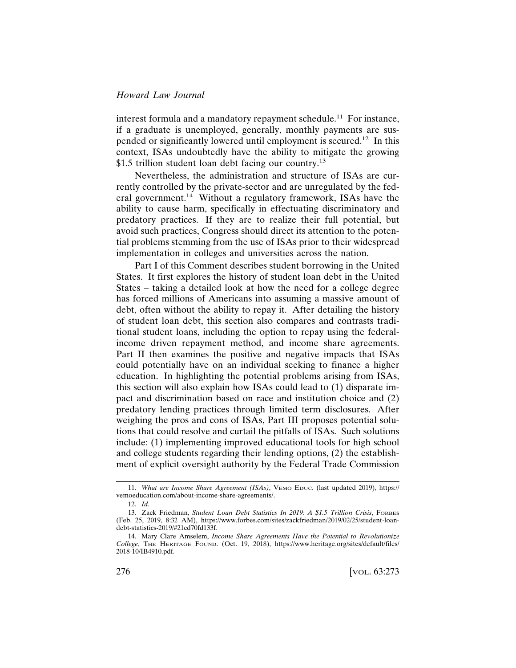interest formula and a mandatory repayment schedule.<sup>11</sup> For instance, if a graduate is unemployed, generally, monthly payments are suspended or significantly lowered until employment is secured.12 In this context, ISAs undoubtedly have the ability to mitigate the growing \$1.5 trillion student loan debt facing our country.<sup>13</sup>

Nevertheless, the administration and structure of ISAs are currently controlled by the private-sector and are unregulated by the federal government.14 Without a regulatory framework, ISAs have the ability to cause harm, specifically in effectuating discriminatory and predatory practices. If they are to realize their full potential, but avoid such practices, Congress should direct its attention to the potential problems stemming from the use of ISAs prior to their widespread implementation in colleges and universities across the nation.

Part I of this Comment describes student borrowing in the United States. It first explores the history of student loan debt in the United States – taking a detailed look at how the need for a college degree has forced millions of Americans into assuming a massive amount of debt, often without the ability to repay it. After detailing the history of student loan debt, this section also compares and contrasts traditional student loans, including the option to repay using the federalincome driven repayment method, and income share agreements. Part II then examines the positive and negative impacts that ISAs could potentially have on an individual seeking to finance a higher education. In highlighting the potential problems arising from ISAs, this section will also explain how ISAs could lead to (1) disparate impact and discrimination based on race and institution choice and (2) predatory lending practices through limited term disclosures. After weighing the pros and cons of ISAs, Part III proposes potential solutions that could resolve and curtail the pitfalls of ISAs. Such solutions include: (1) implementing improved educational tools for high school and college students regarding their lending options, (2) the establishment of explicit oversight authority by the Federal Trade Commission

<sup>11.</sup> *What are Income Share Agreement (ISAs)*, VEMO EDUC. (last updated 2019), https:// vemoeducation.com/about-income-share-agreements/.

<sup>12.</sup> *Id*.

<sup>13.</sup> Zack Friedman, *Student Loan Debt Statistics In 2019: A \$1.5 Trillion Crisis*, FORBES (Feb. 25, 2019, 8:32 AM), https://www.forbes.com/sites/zackfriedman/2019/02/25/student-loandebt-statistics-2019/#21cd70fd133f.

<sup>14.</sup> Mary Clare Amselem, *Income Share Agreements Have the Potential to Revolutionize College*, THE HERITAGE FOUND. (Oct. 19, 2018), https://www.heritage.org/sites/default/files/ 2018-10/IB4910.pdf.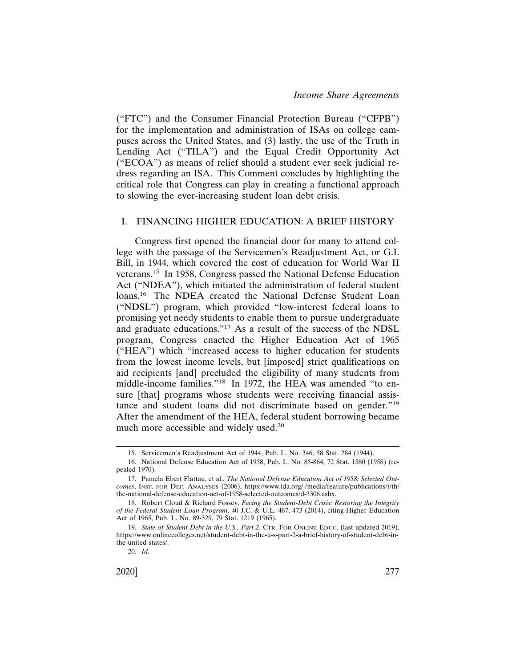("FTC") and the Consumer Financial Protection Bureau ("CFPB") for the implementation and administration of ISAs on college campuses across the United States, and (3) lastly, the use of the Truth in Lending Act ("TILA") and the Equal Credit Opportunity Act ("ECOA") as means of relief should a student ever seek judicial redress regarding an ISA. This Comment concludes by highlighting the critical role that Congress can play in creating a functional approach to slowing the ever-increasing student loan debt crisis.

### I. FINANCING HIGHER EDUCATION: A BRIEF HISTORY

Congress first opened the financial door for many to attend college with the passage of the Servicemen's Readjustment Act, or G.I. Bill, in 1944, which covered the cost of education for World War II veterans.15 In 1958, Congress passed the National Defense Education Act ("NDEA"), which initiated the administration of federal student loans.<sup>16</sup> The NDEA created the National Defense Student Loan ("NDSL") program, which provided "low-interest federal loans to promising yet needy students to enable them to pursue undergraduate and graduate educations."17 As a result of the success of the NDSL program, Congress enacted the Higher Education Act of 1965 ("HEA") which "increased access to higher education for students from the lowest income levels, but [imposed] strict qualifications on aid recipients [and] precluded the eligibility of many students from middle-income families."18 In 1972, the HEA was amended "to ensure [that] programs whose students were receiving financial assistance and student loans did not discriminate based on gender."19 After the amendment of the HEA, federal student borrowing became much more accessible and widely used.<sup>20</sup>

<sup>15.</sup> Servicemen's Readjustment Act of 1944, Pub. L. No. 346, 58 Stat. 284 (1944).

<sup>16.</sup> National Defense Education Act of 1958, Pub. L. No. 85-864, 72 Stat. 1580 (1958) (repealed 1970).

<sup>17.</sup> Pamela Ebert Flattau, et al., *The National Defense Education Act of 1958: Selected Outcomes*, INST. FOR DEF. ANALYSES (2006), https://www.ida.org/-/media/feature/publications/t/th/ the-national-defense-education-act-of-1958-selected-outcomes/d-3306.ashx.

<sup>18.</sup> Robert Cloud & Richard Fossey, *Facing the Student-Debt Crisis: Restoring the Integrity of the Federal Student Loan Program*, 40 J.C. & U.L. 467, 473 (2014), citing Higher Education Act of 1965, Pub. L. No. 89-329, 79 Stat. 1219 (1965).

<sup>19.</sup> *State of Student Debt in the U.S., Part 2*, CTR. FOR ONLINE EDUC. (last updated 2019), https://www.onlinecolleges.net/student-debt-in-the-u-s-part-2-a-brief-history-of-student-debt-inthe-united-states/.

<sup>20.</sup> *Id.*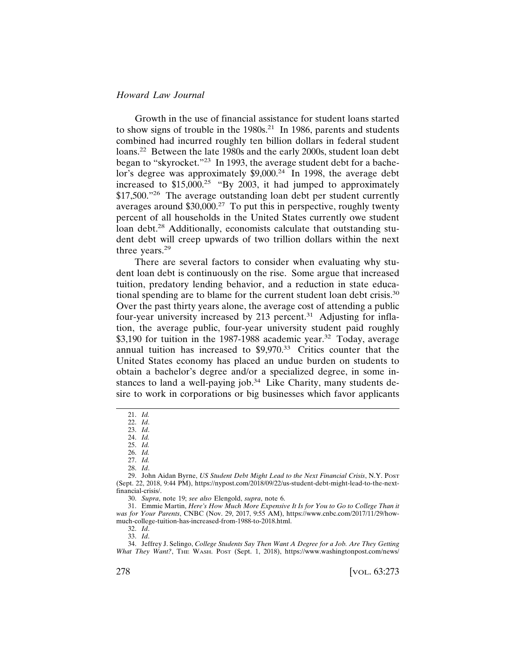Growth in the use of financial assistance for student loans started to show signs of trouble in the  $1980s<sup>21</sup>$  In 1986, parents and students combined had incurred roughly ten billion dollars in federal student loans.<sup>22</sup> Between the late 1980s and the early 2000s, student loan debt began to "skyrocket."23 In 1993, the average student debt for a bachelor's degree was approximately \$9,000.<sup>24</sup> In 1998, the average debt increased to  $$15,000<sup>25</sup>$  "By 2003, it had jumped to approximately \$17,500."<sup>26</sup> The average outstanding loan debt per student currently averages around  $$30,000<sup>27</sup>$  To put this in perspective, roughly twenty percent of all households in the United States currently owe student loan debt.<sup>28</sup> Additionally, economists calculate that outstanding student debt will creep upwards of two trillion dollars within the next three years.<sup>29</sup>

There are several factors to consider when evaluating why student loan debt is continuously on the rise. Some argue that increased tuition, predatory lending behavior, and a reduction in state educational spending are to blame for the current student loan debt crisis.30 Over the past thirty years alone, the average cost of attending a public four-year university increased by 213 percent.<sup>31</sup> Adjusting for inflation, the average public, four-year university student paid roughly \$3,190 for tuition in the 1987-1988 academic year.<sup>32</sup> Today, average annual tuition has increased to \$9,970.33 Critics counter that the United States economy has placed an undue burden on students to obtain a bachelor's degree and/or a specialized degree, in some instances to land a well-paying job.<sup>34</sup> Like Charity, many students desire to work in corporations or big businesses which favor applicants

27. *Id.*

33. *Id*.

<sup>21.</sup> *Id.*

<sup>22.</sup> *Id*.

<sup>23.</sup> *Id*.

<sup>24.</sup> *Id.* 25. *Id.*

<sup>26.</sup> *Id.*

<sup>28.</sup> *Id*.

<sup>29.</sup> John Aidan Byrne, *US Student Debt Might Lead to the Next Financial Crisis*, N.Y. POST (Sept. 22, 2018, 9:44 PM), https://nypost.com/2018/09/22/us-student-debt-might-lead-to-the-nextfinancial-crisis/.

<sup>30.</sup> *Supra*, note 19; *see also* Elengold, *supra*, note 6.

<sup>31.</sup> Emmie Martin, *Here's How Much More Expensive It Is for You to Go to College Than it was for Your Parents*, CNBC (Nov. 29, 2017, 9:55 AM), https://www.cnbc.com/2017/11/29/howmuch-college-tuition-has-increased-from-1988-to-2018.html.

<sup>32.</sup> *Id*.

<sup>34.</sup> Jeffrey J. Selingo, *College Students Say Then Want A Degree for a Job. Are They Getting What They Want?*, THE WASH. POST (Sept. 1, 2018), https://www.washingtonpost.com/news/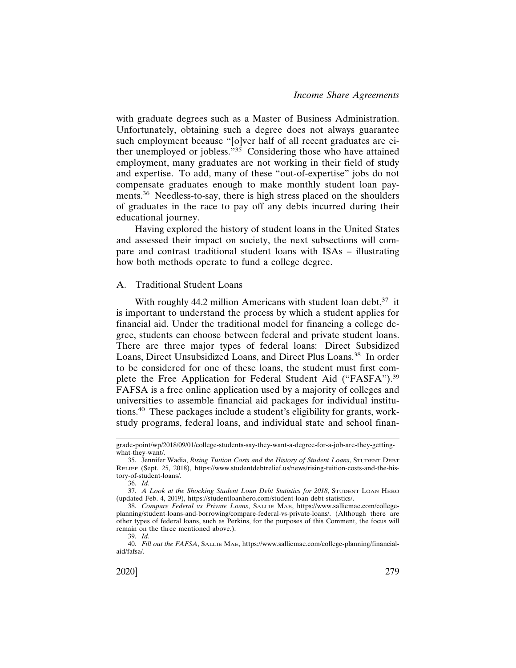with graduate degrees such as a Master of Business Administration. Unfortunately, obtaining such a degree does not always guarantee such employment because "[o]ver half of all recent graduates are either unemployed or jobless."<sup>35</sup> Considering those who have attained employment, many graduates are not working in their field of study and expertise. To add, many of these "out-of-expertise" jobs do not compensate graduates enough to make monthly student loan payments.36 Needless-to-say, there is high stress placed on the shoulders of graduates in the race to pay off any debts incurred during their educational journey.

Having explored the history of student loans in the United States and assessed their impact on society, the next subsections will compare and contrast traditional student loans with ISAs – illustrating how both methods operate to fund a college degree.

### A. Traditional Student Loans

With roughly 44.2 million Americans with student loan debt,  $37$  it is important to understand the process by which a student applies for financial aid. Under the traditional model for financing a college degree, students can choose between federal and private student loans. There are three major types of federal loans: Direct Subsidized Loans, Direct Unsubsidized Loans, and Direct Plus Loans.<sup>38</sup> In order to be considered for one of these loans, the student must first complete the Free Application for Federal Student Aid ("FASFA").<sup>39</sup> FAFSA is a free online application used by a majority of colleges and universities to assemble financial aid packages for individual institutions.40 These packages include a student's eligibility for grants, workstudy programs, federal loans, and individual state and school finan-

grade-point/wp/2018/09/01/college-students-say-they-want-a-degree-for-a-job-are-they-gettingwhat-they-want/.

<sup>35.</sup> Jennifer Wadia, *Rising Tuition Costs and the History of Student Loans*, STUDENT DEBT RELIEF (Sept. 25, 2018), https://www.studentdebtrelief.us/news/rising-tuition-costs-and-the-history-of-student-loans/.

<sup>36.</sup> *Id*.

<sup>37.</sup> *A Look at the Shocking Student Loan Debt Statistics for 2018*, STUDENT LOAN HERO (updated Feb. 4, 2019), https://studentloanhero.com/student-loan-debt-statistics/.

<sup>38.</sup> *Compare Federal vs Private Loans*, SALLIE MAE, https://www.salliemae.com/collegeplanning/student-loans-and-borrowing/compare-federal-vs-private-loans/. (Although there are other types of federal loans, such as Perkins, for the purposes of this Comment, the focus will remain on the three mentioned above.).

<sup>39.</sup> *Id*.

<sup>40.</sup> *Fill out the FAFSA*, SALLIE MAE, https://www.salliemae.com/college-planning/financialaid/fafsa/.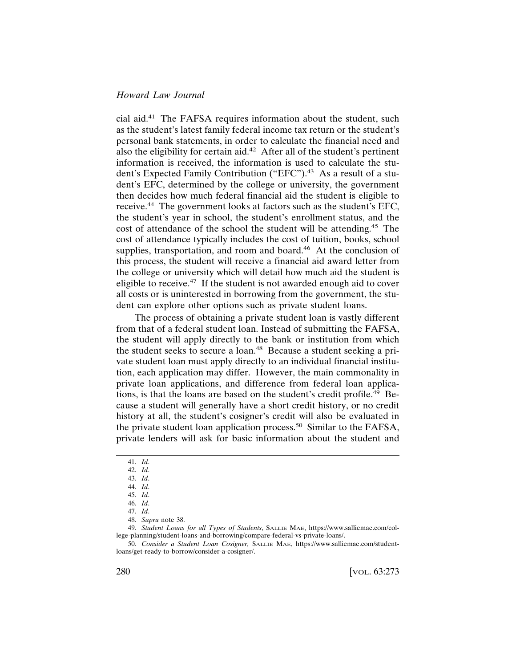cial aid.41 The FAFSA requires information about the student, such as the student's latest family federal income tax return or the student's personal bank statements, in order to calculate the financial need and also the eligibility for certain aid. $42$  After all of the student's pertinent information is received, the information is used to calculate the student's Expected Family Contribution ("EFC").<sup>43</sup> As a result of a student's EFC, determined by the college or university, the government then decides how much federal financial aid the student is eligible to receive.44 The government looks at factors such as the student's EFC, the student's year in school, the student's enrollment status, and the cost of attendance of the school the student will be attending.45 The cost of attendance typically includes the cost of tuition, books, school supplies, transportation, and room and board.<sup>46</sup> At the conclusion of this process, the student will receive a financial aid award letter from the college or university which will detail how much aid the student is eligible to receive. $47$  If the student is not awarded enough aid to cover all costs or is uninterested in borrowing from the government, the student can explore other options such as private student loans.

The process of obtaining a private student loan is vastly different from that of a federal student loan. Instead of submitting the FAFSA, the student will apply directly to the bank or institution from which the student seeks to secure a loan.48 Because a student seeking a private student loan must apply directly to an individual financial institution, each application may differ. However, the main commonality in private loan applications, and difference from federal loan applications, is that the loans are based on the student's credit profile.<sup>49</sup> Because a student will generally have a short credit history, or no credit history at all, the student's cosigner's credit will also be evaluated in the private student loan application process.<sup>50</sup> Similar to the FAFSA, private lenders will ask for basic information about the student and

50. *Consider a Student Loan Cosigner,* SALLIE MAE, https://www.salliemae.com/studentloans/get-ready-to-borrow/consider-a-cosigner/.

<sup>41.</sup> *Id*.

<sup>42.</sup> *Id*.

<sup>43.</sup> *Id*. 44. *Id*.

<sup>45.</sup> *Id*.

<sup>46.</sup> *Id*.

<sup>47.</sup> *Id*.

<sup>48.</sup> *Supra* note 38.

<sup>49.</sup> *Student Loans for all Types of Students*, SALLIE MAE, https://www.salliemae.com/college-planning/student-loans-and-borrowing/compare-federal-vs-private-loans/.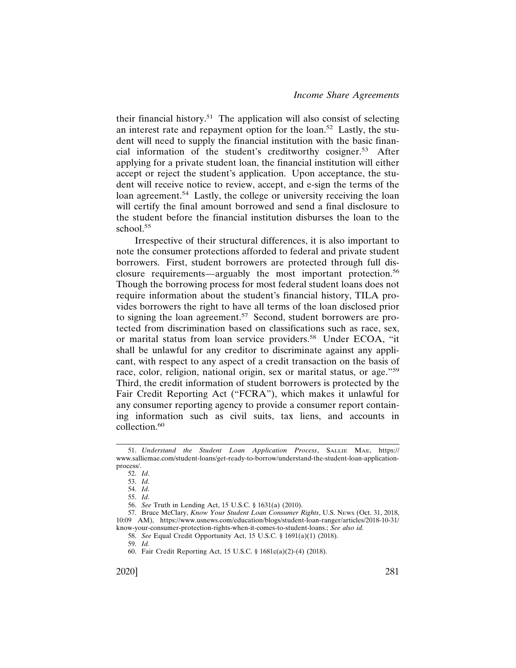their financial history.<sup>51</sup> The application will also consist of selecting an interest rate and repayment option for the loan.<sup>52</sup> Lastly, the student will need to supply the financial institution with the basic financial information of the student's creditworthy cosigner.53 After applying for a private student loan, the financial institution will either accept or reject the student's application. Upon acceptance, the student will receive notice to review, accept, and e-sign the terms of the loan agreement.<sup>54</sup> Lastly, the college or university receiving the loan will certify the final amount borrowed and send a final disclosure to the student before the financial institution disburses the loan to the school.<sup>55</sup>

Irrespective of their structural differences, it is also important to note the consumer protections afforded to federal and private student borrowers. First, student borrowers are protected through full disclosure requirements—arguably the most important protection.<sup>56</sup> Though the borrowing process for most federal student loans does not require information about the student's financial history, TILA provides borrowers the right to have all terms of the loan disclosed prior to signing the loan agreement.<sup>57</sup> Second, student borrowers are protected from discrimination based on classifications such as race, sex, or marital status from loan service providers.58 Under ECOA, "it shall be unlawful for any creditor to discriminate against any applicant, with respect to any aspect of a credit transaction on the basis of race, color, religion, national origin, sex or marital status, or age."59 Third, the credit information of student borrowers is protected by the Fair Credit Reporting Act ("FCRA"), which makes it unlawful for any consumer reporting agency to provide a consumer report containing information such as civil suits, tax liens, and accounts in collection.<sup>60</sup>

56. *See* Truth in Lending Act, 15 U.S.C. § 1631(a) (2010).

57. Bruce McClary, *Know Your Student Loan Consumer Rights*, U.S. NEWS (Oct. 31, 2018, 10:09 AM), https://www.usnews.com/education/blogs/student-loan-ranger/articles/2018-10-31/ know-your-consumer-protection-rights-when-it-comes-to-student-loans.; *See also id.*

58. *See* Equal Credit Opportunity Act, 15 U.S.C. § 1691(a)(1) (2018).

59. *Id.*

<sup>51.</sup> *Understand the Student Loan Application Process*, SALLIE MAE, https:// www.salliemae.com/student-loans/get-ready-to-borrow/understand-the-student-loan-applicationprocess/.

<sup>52.</sup> *Id*.

<sup>53.</sup> *Id.*

<sup>54.</sup> *Id*.

<sup>55.</sup> *Id*.

<sup>60.</sup> Fair Credit Reporting Act, 15 U.S.C. § 1681c(a)(2)-(4) (2018).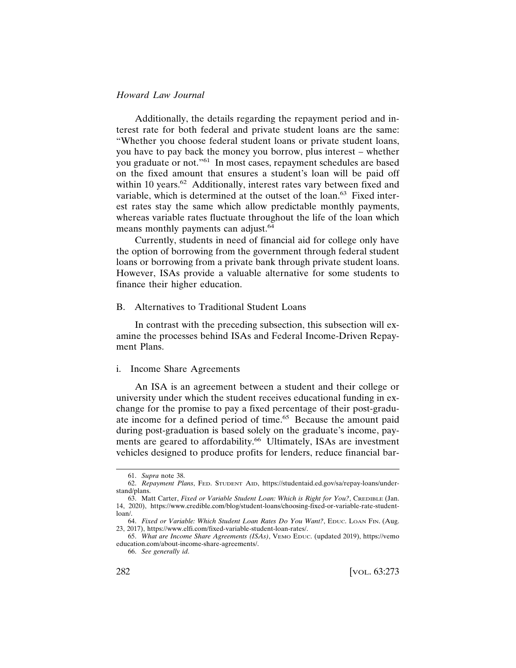Additionally, the details regarding the repayment period and interest rate for both federal and private student loans are the same: "Whether you choose federal student loans or private student loans, you have to pay back the money you borrow, plus interest – whether you graduate or not."61 In most cases, repayment schedules are based on the fixed amount that ensures a student's loan will be paid off within 10 years.<sup>62</sup> Additionally, interest rates vary between fixed and variable, which is determined at the outset of the loan.<sup>63</sup> Fixed interest rates stay the same which allow predictable monthly payments, whereas variable rates fluctuate throughout the life of the loan which means monthly payments can adjust.<sup>64</sup>

Currently, students in need of financial aid for college only have the option of borrowing from the government through federal student loans or borrowing from a private bank through private student loans. However, ISAs provide a valuable alternative for some students to finance their higher education.

### B. Alternatives to Traditional Student Loans

In contrast with the preceding subsection, this subsection will examine the processes behind ISAs and Federal Income-Driven Repayment Plans.

### i. Income Share Agreements

An ISA is an agreement between a student and their college or university under which the student receives educational funding in exchange for the promise to pay a fixed percentage of their post-graduate income for a defined period of time.<sup>65</sup> Because the amount paid during post-graduation is based solely on the graduate's income, payments are geared to affordability.<sup>66</sup> Ultimately, ISAs are investment vehicles designed to produce profits for lenders, reduce financial bar-

<sup>61.</sup> *Supra* note 38.

<sup>62.</sup> *Repayment Plans*, FED. STUDENT AID, https://studentaid.ed.gov/sa/repay-loans/understand/plans.

<sup>63.</sup> Matt Carter, *Fixed or Variable Student Loan: Which is Right for You?*, CREDIBLE (Jan. 14, 2020), https://www.credible.com/blog/student-loans/choosing-fixed-or-variable-rate-studentloan/.

<sup>64.</sup> *Fixed or Variable: Which Student Loan Rates Do You Want?*, EDUC. LOAN FIN. (Aug. 23, 2017), https://www.elfi.com/fixed-variable-student-loan-rates/.

<sup>65.</sup> *What are Income Share Agreements (ISAs)*, VEMO EDUC. (updated 2019), https://vemo education.com/about-income-share-agreements/.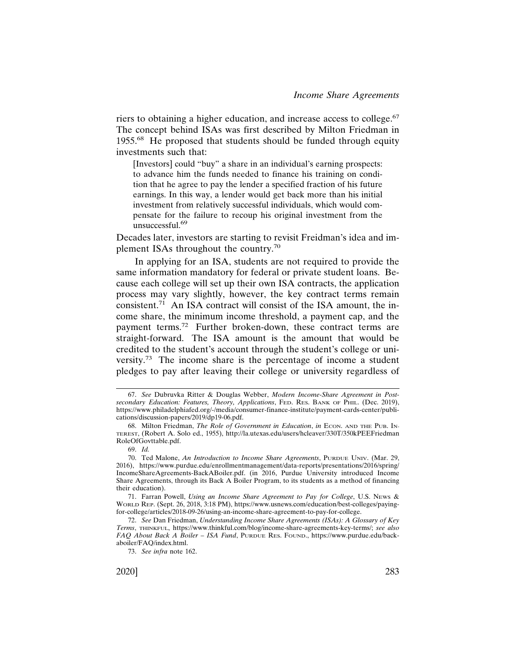riers to obtaining a higher education, and increase access to college.<sup>67</sup> The concept behind ISAs was first described by Milton Friedman in 1955.<sup>68</sup> He proposed that students should be funded through equity investments such that:

[Investors] could "buy" a share in an individual's earning prospects: to advance him the funds needed to finance his training on condition that he agree to pay the lender a specified fraction of his future earnings. In this way, a lender would get back more than his initial investment from relatively successful individuals, which would compensate for the failure to recoup his original investment from the unsuccessful.<sup>69</sup>

Decades later, investors are starting to revisit Freidman's idea and implement ISAs throughout the country.<sup>70</sup>

In applying for an ISA, students are not required to provide the same information mandatory for federal or private student loans. Because each college will set up their own ISA contracts, the application process may vary slightly, however, the key contract terms remain consistent.71 An ISA contract will consist of the ISA amount, the income share, the minimum income threshold, a payment cap, and the payment terms.72 Further broken-down, these contract terms are straight-forward. The ISA amount is the amount that would be credited to the student's account through the student's college or university.73 The income share is the percentage of income a student pledges to pay after leaving their college or university regardless of

<sup>67.</sup> *See* Dubruvka Ritter & Douglas Webber, *Modern Income-Share Agreement in Postsecondary Education: Features, Theory, Applications*, FED. RES. BANK OF PHIL. (Dec. 2019), https://www.philadelphiafed.org/-/media/consumer-finance-institute/payment-cards-center/publications/discussion-papers/2019/dp19-06.pdf.

<sup>68.</sup> Milton Friedman, *The Role of Government in Education*, *in* ECON. AND THE PUB. IN-TEREST, (Robert A. Solo ed., 1955), http://la.utexas.edu/users/hcleaver/330T/350kPEEFriedman RoleOfGovttable.pdf.

<sup>69.</sup> *Id.*

<sup>70.</sup> Ted Malone, *An Introduction to Income Share Agreements*, PURDUE UNIV. (Mar. 29, 2016), https://www.purdue.edu/enrollmentmanagement/data-reports/presentations/2016/spring/ IncomeShareAgreements-BackABoiler.pdf. (in 2016, Purdue University introduced Income Share Agreements, through its Back A Boiler Program, to its students as a method of financing their education).

<sup>71.</sup> Farran Powell, *Using an Income Share Agreement to Pay for College*, U.S. NEWS & WORLD REP. (Sept. 26, 2018, 3:18 PM), https://www.usnews.com/education/best-colleges/payingfor-college/articles/2018-09-26/using-an-income-share-agreement-to-pay-for-college.

<sup>72.</sup> *See* Dan Friedman, *Understanding Income Share Agreements (ISAs): A Glossary of Key Terms*, THINKFUL, https://www.thinkful.com/blog/income-share-agreements-key-terms/; *see also FAQ About Back A Boiler – ISA Fund*, PURDUE RES. FOUND., https://www.purdue.edu/backaboiler/FAQ/index.html.

<sup>73.</sup> *See infra* note 162.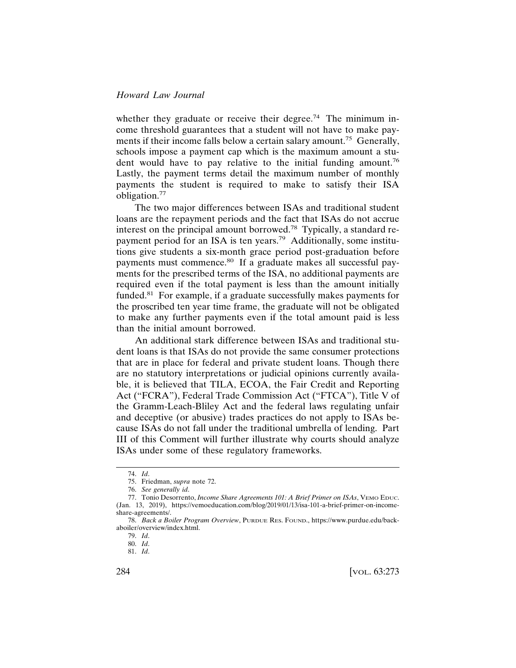whether they graduate or receive their degree.<sup>74</sup> The minimum income threshold guarantees that a student will not have to make payments if their income falls below a certain salary amount.<sup>75</sup> Generally, schools impose a payment cap which is the maximum amount a student would have to pay relative to the initial funding amount.<sup>76</sup> Lastly, the payment terms detail the maximum number of monthly payments the student is required to make to satisfy their ISA obligation.<sup>77</sup>

The two major differences between ISAs and traditional student loans are the repayment periods and the fact that ISAs do not accrue interest on the principal amount borrowed.78 Typically, a standard repayment period for an ISA is ten years.79 Additionally, some institutions give students a six-month grace period post-graduation before payments must commence.80 If a graduate makes all successful payments for the prescribed terms of the ISA, no additional payments are required even if the total payment is less than the amount initially funded.81 For example, if a graduate successfully makes payments for the proscribed ten year time frame, the graduate will not be obligated to make any further payments even if the total amount paid is less than the initial amount borrowed.

An additional stark difference between ISAs and traditional student loans is that ISAs do not provide the same consumer protections that are in place for federal and private student loans. Though there are no statutory interpretations or judicial opinions currently available, it is believed that TILA, ECOA, the Fair Credit and Reporting Act ("FCRA"), Federal Trade Commission Act ("FTCA"), Title V of the Gramm-Leach-Bliley Act and the federal laws regulating unfair and deceptive (or abusive) trades practices do not apply to ISAs because ISAs do not fall under the traditional umbrella of lending. Part III of this Comment will further illustrate why courts should analyze ISAs under some of these regulatory frameworks.

<sup>74.</sup> *Id*.

<sup>75.</sup> Friedman, *supra* note 72.

<sup>76.</sup> *See generally id*.

<sup>77.</sup> Tonio Desorrento, *Income Share Agreements 101: A Brief Primer on ISAs*, VEMO EDUC. (Jan. 13, 2019), https://vemoeducation.com/blog/2019/01/13/isa-101-a-brief-primer-on-incomeshare-agreements/.

<sup>78.</sup> *Back a Boiler Program Overview*, PURDUE RES. FOUND., https://www.purdue.edu/backaboiler/overview/index.html.

<sup>79.</sup> *Id*.

<sup>80.</sup> *Id*. 81. *Id*.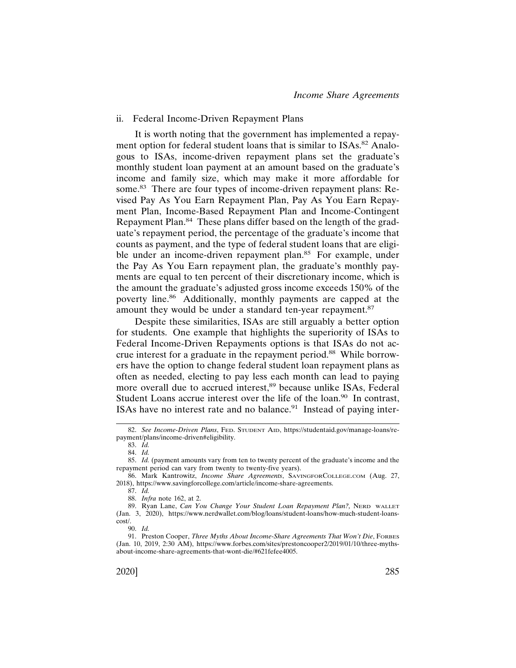### ii. Federal Income-Driven Repayment Plans

It is worth noting that the government has implemented a repayment option for federal student loans that is similar to ISAs.<sup>82</sup> Analogous to ISAs, income-driven repayment plans set the graduate's monthly student loan payment at an amount based on the graduate's income and family size, which may make it more affordable for some.<sup>83</sup> There are four types of income-driven repayment plans: Revised Pay As You Earn Repayment Plan, Pay As You Earn Repayment Plan, Income-Based Repayment Plan and Income-Contingent Repayment Plan.<sup>84</sup> These plans differ based on the length of the graduate's repayment period, the percentage of the graduate's income that counts as payment, and the type of federal student loans that are eligible under an income-driven repayment plan.<sup>85</sup> For example, under the Pay As You Earn repayment plan, the graduate's monthly payments are equal to ten percent of their discretionary income, which is the amount the graduate's adjusted gross income exceeds 150% of the poverty line.86 Additionally, monthly payments are capped at the amount they would be under a standard ten-year repayment.<sup>87</sup>

Despite these similarities, ISAs are still arguably a better option for students. One example that highlights the superiority of ISAs to Federal Income-Driven Repayments options is that ISAs do not accrue interest for a graduate in the repayment period.<sup>88</sup> While borrowers have the option to change federal student loan repayment plans as often as needed, electing to pay less each month can lead to paying more overall due to accrued interest,<sup>89</sup> because unlike ISAs, Federal Student Loans accrue interest over the life of the loan.<sup>90</sup> In contrast, ISAs have no interest rate and no balance.<sup>91</sup> Instead of paying inter-

90. *Id.*

<sup>82.</sup> *See Income-Driven Plans*, FED. STUDENT AID, https://studentaid.gov/manage-loans/repayment/plans/income-driven#eligibility.

<sup>83.</sup> *Id.*

<sup>84.</sup> *Id.*

<sup>85.</sup> *Id.* (payment amounts vary from ten to twenty percent of the graduate's income and the repayment period can vary from twenty to twenty-five years).

<sup>86.</sup> Mark Kantrowitz, *Income Share Agreements*, SAVINGFORCOLLEGE.COM (Aug. 27, 2018), https://www.savingforcollege.com/article/income-share-agreements.

<sup>87.</sup> *Id.*

<sup>88.</sup> *Infra* note 162, at 2.

<sup>89.</sup> Ryan Lane, *Can You Change Your Student Loan Repayment Plan?,* NERD WALLET (Jan. 3, 2020), https://www.nerdwallet.com/blog/loans/student-loans/how-much-student-loanscost/.

<sup>91.</sup> Preston Cooper, *Three Myths About Income-Share Agreements That Won't Die*, FORBES (Jan. 10, 2019, 2:30 AM), https://www.forbes.com/sites/prestoncooper2/2019/01/10/three-mythsabout-income-share-agreements-that-wont-die/#621fefee4005.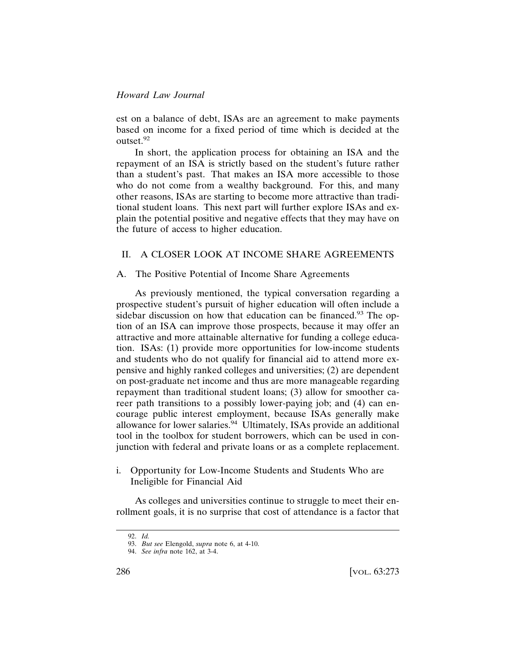est on a balance of debt, ISAs are an agreement to make payments based on income for a fixed period of time which is decided at the outset.92

In short, the application process for obtaining an ISA and the repayment of an ISA is strictly based on the student's future rather than a student's past. That makes an ISA more accessible to those who do not come from a wealthy background. For this, and many other reasons, ISAs are starting to become more attractive than traditional student loans. This next part will further explore ISAs and explain the potential positive and negative effects that they may have on the future of access to higher education.

### II. A CLOSER LOOK AT INCOME SHARE AGREEMENTS

### A. The Positive Potential of Income Share Agreements

As previously mentioned, the typical conversation regarding a prospective student's pursuit of higher education will often include a sidebar discussion on how that education can be financed.<sup>93</sup> The option of an ISA can improve those prospects, because it may offer an attractive and more attainable alternative for funding a college education. ISAs: (1) provide more opportunities for low-income students and students who do not qualify for financial aid to attend more expensive and highly ranked colleges and universities; (2) are dependent on post-graduate net income and thus are more manageable regarding repayment than traditional student loans; (3) allow for smoother career path transitions to a possibly lower-paying job; and (4) can encourage public interest employment, because ISAs generally make allowance for lower salaries.<sup>94</sup> Ultimately, ISAs provide an additional tool in the toolbox for student borrowers, which can be used in conjunction with federal and private loans or as a complete replacement.

i. Opportunity for Low-Income Students and Students Who are Ineligible for Financial Aid

As colleges and universities continue to struggle to meet their enrollment goals, it is no surprise that cost of attendance is a factor that

<sup>92.</sup> *Id.*

<sup>93.</sup> *But see* Elengold, *supra* note 6, at 4-10.

<sup>94.</sup> *See infra* note 162, at 3-4.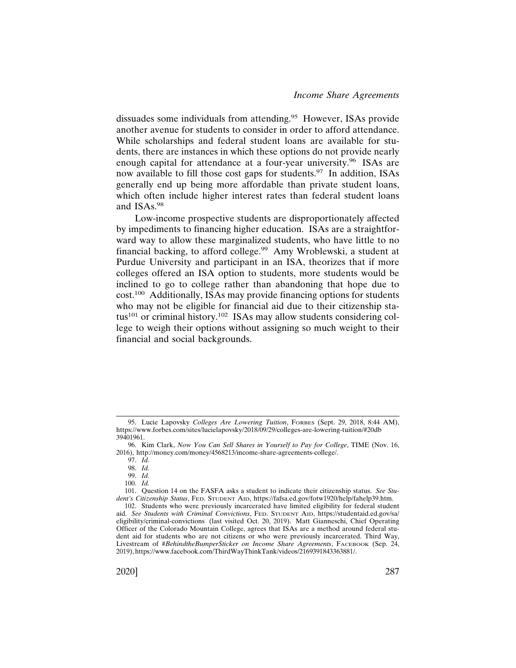dissuades some individuals from attending.<sup>95</sup> However, ISAs provide another avenue for students to consider in order to afford attendance. While scholarships and federal student loans are available for students, there are instances in which these options do not provide nearly enough capital for attendance at a four-year university.<sup>96</sup> ISAs are now available to fill those cost gaps for students.<sup>97</sup> In addition, ISAs generally end up being more affordable than private student loans, which often include higher interest rates than federal student loans and ISAs.98

Low-income prospective students are disproportionately affected by impediments to financing higher education. ISAs are a straightforward way to allow these marginalized students, who have little to no financial backing, to afford college.99 Amy Wroblewski, a student at Purdue University and participant in an ISA, theorizes that if more colleges offered an ISA option to students, more students would be inclined to go to college rather than abandoning that hope due to cost.100 Additionally, ISAs may provide financing options for students who may not be eligible for financial aid due to their citizenship status<sup>101</sup> or criminal history.<sup>102</sup> ISAs may allow students considering college to weigh their options without assigning so much weight to their financial and social backgrounds.

<sup>95.</sup> Lucie Lapovsky *Colleges Are Lowering Tuition*, FORBES (Sept. 29, 2018, 8:44 AM), https://www.forbes.com/sites/lucielapovsky/2018/09/29/colleges-are-lowering-tuition/#20db 39401961.

<sup>96.</sup> Kim Clark, *Now You Can Sell Shares in Yourself to Pay for College*, TIME (Nov. 16, 2016), http://money.com/money/4568213/income-share-agreements-college/.

<sup>97.</sup> *Id.*

<sup>98.</sup> *Id.*

<sup>99.</sup> *Id.*

<sup>100.</sup> *Id.*

<sup>101.</sup> Question 14 on the FASFA asks a student to indicate their citizenship status. *See Student's Citizenship Status*, FED. STUDENT AID, https://fafsa.ed.gov/fotw1920/help/fahelp39.htm.

<sup>102.</sup> Students who were previously incarcerated have limited eligibility for federal student aid. *See Students with Criminal Convictions*, FED. STUDENT AID, https://studentaid.ed.gov/sa/ eligibility/criminal-convictions (last visited Oct. 20, 2019). Matt Gianneschi, Chief Operating Officer of the Colorado Mountain College, agrees that ISAs are a method around federal student aid for students who are not citizens or who were previously incarcerated. Third Way, Livestream of *#BehindtheBumperSticker on Income Share Agreements*, FACEBOOK (Sep. 24, 2019), https://www.facebook.com/ThirdWayThinkTank/videos/2169391843363881/.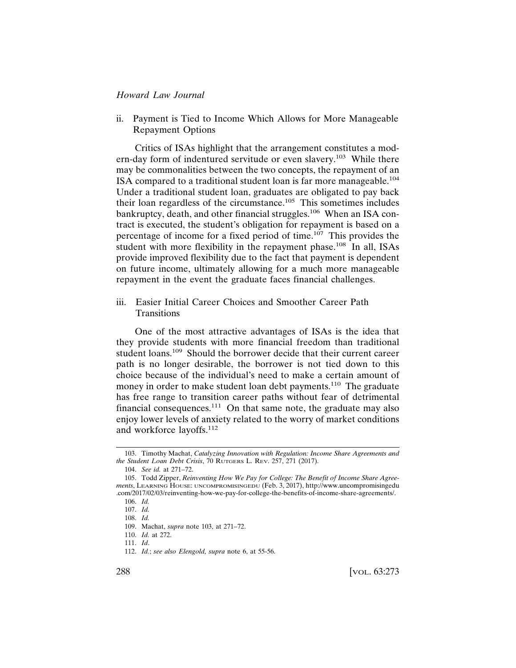ii. Payment is Tied to Income Which Allows for More Manageable Repayment Options

Critics of ISAs highlight that the arrangement constitutes a modern-day form of indentured servitude or even slavery.<sup>103</sup> While there may be commonalities between the two concepts, the repayment of an ISA compared to a traditional student loan is far more manageable.104 Under a traditional student loan, graduates are obligated to pay back their loan regardless of the circumstance.105 This sometimes includes bankruptcy, death, and other financial struggles.<sup>106</sup> When an ISA contract is executed, the student's obligation for repayment is based on a percentage of income for a fixed period of time.107 This provides the student with more flexibility in the repayment phase.<sup>108</sup> In all, ISAs provide improved flexibility due to the fact that payment is dependent on future income, ultimately allowing for a much more manageable repayment in the event the graduate faces financial challenges.

iii. Easier Initial Career Choices and Smoother Career Path Transitions

One of the most attractive advantages of ISAs is the idea that they provide students with more financial freedom than traditional student loans.<sup>109</sup> Should the borrower decide that their current career path is no longer desirable, the borrower is not tied down to this choice because of the individual's need to make a certain amount of money in order to make student loan debt payments.<sup>110</sup> The graduate has free range to transition career paths without fear of detrimental financial consequences. $111$  On that same note, the graduate may also enjoy lower levels of anxiety related to the worry of market conditions and workforce layoffs.<sup>112</sup>

<sup>103.</sup> Timothy Machat, *Catalyzing Innovation with Regulation: Income Share Agreements and the Student Loan Debt Crisis*, 70 RUTGERS L. REV. 257, 271 (2017).

<sup>104.</sup> *See id.* at 271–72.

<sup>105.</sup> Todd Zipper, *Reinventing How We Pay for College: The Benefit of Income Share Agreements*, LEARNING HOUSE: UNCOMPROMISINGEDU (Feb. 3, 2017), http://www.uncompromisingedu .com/2017/02/03/reinventing-how-we-pay-for-college-the-benefits-of-income-share-agreements/.

<sup>106.</sup> *Id.*

<sup>107.</sup> *Id.*

<sup>108.</sup> *Id.*

<sup>109.</sup> Machat, *supra* note 103, at 271–72.

<sup>110.</sup> *Id.* at 272.

<sup>111.</sup> *Id*.

<sup>112.</sup> *Id.*; *see also Elengold, supra* note 6, at 55-56.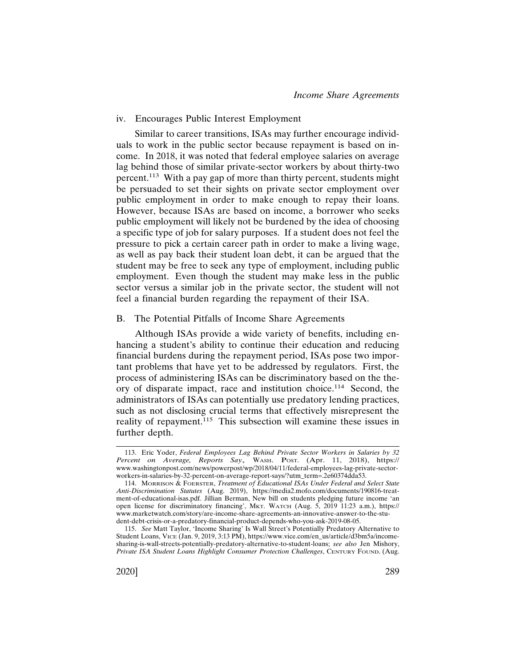#### iv. Encourages Public Interest Employment

Similar to career transitions, ISAs may further encourage individuals to work in the public sector because repayment is based on income. In 2018, it was noted that federal employee salaries on average lag behind those of similar private-sector workers by about thirty-two percent.113 With a pay gap of more than thirty percent, students might be persuaded to set their sights on private sector employment over public employment in order to make enough to repay their loans. However, because ISAs are based on income, a borrower who seeks public employment will likely not be burdened by the idea of choosing a specific type of job for salary purposes. If a student does not feel the pressure to pick a certain career path in order to make a living wage, as well as pay back their student loan debt, it can be argued that the student may be free to seek any type of employment, including public employment. Even though the student may make less in the public sector versus a similar job in the private sector, the student will not feel a financial burden regarding the repayment of their ISA.

#### B. The Potential Pitfalls of Income Share Agreements

Although ISAs provide a wide variety of benefits, including enhancing a student's ability to continue their education and reducing financial burdens during the repayment period, ISAs pose two important problems that have yet to be addressed by regulators. First, the process of administering ISAs can be discriminatory based on the theory of disparate impact, race and institution choice.<sup>114</sup> Second, the administrators of ISAs can potentially use predatory lending practices, such as not disclosing crucial terms that effectively misrepresent the reality of repayment.<sup>115</sup> This subsection will examine these issues in further depth.

<sup>113.</sup> Eric Yoder, *Federal Employees Lag Behind Private Sector Workers in Salaries by 32 Percent on Average, Reports Say*, WASH. POST. (Apr. 11, 2018), https:// www.washingtonpost.com/news/powerpost/wp/2018/04/11/federal-employees-lag-private-sectorworkers-in-salaries-by-32-percent-on-average-report-says/?utm\_term=.2e60374dda53.

<sup>114.</sup> MORRISON & FOERSTER, *Treatment of Educational ISAs Under Federal and Select State Anti-Discrimination Statutes* (Aug. 2019), https://media2.mofo.com/documents/190816-treatment-of-educational-isas.pdf. Jillian Berman, New bill on students pledging future income 'an open license for discriminatory financing', MKT. WATCH (Aug. 5, 2019 11:23 a.m.), https:// www.marketwatch.com/story/are-income-share-agreements-an-innovative-answer-to-the-student-debt-crisis-or-a-predatory-financial-product-depends-who-you-ask-2019-08-05.

<sup>115.</sup> *See* Matt Taylor, 'Income Sharing' Is Wall Street's Potentially Predatory Alternative to Student Loans, VICE (Jan. 9, 2019, 3:13 PM), https://www.vice.com/en\_us/article/d3bm5a/incomesharing-is-wall-streets-potentially-predatory-alternative-to-student-loans; *see also* Jen Mishory, *Private ISA Student Loans Highlight Consumer Protection Challenges*, CENTURY FOUND. (Aug.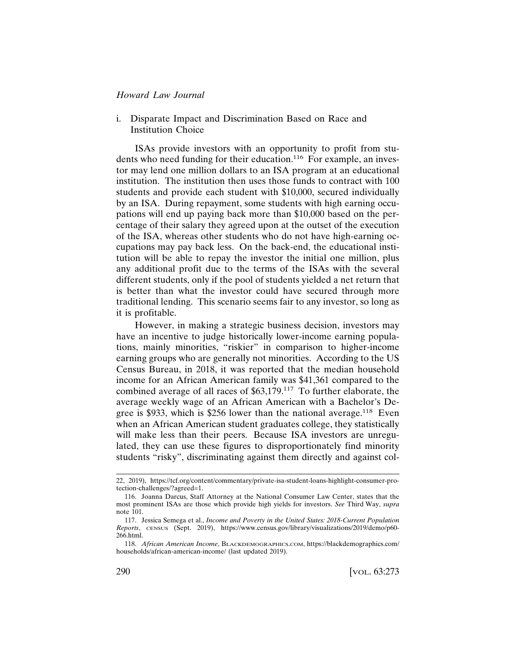i. Disparate Impact and Discrimination Based on Race and Institution Choice

ISAs provide investors with an opportunity to profit from students who need funding for their education.<sup>116</sup> For example, an investor may lend one million dollars to an ISA program at an educational institution. The institution then uses those funds to contract with 100 students and provide each student with \$10,000, secured individually by an ISA. During repayment, some students with high earning occupations will end up paying back more than \$10,000 based on the percentage of their salary they agreed upon at the outset of the execution of the ISA, whereas other students who do not have high-earning occupations may pay back less. On the back-end, the educational institution will be able to repay the investor the initial one million, plus any additional profit due to the terms of the ISAs with the several different students, only if the pool of students yielded a net return that is better than what the investor could have secured through more traditional lending. This scenario seems fair to any investor, so long as it is profitable.

However, in making a strategic business decision, investors may have an incentive to judge historically lower-income earning populations, mainly minorities, "riskier" in comparison to higher-income earning groups who are generally not minorities. According to the US Census Bureau, in 2018, it was reported that the median household income for an African American family was \$41,361 compared to the combined average of all races of \$63,179.117 To further elaborate, the average weekly wage of an African American with a Bachelor's Degree is \$933, which is \$256 lower than the national average.<sup>118</sup> Even when an African American student graduates college, they statistically will make less than their peers. Because ISA investors are unregulated, they can use these figures to disproportionately find minority students "risky", discriminating against them directly and against col-

<sup>22, 2019),</sup> https://tcf.org/content/commentary/private-isa-student-loans-highlight-consumer-protection-challenges/?agreed=1.

<sup>116.</sup> Joanna Darcus, Staff Attorney at the National Consumer Law Center, states that the most prominent ISAs are those which provide high yields for investors. *See* Third Way, *supra* note 101.

<sup>117.</sup> Jessica Semega et al., *Income and Poverty in the United States: 2018-Current Population Reports*, CENSUS (Sept. 2019), https://www.census.gov/library/visualizations/2019/demo/p60- 266.html.

<sup>118.</sup> *African American Income*, BLACKDEMOGRAPHICS.COM, https://blackdemographics.com/ households/african-american-income/ (last updated 2019).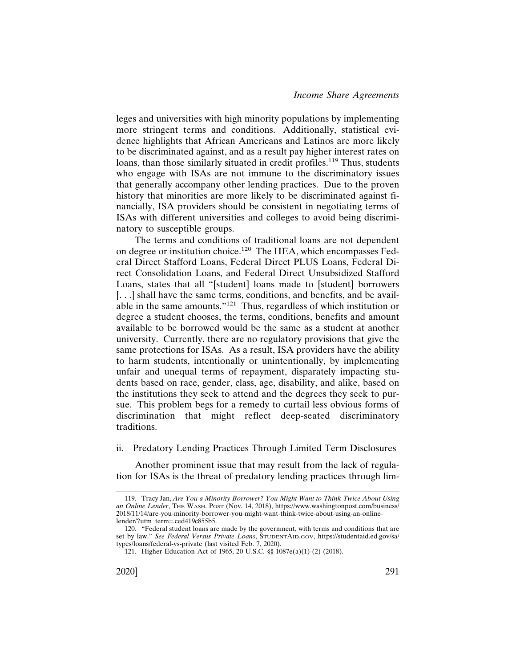leges and universities with high minority populations by implementing more stringent terms and conditions. Additionally, statistical evidence highlights that African Americans and Latinos are more likely to be discriminated against, and as a result pay higher interest rates on loans, than those similarly situated in credit profiles.<sup>119</sup> Thus, students who engage with ISAs are not immune to the discriminatory issues that generally accompany other lending practices. Due to the proven history that minorities are more likely to be discriminated against financially, ISA providers should be consistent in negotiating terms of ISAs with different universities and colleges to avoid being discriminatory to susceptible groups.

The terms and conditions of traditional loans are not dependent on degree or institution choice.120 The HEA, which encompasses Federal Direct Stafford Loans, Federal Direct PLUS Loans, Federal Direct Consolidation Loans, and Federal Direct Unsubsidized Stafford Loans, states that all "[student] loans made to [student] borrowers [...] shall have the same terms, conditions, and benefits, and be available in the same amounts."121 Thus, regardless of which institution or degree a student chooses, the terms, conditions, benefits and amount available to be borrowed would be the same as a student at another university. Currently, there are no regulatory provisions that give the same protections for ISAs. As a result, ISA providers have the ability to harm students, intentionally or unintentionally, by implementing unfair and unequal terms of repayment, disparately impacting students based on race, gender, class, age, disability, and alike, based on the institutions they seek to attend and the degrees they seek to pursue. This problem begs for a remedy to curtail less obvious forms of discrimination that might reflect deep-seated discriminatory traditions.

## ii. Predatory Lending Practices Through Limited Term Disclosures

Another prominent issue that may result from the lack of regulation for ISAs is the threat of predatory lending practices through lim-

<sup>119.</sup> Tracy Jan, *Are You a Minority Borrower? You Might Want to Think Twice About Using an Online Lender*, THE WASH. POST (Nov. 14, 2018), https://www.washingtonpost.com/business/ 2018/11/14/are-you-minority-borrower-you-might-want-think-twice-about-using-an-onlinelender/?utm\_term=.ced419c855b5.

<sup>120. &</sup>quot;Federal student loans are made by the government, with terms and conditions that are set by law." *See Federal Versus Private Loans*, STUDENTAID.GOV, https://studentaid.ed.gov/sa/ types/loans/federal-vs-private (last visited Feb. 7, 2020).

<sup>121.</sup> Higher Education Act of 1965, 20 U.S.C. §§ 1087e(a)(1)-(2) (2018).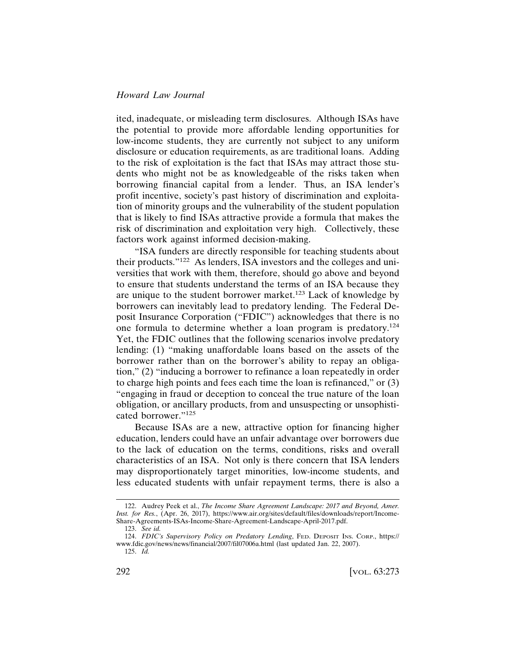ited, inadequate, or misleading term disclosures. Although ISAs have the potential to provide more affordable lending opportunities for low-income students, they are currently not subject to any uniform disclosure or education requirements, as are traditional loans. Adding to the risk of exploitation is the fact that ISAs may attract those students who might not be as knowledgeable of the risks taken when borrowing financial capital from a lender. Thus, an ISA lender's profit incentive, society's past history of discrimination and exploitation of minority groups and the vulnerability of the student population that is likely to find ISAs attractive provide a formula that makes the risk of discrimination and exploitation very high. Collectively, these factors work against informed decision-making.

"ISA funders are directly responsible for teaching students about their products."122 As lenders, ISA investors and the colleges and universities that work with them, therefore, should go above and beyond to ensure that students understand the terms of an ISA because they are unique to the student borrower market.<sup>123</sup> Lack of knowledge by borrowers can inevitably lead to predatory lending. The Federal Deposit Insurance Corporation ("FDIC") acknowledges that there is no one formula to determine whether a loan program is predatory.124 Yet, the FDIC outlines that the following scenarios involve predatory lending: (1) "making unaffordable loans based on the assets of the borrower rather than on the borrower's ability to repay an obligation," (2) "inducing a borrower to refinance a loan repeatedly in order to charge high points and fees each time the loan is refinanced," or (3) "engaging in fraud or deception to conceal the true nature of the loan obligation, or ancillary products, from and unsuspecting or unsophisticated borrower."125

Because ISAs are a new, attractive option for financing higher education, lenders could have an unfair advantage over borrowers due to the lack of education on the terms, conditions, risks and overall characteristics of an ISA. Not only is there concern that ISA lenders may disproportionately target minorities, low-income students, and less educated students with unfair repayment terms, there is also a

<sup>122.</sup> Audrey Peek et al., *The Income Share Agreement Landscape: 2017 and Beyond, Amer. Inst. for Res.*, (Apr. 26, 2017), https://www.air.org/sites/default/files/downloads/report/Income-Share-Agreements-ISAs-Income-Share-Agreement-Landscape-April-2017.pdf.

<sup>123.</sup> *See id.*

<sup>124.</sup> *FDIC's Supervisory Policy on Predatory Lending*, FED. DEPOSIT INS. CORP., https:// www.fdic.gov/news/news/financial/2007/fil07006a.html (last updated Jan. 22, 2007).

<sup>125.</sup> *Id.*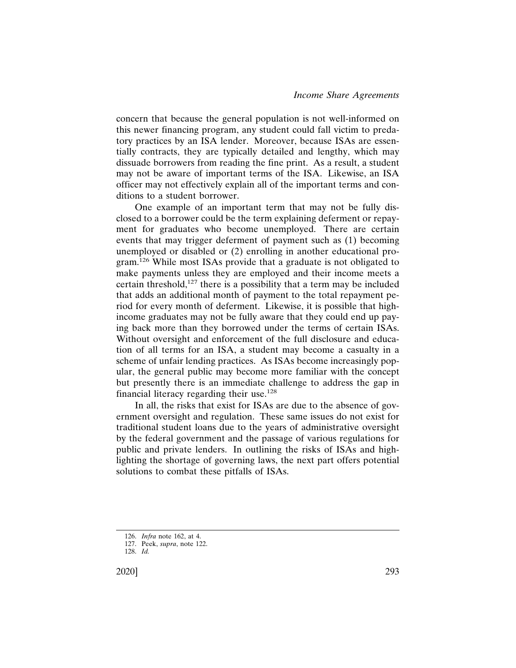concern that because the general population is not well-informed on this newer financing program, any student could fall victim to predatory practices by an ISA lender. Moreover, because ISAs are essentially contracts, they are typically detailed and lengthy, which may dissuade borrowers from reading the fine print. As a result, a student may not be aware of important terms of the ISA. Likewise, an ISA officer may not effectively explain all of the important terms and conditions to a student borrower.

One example of an important term that may not be fully disclosed to a borrower could be the term explaining deferment or repayment for graduates who become unemployed. There are certain events that may trigger deferment of payment such as (1) becoming unemployed or disabled or (2) enrolling in another educational program.126 While most ISAs provide that a graduate is not obligated to make payments unless they are employed and their income meets a certain threshold, $127$  there is a possibility that a term may be included that adds an additional month of payment to the total repayment period for every month of deferment. Likewise, it is possible that highincome graduates may not be fully aware that they could end up paying back more than they borrowed under the terms of certain ISAs. Without oversight and enforcement of the full disclosure and education of all terms for an ISA, a student may become a casualty in a scheme of unfair lending practices. As ISAs become increasingly popular, the general public may become more familiar with the concept but presently there is an immediate challenge to address the gap in financial literacy regarding their use.<sup>128</sup>

In all, the risks that exist for ISAs are due to the absence of government oversight and regulation. These same issues do not exist for traditional student loans due to the years of administrative oversight by the federal government and the passage of various regulations for public and private lenders. In outlining the risks of ISAs and highlighting the shortage of governing laws, the next part offers potential solutions to combat these pitfalls of ISAs.

<sup>126.</sup> *Infra* note 162, at 4.

<sup>127.</sup> Peek, *supra*, note 122.

<sup>128.</sup> *Id.*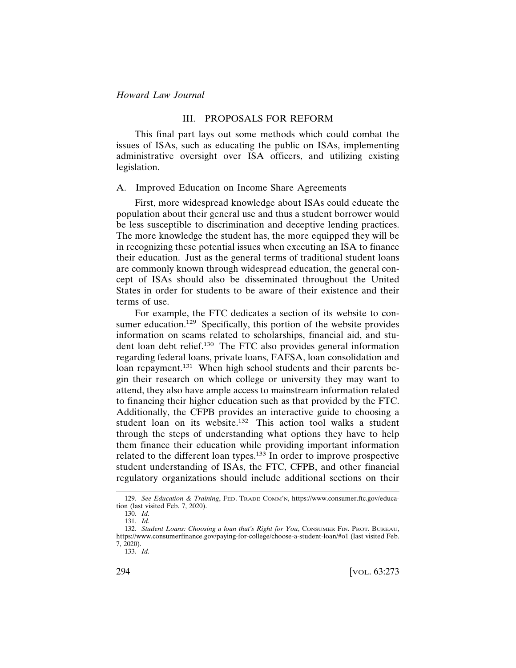#### III. PROPOSALS FOR REFORM

This final part lays out some methods which could combat the issues of ISAs, such as educating the public on ISAs, implementing administrative oversight over ISA officers, and utilizing existing legislation.

#### A. Improved Education on Income Share Agreements

First, more widespread knowledge about ISAs could educate the population about their general use and thus a student borrower would be less susceptible to discrimination and deceptive lending practices. The more knowledge the student has, the more equipped they will be in recognizing these potential issues when executing an ISA to finance their education. Just as the general terms of traditional student loans are commonly known through widespread education, the general concept of ISAs should also be disseminated throughout the United States in order for students to be aware of their existence and their terms of use.

For example, the FTC dedicates a section of its website to consumer education.<sup>129</sup> Specifically, this portion of the website provides information on scams related to scholarships, financial aid, and student loan debt relief.<sup>130</sup> The FTC also provides general information regarding federal loans, private loans, FAFSA, loan consolidation and loan repayment.<sup>131</sup> When high school students and their parents begin their research on which college or university they may want to attend, they also have ample access to mainstream information related to financing their higher education such as that provided by the FTC. Additionally, the CFPB provides an interactive guide to choosing a student loan on its website.<sup>132</sup> This action tool walks a student through the steps of understanding what options they have to help them finance their education while providing important information related to the different loan types. $133$  In order to improve prospective student understanding of ISAs, the FTC, CFPB, and other financial regulatory organizations should include additional sections on their

<sup>129.</sup> *See Education & Training*, FED. TRADE COMM'N, https://www.consumer.ftc.gov/education (last visited Feb. 7, 2020).

<sup>130.</sup> *Id.*

<sup>131.</sup> *Id.*

<sup>132.</sup> *Student Loans: Choosing a loan that's Right for You*, CONSUMER FIN. PROT. BUREAU, https://www.consumerfinance.gov/paying-for-college/choose-a-student-loan/#o1 (last visited Feb. 7, 2020).

<sup>133.</sup> *Id.*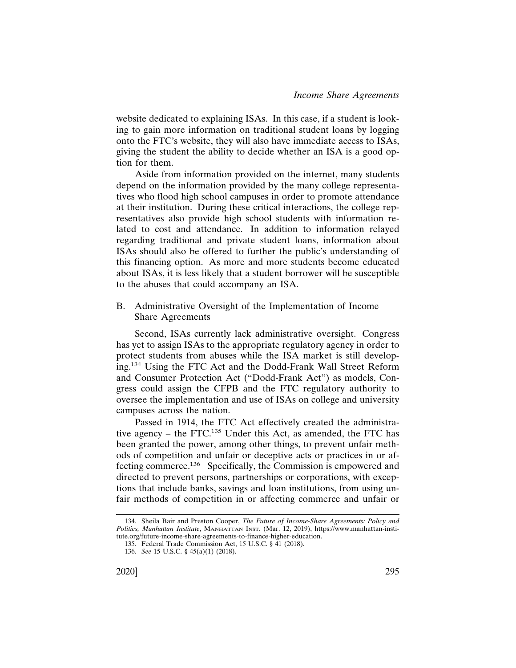website dedicated to explaining ISAs. In this case, if a student is looking to gain more information on traditional student loans by logging onto the FTC's website, they will also have immediate access to ISAs, giving the student the ability to decide whether an ISA is a good option for them.

Aside from information provided on the internet, many students depend on the information provided by the many college representatives who flood high school campuses in order to promote attendance at their institution. During these critical interactions, the college representatives also provide high school students with information related to cost and attendance. In addition to information relayed regarding traditional and private student loans, information about ISAs should also be offered to further the public's understanding of this financing option. As more and more students become educated about ISAs, it is less likely that a student borrower will be susceptible to the abuses that could accompany an ISA.

# B. Administrative Oversight of the Implementation of Income Share Agreements

Second, ISAs currently lack administrative oversight. Congress has yet to assign ISAs to the appropriate regulatory agency in order to protect students from abuses while the ISA market is still developing.134 Using the FTC Act and the Dodd-Frank Wall Street Reform and Consumer Protection Act ("Dodd-Frank Act") as models, Congress could assign the CFPB and the FTC regulatory authority to oversee the implementation and use of ISAs on college and university campuses across the nation.

Passed in 1914, the FTC Act effectively created the administrative agency – the FTC.<sup>135</sup> Under this Act, as amended, the FTC has been granted the power, among other things, to prevent unfair methods of competition and unfair or deceptive acts or practices in or affecting commerce.136 Specifically, the Commission is empowered and directed to prevent persons, partnerships or corporations, with exceptions that include banks, savings and loan institutions, from using unfair methods of competition in or affecting commerce and unfair or

<sup>134.</sup> Sheila Bair and Preston Cooper, *The Future of Income-Share Agreements: Policy and Politics, Manhattan Institute*, MANHATTAN INST. (Mar. 12, 2019), https://www.manhattan-institute.org/future-income-share-agreements-to-finance-higher-education.

<sup>135.</sup> Federal Trade Commission Act, 15 U.S.C. § 41 (2018).

<sup>136.</sup> *See* 15 U.S.C. § 45(a)(1) (2018).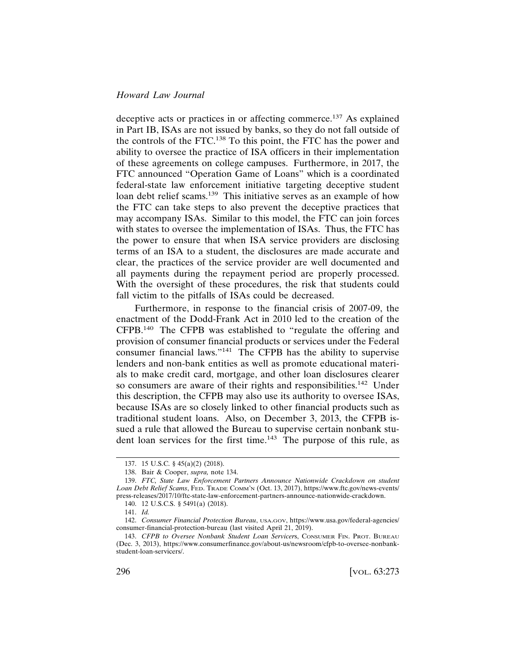deceptive acts or practices in or affecting commerce.<sup>137</sup> As explained in Part IB, ISAs are not issued by banks, so they do not fall outside of the controls of the FTC.138 To this point, the FTC has the power and ability to oversee the practice of ISA officers in their implementation of these agreements on college campuses. Furthermore, in 2017, the FTC announced "Operation Game of Loans" which is a coordinated federal-state law enforcement initiative targeting deceptive student loan debt relief scams.<sup>139</sup> This initiative serves as an example of how the FTC can take steps to also prevent the deceptive practices that may accompany ISAs. Similar to this model, the FTC can join forces with states to oversee the implementation of ISAs. Thus, the FTC has the power to ensure that when ISA service providers are disclosing terms of an ISA to a student, the disclosures are made accurate and clear, the practices of the service provider are well documented and all payments during the repayment period are properly processed. With the oversight of these procedures, the risk that students could fall victim to the pitfalls of ISAs could be decreased.

Furthermore, in response to the financial crisis of 2007-09, the enactment of the Dodd-Frank Act in 2010 led to the creation of the CFPB.140 The CFPB was established to "regulate the offering and provision of consumer financial products or services under the Federal consumer financial laws."141 The CFPB has the ability to supervise lenders and non-bank entities as well as promote educational materials to make credit card, mortgage, and other loan disclosures clearer so consumers are aware of their rights and responsibilities.<sup>142</sup> Under this description, the CFPB may also use its authority to oversee ISAs, because ISAs are so closely linked to other financial products such as traditional student loans. Also, on December 3, 2013, the CFPB issued a rule that allowed the Bureau to supervise certain nonbank student loan services for the first time.<sup>143</sup> The purpose of this rule, as

<sup>137. 15</sup> U.S.C. § 45(a)(2) (2018).

<sup>138.</sup> Bair & Cooper, *supra,* note 134.

<sup>139.</sup> *FTC, State Law Enforcement Partners Announce Nationwide Crackdown on student Loan Debt Relief Scams*, FED. TRADE COMM'N (Oct. 13, 2017), https://www.ftc.gov/news-events/ press-releases/2017/10/ftc-state-law-enforcement-partners-announce-nationwide-crackdown.

<sup>140. 12</sup> U.S.C.S. § 5491(a) (2018).

<sup>141.</sup> *Id.*

<sup>142.</sup> *Consumer Financial Protection Bureau*, USA.GOV, https://www.usa.gov/federal-agencies/ consumer-financial-protection-bureau (last visited April 21, 2019).

<sup>143.</sup> *CFPB to Oversee Nonbank Student Loan Servicer*s, CONSUMER FIN. PROT. BUREAU (Dec. 3, 2013), https://www.consumerfinance.gov/about-us/newsroom/cfpb-to-oversee-nonbankstudent-loan-servicers/.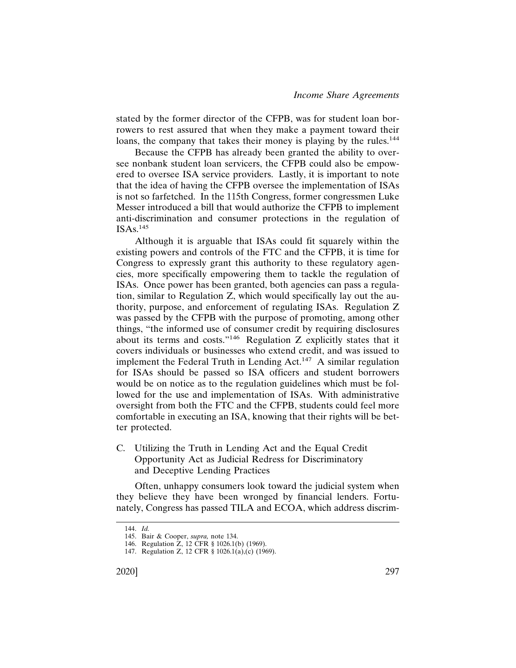stated by the former director of the CFPB, was for student loan borrowers to rest assured that when they make a payment toward their loans, the company that takes their money is playing by the rules.<sup>144</sup>

Because the CFPB has already been granted the ability to oversee nonbank student loan servicers, the CFPB could also be empowered to oversee ISA service providers. Lastly, it is important to note that the idea of having the CFPB oversee the implementation of ISAs is not so farfetched. In the 115th Congress, former congressmen Luke Messer introduced a bill that would authorize the CFPB to implement anti-discrimination and consumer protections in the regulation of  $ISA<sub>s</sub>$ <sup>145</sup>

Although it is arguable that ISAs could fit squarely within the existing powers and controls of the FTC and the CFPB, it is time for Congress to expressly grant this authority to these regulatory agencies, more specifically empowering them to tackle the regulation of ISAs. Once power has been granted, both agencies can pass a regulation, similar to Regulation Z, which would specifically lay out the authority, purpose, and enforcement of regulating ISAs. Regulation Z was passed by the CFPB with the purpose of promoting, among other things, "the informed use of consumer credit by requiring disclosures about its terms and costs."146 Regulation Z explicitly states that it covers individuals or businesses who extend credit, and was issued to implement the Federal Truth in Lending  $Act.<sup>147</sup>$  A similar regulation for ISAs should be passed so ISA officers and student borrowers would be on notice as to the regulation guidelines which must be followed for the use and implementation of ISAs. With administrative oversight from both the FTC and the CFPB, students could feel more comfortable in executing an ISA, knowing that their rights will be better protected.

C. Utilizing the Truth in Lending Act and the Equal Credit Opportunity Act as Judicial Redress for Discriminatory and Deceptive Lending Practices

Often, unhappy consumers look toward the judicial system when they believe they have been wronged by financial lenders. Fortunately, Congress has passed TILA and ECOA, which address discrim-

<sup>144.</sup> *Id.*

<sup>145.</sup> Bair & Cooper, *supra,* note 134.

<sup>146.</sup> Regulation Z, 12 CFR § 1026.1(b) (1969).

<sup>147.</sup> Regulation Z, 12 CFR § 1026.1(a),(c) (1969).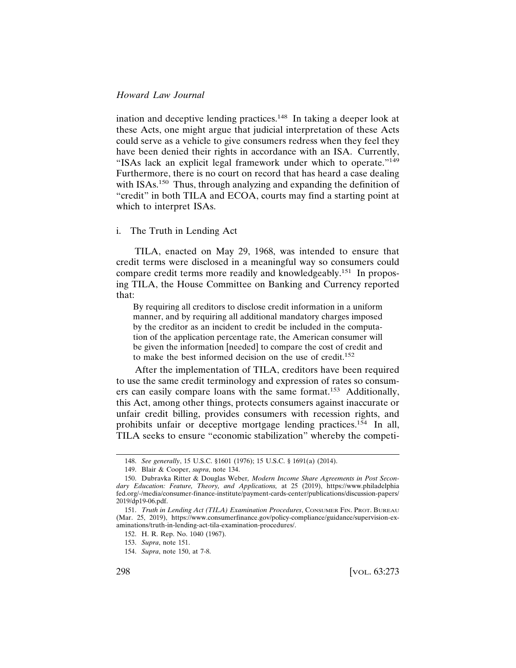ination and deceptive lending practices.<sup>148</sup> In taking a deeper look at these Acts, one might argue that judicial interpretation of these Acts could serve as a vehicle to give consumers redress when they feel they have been denied their rights in accordance with an ISA. Currently, "ISAs lack an explicit legal framework under which to operate."149 Furthermore, there is no court on record that has heard a case dealing with ISAs.<sup>150</sup> Thus, through analyzing and expanding the definition of "credit" in both TILA and ECOA, courts may find a starting point at which to interpret ISAs.

## i. The Truth in Lending Act

TILA, enacted on May 29, 1968, was intended to ensure that credit terms were disclosed in a meaningful way so consumers could compare credit terms more readily and knowledgeably.151 In proposing TILA, the House Committee on Banking and Currency reported that:

By requiring all creditors to disclose credit information in a uniform manner, and by requiring all additional mandatory charges imposed by the creditor as an incident to credit be included in the computation of the application percentage rate, the American consumer will be given the information [needed] to compare the cost of credit and to make the best informed decision on the use of credit.<sup>152</sup>

After the implementation of TILA, creditors have been required to use the same credit terminology and expression of rates so consumers can easily compare loans with the same format.153 Additionally, this Act, among other things, protects consumers against inaccurate or unfair credit billing, provides consumers with recession rights, and prohibits unfair or deceptive mortgage lending practices.154 In all, TILA seeks to ensure "economic stabilization" whereby the competi-

<sup>148.</sup> *See generally*, 15 U.S.C. §1601 (1976); 15 U.S.C. § 1691(a) (2014).

<sup>149.</sup> Blair & Cooper, *supra*, note 134.

<sup>150.</sup> Dubravka Ritter & Douglas Weber*, Modern Income Share Agreements in Post Secondary Education: Feature, Theory, and Applications,* at 25 (2019), https://www.philadelphia fed.org/-/media/consumer-finance-institute/payment-cards-center/publications/discussion-papers/ 2019/dp19-06.pdf.

<sup>151.</sup> *Truth in Lending Act (TILA) Examination Procedures*, CONSUMER FIN. PROT. BUREAU (Mar. 25, 2019), https://www.consumerfinance.gov/policy-compliance/guidance/supervision-examinations/truth-in-lending-act-tila-examination-procedures/.

<sup>152.</sup> H. R. Rep. No. 1040 (1967).

<sup>153.</sup> *Supra*, note 151.

<sup>154.</sup> *Supra*, note 150, at 7-8.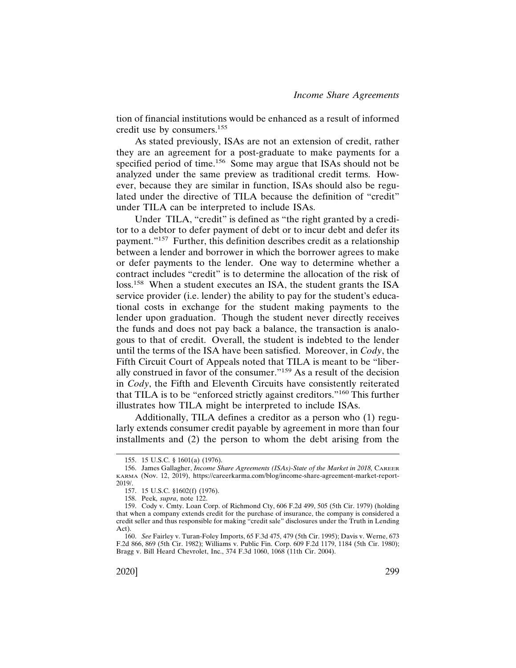tion of financial institutions would be enhanced as a result of informed credit use by consumers.155

As stated previously, ISAs are not an extension of credit, rather they are an agreement for a post-graduate to make payments for a specified period of time.<sup>156</sup> Some may argue that ISAs should not be analyzed under the same preview as traditional credit terms. However, because they are similar in function, ISAs should also be regulated under the directive of TILA because the definition of "credit" under TILA can be interpreted to include ISAs.

Under TILA, "credit" is defined as "the right granted by a creditor to a debtor to defer payment of debt or to incur debt and defer its payment."157 Further, this definition describes credit as a relationship between a lender and borrower in which the borrower agrees to make or defer payments to the lender. One way to determine whether a contract includes "credit" is to determine the allocation of the risk of loss.<sup>158</sup> When a student executes an ISA, the student grants the ISA service provider (i.e. lender) the ability to pay for the student's educational costs in exchange for the student making payments to the lender upon graduation. Though the student never directly receives the funds and does not pay back a balance, the transaction is analogous to that of credit. Overall, the student is indebted to the lender until the terms of the ISA have been satisfied. Moreover, in *Cody*, the Fifth Circuit Court of Appeals noted that TILA is meant to be "liberally construed in favor of the consumer."159 As a result of the decision in *Cody*, the Fifth and Eleventh Circuits have consistently reiterated that TILA is to be "enforced strictly against creditors."160 This further illustrates how TILA might be interpreted to include ISAs.

Additionally, TILA defines a creditor as a person who (1) regularly extends consumer credit payable by agreement in more than four installments and (2) the person to whom the debt arising from the

<sup>155. 15</sup> U.S.C. § 1601(a) (1976).

<sup>156.</sup> James Gallagher, *Income Share Agreements (ISAs)-State of the Market in 2018,* CAREER KARMA (Nov. 12, 2019), https://careerkarma.com/blog/income-share-agreement-market-report-2019/.

<sup>157. 15</sup> U.S.C. §1602(f) (1976).

<sup>158.</sup> Peek*, supra*, note 122.

<sup>159.</sup> Cody v. Cmty. Loan Corp. of Richmond Cty, 606 F.2d 499, 505 (5th Cir. 1979) (holding that when a company extends credit for the purchase of insurance, the company is considered a credit seller and thus responsible for making "credit sale" disclosures under the Truth in Lending Act).

<sup>160.</sup> *See* Fairley v. Turan-Foley Imports, 65 F.3d 475, 479 (5th Cir. 1995); Davis v. Werne, 673 F.2d 866, 869 (5th Cir. 1982); Williams v. Public Fin. Corp. 609 F.2d 1179, 1184 (5th Cir. 1980); Bragg v. Bill Heard Chevrolet, Inc., 374 F.3d 1060, 1068 (11th Cir. 2004).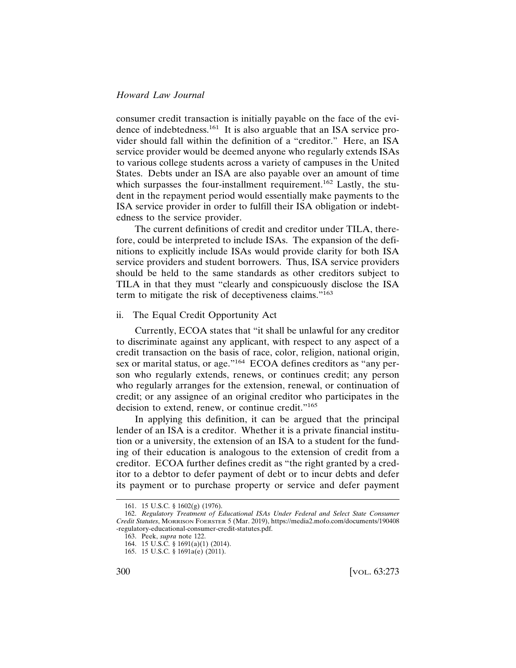consumer credit transaction is initially payable on the face of the evidence of indebtedness.161 It is also arguable that an ISA service provider should fall within the definition of a "creditor." Here, an ISA service provider would be deemed anyone who regularly extends ISAs to various college students across a variety of campuses in the United States. Debts under an ISA are also payable over an amount of time which surpasses the four-installment requirement.<sup>162</sup> Lastly, the student in the repayment period would essentially make payments to the ISA service provider in order to fulfill their ISA obligation or indebtedness to the service provider.

The current definitions of credit and creditor under TILA, therefore, could be interpreted to include ISAs. The expansion of the definitions to explicitly include ISAs would provide clarity for both ISA service providers and student borrowers. Thus, ISA service providers should be held to the same standards as other creditors subject to TILA in that they must "clearly and conspicuously disclose the ISA term to mitigate the risk of deceptiveness claims."163

## ii. The Equal Credit Opportunity Act

Currently, ECOA states that "it shall be unlawful for any creditor to discriminate against any applicant, with respect to any aspect of a credit transaction on the basis of race, color, religion, national origin, sex or marital status, or age."<sup>164</sup> ECOA defines creditors as "any person who regularly extends, renews, or continues credit; any person who regularly arranges for the extension, renewal, or continuation of credit; or any assignee of an original creditor who participates in the decision to extend, renew, or continue credit."<sup>165</sup>

In applying this definition, it can be argued that the principal lender of an ISA is a creditor. Whether it is a private financial institution or a university, the extension of an ISA to a student for the funding of their education is analogous to the extension of credit from a creditor. ECOA further defines credit as "the right granted by a creditor to a debtor to defer payment of debt or to incur debts and defer its payment or to purchase property or service and defer payment

<sup>161. 15</sup> U.S.C. § 1602(g) (1976).

<sup>162.</sup> *Regulatory Treatment of Educational ISAs Under Federal and Select State Consumer Credit Statutes*, MORRISON FOERSTER 5 (Mar. 2019), https://media2.mofo.com/documents/190408 -regulatory-educational-consumer-credit-statutes.pdf.

<sup>163.</sup> Peek, *supra* note 122.

<sup>164. 15</sup> U.S.C. § 1691(a)(1) (2014).

<sup>165. 15</sup> U.S.C. § 1691a(e) (2011).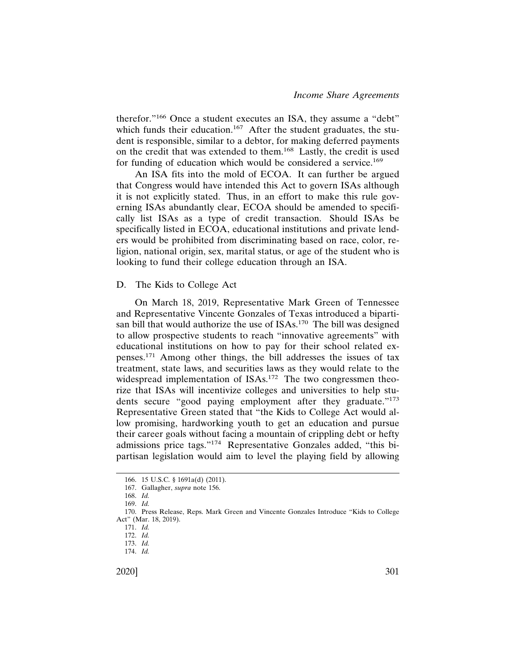therefor."166 Once a student executes an ISA, they assume a "debt" which funds their education.<sup>167</sup> After the student graduates, the student is responsible, similar to a debtor, for making deferred payments on the credit that was extended to them.168 Lastly, the credit is used for funding of education which would be considered a service.<sup>169</sup>

An ISA fits into the mold of ECOA. It can further be argued that Congress would have intended this Act to govern ISAs although it is not explicitly stated. Thus, in an effort to make this rule governing ISAs abundantly clear, ECOA should be amended to specifically list ISAs as a type of credit transaction. Should ISAs be specifically listed in ECOA, educational institutions and private lenders would be prohibited from discriminating based on race, color, religion, national origin, sex, marital status, or age of the student who is looking to fund their college education through an ISA.

#### D. The Kids to College Act

On March 18, 2019, Representative Mark Green of Tennessee and Representative Vincente Gonzales of Texas introduced a bipartisan bill that would authorize the use of ISAs.<sup>170</sup> The bill was designed to allow prospective students to reach "innovative agreements" with educational institutions on how to pay for their school related expenses.171 Among other things, the bill addresses the issues of tax treatment, state laws, and securities laws as they would relate to the widespread implementation of ISAs.<sup>172</sup> The two congressmen theorize that ISAs will incentivize colleges and universities to help students secure "good paying employment after they graduate."<sup>173</sup> Representative Green stated that "the Kids to College Act would allow promising, hardworking youth to get an education and pursue their career goals without facing a mountain of crippling debt or hefty admissions price tags."174 Representative Gonzales added, "this bipartisan legislation would aim to level the playing field by allowing

<sup>166. 15</sup> U.S.C. § 1691a(d) (2011).

<sup>167.</sup> Gallagher, *supra* note 156.

<sup>168.</sup> *Id.*

<sup>169.</sup> *Id.*

<sup>170.</sup> Press Release, Reps. Mark Green and Vincente Gonzales Introduce "Kids to College Act" (Mar. 18, 2019).

<sup>171.</sup> *Id.*

<sup>172.</sup> *Id.*

<sup>173.</sup> *Id.* 174. *Id.*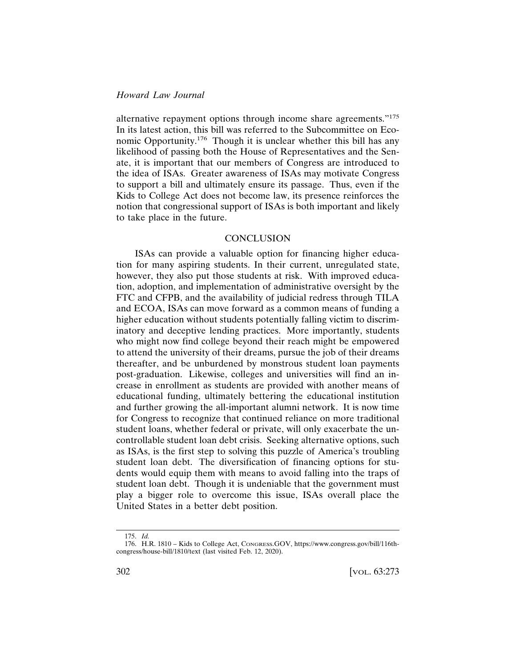alternative repayment options through income share agreements."175 In its latest action, this bill was referred to the Subcommittee on Economic Opportunity.176 Though it is unclear whether this bill has any likelihood of passing both the House of Representatives and the Senate, it is important that our members of Congress are introduced to the idea of ISAs. Greater awareness of ISAs may motivate Congress to support a bill and ultimately ensure its passage. Thus, even if the Kids to College Act does not become law, its presence reinforces the notion that congressional support of ISAs is both important and likely to take place in the future.

## **CONCLUSION**

ISAs can provide a valuable option for financing higher education for many aspiring students. In their current, unregulated state, however, they also put those students at risk. With improved education, adoption, and implementation of administrative oversight by the FTC and CFPB, and the availability of judicial redress through TILA and ECOA, ISAs can move forward as a common means of funding a higher education without students potentially falling victim to discriminatory and deceptive lending practices. More importantly, students who might now find college beyond their reach might be empowered to attend the university of their dreams, pursue the job of their dreams thereafter, and be unburdened by monstrous student loan payments post-graduation. Likewise, colleges and universities will find an increase in enrollment as students are provided with another means of educational funding, ultimately bettering the educational institution and further growing the all-important alumni network. It is now time for Congress to recognize that continued reliance on more traditional student loans, whether federal or private, will only exacerbate the uncontrollable student loan debt crisis. Seeking alternative options, such as ISAs, is the first step to solving this puzzle of America's troubling student loan debt. The diversification of financing options for students would equip them with means to avoid falling into the traps of student loan debt. Though it is undeniable that the government must play a bigger role to overcome this issue, ISAs overall place the United States in a better debt position.

<sup>175.</sup> *Id.*

<sup>176.</sup> H.R. 1810 – Kids to College Act, CONGRESS.GOV, https://www.congress.gov/bill/116thcongress/house-bill/1810/text (last visited Feb. 12, 2020).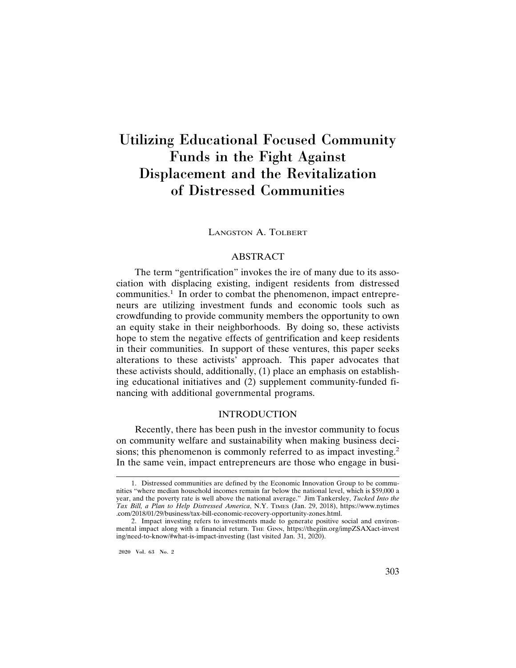# Utilizing Educational Focused Community Funds in the Fight Against Displacement and the Revitalization of Distressed Communities

LANGSTON A. TOLBERT

# ABSTRACT

The term "gentrification" invokes the ire of many due to its association with displacing existing, indigent residents from distressed communities.1 In order to combat the phenomenon, impact entrepreneurs are utilizing investment funds and economic tools such as crowdfunding to provide community members the opportunity to own an equity stake in their neighborhoods. By doing so, these activists hope to stem the negative effects of gentrification and keep residents in their communities. In support of these ventures, this paper seeks alterations to these activists' approach. This paper advocates that these activists should, additionally, (1) place an emphasis on establishing educational initiatives and (2) supplement community-funded financing with additional governmental programs.

#### INTRODUCTION

Recently, there has been push in the investor community to focus on community welfare and sustainability when making business decisions; this phenomenon is commonly referred to as impact investing.<sup>2</sup> In the same vein, impact entrepreneurs are those who engage in busi-

<sup>1.</sup> Distressed communities are defined by the Economic Innovation Group to be communities "where median household incomes remain far below the national level, which is \$59,000 a year, and the poverty rate is well above the national average." Jim Tankersley, *Tucked Into the Tax Bill, a Plan to Help Distressed America*, N.Y. TIMES (Jan. 29, 2018), https://www.nytimes .com/2018/01/29/business/tax-bill-economic-recovery-opportunity-zones.html.

<sup>2.</sup> Impact investing refers to investments made to generate positive social and environmental impact along with a financial return. The GINN, https://thegiin.org/impZSAXact-invest ing/need-to-know/#what-is-impact-investing (last visited Jan. 31, 2020).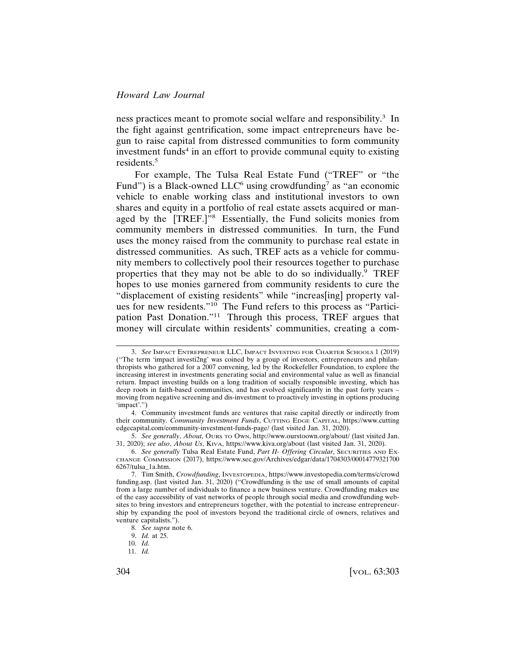ness practices meant to promote social welfare and responsibility.3 In the fight against gentrification, some impact entrepreneurs have begun to raise capital from distressed communities to form community investment funds<sup>4</sup> in an effort to provide communal equity to existing residents.5

For example, The Tulsa Real Estate Fund ("TREF" or "the Fund") is a Black-owned LLC $<sup>6</sup>$  using crowdfunding<sup>7</sup> as "an economic</sup> vehicle to enable working class and institutional investors to own shares and equity in a portfolio of real estate assets acquired or managed by the [TREF.]"<sup>8</sup> Essentially, the Fund solicits monies from community members in distressed communities. In turn, the Fund uses the money raised from the community to purchase real estate in distressed communities. As such, TREF acts as a vehicle for community members to collectively pool their resources together to purchase properties that they may not be able to do so individually.<sup>9</sup> TREF hopes to use monies garnered from community residents to cure the "displacement of existing residents" while "increas[ing] property values for new residents."10 The Fund refers to this process as "Participation Past Donation."11 Through this process, TREF argues that money will circulate within residents' communities, creating a com-

<sup>3.</sup> *See* IMPACT ENTREPRENEUR LLC, IMPACT INVESTING FOR CHARTER SCHOOLS 1 (2019) ("The term 'impact investi2ng' was coined by a group of investors, entrepreneurs and philanthropists who gathered for a 2007 convening, led by the Rockefeller Foundation, to explore the increasing interest in investments generating social and environmental value as well as financial return. Impact investing builds on a long tradition of socially responsible investing, which has deep roots in faith-based communities, and has evolved significantly in the past forty years – moving from negative screening and dis-investment to proactively investing in options producing 'impact'.")

<sup>4.</sup> Community investment funds are ventures that raise capital directly or indirectly from their community. *Community Investment Funds*, CUTTING EDGE CAPITAL, https://www.cutting edgecapital.com/community-investment-funds-page/ (last visited Jan. 31, 2020).

<sup>5.</sup> *See generally*, *About*, OURS TO OWN, http://www.ourstoown.org/about/ (last visited Jan. 31, 2020); *see also*, *About Us*, KIVA, https://www.kiva.org/about (last visited Jan. 31, 2020).

<sup>6.</sup> *See generally* Tulsa Real Estate Fund, *Part II- Offering Circular*, SECURITIES AND EX-CHANGE COMMISSION (2017), https://www.sec.gov/Archives/edgar/data/1704303/00014779321700 6267/tulsa\_1a.htm.

<sup>7.</sup> Tim Smith, *Crowdfunding*, INVESTOPEDIA, https://www.investopedia.com/terms/c/crowd funding.asp. (last visited Jan. 31, 2020) ("Crowdfunding is the use of small amounts of capital from a large number of individuals to finance a new business venture. Crowdfunding makes use of the easy accessibility of vast networks of people through social media and crowdfunding websites to bring investors and entrepreneurs together, with the potential to increase entrepreneurship by expanding the pool of investors beyond the traditional circle of owners, relatives and venture capitalists.").

<sup>8.</sup> *See supra* note 6.

<sup>9.</sup> *Id.* at 25.

<sup>10.</sup> *Id.*

<sup>11.</sup> *Id.*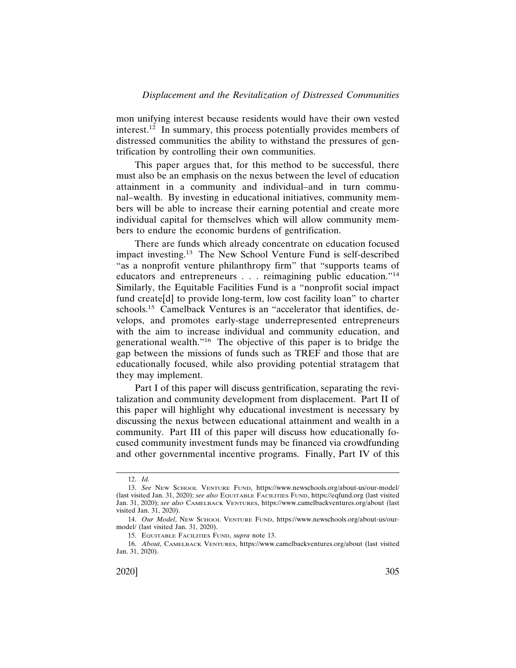mon unifying interest because residents would have their own vested interest.12 In summary, this process potentially provides members of distressed communities the ability to withstand the pressures of gentrification by controlling their own communities.

This paper argues that, for this method to be successful, there must also be an emphasis on the nexus between the level of education attainment in a community and individual–and in turn communal–wealth. By investing in educational initiatives, community members will be able to increase their earning potential and create more individual capital for themselves which will allow community members to endure the economic burdens of gentrification.

There are funds which already concentrate on education focused impact investing.13 The New School Venture Fund is self-described "as a nonprofit venture philanthropy firm" that "supports teams of educators and entrepreneurs . . . reimagining public education."<sup>14</sup> Similarly, the Equitable Facilities Fund is a "nonprofit social impact fund create[d] to provide long-term, low cost facility loan" to charter schools.<sup>15</sup> Camelback Ventures is an "accelerator that identifies, develops, and promotes early-stage underrepresented entrepreneurs with the aim to increase individual and community education, and generational wealth."16 The objective of this paper is to bridge the gap between the missions of funds such as TREF and those that are educationally focused, while also providing potential stratagem that they may implement.

Part I of this paper will discuss gentrification, separating the revitalization and community development from displacement. Part II of this paper will highlight why educational investment is necessary by discussing the nexus between educational attainment and wealth in a community. Part III of this paper will discuss how educationally focused community investment funds may be financed via crowdfunding and other governmental incentive programs. Finally, Part IV of this

<sup>12.</sup> *Id.*

<sup>13.</sup> *See* NEW SCHOOL VENTURE FUND, https://www.newschools.org/about-us/our-model/ (last visited Jan. 31, 2020); *see also* EQUITABLE FACILITIES FUND, https://eqfund.org (last visited Jan. 31, 2020); *see also* CAMELBACK VENTURES, https://www.camelbackventures.org/about (last visited Jan. 31, 2020).

<sup>14.</sup> *Our Model*, NEW SCHOOL VENTURE FUND, https://www.newschools.org/about-us/ourmodel/ (last visited Jan. 31, 2020).

<sup>15.</sup> EQUITABLE FACILITIES FUND, *supra* note 13.

<sup>16.</sup> *About*, CAMELBACK VENTURES, https://www.camelbackventures.org/about (last visited Jan. 31, 2020).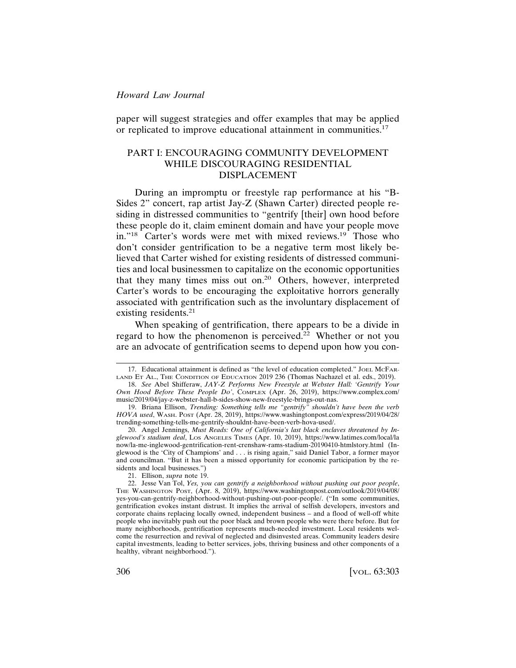paper will suggest strategies and offer examples that may be applied or replicated to improve educational attainment in communities.17

# PART I: ENCOURAGING COMMUNITY DEVELOPMENT WHILE DISCOURAGING RESIDENTIAL DISPLACEMENT

During an impromptu or freestyle rap performance at his "B-Sides 2" concert, rap artist Jay-Z (Shawn Carter) directed people residing in distressed communities to "gentrify [their] own hood before these people do it, claim eminent domain and have your people move in."18 Carter's words were met with mixed reviews.19 Those who don't consider gentrification to be a negative term most likely believed that Carter wished for existing residents of distressed communities and local businessmen to capitalize on the economic opportunities that they many times miss out on.20 Others, however, interpreted Carter's words to be encouraging the exploitative horrors generally associated with gentrification such as the involuntary displacement of existing residents.<sup>21</sup>

When speaking of gentrification, there appears to be a divide in regard to how the phenomenon is perceived.<sup>22</sup> Whether or not you are an advocate of gentrification seems to depend upon how you con-

<sup>17.</sup> Educational attainment is defined as "the level of education completed." JOEL MCFAR-LAND ET AL., THE CONDITION OF EDUCATION 2019 236 (Thomas Nachazel et al. eds., 2019).

<sup>18.</sup> *See* Abel Shifferaw, *JAY-Z Performs New Freestyle at Webster Hall: 'Gentrify Your Own Hood Before These People Do'*, COMPLEX (Apr. 26, 2019), https://www.complex.com/ music/2019/04/jay-z-webster-hall-b-sides-show-new-freestyle-brings-out-nas.

<sup>19.</sup> Briana Ellison, *Trending: Something tells me "gentrify" shouldn't have been the verb HOVA used*, WASH. POST (Apr. 28, 2019), https://www.washingtonpost.com/express/2019/04/28/ trending-something-tells-me-gentrify-shouldnt-have-been-verb-hova-used/.

<sup>20.</sup> Angel Jennings, *Must Reads: One of California's last black enclaves threatened by Inglewood's stadium deal*, LOS ANGELES TIMES (Apr. 10, 2019), https://www.latimes.com/local/la now/la-me-inglewood-gentrification-rent-crenshaw-rams-stadium-20190410-htmlstory.html (Inglewood is the 'City of Champions' and . . . is rising again," said Daniel Tabor, a former mayor and councilman. "But it has been a missed opportunity for economic participation by the residents and local businesses.")

<sup>21.</sup> Ellison, *supra* note 19.

<sup>22.</sup> Jesse Van Tol, *Yes, you can gentrify a neighborhood without pushing out poor people*, THE WASHINGTON POST, (Apr. 8, 2019), https://www.washingtonpost.com/outlook/2019/04/08/ yes-you-can-gentrify-neighborhood-without-pushing-out-poor-people/. ("In some communities, gentrification evokes instant distrust. It implies the arrival of selfish developers, investors and corporate chains replacing locally owned, independent business – and a flood of well-off white people who inevitably push out the poor black and brown people who were there before. But for many neighborhoods, gentrification represents much-needed investment. Local residents welcome the resurrection and revival of neglected and disinvested areas. Community leaders desire capital investments, leading to better services, jobs, thriving business and other components of a healthy, vibrant neighborhood.").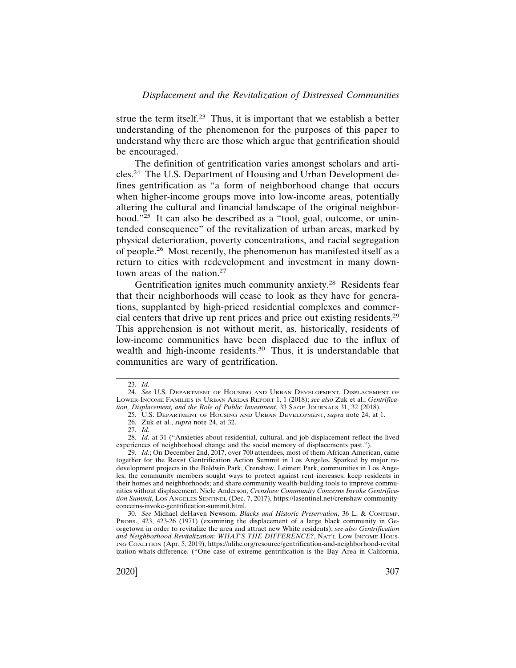strue the term itself.<sup>23</sup> Thus, it is important that we establish a better understanding of the phenomenon for the purposes of this paper to understand why there are those which argue that gentrification should be encouraged.

The definition of gentrification varies amongst scholars and articles.24 The U.S. Department of Housing and Urban Development defines gentrification as "a form of neighborhood change that occurs when higher-income groups move into low-income areas, potentially altering the cultural and financial landscape of the original neighborhood."<sup>25</sup> It can also be described as a "tool, goal, outcome, or unintended consequence" of the revitalization of urban areas, marked by physical deterioration, poverty concentrations, and racial segregation of people.26 Most recently, the phenomenon has manifested itself as a return to cities with redevelopment and investment in many downtown areas of the nation.<sup>27</sup>

Gentrification ignites much community anxiety.<sup>28</sup> Residents fear that their neighborhoods will cease to look as they have for generations, supplanted by high-priced residential complexes and commercial centers that drive up rent prices and price out existing residents.29 This apprehension is not without merit, as, historically, residents of low-income communities have been displaced due to the influx of wealth and high-income residents.<sup>30</sup> Thus, it is understandable that communities are wary of gentrification.

<sup>23.</sup> *Id.*

<sup>24.</sup> *See* U.S. DEPARTMENT OF HOUSING AND URBAN DEVELOPMENT, DISPLACEMENT OF LOWER-INCOME FAMILIES IN URBAN AREAS REPORT 1, 1 (2018); *see also* Zuk et al., *Gentrification, Displacement, and the Role of Public Investment*, 33 SAGE JOURNALS 31, 32 (2018).

<sup>25.</sup> U.S. DEPARTMENT OF HOUSING AND URBAN DEVELOPMENT, *supra* note 24, at 1.

<sup>26.</sup> Zuk et al., *supra* note 24, at 32.

<sup>27.</sup> *Id.*

<sup>28.</sup> *Id.* at 31 ("Anxieties about residential, cultural, and job displacement reflect the lived experiences of neighborhood change and the social memory of displacements past.").

<sup>29.</sup> *Id.*; On December 2nd, 2017, over 700 attendees, most of them African American, came together for the Resist Gentrification Action Summit in Los Angeles. Sparked by major redevelopment projects in the Baldwin Park, Crenshaw, Leimert Park, communities in Los Angeles, the community members sought ways to protect against rent increases; keep residents in their homes and neighborhoods; and share community wealth-building tools to improve communities without displacement. Niele Anderson, *Crenshaw Community Concerns Invoke Gentrification Summit*, LOS ANGELES SENTINEL (Dec. 7, 2017), https://lasentinel.net/crenshaw-communityconcerns-invoke-gentrification-summit.html.

<sup>30.</sup> *See* Michael deHaven Newsom, *Blacks and Historic Preservation*, 36 L. & CONTEMP. PROBS., 423, 423-26 (1971) (examining the displacement of a large black community in Georgetown in order to revitalize the area and attract new White residents); *see also Gentrification and Neighborhood Revitalization: WHAT'S THE DIFFERENCE?*, NAT'L LOW INCOME HOUS-ING COALITION (Apr. 5, 2019), https://nlihc.org/resource/gentrification-and-neighborhood-revital ization-whats-difference. ("One case of extreme gentrification is the Bay Area in California,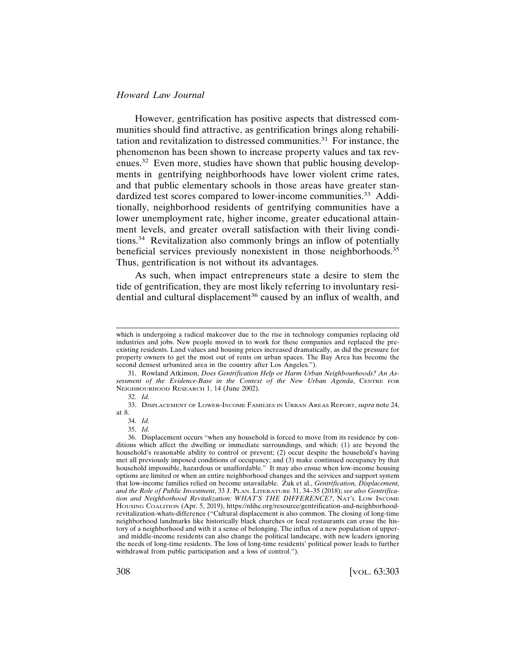However, gentrification has positive aspects that distressed communities should find attractive, as gentrification brings along rehabilitation and revitalization to distressed communities. $31$  For instance, the phenomenon has been shown to increase property values and tax revenues.<sup>32</sup> Even more, studies have shown that public housing developments in gentrifying neighborhoods have lower violent crime rates, and that public elementary schools in those areas have greater standardized test scores compared to lower-income communities.<sup>33</sup> Additionally, neighborhood residents of gentrifying communities have a lower unemployment rate, higher income, greater educational attainment levels, and greater overall satisfaction with their living conditions.34 Revitalization also commonly brings an inflow of potentially beneficial services previously nonexistent in those neighborhoods.<sup>35</sup> Thus, gentrification is not without its advantages.

As such, when impact entrepreneurs state a desire to stem the tide of gentrification, they are most likely referring to involuntary residential and cultural displacement<sup>36</sup> caused by an influx of wealth, and

which is undergoing a radical makeover due to the rise in technology companies replacing old industries and jobs. New people moved in to work for these companies and replaced the preexisting residents. Land values and housing prices increased dramatically, as did the pressure for property owners to get the most out of rents on urban spaces. The Bay Area has become the second densest urbanized area in the country after Los Angeles.").

<sup>31.</sup> Rowland Atkinson, *Does Gentrification Help or Harm Urban Neighbourhoods? An Assessment of the Evidence-Base in the Context of the New Urban Agenda*, CENTRE FOR NEIGHBOURHOOD RESEARCH 1, 14 (June 2002).

<sup>32.</sup> *Id.*

<sup>33.</sup> DISPLACEMENT OF LOWER-INCOME FAMILIES IN URBAN AREAS REPORT, *supra* note 24, at 8.

<sup>34.</sup> *Id.*

<sup>35.</sup> *Id.*

<sup>36.</sup> Displacement occurs "when any household is forced to move from its residence by conditions which affect the dwelling or immediate surroundings, and which: (1) are beyond the household's reasonable ability to control or prevent; (2) occur despite the household's having met all previously imposed conditions of occupancy; and (3) make continued occupancy by that household impossible, hazardous or unaffordable." It may also ensue when low-income housing options are limited or when an entire neighborhood changes and the services and support system that low-income families relied on become unavailable. Zuk et al., *Gentrification, Displacement, and the Role of Public Investment*, 33 J. PLAN. LITERATURE 31, 34–35 (2018); *see also Gentrification and Neighborhood Revitalization: WHAT'S THE DIFFERENCE?*, NAT'L LOW INCOME HOUSING COALITION (Apr. 5, 2019), https://nlihc.org/resource/gentrification-and-neighborhoodrevitalization-whats-difference ("Cultural displacement is also common. The closing of long-time neighborhood landmarks like historically black churches or local restaurants can erase the history of a neighborhood and with it a sense of belonging. The influx of a new population of upper and middle-income residents can also change the political landscape, with new leaders ignoring the needs of long-time residents. The loss of long-time residents' political power leads to further withdrawal from public participation and a loss of control.").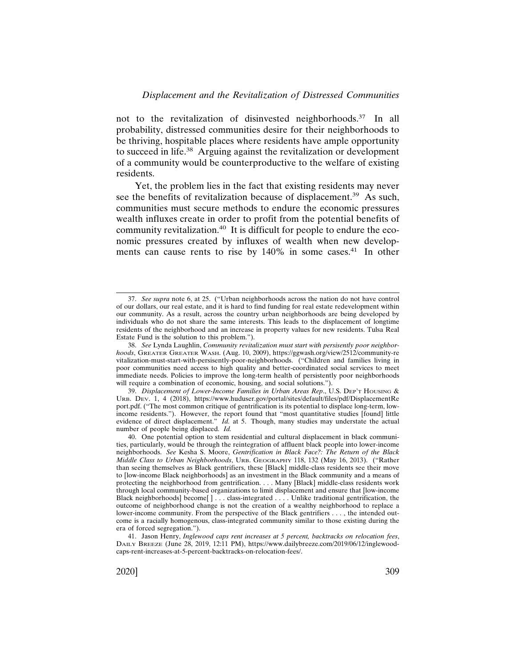not to the revitalization of disinvested neighborhoods.<sup>37</sup> In all probability, distressed communities desire for their neighborhoods to be thriving, hospitable places where residents have ample opportunity to succeed in life.38 Arguing against the revitalization or development of a community would be counterproductive to the welfare of existing residents.

Yet, the problem lies in the fact that existing residents may never see the benefits of revitalization because of displacement.<sup>39</sup> As such, communities must secure methods to endure the economic pressures wealth influxes create in order to profit from the potential benefits of community revitalization.<sup>40</sup> It is difficult for people to endure the economic pressures created by influxes of wealth when new developments can cause rents to rise by  $140\%$  in some cases.<sup>41</sup> In other

<sup>37.</sup> *See supra* note 6, at 25. ("Urban neighborhoods across the nation do not have control of our dollars, our real estate, and it is hard to find funding for real estate redevelopment within our community. As a result, across the country urban neighborhoods are being developed by individuals who do not share the same interests. This leads to the displacement of longtime residents of the neighborhood and an increase in property values for new residents. Tulsa Real Estate Fund is the solution to this problem.").

<sup>38.</sup> *See* Lynda Laughlin, *Community revitalization must start with persisently poor neighborhoods*, GREATER GREATER WASH. (Aug. 10, 2009), https://ggwash.org/view/2512/community-re vitalization-must-start-with-persisently-poor-neighborhoods. ("Children and families living in poor communities need access to high quality and better-coordinated social services to meet immediate needs. Policies to improve the long-term health of persistently poor neighborhoods will require a combination of economic, housing, and social solutions.").

<sup>39.</sup> *Displacement of Lower-Income Families in Urban Areas Rep*., U.S. DEP'T HOUSING & URB. DEV. 1, 4 (2018), https://www.huduser.gov/portal/sites/default/files/pdf/DisplacementRe port.pdf. ("The most common critique of gentrification is its potential to displace long-term, lowincome residents."). However, the report found that "most quantitative studies [found] little evidence of direct displacement." *Id.* at 5. Though, many studies may understate the actual number of people being displaced. *Id.*

<sup>40.</sup> One potential option to stem residential and cultural displacement in black communities, particularly, would be through the reintegration of affluent black people into lower-income neighborhoods. *See* Kesha S. Moore, *Gentrification in Black Face?: The Return of the Black Middle Class to Urban Neighborhoods*, URB. GEOGRAPHY 118, 132 (May 16, 2013). ("Rather than seeing themselves as Black gentrifiers, these [Black] middle-class residents see their move to [low-income Black neighborhoods] as an investment in the Black community and a means of protecting the neighborhood from gentrification. . . . Many [Black] middle-class residents work through local community-based organizations to limit displacement and ensure that [low-income Black neighborhoods] become[ ] . . . class-integrated . . . . Unlike traditional gentrification, the outcome of neighborhood change is not the creation of a wealthy neighborhood to replace a lower-income community. From the perspective of the Black gentrifiers . . . , the intended outcome is a racially homogenous, class-integrated community similar to those existing during the era of forced segregation.").

<sup>41.</sup> Jason Henry, *Inglewood caps rent increases at 5 percent, backtracks on relocation fees*, DAILY BREEZE (June 28, 2019, 12:11 PM), https://www.dailybreeze.com/2019/06/12/inglewoodcaps-rent-increases-at-5-percent-backtracks-on-relocation-fees/.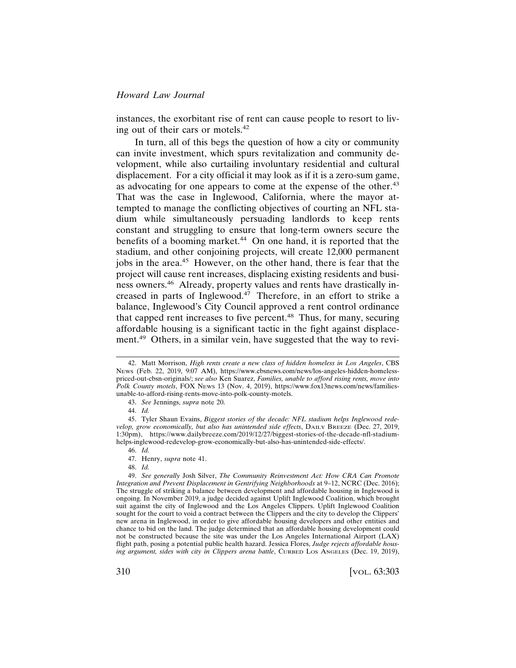instances, the exorbitant rise of rent can cause people to resort to living out of their cars or motels.42

In turn, all of this begs the question of how a city or community can invite investment, which spurs revitalization and community development, while also curtailing involuntary residential and cultural displacement. For a city official it may look as if it is a zero-sum game, as advocating for one appears to come at the expense of the other.<sup>43</sup> That was the case in Inglewood, California, where the mayor attempted to manage the conflicting objectives of courting an NFL stadium while simultaneously persuading landlords to keep rents constant and struggling to ensure that long-term owners secure the benefits of a booming market.<sup>44</sup> On one hand, it is reported that the stadium, and other conjoining projects, will create 12,000 permanent jobs in the area.45 However, on the other hand, there is fear that the project will cause rent increases, displacing existing residents and business owners.<sup>46</sup> Already, property values and rents have drastically increased in parts of Inglewood.47 Therefore, in an effort to strike a balance, Inglewood's City Council approved a rent control ordinance that capped rent increases to five percent.48 Thus, for many, securing affordable housing is a significant tactic in the fight against displacement.<sup>49</sup> Others, in a similar vein, have suggested that the way to revi-

<sup>42.</sup> Matt Morrison, *High rents create a new class of hidden homeless in Los Angeles*, CBS NEWS (Feb. 22, 2019, 9:07 AM), https://www.cbsnews.com/news/los-angeles-hidden-homelesspriced-out-cbsn-originals/; *see also* Ken Suarez, *Families, unable to afford rising rents, move into Polk County motels*, FOX NEWS 13 (Nov. 4, 2019), https://www.fox13news.com/news/familiesunable-to-afford-rising-rents-move-into-polk-county-motels.

<sup>43.</sup> *See* Jennings, *supra* note 20.

<sup>44.</sup> *Id.*

<sup>45.</sup> Tyler Shaun Evains, *Biggest stories of the decade: NFL stadium helps Inglewood redevelop, grow economically, but also has unintended side effects*, DAILY BREEZE (Dec. 27, 2019, 1:30pm), https://www.dailybreeze.com/2019/12/27/biggest-stories-of-the-decade-nfl-stadiumhelps-inglewood-redevelop-grow-economically-but-also-has-unintended-side-effects/. 46. *Id.*

<sup>47.</sup> Henry, *supra* note 41.

<sup>48.</sup> *Id.*

<sup>49.</sup> *See generally* Josh Silver, *The Community Reinvestment Act: How CRA Can Promote Integration and Prevent Displacement in Gentrifying Neighborhoods* at 9–12, NCRC (Dec. 2016); The struggle of striking a balance between development and affordable housing in Inglewood is ongoing. In November 2019, a judge decided against Uplift Inglewood Coalition, which brought suit against the city of Inglewood and the Los Angeles Clippers. Uplift Inglewood Coalition sought for the court to void a contract between the Clippers and the city to develop the Clippers' new arena in Inglewood, in order to give affordable housing developers and other entities and chance to bid on the land. The judge determined that an affordable housing development could not be constructed because the site was under the Los Angeles International Airport (LAX) flight path, posing a potential public health hazard. Jessica Flores, *Judge rejects affordable housing argument, sides with city in Clippers arena battle*, CURBED LOS ANGELES (Dec. 19, 2019),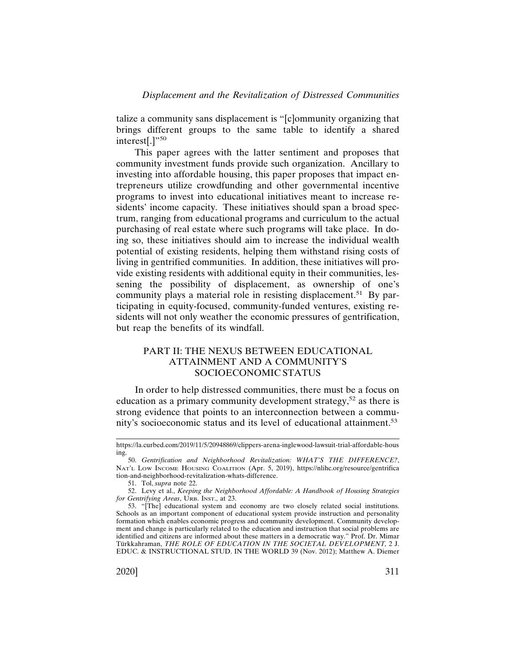talize a community sans displacement is "[c]ommunity organizing that brings different groups to the same table to identify a shared interest[.]"<sup>50</sup>

This paper agrees with the latter sentiment and proposes that community investment funds provide such organization. Ancillary to investing into affordable housing, this paper proposes that impact entrepreneurs utilize crowdfunding and other governmental incentive programs to invest into educational initiatives meant to increase residents' income capacity. These initiatives should span a broad spectrum, ranging from educational programs and curriculum to the actual purchasing of real estate where such programs will take place. In doing so, these initiatives should aim to increase the individual wealth potential of existing residents, helping them withstand rising costs of living in gentrified communities. In addition, these initiatives will provide existing residents with additional equity in their communities, lessening the possibility of displacement, as ownership of one's community plays a material role in resisting displacement.<sup>51</sup> By participating in equity-focused, community-funded ventures, existing residents will not only weather the economic pressures of gentrification, but reap the benefits of its windfall.

# PART II: THE NEXUS BETWEEN EDUCATIONAL ATTAINMENT AND A COMMUNITY'S SOCIOECONOMIC STATUS

In order to help distressed communities, there must be a focus on education as a primary community development strategy,  $52$  as there is strong evidence that points to an interconnection between a community's socioeconomic status and its level of educational attainment.<sup>53</sup>

51. Tol, *supra* note 22.

52. Levy et al., *Keeping the Neighborhood Affordable: A Handbook of Housing Strategies for Gentrifying Areas*, URB. INST., at 23.

https://la.curbed.com/2019/11/5/20948869/clippers-arena-inglewood-lawsuit-trial-affordable-hous ing.

<sup>50.</sup> *Gentrification and Neighborhood Revitalization: WHAT'S THE DIFFERENCE?*, NAT'L LOW INCOME HOUSING COALITION (Apr. 5, 2019), https://nlihc.org/resource/gentrifica tion-and-neighborhood-revitalization-whats-difference.

<sup>53. &</sup>quot;[The] educational system and economy are two closely related social institutions. Schools as an important component of educational system provide instruction and personality formation which enables economic progress and community development. Community development and change is particularly related to the education and instruction that social problems are identified and citizens are informed about these matters in a democratic way." Prof. Dr. Mimar Türkkahraman, *THE ROLE OF EDUCATION IN THE SOCIETAL DEVELOPMENT*, 2 J. EDUC. & INSTRUCTIONAL STUD. IN THE WORLD 39 (Nov. 2012); Matthew A. Diemer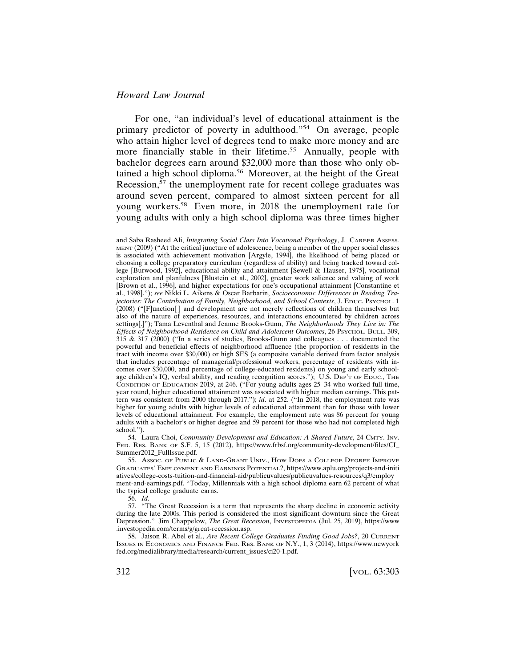For one, "an individual's level of educational attainment is the primary predictor of poverty in adulthood."54 On average, people who attain higher level of degrees tend to make more money and are more financially stable in their lifetime.<sup>55</sup> Annually, people with bachelor degrees earn around \$32,000 more than those who only obtained a high school diploma.<sup>56</sup> Moreover, at the height of the Great Recession,<sup>57</sup> the unemployment rate for recent college graduates was around seven percent, compared to almost sixteen percent for all young workers.58 Even more, in 2018 the unemployment rate for young adults with only a high school diploma was three times higher

54. Laura Choi, *Community Development and Education: A Shared Future*, 24 CMTY. INV. FED. RES. BANK OF S.F. 5, 15 (2012), https://www.frbsf.org/community-development/files/CI\_ Summer2012\_FullIssue.pdf.

55. ASSOC. OF PUBLIC & LAND-GRANT UNIV., HOW DOES A COLLEGE DEGREE IMPROVE GRADUATES' EMPLOYMENT AND EARNINGS POTENTIAL?, https://www.aplu.org/projects-and-initi atives/college-costs-tuition-and-financial-aid/publicuvalues/publicuvalues-resources/q3/employ ment-and-earnings.pdf. "Today, Millennials with a high school diploma earn 62 percent of what the typical college graduate earns.

56. *Id.*

57. "The Great Recession is a term that represents the sharp decline in economic activity during the late 2000s. This period is considered the most significant downturn since the Great Depression." Jim Chappelow, *The Great Recession*, INVESTOPEDIA (Jul. 25, 2019), https://www .investopedia.com/terms/g/great-recession.asp.

58. Jaison R. Abel et al., *Are Recent College Graduates Finding Good Jobs?*, 20 CURRENT ISSUES IN ECONOMICS AND FINANCE FED. RES. BANK OF N.Y., 1, 3 (2014), https://www.newyork fed.org/medialibrary/media/research/current\_issues/ci20-1.pdf.

and Saba Rasheed Ali, *Integrating Social Class Into Vocational Psychology*, J. CAREER ASSESS-MENT (2009) ("At the critical juncture of adolescence, being a member of the upper social classes is associated with achievement motivation [Argyle, 1994], the likelihood of being placed or choosing a college preparatory curriculum (regardless of ability) and being tracked toward college [Burwood, 1992], educational ability and attainment [Sewell & Hauser, 1975], vocational exploration and planfulness [Blustein et al., 2002], greater work salience and valuing of work [Brown et al., 1996], and higher expectations for one's occupational attainment [Constantine et al., 1998]."); *see* Nikki L. Aikens & Oscar Barbarin, *Socioeconomic Differences in Reading Trajectories: The Contribution of Family, Neighborhood, and School Contexts, J. EDUC. PsyCHOL. 1* (2008) ("[F]unction[ ] and development are not merely reflections of children themselves but also of the nature of experiences, resources, and interactions encountered by children across settings[.]"); Tama Leventhal and Jeanne Brooks-Gunn, *The Neighborhoods They Live in: The Effects of Neighborhood Residence on Child and Adolescent Outcomes*, 26 PSYCHOL. BULL. 309, 315 & 317 (2000) ("In a series of studies, Brooks-Gunn and colleagues . . . documented the powerful and beneficial effects of neighborhood affluence (the proportion of residents in the tract with income over \$30,000) or high SES (a composite variable derived from factor analysis that includes percentage of managerial/professional workers, percentage of residents with incomes over \$30,000, and percentage of college-educated residents) on young and early schoolage children's IQ, verbal ability, and reading recognition scores."); U.S. DEP'T OF EDUC., THE CONDITION OF EDUCATION 2019, at 246. ("For young adults ages 25–34 who worked full time, year round, higher educational attainment was associated with higher median earnings. This pattern was consistent from 2000 through 2017."); *id*. at 252. ("In 2018, the employment rate was higher for young adults with higher levels of educational attainment than for those with lower levels of educational attainment. For example, the employment rate was 86 percent for young adults with a bachelor's or higher degree and 59 percent for those who had not completed high school.").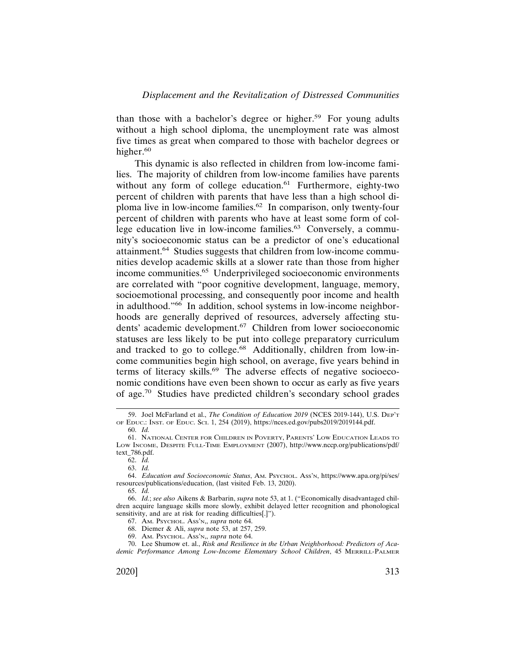#### *Displacement and the Revitalization of Distressed Communities*

than those with a bachelor's degree or higher.<sup>59</sup> For young adults without a high school diploma, the unemployment rate was almost five times as great when compared to those with bachelor degrees or higher. $60$ 

This dynamic is also reflected in children from low-income families. The majority of children from low-income families have parents without any form of college education.<sup>61</sup> Furthermore, eighty-two percent of children with parents that have less than a high school diploma live in low-income families.62 In comparison, only twenty-four percent of children with parents who have at least some form of college education live in low-income families.<sup>63</sup> Conversely, a community's socioeconomic status can be a predictor of one's educational attainment.64 Studies suggests that children from low-income communities develop academic skills at a slower rate than those from higher income communities.<sup>65</sup> Underprivileged socioeconomic environments are correlated with "poor cognitive development, language, memory, socioemotional processing, and consequently poor income and health in adulthood."66 In addition, school systems in low-income neighborhoods are generally deprived of resources, adversely affecting students' academic development.67 Children from lower socioeconomic statuses are less likely to be put into college preparatory curriculum and tracked to go to college.<sup>68</sup> Additionally, children from low-income communities begin high school, on average, five years behind in terms of literacy skills.<sup>69</sup> The adverse effects of negative socioeconomic conditions have even been shown to occur as early as five years of age.70 Studies have predicted children's secondary school grades

62. *Id.*

63. *Id.*

65. *Id.*

<sup>59.</sup> Joel McFarland et al., *The Condition of Education 2019* (NCES 2019-144), U.S. DEP'T OF EDUC.: INST. OF EDUC. SCI. 1, 254 (2019), https://nces.ed.gov/pubs2019/2019144.pdf. 60. *Id.*

<sup>61.</sup> NATIONAL CENTER FOR CHILDREN IN POVERTY, PARENTS' LOW EDUCATION LEADS TO LOW INCOME, DESPITE FULL-TIME EMPLOYMENT (2007), http://www.nccp.org/publications/pdf/ text\_786.pdf

<sup>64.</sup> *Education and Socioeconomic Status*, AM. PSYCHOL. ASS'N, https://www.apa.org/pi/ses/ resources/publications/education, (last visited Feb. 13, 2020).

<sup>66.</sup> *Id.*; *see also* Aikens & Barbarin, *supra* note 53, at 1. ("Economically disadvantaged children acquire language skills more slowly, exhibit delayed letter recognition and phonological sensitivity, and are at risk for reading difficulties[.]").

<sup>67.</sup> AM. PSYCHOL. ASS'N,, *supra* note 64.

<sup>68.</sup> Diemer & Ali, *supra* note 53, at 257, 259.

<sup>69.</sup> AM. PSYCHOL. ASS'N,, *supra* note 64.

<sup>70.</sup> Lee Shumow et. al., *Risk and Resilience in the Urban Neighborhood: Predictors of Academic Performance Among Low-Income Elementary School Children*, 45 MERRILL-PALMER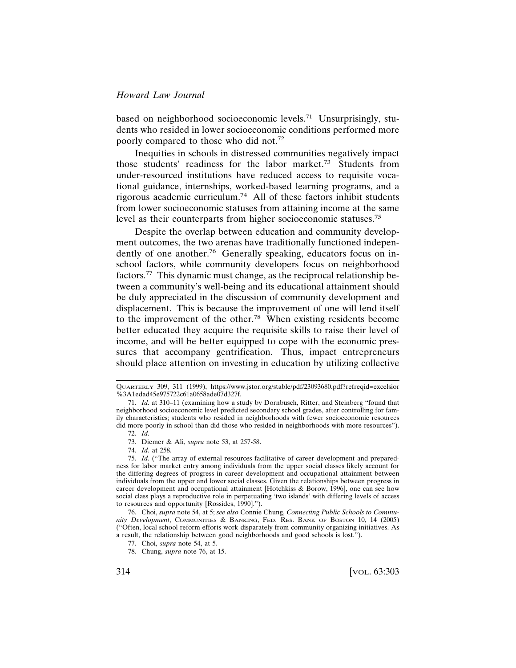based on neighborhood socioeconomic levels.<sup>71</sup> Unsurprisingly, students who resided in lower socioeconomic conditions performed more poorly compared to those who did not.72

Inequities in schools in distressed communities negatively impact those students' readiness for the labor market.73 Students from under-resourced institutions have reduced access to requisite vocational guidance, internships, worked-based learning programs, and a rigorous academic curriculum.74 All of these factors inhibit students from lower socioeconomic statuses from attaining income at the same level as their counterparts from higher socioeconomic statuses.75

Despite the overlap between education and community development outcomes, the two arenas have traditionally functioned independently of one another.<sup>76</sup> Generally speaking, educators focus on inschool factors, while community developers focus on neighborhood factors.77 This dynamic must change, as the reciprocal relationship between a community's well-being and its educational attainment should be duly appreciated in the discussion of community development and displacement. This is because the improvement of one will lend itself to the improvement of the other.78 When existing residents become better educated they acquire the requisite skills to raise their level of income, and will be better equipped to cope with the economic pressures that accompany gentrification. Thus, impact entrepreneurs should place attention on investing in education by utilizing collective

QUARTERLY 309, 311 (1999), https://www.jstor.org/stable/pdf/23093680.pdf?refreqid=excelsior %3A1edad45e975722c61a0658ade07d327f.

<sup>71.</sup> *Id.* at 310–11 (examining how a study by Dornbusch, Ritter, and Steinberg "found that neighborhood socioeconomic level predicted secondary school grades, after controlling for family characteristics; students who resided in neighborhoods with fewer socioeconomic resources did more poorly in school than did those who resided in neighborhoods with more resources").

<sup>72.</sup> *Id.*

<sup>73.</sup> Diemer & Ali, *supra* note 53, at 257-58.

<sup>74.</sup> *Id.* at 258.

<sup>75.</sup> *Id.* ("The array of external resources facilitative of career development and preparedness for labor market entry among individuals from the upper social classes likely account for the differing degrees of progress in career development and occupational attainment between individuals from the upper and lower social classes. Given the relationships between progress in career development and occupational attainment [Hotchkiss & Borow, 1996], one can see how social class plays a reproductive role in perpetuating 'two islands' with differing levels of access to resources and opportunity [Rossides, 1990].").

<sup>76.</sup> Choi, *supra* note 54, at 5; *see also* Connie Chung, *Connecting Public Schools to Community Development*, COMMUNITIES & BANKING, FED. RES. BANK OF BOSTON 10, 14 (2005) ("Often, local school reform efforts work disparately from community organizing initiatives. As a result, the relationship between good neighborhoods and good schools is lost.").

<sup>77.</sup> Choi, *supra* note 54, at 5.

<sup>78.</sup> Chung, *supra* note 76, at 15.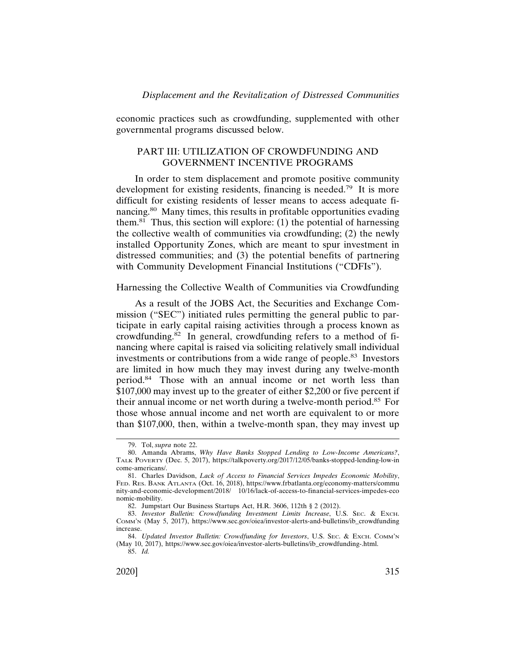economic practices such as crowdfunding, supplemented with other governmental programs discussed below.

# PART III: UTILIZATION OF CROWDFUNDING AND GOVERNMENT INCENTIVE PROGRAMS

In order to stem displacement and promote positive community development for existing residents, financing is needed.79 It is more difficult for existing residents of lesser means to access adequate financing.80 Many times, this results in profitable opportunities evading them. $81$  Thus, this section will explore: (1) the potential of harnessing the collective wealth of communities via crowdfunding; (2) the newly installed Opportunity Zones, which are meant to spur investment in distressed communities; and (3) the potential benefits of partnering with Community Development Financial Institutions ("CDFIs").

Harnessing the Collective Wealth of Communities via Crowdfunding

As a result of the JOBS Act, the Securities and Exchange Commission ("SEC") initiated rules permitting the general public to participate in early capital raising activities through a process known as crowdfunding.82 In general, crowdfunding refers to a method of financing where capital is raised via soliciting relatively small individual investments or contributions from a wide range of people.<sup>83</sup> Investors are limited in how much they may invest during any twelve-month period.84 Those with an annual income or net worth less than \$107,000 may invest up to the greater of either \$2,200 or five percent if their annual income or net worth during a twelve-month period.85 For those whose annual income and net worth are equivalent to or more than \$107,000, then, within a twelve-month span, they may invest up

<sup>79.</sup> Tol, *supra* note 22.

<sup>80.</sup> Amanda Abrams, *Why Have Banks Stopped Lending to Low-Income Americans?*, TALK POVERTY (Dec. 5, 2017), https://talkpoverty.org/2017/12/05/banks-stopped-lending-low-in come-americans/.

<sup>81.</sup> Charles Davidson, *Lack of Access to Financial Services Impedes Economic Mobility*, FED. RES. BANK ATLANTA (Oct. 16, 2018), https://www.frbatlanta.org/economy-matters/commu nity-and-economic-development/2018/ 10/16/lack-of-access-to-financial-services-impedes-eco nomic-mobility.

<sup>82.</sup> Jumpstart Our Business Startups Act, H.R. 3606, 112th § 2 (2012).

<sup>83.</sup> Investor Bulletin: Crowdfunding Investment Limits Increase, U.S. SEC. & ExcH. COMM'N (May 5, 2017), https://www.sec.gov/oiea/investor-alerts-and-bulletins/ib\_crowdfunding increase.

<sup>84.</sup> *Updated Investor Bulletin: Crowdfunding for Investors*, U.S. SEC. & EXCH. COMM'N (May 10, 2017), https://www.sec.gov/oiea/investor-alerts-bulletins/ib\_crowdfunding-.html.

<sup>85.</sup> *Id.*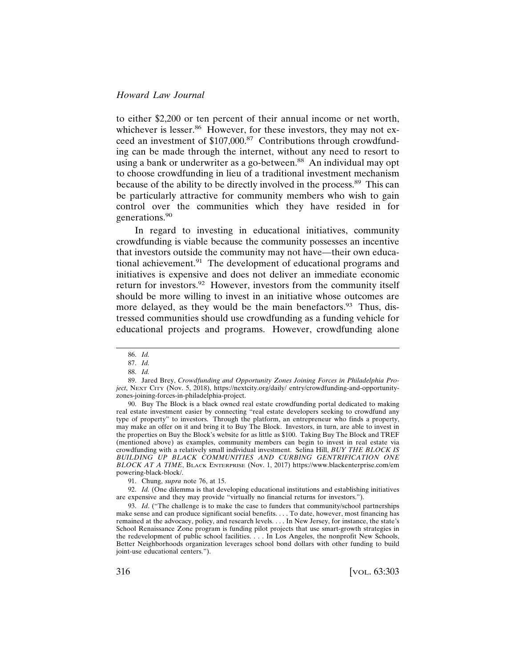to either \$2,200 or ten percent of their annual income or net worth, whichever is lesser.<sup>86</sup> However, for these investors, they may not exceed an investment of \$107,000.87 Contributions through crowdfunding can be made through the internet, without any need to resort to using a bank or underwriter as a go-between.<sup>88</sup> An individual may opt to choose crowdfunding in lieu of a traditional investment mechanism because of the ability to be directly involved in the process.<sup>89</sup> This can be particularly attractive for community members who wish to gain control over the communities which they have resided in for generations.90

In regard to investing in educational initiatives, community crowdfunding is viable because the community possesses an incentive that investors outside the community may not have—their own educational achievement.<sup>91</sup> The development of educational programs and initiatives is expensive and does not deliver an immediate economic return for investors.<sup>92</sup> However, investors from the community itself should be more willing to invest in an initiative whose outcomes are more delayed, as they would be the main benefactors.<sup>93</sup> Thus, distressed communities should use crowdfunding as a funding vehicle for educational projects and programs. However, crowdfunding alone

90. Buy The Block is a black owned real estate crowdfunding portal dedicated to making real estate investment easier by connecting "real estate developers seeking to crowdfund any type of property" to investors. Through the platform, an entrepreneur who finds a property, may make an offer on it and bring it to Buy The Block. Investors, in turn, are able to invest in the properties on Buy the Block's website for as little as \$100. Taking Buy The Block and TREF (mentioned above) as examples, community members can begin to invest in real estate via crowdfunding with a relatively small individual investment. Selina Hill, *BUY THE BLOCK IS BUILDING UP BLACK COMMUNITIES AND CURBING GENTRIFICATION ONE BLOCK AT A TIME*, BLACK ENTERPRISE (Nov. 1, 2017) https://www.blackenterprise.com/em powering-black-block/.

<sup>86.</sup> *Id.*

<sup>87.</sup> *Id.*

<sup>88.</sup> *Id.*

<sup>89.</sup> Jared Brey, *Crowdfunding and Opportunity Zones Joining Forces in Philadelphia Project*, NEXT CITY (Nov. 5, 2018), https://nextcity.org/daily/ entry/crowdfunding-and-opportunityzones-joining-forces-in-philadelphia-project.

<sup>91.</sup> Chung, *supra* note 76, at 15.

<sup>92.</sup> *Id.* (One dilemma is that developing educational institutions and establishing initiatives are expensive and they may provide "virtually no financial returns for investors.").

<sup>93.</sup> *Id*. ("The challenge is to make the case to funders that community/school partnerships make sense and can produce significant social benefits. . . . To date, however, most financing has remained at the advocacy, policy, and research levels. . . . In New Jersey, for instance, the state's School Renaissance Zone program is funding pilot projects that use smart-growth strategies in the redevelopment of public school facilities. . . . In Los Angeles, the nonprofit New Schools, Better Neighborhoods organization leverages school bond dollars with other funding to build joint-use educational centers.").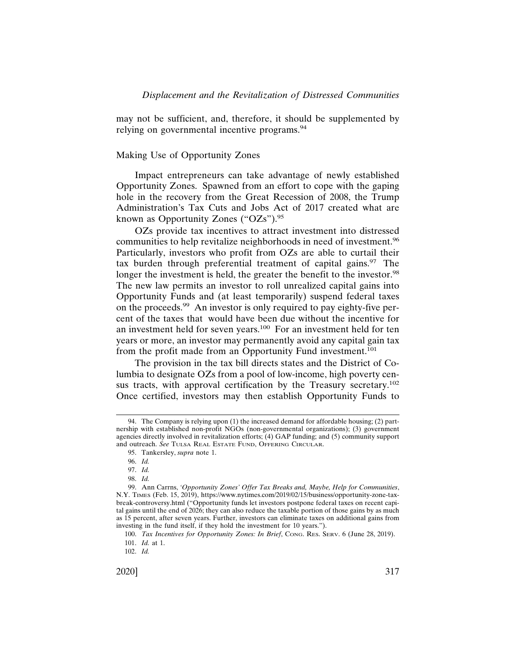may not be sufficient, and, therefore, it should be supplemented by relying on governmental incentive programs.<sup>94</sup>

# Making Use of Opportunity Zones

Impact entrepreneurs can take advantage of newly established Opportunity Zones. Spawned from an effort to cope with the gaping hole in the recovery from the Great Recession of 2008, the Trump Administration's Tax Cuts and Jobs Act of 2017 created what are known as Opportunity Zones ("OZs").<sup>95</sup>

OZs provide tax incentives to attract investment into distressed communities to help revitalize neighborhoods in need of investment.<sup>96</sup> Particularly, investors who profit from OZs are able to curtail their tax burden through preferential treatment of capital gains.<sup>97</sup> The longer the investment is held, the greater the benefit to the investor.<sup>98</sup> The new law permits an investor to roll unrealized capital gains into Opportunity Funds and (at least temporarily) suspend federal taxes on the proceeds.99 An investor is only required to pay eighty-five percent of the taxes that would have been due without the incentive for an investment held for seven years.100 For an investment held for ten years or more, an investor may permanently avoid any capital gain tax from the profit made from an Opportunity Fund investment.<sup>101</sup>

The provision in the tax bill directs states and the District of Columbia to designate OZs from a pool of low-income, high poverty census tracts, with approval certification by the Treasury secretary.<sup>102</sup> Once certified, investors may then establish Opportunity Funds to

<sup>94.</sup> The Company is relying upon (1) the increased demand for affordable housing; (2) partnership with established non-profit NGOs (non-governmental organizations); (3) government agencies directly involved in revitalization efforts; (4) GAP funding; and (5) community support and outreach. *See* TULSA REAL ESTATE FUND, OFFERING CIRCULAR.

<sup>95.</sup> Tankersley, *supra* note 1.

<sup>96.</sup> *Id.*

<sup>97.</sup> *Id.*

<sup>98.</sup> *Id.*

<sup>99.</sup> Ann Carrns, *'Opportunity Zones' Offer Tax Breaks and, Maybe, Help for Communities*, N.Y. TIMES (Feb. 15, 2019), https://www.nytimes.com/2019/02/15/business/opportunity-zone-taxbreak-controversy.html ("Opportunity funds let investors postpone federal taxes on recent capital gains until the end of 2026; they can also reduce the taxable portion of those gains by as much as 15 percent, after seven years. Further, investors can eliminate taxes on additional gains from investing in the fund itself, if they hold the investment for 10 years.").

<sup>100.</sup> *Tax Incentives for Opportunity Zones: In Brief*, Cong. RES. SERV. 6 (June 28, 2019).

<sup>101.</sup> *Id.* at 1.

<sup>102.</sup> *Id.*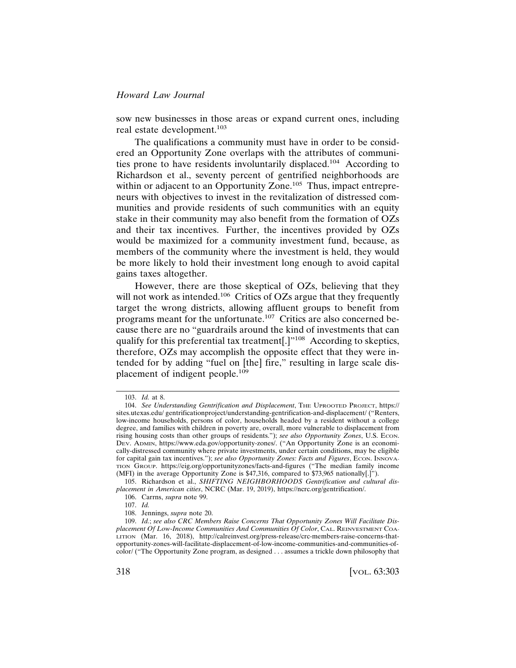sow new businesses in those areas or expand current ones, including real estate development.<sup>103</sup>

The qualifications a community must have in order to be considered an Opportunity Zone overlaps with the attributes of communities prone to have residents involuntarily displaced.104 According to Richardson et al., seventy percent of gentrified neighborhoods are within or adjacent to an Opportunity Zone.<sup>105</sup> Thus, impact entrepreneurs with objectives to invest in the revitalization of distressed communities and provide residents of such communities with an equity stake in their community may also benefit from the formation of OZs and their tax incentives. Further, the incentives provided by OZs would be maximized for a community investment fund, because, as members of the community where the investment is held, they would be more likely to hold their investment long enough to avoid capital gains taxes altogether.

However, there are those skeptical of OZs, believing that they will not work as intended.<sup>106</sup> Critics of OZs argue that they frequently target the wrong districts, allowing affluent groups to benefit from programs meant for the unfortunate.<sup>107</sup> Critics are also concerned because there are no "guardrails around the kind of investments that can qualify for this preferential tax treatment<sup>[1]"108</sup> According to skeptics, therefore, OZs may accomplish the opposite effect that they were intended for by adding "fuel on [the] fire," resulting in large scale displacement of indigent people.109

108. Jennings, *supra* note 20.

<sup>103.</sup> *Id.* at 8.

<sup>104.</sup> *See Understanding Gentrification and Displacement*, THE UPROOTED PROJECT, https:// sites.utexas.edu/ gentrificationproject/understanding-gentrification-and-displacement/ ("Renters, low-income households, persons of color, households headed by a resident without a college degree, and families with children in poverty are, overall, more vulnerable to displacement from rising housing costs than other groups of residents."); *see also Opportunity Zones*, U.S. Econ. DEV. ADMIN, https://www.eda.gov/opportunity-zones/. ("An Opportunity Zone is an economically-distressed community where private investments, under certain conditions, may be eligible for capital gain tax incentives."); *see also Opportunity Zones: Facts and Figures*, ECON. INNOVA-TION GROUP. https://eig.org/opportunityzones/facts-and-figures ("The median family income (MFI) in the average Opportunity Zone is \$47,316, compared to \$73,965 nationally[.]").

<sup>105.</sup> Richardson et al., *SHIFTING NEIGHBORHOODS Gentrification and cultural displacement in American cities*, NCRC (Mar. 19, 2019), https://ncrc.org/gentrification/.

<sup>106.</sup> Carrns, *supra* note 99.

<sup>107.</sup> *Id.*

<sup>109.</sup> *Id.*; *see also CRC Members Raise Concerns That Opportunity Zones Will Facilitate Displacement Of Low-Income Communities And Communities Of Color*, CAL. REINVESTMENT COA-LITION (Mar. 16, 2018), http://calreinvest.org/press-release/crc-members-raise-concerns-thatopportunity-zones-will-facilitate-displacement-of-low-income-communities-and-communities-ofcolor/ ("The Opportunity Zone program, as designed . . . assumes a trickle down philosophy that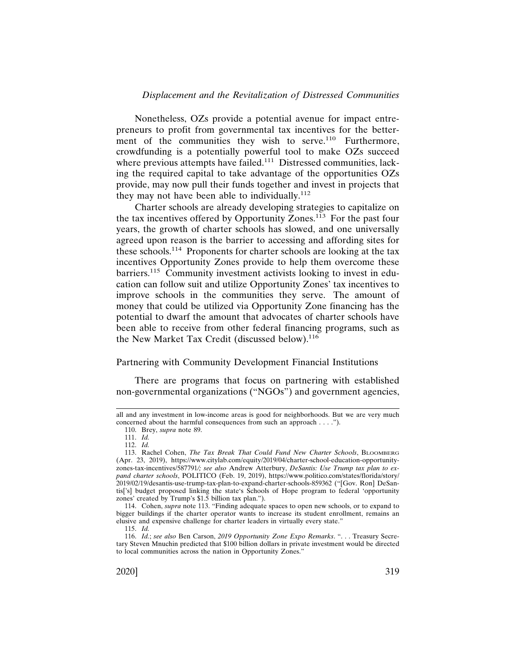#### *Displacement and the Revitalization of Distressed Communities*

Nonetheless, OZs provide a potential avenue for impact entrepreneurs to profit from governmental tax incentives for the betterment of the communities they wish to serve.<sup>110</sup> Furthermore, crowdfunding is a potentially powerful tool to make OZs succeed where previous attempts have failed.<sup>111</sup> Distressed communities, lacking the required capital to take advantage of the opportunities OZs provide, may now pull their funds together and invest in projects that they may not have been able to individually.<sup>112</sup>

Charter schools are already developing strategies to capitalize on the tax incentives offered by Opportunity Zones.<sup>113</sup> For the past four years, the growth of charter schools has slowed, and one universally agreed upon reason is the barrier to accessing and affording sites for these schools.114 Proponents for charter schools are looking at the tax incentives Opportunity Zones provide to help them overcome these barriers.<sup>115</sup> Community investment activists looking to invest in education can follow suit and utilize Opportunity Zones' tax incentives to improve schools in the communities they serve. The amount of money that could be utilized via Opportunity Zone financing has the potential to dwarf the amount that advocates of charter schools have been able to receive from other federal financing programs, such as the New Market Tax Credit (discussed below).<sup>116</sup>

#### Partnering with Community Development Financial Institutions

There are programs that focus on partnering with established non-governmental organizations ("NGOs") and government agencies,

all and any investment in low-income areas is good for neighborhoods. But we are very much concerned about the harmful consequences from such an approach . . . .").

<sup>110.</sup> Brey, *supra* note 89.

<sup>111.</sup> *Id.*

<sup>112.</sup> *Id.*

<sup>113.</sup> Rachel Cohen, *The Tax Break That Could Fund New Charter Schools*, BLOOMBERG (Apr. 23, 2019), https://www.citylab.com/equity/2019/04/charter-school-education-opportunityzones-tax-incentives/587791*/; see also* Andrew Atterbury, *DeSantis: Use Trump tax plan to expand charter schools*, POLITICO (Feb. 19, 2019), https://www.politico.com/states/florida/story/ 2019/02/19/desantis-use-trump-tax-plan-to-expand-charter-schools-859362 ("[Gov. Ron] DeSantis['s] budget proposed linking the state's Schools of Hope program to federal 'opportunity zones' created by Trump's \$1.5 billion tax plan.").

<sup>114.</sup> Cohen, *supra* note 113. "Finding adequate spaces to open new schools, or to expand to bigger buildings if the charter operator wants to increase its student enrollment, remains an elusive and expensive challenge for charter leaders in virtually every state."

<sup>115.</sup> *Id.*

<sup>116.</sup> *Id.*; *see also* Ben Carson, *2019 Opportunity Zone Expo Remarks*. ". . . Treasury Secretary Steven Mnuchin predicted that \$100 billion dollars in private investment would be directed to local communities across the nation in Opportunity Zones."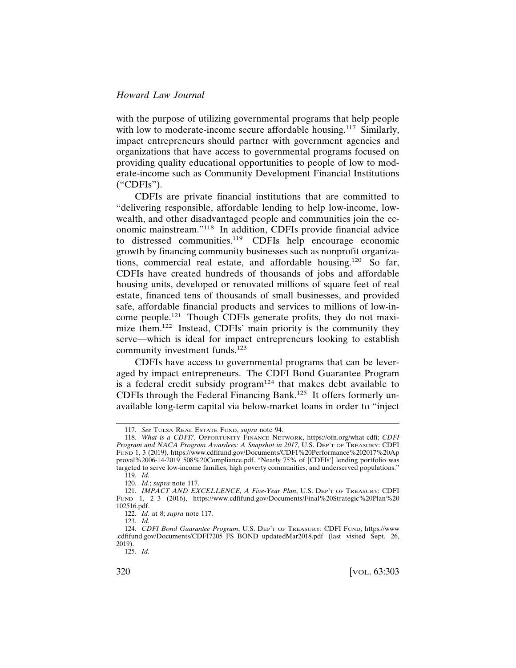with the purpose of utilizing governmental programs that help people with low to moderate-income secure affordable housing.<sup>117</sup> Similarly, impact entrepreneurs should partner with government agencies and organizations that have access to governmental programs focused on providing quality educational opportunities to people of low to moderate-income such as Community Development Financial Institutions ("CDFIs").

CDFIs are private financial institutions that are committed to "delivering responsible, affordable lending to help low-income, lowwealth, and other disadvantaged people and communities join the economic mainstream."118 In addition, CDFIs provide financial advice to distressed communities.119 CDFIs help encourage economic growth by financing community businesses such as nonprofit organizations, commercial real estate, and affordable housing.120 So far, CDFIs have created hundreds of thousands of jobs and affordable housing units, developed or renovated millions of square feet of real estate, financed tens of thousands of small businesses, and provided safe, affordable financial products and services to millions of low-income people.121 Though CDFIs generate profits, they do not maximize them.122 Instead, CDFIs' main priority is the community they serve—which is ideal for impact entrepreneurs looking to establish community investment funds.<sup>123</sup>

CDFIs have access to governmental programs that can be leveraged by impact entrepreneurs. The CDFI Bond Guarantee Program is a federal credit subsidy program<sup>124</sup> that makes debt available to CDFIs through the Federal Financing Bank.125 It offers formerly unavailable long-term capital via below-market loans in order to "inject

<sup>117.</sup> *See* TULSA REAL ESTATE FUND, *supra* note 94.

<sup>118.</sup> *What is a CDFI?*, OPPORTUNITY FINANCE NETWORK, https://ofn.org/what-cdfi; *CDFI Program and NACA Program Awardees: A Snapshot in 2017*, U.S. DEP'T OF TREASURY: CDFI FUND 1, 3 (2019), https://www.cdfifund.gov/Documents/CDFI%20Performance%202017%20Ap proval%2006-14-2019\_508%20Compliance.pdf. "Nearly 75% of [CDFIs'] lending portfolio was targeted to serve low-income families, high poverty communities, and underserved populations." 119. *Id.*

<sup>120.</sup> *Id*.; *supra* note 117.

<sup>121.</sup> *IMPACT AND EXCELLENCE, A Five-Year Plan*, U.S. DEP'T OF TREASURY: CDFI FUND 1, 2–3 (2016), https://www.cdfifund.gov/Documents/Final%20Strategic%20Plan%20 102516.pdf.

<sup>122.</sup> *Id*. at 8; *supra* note 117.

<sup>123.</sup> *Id.*

<sup>124.</sup> *CDFI Bond Guarantee Program*, U.S. DEP'T OF TREASURY: CDFI FUND, https://www .cdfifund.gov/Documents/CDFI7205\_FS\_BOND\_updatedMar2018.pdf (last visited Sept. 26, 2019).

<sup>125.</sup> *Id.*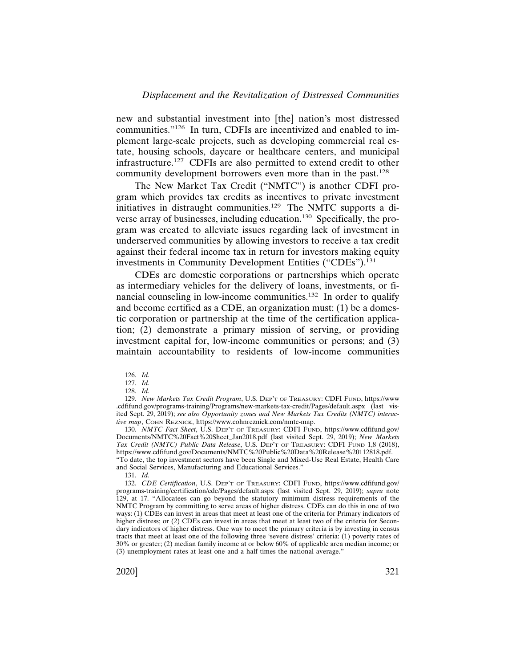#### *Displacement and the Revitalization of Distressed Communities*

new and substantial investment into [the] nation's most distressed communities."126 In turn, CDFIs are incentivized and enabled to implement large-scale projects, such as developing commercial real estate, housing schools, daycare or healthcare centers, and municipal infrastructure.127 CDFIs are also permitted to extend credit to other community development borrowers even more than in the past.<sup>128</sup>

The New Market Tax Credit ("NMTC") is another CDFI program which provides tax credits as incentives to private investment initiatives in distraught communities.<sup>129</sup> The NMTC supports a diverse array of businesses, including education.130 Specifically, the program was created to alleviate issues regarding lack of investment in underserved communities by allowing investors to receive a tax credit against their federal income tax in return for investors making equity investments in Community Development Entities ("CDEs").131

CDEs are domestic corporations or partnerships which operate as intermediary vehicles for the delivery of loans, investments, or financial counseling in low-income communities.<sup>132</sup> In order to qualify and become certified as a CDE, an organization must: (1) be a domestic corporation or partnership at the time of the certification application; (2) demonstrate a primary mission of serving, or providing investment capital for, low-income communities or persons; and (3) maintain accountability to residents of low-income communities

130. *NMTC Fact Sheet*, U.S. DEP'T OF TREASURY: CDFI FUND, https://www.cdfifund.gov/ Documents/NMTC%20Fact%20Sheet\_Jan2018.pdf (last visited Sept. 29, 2019); *New Markets Tax Credit (NMTC) Public Data Release*, U.S. DEP'T OF TREASURY: CDFI FUND 1,8 (2018), https://www.cdfifund.gov/Documents/NMTC%20Public%20Data%20Release%20112818.pdf. "To date, the top investment sectors have been Single and Mixed-Use Real Estate, Health Care and Social Services, Manufacturing and Educational Services."

<sup>126.</sup> *Id.*

<sup>127.</sup> *Id.*

<sup>128.</sup> *Id.*

<sup>129.</sup> *New Markets Tax Credit Program*, U.S. DEP'T OF TREASURY: CDFI FUND, https://www .cdfifund.gov/programs-training/Programs/new-markets-tax-credit/Pages/default.aspx (last visited Sept. 29, 2019); *see also Opportunity zones and New Markets Tax Credits (NMTC) interactive map*, COHN REZNICK, https://www.cohnreznick.com/nmtc-map.

<sup>131.</sup> *Id.*

<sup>132.</sup> *CDE Certification*, U.S. DEP'T OF TREASURY: CDFI FUND, https://www.cdfifund.gov/ programs-training/certification/cde/Pages/default.aspx (last visited Sept. 29, 2019); *supra* note 129, at 17. "Allocatees can go beyond the statutory minimum distress requirements of the NMTC Program by committing to serve areas of higher distress. CDEs can do this in one of two ways: (1) CDEs can invest in areas that meet at least one of the criteria for Primary indicators of higher distress; or (2) CDEs can invest in areas that meet at least two of the criteria for Secondary indicators of higher distress. One way to meet the primary criteria is by investing in census tracts that meet at least one of the following three 'severe distress' criteria: (1) poverty rates of 30% or greater; (2) median family income at or below 60% of applicable area median income; or (3) unemployment rates at least one and a half times the national average."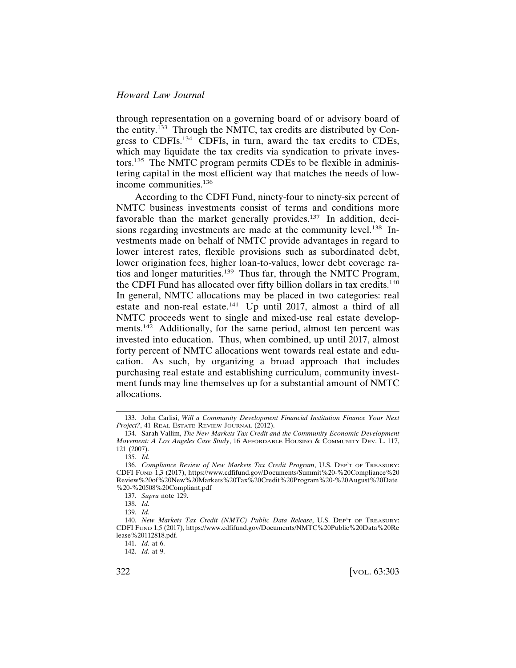through representation on a governing board of or advisory board of the entity.133 Through the NMTC, tax credits are distributed by Congress to CDFIs.134 CDFIs, in turn, award the tax credits to CDEs, which may liquidate the tax credits via syndication to private investors.135 The NMTC program permits CDEs to be flexible in administering capital in the most efficient way that matches the needs of lowincome communities.<sup>136</sup>

According to the CDFI Fund, ninety-four to ninety-six percent of NMTC business investments consist of terms and conditions more favorable than the market generally provides.137 In addition, decisions regarding investments are made at the community level.<sup>138</sup> Investments made on behalf of NMTC provide advantages in regard to lower interest rates, flexible provisions such as subordinated debt, lower origination fees, higher loan-to-values, lower debt coverage ratios and longer maturities.139 Thus far, through the NMTC Program, the CDFI Fund has allocated over fifty billion dollars in tax credits.<sup>140</sup> In general, NMTC allocations may be placed in two categories: real estate and non-real estate.<sup>141</sup> Up until 2017, almost a third of all NMTC proceeds went to single and mixed-use real estate developments.<sup>142</sup> Additionally, for the same period, almost ten percent was invested into education. Thus, when combined, up until 2017, almost forty percent of NMTC allocations went towards real estate and education. As such, by organizing a broad approach that includes purchasing real estate and establishing curriculum, community investment funds may line themselves up for a substantial amount of NMTC allocations.

<sup>133.</sup> John Carlisi, *Will a Community Development Financial Institution Finance Your Next Project?*, 41 REAL ESTATE REVIEW JOURNAL (2012).

<sup>134.</sup> Sarah Vallim, *The New Markets Tax Credit and the Community Economic Development Movement: A Los Angeles Case Study*, 16 AFFORDABLE HOUSING & COMMUNITY DEV. L. 117, 121 (2007).

<sup>135.</sup> *Id.*

<sup>136.</sup> *Compliance Review of New Markets Tax Credit Program*, U.S. DEP'T OF TREASURY: CDFI FUND 1,3 (2017), https://www.cdfifund.gov/Documents/Summit%20-%20Compliance%20 Review%20of%20New%20Markets%20Tax%20Credit%20Program%20-%20August%20Date %20-%20508%20Compliant.pdf

<sup>137.</sup> *Supra* note 129.

<sup>138.</sup> *Id.*

<sup>139.</sup> *Id.*

<sup>140.</sup> *New Markets Tax Credit (NMTC) Public Data Release*, U.S. DEP'T OF TREASURY: CDFI FUND 1,5 (2017), https://www.cdfifund.gov/Documents/NMTC%20Public%20Data%20Re lease%20112818.pdf.

<sup>141.</sup> *Id.* at 6.

<sup>142.</sup> *Id.* at 9.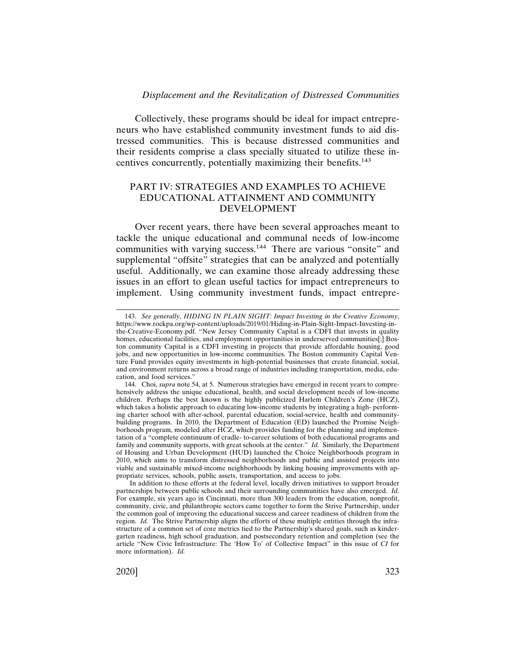#### *Displacement and the Revitalization of Distressed Communities*

Collectively, these programs should be ideal for impact entrepreneurs who have established community investment funds to aid distressed communities. This is because distressed communities and their residents comprise a class specially situated to utilize these incentives concurrently, potentially maximizing their benefits.143

# PART IV: STRATEGIES AND EXAMPLES TO ACHIEVE EDUCATIONAL ATTAINMENT AND COMMUNITY DEVELOPMENT

Over recent years, there have been several approaches meant to tackle the unique educational and communal needs of low-income communities with varying success.<sup>144</sup> There are various "onsite" and supplemental "offsite" strategies that can be analyzed and potentially useful. Additionally, we can examine those already addressing these issues in an effort to glean useful tactics for impact entrepreneurs to implement. Using community investment funds, impact entrepre-

<sup>143.</sup> *See generally*, *HIDING IN PLAIN SIGHT: Impact Investing in the Creative Economy*, https://www.rockpa.org/wp-content/uploads/2019/01/Hiding-in-Plain-Sight-Impact-Investing-inthe-Creative-Economy.pdf. "New Jersey Community Capital is a CDFI that invests in quality homes, educational facilities, and employment opportunities in underserved communities[;] Boston community Capital is a CDFI investing in projects that provide affordable housing, good jobs, and new opportunities in low-income communities. The Boston community Capital Venture Fund provides equity investments in high-potential businesses that create financial, social, and environment returns across a broad range of industries including transportation, media, education, and food services."

<sup>144.</sup> Choi, *supra* note 54, at 5. Numerous strategies have emerged in recent years to comprehensively address the unique educational, health, and social development needs of low-income children. Perhaps the best known is the highly publicized Harlem Children's Zone (HCZ), which takes a holistic approach to educating low-income students by integrating a high- performing charter school with after-school, parental education, social-service, health and communitybuilding programs. In 2010, the Department of Education (ED) launched the Promise Neighborhoods program, modeled after HCZ, which provides funding for the planning and implementation of a "complete continuum of cradle- to-career solutions of both educational programs and family and community supports, with great schools at the center." *Id.* Similarly, the Department of Housing and Urban Development (HUD) launched the Choice Neighborhoods program in 2010, which aims to transform distressed neighborhoods and public and assisted projects into viable and sustainable mixed-income neighborhoods by linking housing improvements with appropriate services, schools, public assets, transportation, and access to jobs.

In addition to these efforts at the federal level, locally driven initiatives to support broader partnerships between public schools and their surrounding communities have also emerged. *Id.* For example, six years ago in Cincinnati, more than 300 leaders from the education, nonprofit, community, civic, and philanthropic sectors came together to form the Strive Partnership, under the common goal of improving the educational success and career readiness of children from the region. *Id.* The Strive Partnership aligns the efforts of these multiple entities through the infrastructure of a common set of core metrics tied to the Partnership's shared goals, such as kindergarten readiness, high school graduation, and postsecondary retention and completion (see the article "New Civic Infrastructure: The 'How To' of Collective Impact" in this issue of *CI* for more information). *Id.*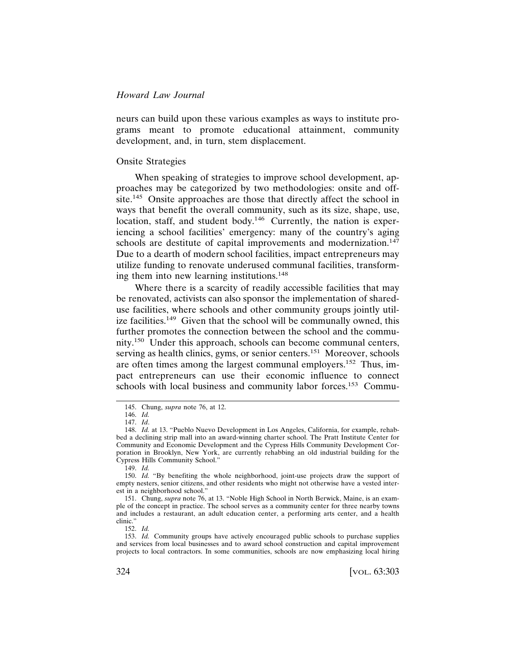# *Howard Law Journal*

neurs can build upon these various examples as ways to institute programs meant to promote educational attainment, community development, and, in turn, stem displacement.

### Onsite Strategies

When speaking of strategies to improve school development, approaches may be categorized by two methodologies: onsite and offsite.<sup>145</sup> Onsite approaches are those that directly affect the school in ways that benefit the overall community, such as its size, shape, use, location, staff, and student body.<sup>146</sup> Currently, the nation is experiencing a school facilities' emergency: many of the country's aging schools are destitute of capital improvements and modernization.<sup>147</sup> Due to a dearth of modern school facilities, impact entrepreneurs may utilize funding to renovate underused communal facilities, transforming them into new learning institutions.148

Where there is a scarcity of readily accessible facilities that may be renovated, activists can also sponsor the implementation of shareduse facilities, where schools and other community groups jointly utilize facilities.<sup>149</sup> Given that the school will be communally owned, this further promotes the connection between the school and the community.150 Under this approach, schools can become communal centers, serving as health clinics, gyms, or senior centers.<sup>151</sup> Moreover, schools are often times among the largest communal employers.152 Thus, impact entrepreneurs can use their economic influence to connect schools with local business and community labor forces.<sup>153</sup> Commu-

152. *Id.*

153. *Id.* Community groups have actively encouraged public schools to purchase supplies and services from local businesses and to award school construction and capital improvement projects to local contractors. In some communities, schools are now emphasizing local hiring

<sup>145.</sup> Chung, *supra* note 76, at 12.

<sup>146.</sup> *Id.*

<sup>147.</sup> *Id*.

<sup>148.</sup> *Id.* at 13. "Pueblo Nuevo Development in Los Angeles, California, for example, rehabbed a declining strip mall into an award-winning charter school. The Pratt Institute Center for Community and Economic Development and the Cypress Hills Community Development Corporation in Brooklyn, New York, are currently rehabbing an old industrial building for the Cypress Hills Community School."

<sup>149.</sup> *Id.*

<sup>150.</sup> *Id.* "By benefiting the whole neighborhood, joint-use projects draw the support of empty nesters, senior citizens, and other residents who might not otherwise have a vested interest in a neighborhood school."

<sup>151.</sup> Chung, *supra* note 76, at 13. "Noble High School in North Berwick, Maine, is an example of the concept in practice. The school serves as a community center for three nearby towns and includes a restaurant, an adult education center, a performing arts center, and a health clinic."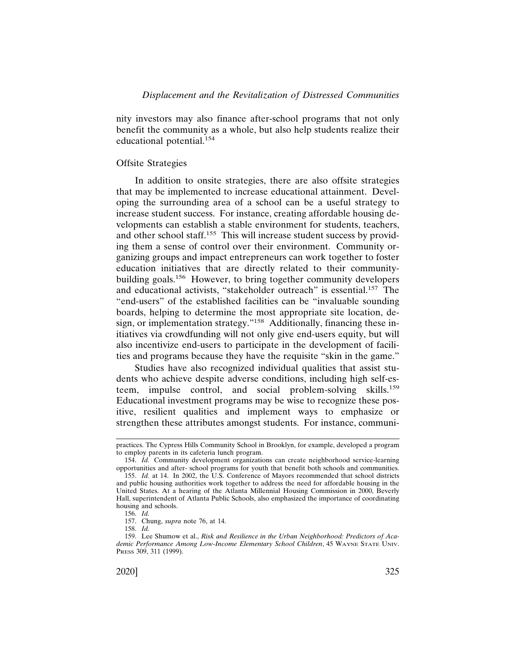#### *Displacement and the Revitalization of Distressed Communities*

nity investors may also finance after-school programs that not only benefit the community as a whole, but also help students realize their educational potential.154

#### Offsite Strategies

In addition to onsite strategies, there are also offsite strategies that may be implemented to increase educational attainment. Developing the surrounding area of a school can be a useful strategy to increase student success. For instance, creating affordable housing developments can establish a stable environment for students, teachers, and other school staff.155 This will increase student success by providing them a sense of control over their environment. Community organizing groups and impact entrepreneurs can work together to foster education initiatives that are directly related to their communitybuilding goals.156 However, to bring together community developers and educational activists, "stakeholder outreach" is essential.<sup>157</sup> The "end-users" of the established facilities can be "invaluable sounding boards, helping to determine the most appropriate site location, design, or implementation strategy."<sup>158</sup> Additionally, financing these initiatives via crowdfunding will not only give end-users equity, but will also incentivize end-users to participate in the development of facilities and programs because they have the requisite "skin in the game."

Studies have also recognized individual qualities that assist students who achieve despite adverse conditions, including high self-esteem, impulse control, and social problem-solving skills.<sup>159</sup> Educational investment programs may be wise to recognize these positive, resilient qualities and implement ways to emphasize or strengthen these attributes amongst students. For instance, communi-

practices. The Cypress Hills Community School in Brooklyn, for example, developed a program to employ parents in its cafeteria lunch program.

<sup>154.</sup> *Id.* Community development organizations can create neighborhood service-learning opportunities and after- school programs for youth that benefit both schools and communities.

<sup>155.</sup> *Id.* at 14. In 2002, the U.S. Conference of Mayors recommended that school districts and public housing authorities work together to address the need for affordable housing in the United States. At a hearing of the Atlanta Millennial Housing Commission in 2000, Beverly Hall, superintendent of Atlanta Public Schools, also emphasized the importance of coordinating housing and schools.

<sup>156.</sup> *Id.*

<sup>157.</sup> Chung, *supra* note 76, at 14.

<sup>158.</sup> *Id.*

<sup>159.</sup> Lee Shumow et al., *Risk and Resilience in the Urban Neighborhood: Predictors of Academic Performance Among Low-Income Elementary School Children*, 45 WAYNE STATE UNIV. PRESS 309, 311 (1999).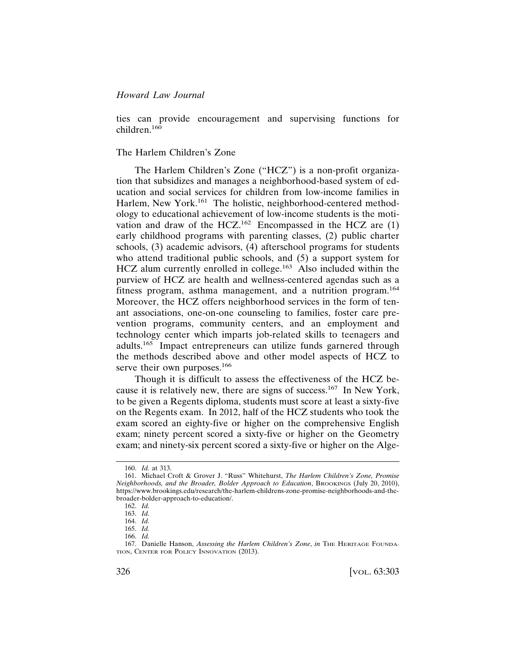### *Howard Law Journal*

ties can provide encouragement and supervising functions for children.<sup>160</sup>

## The Harlem Children's Zone

The Harlem Children's Zone ("HCZ") is a non-profit organization that subsidizes and manages a neighborhood-based system of education and social services for children from low-income families in Harlem, New York.<sup>161</sup> The holistic, neighborhood-centered methodology to educational achievement of low-income students is the motivation and draw of the HCZ.162 Encompassed in the HCZ are (1) early childhood programs with parenting classes, (2) public charter schools, (3) academic advisors, (4) afterschool programs for students who attend traditional public schools, and (5) a support system for HCZ alum currently enrolled in college.<sup>163</sup> Also included within the purview of HCZ are health and wellness-centered agendas such as a fitness program, asthma management, and a nutrition program.164 Moreover, the HCZ offers neighborhood services in the form of tenant associations, one-on-one counseling to families, foster care prevention programs, community centers, and an employment and technology center which imparts job-related skills to teenagers and adults.165 Impact entrepreneurs can utilize funds garnered through the methods described above and other model aspects of HCZ to serve their own purposes.<sup>166</sup>

Though it is difficult to assess the effectiveness of the HCZ because it is relatively new, there are signs of success.167 In New York, to be given a Regents diploma, students must score at least a sixty-five on the Regents exam. In 2012, half of the HCZ students who took the exam scored an eighty-five or higher on the comprehensive English exam; ninety percent scored a sixty-five or higher on the Geometry exam; and ninety-six percent scored a sixty-five or higher on the Alge-

<sup>160.</sup> *Id.* at 313.

<sup>161.</sup> Michael Croft & Grover J. "Russ" Whitehurst, *The Harlem Children's Zone, Promise Neighborhoods, and the Broader, Bolder Approach to Education*, BROOKINGS (July 20, 2010), https://www.brookings.edu/research/the-harlem-childrens-zone-promise-neighborhoods-and-thebroader-bolder-approach-to-education/.

<sup>162.</sup> *Id.*

<sup>163.</sup> *Id.*

<sup>164.</sup> *Id.* 165. *Id.*

<sup>166.</sup> *Id.*

<sup>167.</sup> Danielle Hanson, *Assessing the Harlem Children's Zone*, *in* THE HERITAGE FOUNDA-TION, CENTER FOR POLICY INNOVATION (2013).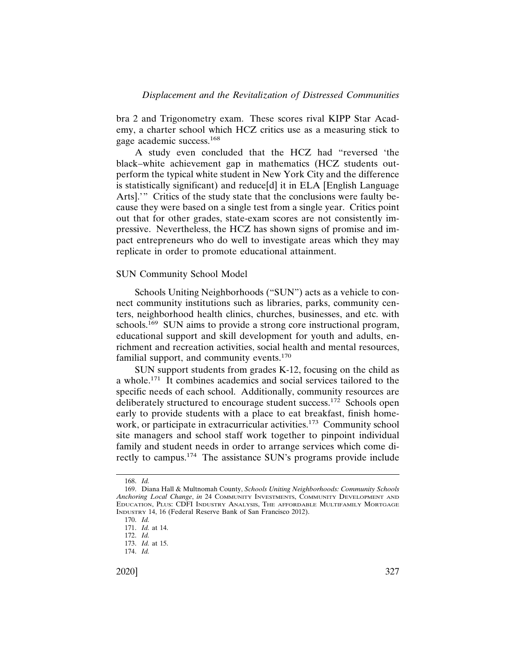bra 2 and Trigonometry exam. These scores rival KIPP Star Academy, a charter school which HCZ critics use as a measuring stick to gage academic success.168

A study even concluded that the HCZ had "reversed 'the black–white achievement gap in mathematics (HCZ students outperform the typical white student in New York City and the difference is statistically significant) and reduce[d] it in ELA [English Language Arts].'" Critics of the study state that the conclusions were faulty because they were based on a single test from a single year. Critics point out that for other grades, state-exam scores are not consistently impressive. Nevertheless, the HCZ has shown signs of promise and impact entrepreneurs who do well to investigate areas which they may replicate in order to promote educational attainment.

#### SUN Community School Model

Schools Uniting Neighborhoods ("SUN") acts as a vehicle to connect community institutions such as libraries, parks, community centers, neighborhood health clinics, churches, businesses, and etc. with schools.<sup>169</sup> SUN aims to provide a strong core instructional program, educational support and skill development for youth and adults, enrichment and recreation activities, social health and mental resources, familial support, and community events.<sup>170</sup>

SUN support students from grades K-12, focusing on the child as a whole.171 It combines academics and social services tailored to the specific needs of each school. Additionally, community resources are deliberately structured to encourage student success.<sup>172</sup> Schools open early to provide students with a place to eat breakfast, finish homework, or participate in extracurricular activities.<sup>173</sup> Community school site managers and school staff work together to pinpoint individual family and student needs in order to arrange services which come directly to campus.174 The assistance SUN's programs provide include

<sup>168.</sup> *Id.*

<sup>169.</sup> Diana Hall & Multnomah County, *Schools Uniting Neighborhoods: Community Schools Anchoring Local Change*, *in* 24 COMMUNITY INVESTMENTS, COMMUNITY DEVELOPMENT AND EDUCATION, PLUS: CDFI INDUSTRY ANALYSIS, THE AFFORDABLE MULTIFAMILY MORTGAGE INDUSTRY 14, 16 (Federal Reserve Bank of San Francisco 2012). 170. *Id.*

<sup>171.</sup> *Id.* at 14. 172. *Id.*

<sup>173.</sup> *Id.* at 15. 174. *Id.*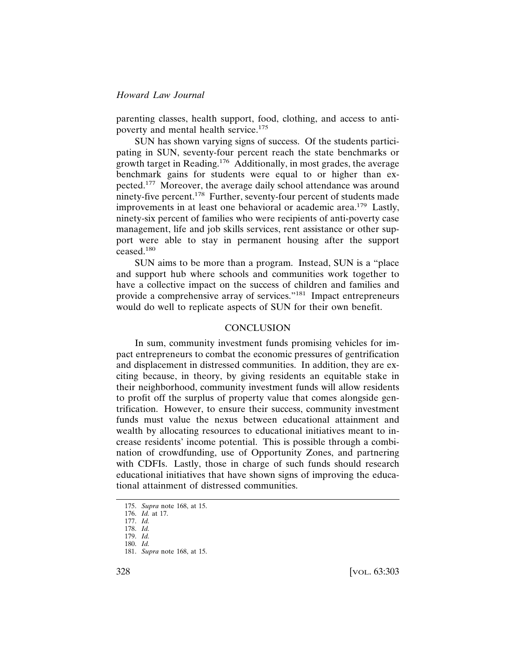## *Howard Law Journal*

parenting classes, health support, food, clothing, and access to antipoverty and mental health service.175

SUN has shown varying signs of success. Of the students participating in SUN, seventy-four percent reach the state benchmarks or growth target in Reading.176 Additionally, in most grades, the average benchmark gains for students were equal to or higher than expected.177 Moreover, the average daily school attendance was around ninety-five percent.178 Further, seventy-four percent of students made improvements in at least one behavioral or academic area.<sup>179</sup> Lastly, ninety-six percent of families who were recipients of anti-poverty case management, life and job skills services, rent assistance or other support were able to stay in permanent housing after the support ceased.180

SUN aims to be more than a program. Instead, SUN is a "place and support hub where schools and communities work together to have a collective impact on the success of children and families and provide a comprehensive array of services."181 Impact entrepreneurs would do well to replicate aspects of SUN for their own benefit.

### **CONCLUSION**

In sum, community investment funds promising vehicles for impact entrepreneurs to combat the economic pressures of gentrification and displacement in distressed communities. In addition, they are exciting because, in theory, by giving residents an equitable stake in their neighborhood, community investment funds will allow residents to profit off the surplus of property value that comes alongside gentrification. However, to ensure their success, community investment funds must value the nexus between educational attainment and wealth by allocating resources to educational initiatives meant to increase residents' income potential. This is possible through a combination of crowdfunding, use of Opportunity Zones, and partnering with CDFIs. Lastly, those in charge of such funds should research educational initiatives that have shown signs of improving the educational attainment of distressed communities.

<sup>175.</sup> *Supra* note 168, at 15.

<sup>176.</sup> *Id.* at 17.

<sup>177.</sup> *Id.* 178. *Id.*

<sup>179.</sup> *Id.*

<sup>180.</sup> *Id.*

<sup>181.</sup> *Supra* note 168, at 15.